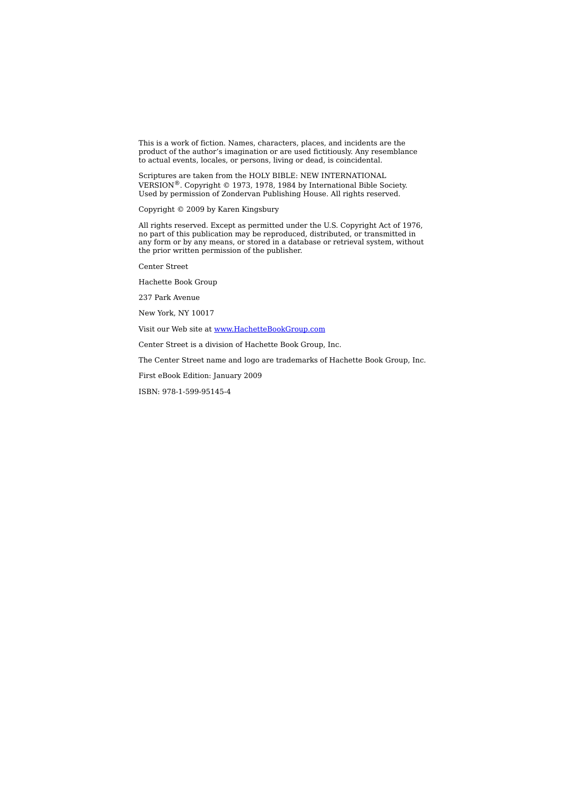This is a work of fiction. Names, characters, places, and incidents are the product of the author's imagination or are used fictitiously. Any resemblance to actual events, locales, or persons, living or dead, is coincidental.

Scriptures are taken from the HOLY BIBLE: NEW INTERNATIONAL VERSION<sup>®</sup>. Copyright © 1973, 1978, 1984 by International Bible Society. Used by permission of Zondervan Publishing House. All rights reserved.

Copyright © 2009 by Karen Kingsbury

All rights reserved. Except as permitted under the U.S. Copyright Act of 1976, no part of this publication may be reproduced, distributed, or transmitted in any form or by any means, or stored in a database or retrieval system, without the prior written permission of the publisher.

Center Street

Hachette Book Group

237 Park Avenue

New York, NY 10017

Visit our Web site at www.HachetteBookGroup.com

Center Street is a division of Hachette Book Group, Inc.

The Center Street name and logo are trademarks of Hachette Book Group, Inc.

First eBook Edition: January 2009

ISBN: 978-1-599-95145-4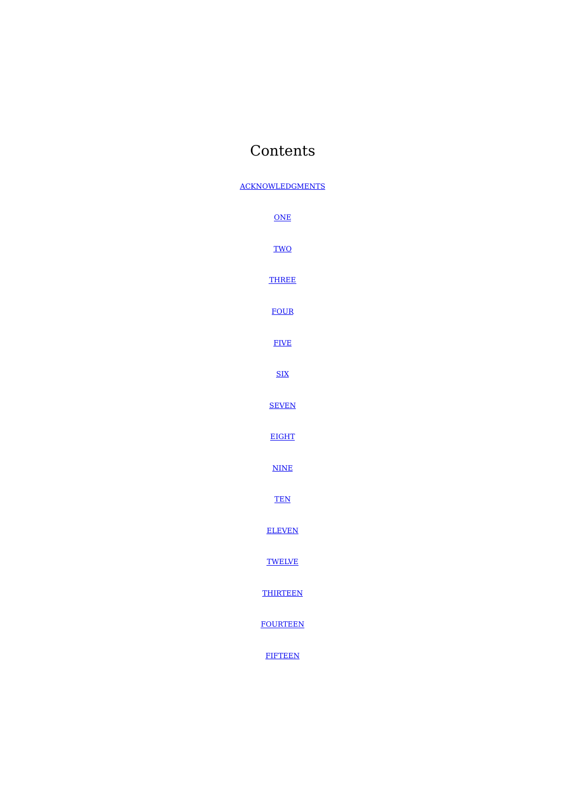# Contents

**ACKNOWLEDGMENTS** 

**ONE TWO** THREE FOUR FIVE SIX SEVEN EIGHT NINE TEN ELEVEN **TWELVE THIRTEEN FOURTEEN** 

FIFTEEN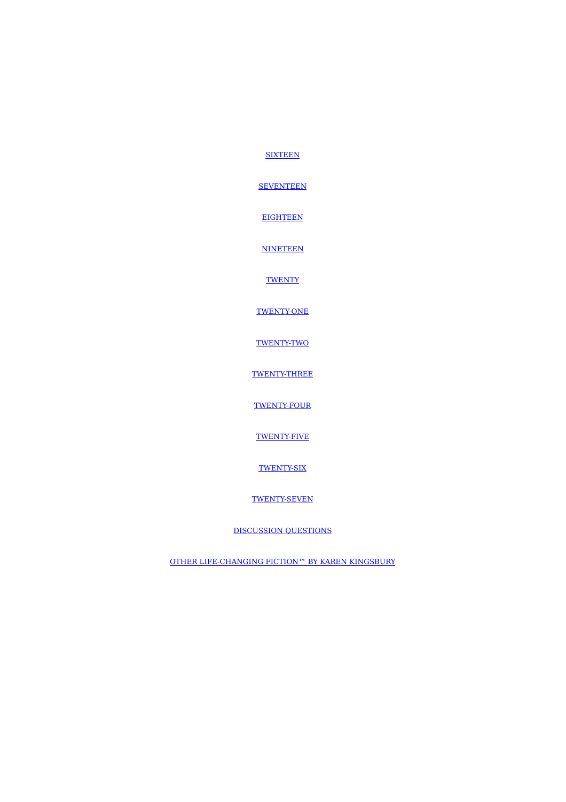**SIXTEEN** 

**SEVENTEEN** 

**EIGHTEEN** 

NINETEEN

**TWENTY** 

TWENTY-ONE

TWENTY-TWO

TWENTY-THREE

TWENTY-FOUR

TWENTY-FIVE

TWENTY-SIX

TWENTY-SEVEN

DISCUSSION QUESTIONS

OTHER LIFE-CHANGING FICTION™ BY KAREN KINGSBURY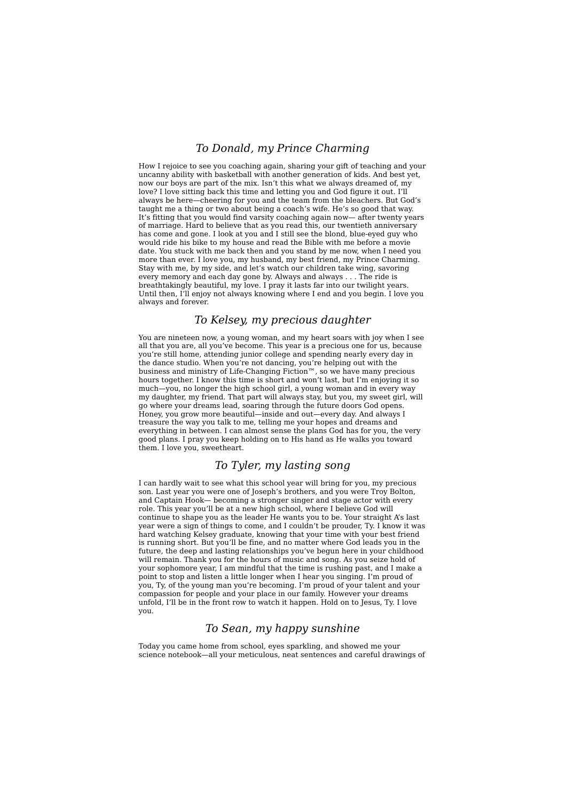# *To Donald, my Prince Charming*

How I rejoice to see you coaching again, sharing your gift of teaching and your uncanny ability with basketball with another generation of kids. And best yet, now our boys are part of the mix. Isn't this what we always dreamed of, my love? I love sitting back this time and letting you and God figure it out. I'll always be here—cheering for you and the team from the bleachers. But God's taught me a thing or two about being a coach's wife. He's so good that way. It's fitting that you would find varsity coaching again now— after twenty years of marriage. Hard to believe that as you read this, our twentieth anniversary has come and gone. I look at you and I still see the blond, blue-eyed guy who would ride his bike to my house and read the Bible with me before a movie date. You stuck with me back then and you stand by me now, when I need you more than ever. I love you, my husband, my best friend, my Prince Charming. Stay with me, by my side, and let's watch our children take wing, savoring every memory and each day gone by. Always and always . . . The ride is breathtakingly beautiful, my love. I pray it lasts far into our twilight years. Until then, I'll enjoy not always knowing where I end and you begin. I love you always and forever.

# *To Kelsey, my precious daughter*

You are nineteen now, a young woman, and my heart soars with joy when I see all that you are, all you've become. This year is a precious one for us, because you're still home, attending junior college and spending nearly every day in the dance studio. When you're not dancing, you're helping out with the business and ministry of Life-Changing Fiction™, so we have many precious hours together. I know this time is short and won't last, but I'm enjoying it so much—you, no longer the high school girl, a young woman and in every way my daughter, my friend. That part will always stay, but you, my sweet girl, will go where your dreams lead, soaring through the future doors God opens. Honey, you grow more beautiful—inside and out—every day. And always I treasure the way you talk to me, telling me your hopes and dreams and everything in between. I can almost sense the plans God has for you, the very good plans. I pray you keep holding on to His hand as He walks you toward them. I love you, sweetheart.

# *To Tyler, my lasting song*

I can hardly wait to see what this school year will bring for you, my precious son. Last year you were one of Joseph's brothers, and you were Troy Bolton, and Captain Hook— becoming a stronger singer and stage actor with every role. This year you'll be at a new high school, where I believe God will continue to shape you as the leader He wants you to be. Your straight A's last year were a sign of things to come, and I couldn't be prouder, Ty. I know it was hard watching Kelsey graduate, knowing that your time with your best friend is running short. But you'll be fine, and no matter where God leads you in the future, the deep and lasting relationships you've begun here in your childhood will remain. Thank you for the hours of music and song. As you seize hold of your sophomore year, I am mindful that the time is rushing past, and I make a point to stop and listen a little longer when I hear you singing. I'm proud of you, Ty, of the young man you're becoming. I'm proud of your talent and your compassion for people and your place in our family. However your dreams unfold, I'll be in the front row to watch it happen. Hold on to Jesus, Ty. I love you.

# *To Sean, my happy sunshine*

Today you came home from school, eyes sparkling, and showed me your science notebook—all your meticulous, neat sentences and careful drawings of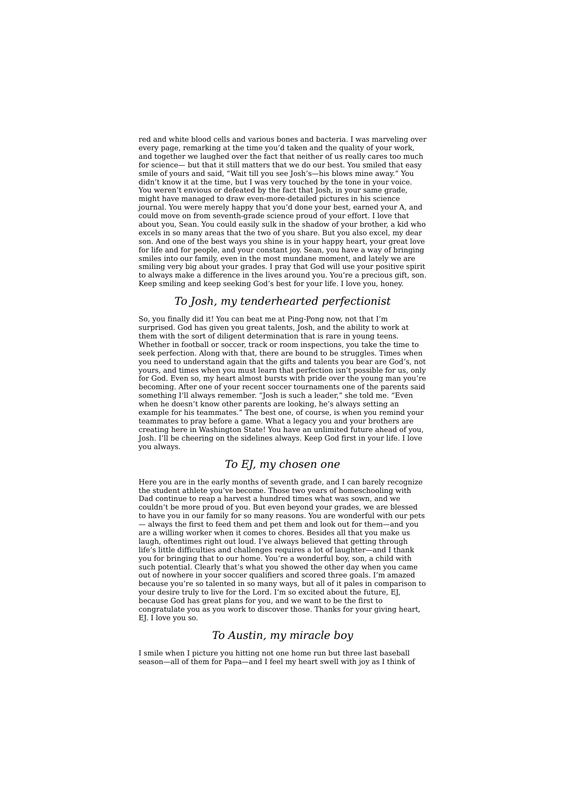red and white blood cells and various bones and bacteria. I was marveling over every page, remarking at the time you'd taken and the quality of your work, and together we laughed over the fact that neither of us really cares too much for science— but that it still matters that we do our best. You smiled that easy smile of yours and said, "Wait till you see Josh's—his blows mine away." You didn't know it at the time, but I was very touched by the tone in your voice. You weren't envious or defeated by the fact that Josh, in your same grade, might have managed to draw even-more-detailed pictures in his science journal. You were merely happy that you'd done your best, earned your A, and could move on from seventh-grade science proud of your effort. I love that about you, Sean. You could easily sulk in the shadow of your brother, a kid who excels in so many areas that the two of you share. But you also excel, my dear son. And one of the best ways you shine is in your happy heart, your great love for life and for people, and your constant joy. Sean, you have a way of bringing smiles into our family, even in the most mundane moment, and lately we are smiling very big about your grades. I pray that God will use your positive spirit to always make a difference in the lives around you. You're a precious gift, son. Keep smiling and keep seeking God's best for your life. I love you, honey.

## *To Josh, my tenderhearted perfectionist*

So, you finally did it! You can beat me at Ping-Pong now, not that I'm surprised. God has given you great talents, Josh, and the ability to work at them with the sort of diligent determination that is rare in young teens. Whether in football or soccer, track or room inspections, you take the time to seek perfection. Along with that, there are bound to be struggles. Times when you need to understand again that the gifts and talents you bear are God's, not yours, and times when you must learn that perfection isn't possible for us, only for God. Even so, my heart almost bursts with pride over the young man you're becoming. After one of your recent soccer tournaments one of the parents said something I'll always remember. "Josh is such a leader," she told me. "Even when he doesn't know other parents are looking, he's always setting an example for his teammates." The best one, of course, is when you remind your teammates to pray before a game. What a legacy you and your brothers are creating here in Washington State! You have an unlimited future ahead of you, Josh. I'll be cheering on the sidelines always. Keep God first in your life. I love you always.

# *To EJ, my chosen one*

Here you are in the early months of seventh grade, and I can barely recognize the student athlete you've become. Those two years of homeschooling with Dad continue to reap a harvest a hundred times what was sown, and we couldn't be more proud of you. But even beyond your grades, we are blessed to have you in our family for so many reasons. You are wonderful with our pets — always the first to feed them and pet them and look out for them—and you are a willing worker when it comes to chores. Besides all that you make us laugh, oftentimes right out loud. I've always believed that getting through life's little difficulties and challenges requires a lot of laughter—and I thank you for bringing that to our home. You're a wonderful boy, son, a child with such potential. Clearly that's what you showed the other day when you came out of nowhere in your soccer qualifiers and scored three goals. I'm amazed because you're so talented in so many ways, but all of it pales in comparison to your desire truly to live for the Lord. I'm so excited about the future, EJ, because God has great plans for you, and we want to be the first to congratulate you as you work to discover those. Thanks for your giving heart, EJ. I love you so.

### *To Austin, my miracle boy*

I smile when I picture you hitting not one home run but three last baseball season—all of them for Papa—and I feel my heart swell with joy as I think of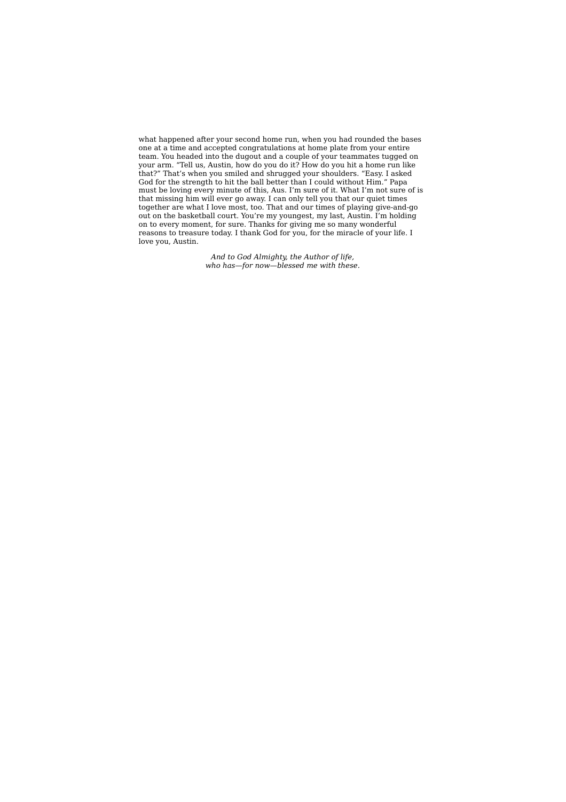what happened after your second home run, when you had rounded the bases one at a time and accepted congratulations at home plate from your entire team. You headed into the dugout and a couple of your teammates tugged on your arm. "Tell us, Austin, how do you do it? How do you hit a home run like that?" That's when you smiled and shrugged your shoulders. "Easy. I asked God for the strength to hit the ball better than I could without Him." Papa must be loving every minute of this, Aus. I'm sure of it. What I'm not sure of is that missing him will ever go away. I can only tell you that our quiet times together are what I love most, too. That and our times of playing give-and-go out on the basketball court. You're my youngest, my last, Austin. I'm holding on to every moment, for sure. Thanks for giving me so many wonderful reasons to treasure today. I thank God for you, for the miracle of your life. I love you, Austin.

> *And to God Almighty, the Author of life, who has—for now—blessed me with these.*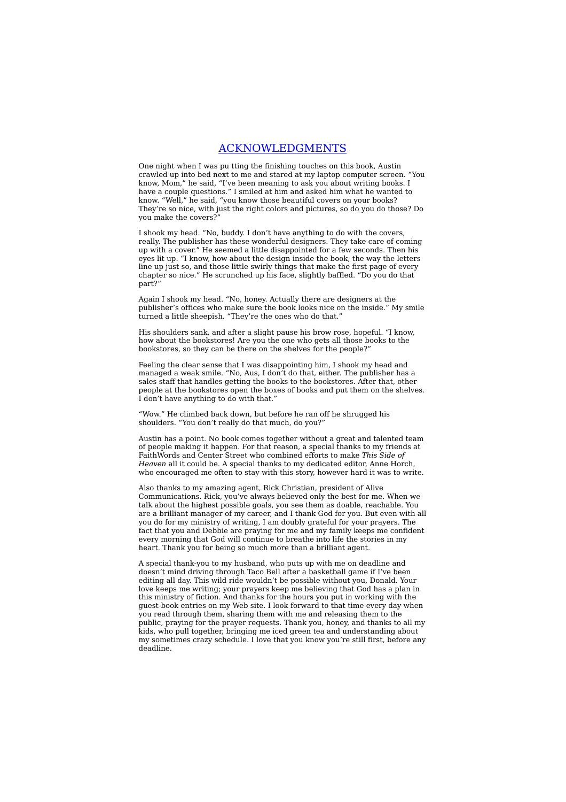### ACKNOWLEDGMENTS

One night when I was pu tting the finishing touches on this book, Austin crawled up into bed next to me and stared at my laptop computer screen. "You know, Mom," he said, "I've been meaning to ask you about writing books. I have a couple questions." I smiled at him and asked him what he wanted to know. "Well," he said, "you know those beautiful covers on your books? They're so nice, with just the right colors and pictures, so do you do those? Do you make the covers?"

I shook my head. "No, buddy. I don't have anything to do with the covers, really. The publisher has these wonderful designers. They take care of coming up with a cover." He seemed a little disappointed for a few seconds. Then his eyes lit up. "I know, how about the design inside the book, the way the letters line up just so, and those little swirly things that make the first page of every chapter so nice." He scrunched up his face, slightly baffled. "Do you do that part?"

Again I shook my head. "No, honey. Actually there are designers at the publisher's offices who make sure the book looks nice on the inside." My smile turned a little sheepish. "They're the ones who do that."

His shoulders sank, and after a slight pause his brow rose, hopeful. "I know, how about the bookstores! Are you the one who gets all those books to the bookstores, so they can be there on the shelves for the people?"

Feeling the clear sense that I was disappointing him, I shook my head and managed a weak smile. "No, Aus, I don't do that, either. The publisher has a sales staff that handles getting the books to the bookstores. After that, other people at the bookstores open the boxes of books and put them on the shelves. I don't have anything to do with that."

"Wow." He climbed back down, but before he ran off he shrugged his shoulders. "You don't really do that much, do you?"

Austin has a point. No book comes together without a great and talented team of people making it happen. For that reason, a special thanks to my friends at FaithWords and Center Street who combined efforts to make *This Side of Heaven* all it could be. A special thanks to my dedicated editor, Anne Horch, who encouraged me often to stay with this story, however hard it was to write.

Also thanks to my amazing agent, Rick Christian, president of Alive Communications. Rick, you've always believed only the best for me. When we talk about the highest possible goals, you see them as doable, reachable. You are a brilliant manager of my career, and I thank God for you. But even with all you do for my ministry of writing, I am doubly grateful for your prayers. The fact that you and Debbie are praying for me and my family keeps me confident every morning that God will continue to breathe into life the stories in my heart. Thank you for being so much more than a brilliant agent.

A special thank-you to my husband, who puts up with me on deadline and doesn't mind driving through Taco Bell after a basketball game if I've been editing all day. This wild ride wouldn't be possible without you, Donald. Your love keeps me writing; your prayers keep me believing that God has a plan in this ministry of fiction. And thanks for the hours you put in working with the guest-book entries on my Web site. I look forward to that time every day when you read through them, sharing them with me and releasing them to the public, praying for the prayer requests. Thank you, honey, and thanks to all my kids, who pull together, bringing me iced green tea and understanding about my sometimes crazy schedule. I love that you know you're still first, before any deadline.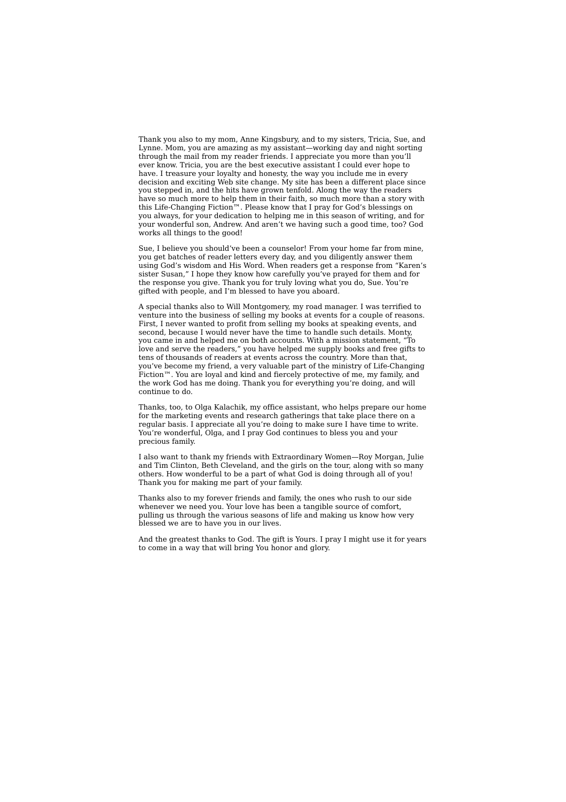Thank you also to my mom, Anne Kingsbury, and to my sisters, Tricia, Sue, and Lynne. Mom, you are amazing as my assistant—working day and night sorting through the mail from my reader friends. I appreciate you more than you'll ever know. Tricia, you are the best executive assistant I could ever hope to have. I treasure your loyalty and honesty, the way you include me in every decision and exciting Web site change. My site has been a different place since you stepped in, and the hits have grown tenfold. Along the way the readers have so much more to help them in their faith, so much more than a story with this Life-Changing Fiction™. Please know that I pray for God's blessings on you always, for your dedication to helping me in this season of writing, and for your wonderful son, Andrew. And aren't we having such a good time, too? God works all things to the good!

Sue, I believe you should've been a counselor! From your home far from mine, you get batches of reader letters every day, and you diligently answer them using God's wisdom and His Word. When readers get a response from "Karen's sister Susan," I hope they know how carefully you've prayed for them and for the response you give. Thank you for truly loving what you do, Sue. You're gifted with people, and I'm blessed to have you aboard.

A special thanks also to Will Montgomery, my road manager. I was terrified to venture into the business of selling my books at events for a couple of reasons. First, I never wanted to profit from selling my books at speaking events, and second, because I would never have the time to handle such details. Monty, you came in and helped me on both accounts. With a mission statement, "To love and serve the readers," you have helped me supply books and free gifts to tens of thousands of readers at events across the country. More than that, you've become my friend, a very valuable part of the ministry of Life-Changing Fiction™. You are loyal and kind and fiercely protective of me, my family, and the work God has me doing. Thank you for everything you're doing, and will continue to do.

Thanks, too, to Olga Kalachik, my office assistant, who helps prepare our home for the marketing events and research gatherings that take place there on a regular basis. I appreciate all you're doing to make sure I have time to write. You're wonderful, Olga, and I pray God continues to bless you and your precious family.

I also want to thank my friends with Extraordinary Women—Roy Morgan, Julie and Tim Clinton, Beth Cleveland, and the girls on the tour, along with so many others. How wonderful to be a part of what God is doing through all of you! Thank you for making me part of your family.

Thanks also to my forever friends and family, the ones who rush to our side whenever we need you. Your love has been a tangible source of comfort, pulling us through the various seasons of life and making us know how very blessed we are to have you in our lives.

And the greatest thanks to God. The gift is Yours. I pray I might use it for years to come in a way that will bring You honor and glory.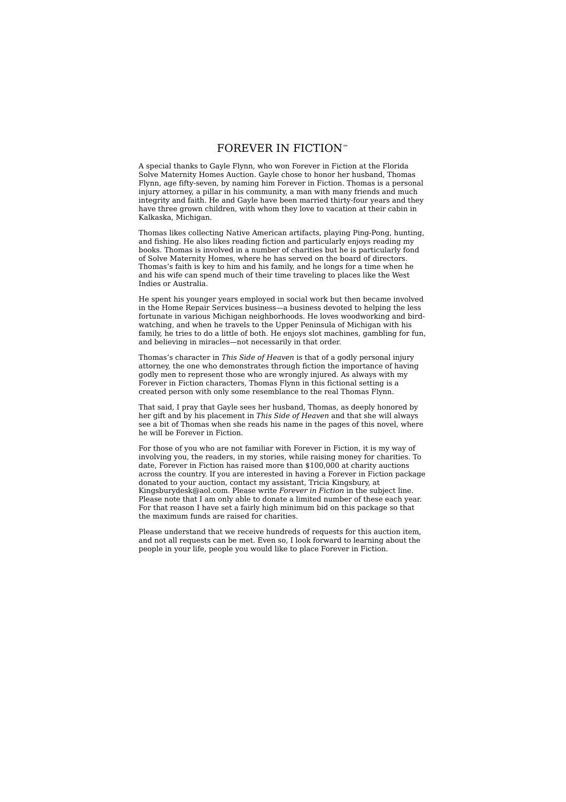# FOREVER IN FICTION™

A special thanks to Gayle Flynn, who won Forever in Fiction at the Florida Solve Maternity Homes Auction. Gayle chose to honor her husband, Thomas Flynn, age fifty-seven, by naming him Forever in Fiction. Thomas is a personal injury attorney, a pillar in his community, a man with many friends and much integrity and faith. He and Gayle have been married thirty-four years and they have three grown children, with whom they love to vacation at their cabin in Kalkaska, Michigan.

Thomas likes collecting Native American artifacts, playing Ping-Pong, hunting, and fishing. He also likes reading fiction and particularly enjoys reading my books. Thomas is involved in a number of charities but he is particularly fond of Solve Maternity Homes, where he has served on the board of directors. Thomas's faith is key to him and his family, and he longs for a time when he and his wife can spend much of their time traveling to places like the West Indies or Australia.

He spent his younger years employed in social work but then became involved in the Home Repair Services business—a business devoted to helping the less fortunate in various Michigan neighborhoods. He loves woodworking and bird watching, and when he travels to the Upper Peninsula of Michigan with his family, he tries to do a little of both. He enjoys slot machines, gambling for fun, and believing in miracles—not necessarily in that order.

Thomas's character in *This Side of Heaven* is that of a godly personal injury attorney, the one who demonstrates through fiction the importance of having godly men to represent those who are wrongly injured. As always with my Forever in Fiction characters, Thomas Flynn in this fictional setting is a created person with only some resemblance to the real Thomas Flynn.

That said, I pray that Gayle sees her husband, Thomas, as deeply honored by her gift and by his placement in *This Side of Heaven* and that she will always see a bit of Thomas when she reads his name in the pages of this novel, where he will be Forever in Fiction.

For those of you who are not familiar with Forever in Fiction, it is my way of involving you, the readers, in my stories, while raising money for charities. To date, Forever in Fiction has raised more than \$100,000 at charity auctions across the country. If you are interested in having a Forever in Fiction package donated to your auction, contact my assistant, Tricia Kingsbury, at Kingsburydesk@aol.com. Please write *Forever in Fiction* in the subject line. Please note that I am only able to donate a limited number of these each year. For that reason I have set a fairly high minimum bid on this package so that the maximum funds are raised for charities.

Please understand that we receive hundreds of requests for this auction item, and not all requests can be met. Even so, I look forward to learning about the people in your life, people you would like to place Forever in Fiction.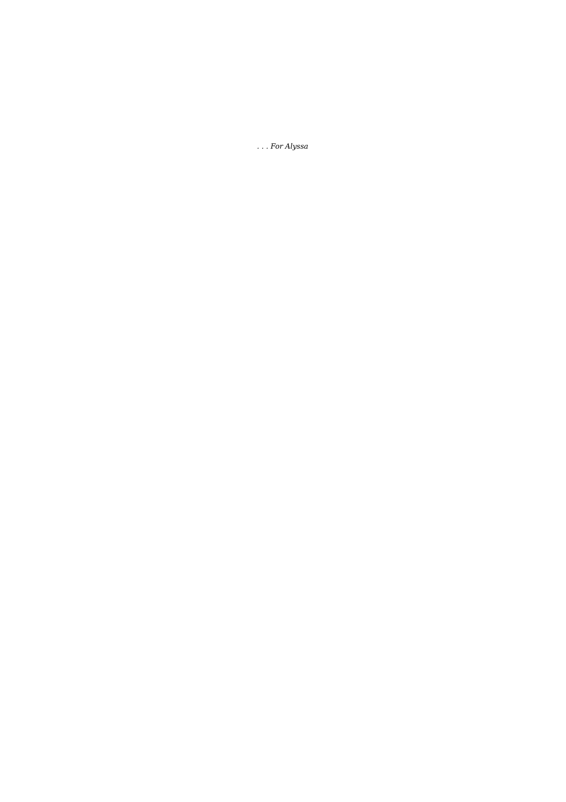*. . . Fo r A l y s s a*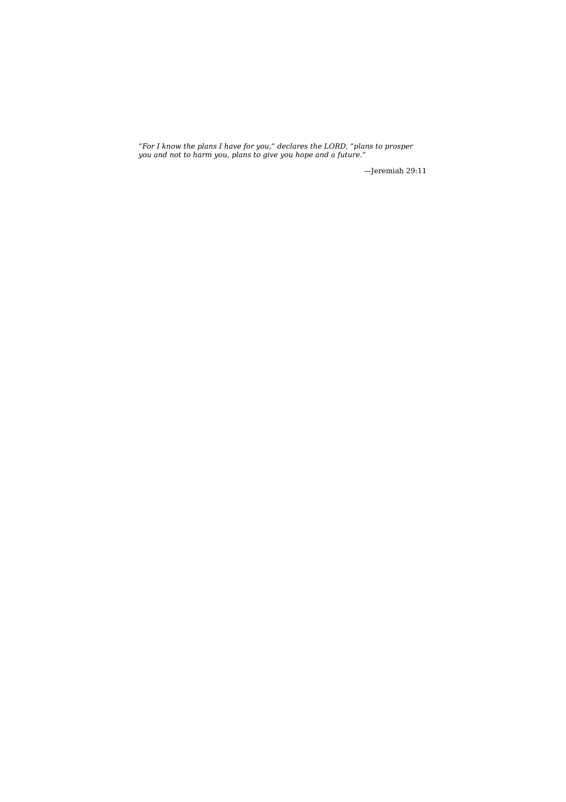*"For I know the plans I have for you," declares the LORD, "plans to prosper you and not to harm you, plans to give you hope and a future."*

—Jeremiah 29:11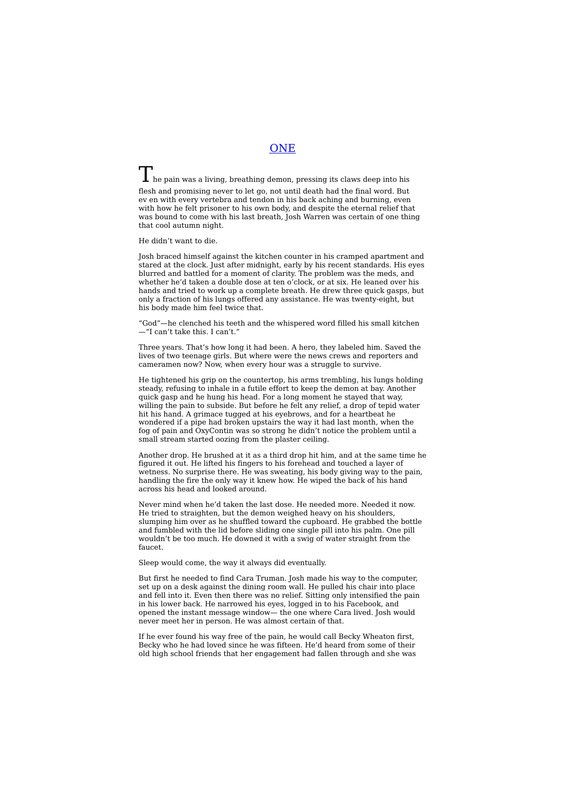ONE

 $\blacksquare$  he pain was a living, breathing demon, pressing its claws deep into his flesh and promising never to let go, not until death had the final word. But ev en with every vertebra and tendon in his back aching and burning, even with how he felt prisoner to his own body, and despite the eternal relief that was bound to come with his last breath, Josh Warren was certain of one thing that cool autumn night.

He didn't want to die.

Josh braced himself against the kitchen counter in his cramped apartment and stared at the clock. Just after midnight, early by his recent standards. His eyes blurred and battled for a moment of clarity. The problem was the meds, and whether he'd taken a double dose at ten o'clock, or at six. He leaned over his hands and tried to work up a complete breath. He drew three quick gasps, but only a fraction of his lungs offered any assistance. He was twenty-eight, but his body made him feel twice that.

"God"—he clenched his teeth and the whispered word filled his small kitchen —"I can't take this. I can't."

Three years. That's how long it had been. A hero, they labeled him. Saved the lives of two teenage girls. But where were the news crews and reporters and cameramen now? Now, when every hour was a struggle to survive.

He tightened his grip on the countertop, his arms trembling, his lungs holding steady, refusing to inhale in a futile effort to keep the demon at bay. Another quick gasp and he hung his head. For a long moment he stayed that way, willing the pain to subside. But before he felt any relief, a drop of tepid water hit his hand. A grimace tugged at his eyebrows, and for a heartbeat he wondered if a pipe had broken upstairs the way it had last month, when the fog of pain and OxyContin was so strong he didn't notice the problem until a small stream started oozing from the plaster ceiling.

Another drop. He brushed at it as a third drop hit him, and at the same time he figured it out. He lifted his fingers to his forehead and touched a layer of wetness. No surprise there. He was sweating, his body giving way to the pain, handling the fire the only way it knew how. He wiped the back of his hand across his head and looked around.

Never mind when he'd taken the last dose. He needed more. Needed it now. He tried to straighten, but the demon weighed heavy on his shoulders, slumping him over as he shuffled toward the cupboard. He grabbed the bottle and fumbled with the lid before sliding one single pill into his palm. One pill wouldn't be too much. He downed it with a swig of water straight from the faucet.

Sleep would come, the way it always did eventually.

But first he needed to find Cara Truman. Josh made his way to the computer, set up on a desk against the dining room wall. He pulled his chair into place and fell into it. Even then there was no relief. Sitting only intensified the pain in his lower back. He narrowed his eyes, logged in to his Facebook, and opened the instant message window— the one where Cara lived. Josh would never meet her in person. He was almost certain of that.

If he ever found his way free of the pain, he would call Becky Wheaton first, Becky who he had loved since he was fifteen. He'd heard from some of their old high school friends that her engagement had fallen through and she was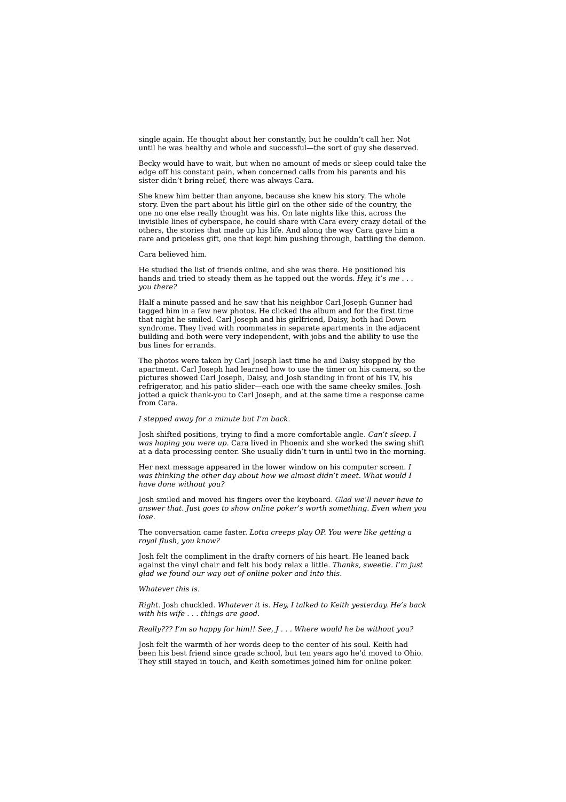single again. He thought about her constantly, but he couldn't call her. Not until he was healthy and whole and successful—the sort of guy she deserved.

Becky would have to wait, but when no amount of meds or sleep could take the edge off his constant pain, when concerned calls from his parents and his sister didn't bring relief, there was always Cara.

She knew him better than anyone, because she knew his story. The whole story. Even the part about his little girl on the other side of the country, the one no one else really thought was his. On late nights like this, across the invisible lines of cyberspace, he could share with Cara every crazy detail of the others, the stories that made up his life. And along the way Cara gave him a rare and priceless gift, one that kept him pushing through, battling the demon.

#### Cara believed him.

He studied the list of friends online, and she was there. He positioned his hands and tried to steady them as he tapped out the words. *Hey, it's me . . . you there?*

Half a minute passed and he saw that his neighbor Carl Joseph Gunner had tagged him in a few new photos. He clicked the album and for the first time that night he smiled. Carl Joseph and his girlfriend, Daisy, both had Down syndrome. They lived with roommates in separate apartments in the adjacent building and both were very independent, with jobs and the ability to use the bus lines for errands.

The photos were taken by Carl Joseph last time he and Daisy stopped by the apartment. Carl Joseph had learned how to use the timer on his camera, so the pictures showed Carl Joseph, Daisy, and Josh standing in front of his TV, his refrigerator, and his patio slider—each one with the same cheeky smiles. Josh jotted a quick thank-you to Carl Joseph, and at the same time a response came from Cara.

#### *I stepped away for a minute but I'm back.*

Josh shifted positions, trying to find a more comfortable angle. *Can't sleep. I was hoping you were up.* Cara lived in Phoenix and she worked the swing shift at a data processing center. She usually didn't turn in until two in the morning.

Her next message appeared in the lower window on his computer screen. *I was thinking the other day about how we almost didn't meet. What would I have done without you?*

Josh smiled and moved his fingers over the keyboard. *Glad we'll never have to answer that. Just goes to show online poker's worth something. Even when you lose.*

The conversation came faster. *Lotta creeps play OP. You were like getting a royal flush, you know?*

Josh felt the compliment in the drafty corners of his heart. He leaned back against the vinyl chair and felt his body relax a little. *Thanks, sweetie. I'm just glad we found our way out of online poker and into this.*

#### *Whatever this is.*

*Right.* Josh chuckled. *Whatever it is*. *Hey, I talked to Keith yesterday. He's back with his wife . . . things are good.*

#### *Really??? I'm so happy for him!! See, J . . . Where would he be without you?*

Josh felt the warmth of her words deep to the center of his soul. Keith had been his best friend since grade school, but ten years ago he'd moved to Ohio. They still stayed in touch, and Keith sometimes joined him for online poker.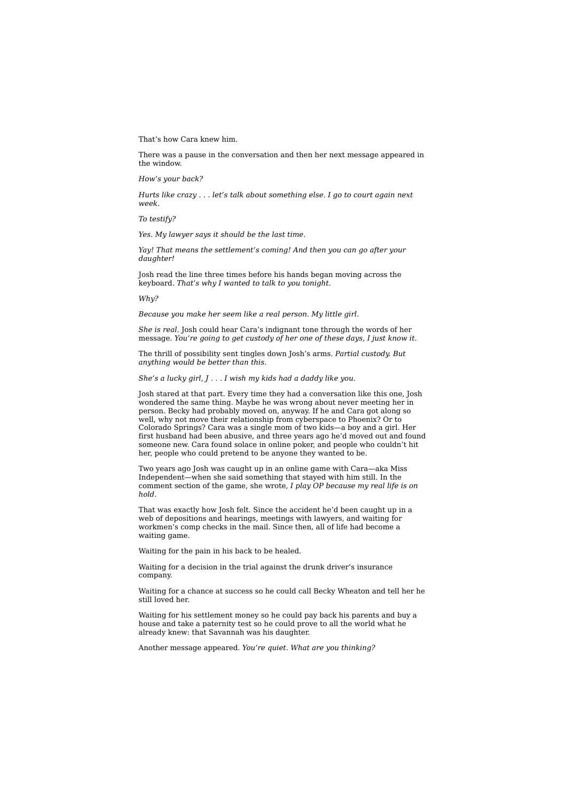That's how Cara knew him.

There was a pause in the conversation and then her next message appeared in the window.

*How's your back?*

*Hurts like crazy . . . let's talk about something else. I go to court again next week.*

*To testify?*

*Yes. My lawyer says it should be the last time.*

*Yay! That means the settlement's coming! And then you can go after your daughter!*

Josh read the line three times before his hands began moving across the keyboard. *That's why I wanted to talk to you tonight.*

*Why?*

*Because you make her seem like a real person. My little girl.*

*She is real.* Josh could hear Cara's indignant tone through the words of her message. *You're going to get custody of her one of these days, I just know it.*

The thrill of possibility sent tingles down Josh's arms. *Partial custody. But anything would be better than this.*

*She's a lucky girl, J . . . I wish my kids had a daddy like you.*

Josh stared at that part. Every time they had a conversation like this one, Josh wondered the same thing. Maybe he was wrong about never meeting her in person. Becky had probably moved on, anyway. If he and Cara got along so well, why not move their relationship from cyberspace to Phoenix? Or to Colorado Springs? Cara was a single mom of two kids—a boy and a girl. Her first husband had been abusive, and three years ago he'd moved out and found someone new. Cara found solace in online poker, and people who couldn't hit her, people who could pretend to be anyone they wanted to be.

Two years ago Josh was caught up in an online game with Cara—aka Miss Independent—when she said something that stayed with him still. In the comment section of the game, she wrote, *I play OP because my real life is on hold.*

That was exactly how Josh felt. Since the accident he'd been caught up in a web of depositions and hearings, meetings with lawyers, and waiting for workmen's comp checks in the mail. Since then, all of life had become a waiting game.

Waiting for the pain in his back to be healed.

Waiting for a decision in the trial against the drunk driver's insurance company.

Waiting for a chance at success so he could call Becky Wheaton and tell her he still loved her.

Waiting for his settlement money so he could pay back his parents and buy a house and take a paternity test so he could prove to all the world what he already knew: that Savannah was his daughter.

Another message appeared. *You're quiet. What are you thinking?*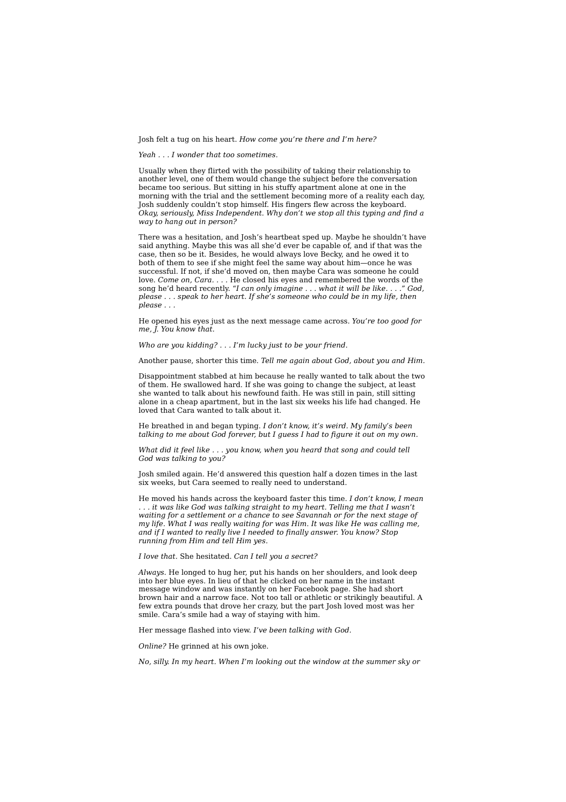Josh felt a tug on his heart. *How come you're there and I'm here?*

*Yeah . . . I wonder that too sometimes.*

Usually when they flirted with the possibility of taking their relationship to another level, one of them would change the subject before the conversation became too serious. But sitting in his stuffy apartment alone at one in the morning with the trial and the settlement becoming more of a reality each day, Josh suddenly couldn't stop himself. His fingers flew across the keyboard. *Okay, seriously, Miss Independent. Why don't we stop all this typing and find a way to hang out in person?*

There was a hesitation, and Josh's heartbeat sped up. Maybe he shouldn't have said anything. Maybe this was all she'd ever be capable of, and if that was the case, then so be it. Besides, he would always love Becky, and he owed it to both of them to see if she might feel the same way about him—once he was successful. If not, if she'd moved on, then maybe Cara was someone he could love. *Come on, Cara. . . .* He closed his eyes and remembered the words of the song he'd heard recently. "*I can only imagine . . . what it will be like. . . ." God, please . . . speak to her heart. If she's someone who could be in my life, then please . . .*

He opened his eyes just as the next message came across. *You're too good for me, J. You know that.*

*Who are you kidding? . . . I'm lucky just to be your friend.*

Another pause, shorter this time. *Tell me again about God, about you and Him.*

Disappointment stabbed at him because he really wanted to talk about the two of them. He swallowed hard. If she was going to change the subject, at least she wanted to talk about his newfound faith. He was still in pain, still sitting alone in a cheap apartment, but in the last six weeks his life had changed. He loved that Cara wanted to talk about it.

He breathed in and began typing. *I don't know, it's weird. My family's been talking to me about God forever, but I guess I had to figure it out on my own.*

*What did it feel like . . . you know, when you heard that song and could tell God was talking to you?*

Josh smiled again. He'd answered this question half a dozen times in the last six weeks, but Cara seemed to really need to understand.

He moved his hands across the keyboard faster this time. *I don't know, I mean . . . it was like God was talking straight to my heart. Telling me that I wasn't waiting for a settlement or a chance to see Savannah or for the next stage of my life. What I was really waiting for was Him. It was like He was calling me, and if I wanted to really live I needed to finally answer. You know? Stop running from Him and tell Him yes.*

*I love that.* She hesitated. *Can I tell you a secret?*

*Always.* He longed to hug her, put his hands on her shoulders, and look deep into her blue eyes. In lieu of that he clicked on her name in the instant message window and was instantly on her Facebook page. She had short brown hair and a narrow face. Not too tall or athletic or strikingly beautiful. A few extra pounds that drove her crazy, but the part Josh loved most was her smile. Cara's smile had a way of staying with him.

Her message flashed into view. *I've been talking with God.*

*Online?* He grinned at his own joke.

*No, silly. In my heart. When I'm looking out the window at the summer sky or*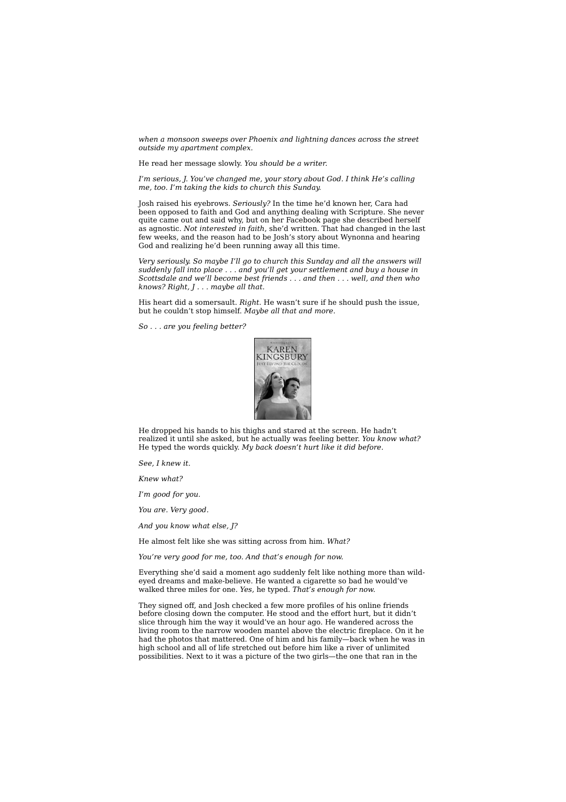*when a monsoon sweeps over Phoenix and lightning dances across the street outside my apartment complex.*

He read her message slowly. *You should be a writer.*

*I'm serious, J. You've changed me, your story about God. I think He's calling me, too. I'm taking the kids to church this Sunday.*

Josh raised his eyebrows. *Seriously?* In the time he'd known her, Cara had been opposed to faith and God and anything dealing with Scripture. She never quite came out and said why, but on her Facebook page she described herself as agnostic. *Not interested in faith*, she'd written. That had changed in the last few weeks, and the reason had to be Josh's story about Wynonna and hearing God and realizing he'd been running away all this time.

*Very seriously. So maybe I'll go to church this Sunday and all the answers will suddenly fall into place . . . and you'll get your settlement and buy a house in Scottsdale and we'll become best friends . . . and then . . . well, and then who knows? Right, J . . . maybe all that.*

His heart did a somersault. *Right.* He wasn't sure if he should push the issue, but he couldn't stop himself. *Maybe all that and more*.

*So . . . are you feeling better?*



He dropped his hands to his thighs and stared at the screen. He hadn't realized it until she asked, but he actually was feeling better. *You know what?* He typed the words quickly. *My back doesn't hurt like it did before.*

*See, I knew it.*

*Knew what?*

*I'm good for you.*

*You are. Very good.*

*And you know what else, J?*

He almost felt like she was sitting across from him. *What?*

*You're very good for me, too. And that's enough for now.*

Everything she'd said a moment ago suddenly felt like nothing more than wildeyed dreams and make-believe. He wanted a cigarette so bad he would've walked three miles for one. *Yes,* he typed. *That's enough for now.*

They signed off, and Josh checked a few more profiles of his online friends before closing down the computer. He stood and the effort hurt, but it didn't slice through him the way it would've an hour ago. He wandered across the living room to the narrow wooden mantel above the electric fireplace. On it he had the photos that mattered. One of him and his family—back when he was in high school and all of life stretched out before him like a river of unlimited possibilities. Next to it was a picture of the two girls—the one that ran in the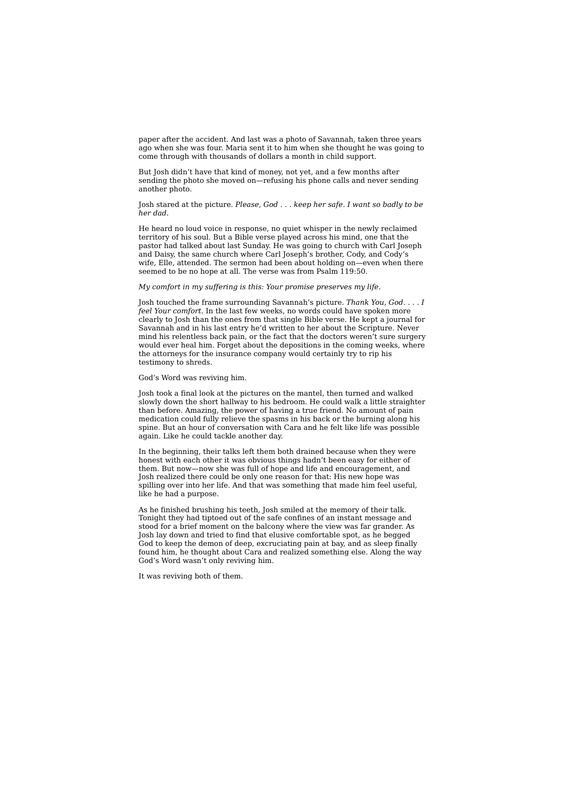paper after the accident. And last was a photo of Savannah, taken three years ago when she was four. Maria sent it to him when she thought he was going to come through with thousands of dollars a month in child support.

But Josh didn't have that kind of money, not yet, and a few months after sending the photo she moved on—refusing his phone calls and never sending another photo.

Josh stared at the picture. *Please, God . . . keep her safe. I want so badly to be her dad.*

He heard no loud voice in response, no quiet whisper in the newly reclaimed territory of his soul. But a Bible verse played across his mind, one that the pastor had talked about last Sunday. He was going to church with Carl Joseph and Daisy, the same church where Carl Joseph's brother, Cody, and Cody's wife, Elle, attended. The sermon had been about holding on—even when there seemed to be no hope at all. The verse was from Psalm 119:50.

#### *My comfort in my suffering is this: Your promise preserves my life.*

Josh touched the frame surrounding Savannah's picture. *Thank You, God. . . . I feel Your comfort.* In the last few weeks, no words could have spoken more clearly to Josh than the ones from that single Bible verse. He kept a journal for Savannah and in his last entry he'd written to her about the Scripture. Never mind his relentless back pain, or the fact that the doctors weren't sure surgery would ever heal him. Forget about the depositions in the coming weeks, where the attorneys for the insurance company would certainly try to rip his testimony to shreds.

#### God's Word was reviving him.

Josh took a final look at the pictures on the mantel, then turned and walked slowly down the short hallway to his bedroom. He could walk a little straighter than before. Amazing, the power of having a true friend. No amount of pain medication could fully relieve the spasms in his back or the burning along his spine. But an hour of conversation with Cara and he felt like life was possible again. Like he could tackle another day.

In the beginning, their talks left them both drained because when they were honest with each other it was obvious things hadn't been easy for either of them. But now—now she was full of hope and life and encouragement, and Josh realized there could be only one reason for that: His new hope was spilling over into her life. And that was something that made him feel useful, like he had a purpose.

As he finished brushing his teeth, Josh smiled at the memory of their talk. Tonight they had tiptoed out of the safe confines of an instant message and stood for a brief moment on the balcony where the view was far grander. As Josh lay down and tried to find that elusive comfortable spot, as he begged God to keep the demon of deep, excruciating pain at bay, and as sleep finally found him, he thought about Cara and realized something else. Along the way God's Word wasn't only reviving him.

It was reviving both of them.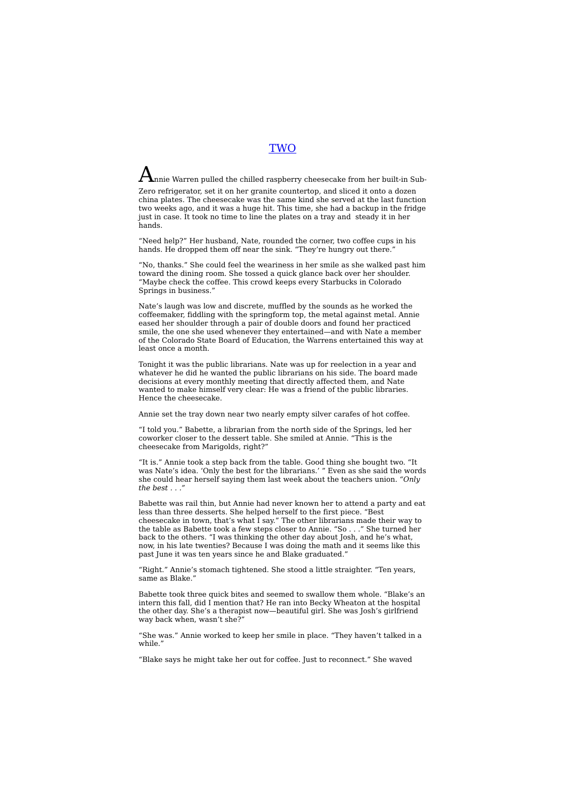## TWO

Annie Warren pulled the chilled raspberry cheesecake from her built-in Sub-Zero refrigerator, set it on her granite countertop, and sliced it onto a dozen china plates. The cheesecake was the same kind she served at the last function two weeks ago, and it was a huge hit. This time, she had a backup in the fridge just in case. It took no time to line the plates on a tray and steady it in her hands.

"Need help?" Her husband, Nate, rounded the corner, two coffee cups in his hands. He dropped them off near the sink. "They're hungry out there."

"No, thanks." She could feel the weariness in her smile as she walked past him toward the dining room. She tossed a quick glance back over her shoulder. "Maybe check the coffee. This crowd keeps every Starbucks in Colorado Springs in business."

Nate's laugh was low and discrete, muffled by the sounds as he worked the coffeemaker, fiddling with the springform top, the metal against metal. Annie eased her shoulder through a pair of double doors and found her practiced smile, the one she used whenever they entertained—and with Nate a member of the Colorado State Board of Education, the Warrens entertained this way at least once a month.

Tonight it was the public librarians. Nate was up for reelection in a year and whatever he did he wanted the public librarians on his side. The board made decisions at every monthly meeting that directly affected them, and Nate wanted to make himself very clear: He was a friend of the public libraries. Hence the cheesecake.

Annie set the tray down near two nearly empty silver carafes of hot coffee.

"I told you." Babette, a librarian from the north side of the Springs, led her coworker closer to the dessert table. She smiled at Annie. "This is the cheesecake from Marigolds, right?"

"It is." Annie took a step back from the table. Good thing she bought two. "It was Nate's idea. 'Only the best for the librarians.' " Even as she said the words she could hear herself saying them last week about the teachers union. *"Only the best . . ."*

Babette was rail thin, but Annie had never known her to attend a party and eat less than three desserts. She helped herself to the first piece. "Best cheesecake in town, that's what I say." The other librarians made their way to the table as Babette took a few steps closer to Annie. "So . . ." She turned her back to the others. "I was thinking the other day about Josh, and he's what, now, in his late twenties? Because I was doing the math and it seems like this past June it was ten years since he and Blake graduated."

"Right." Annie's stomach tightened. She stood a little straighter. "Ten years, same as Blake."

Babette took three quick bites and seemed to swallow them whole. "Blake's an intern this fall, did I mention that? He ran into Becky Wheaton at the hospital the other day. She's a therapist now—beautiful girl. She was Josh's girlfriend way back when, wasn't she?"

"She was." Annie worked to keep her smile in place. "They haven't talked in a while."

"Blake says he might take her out for coffee. Just to reconnect." She waved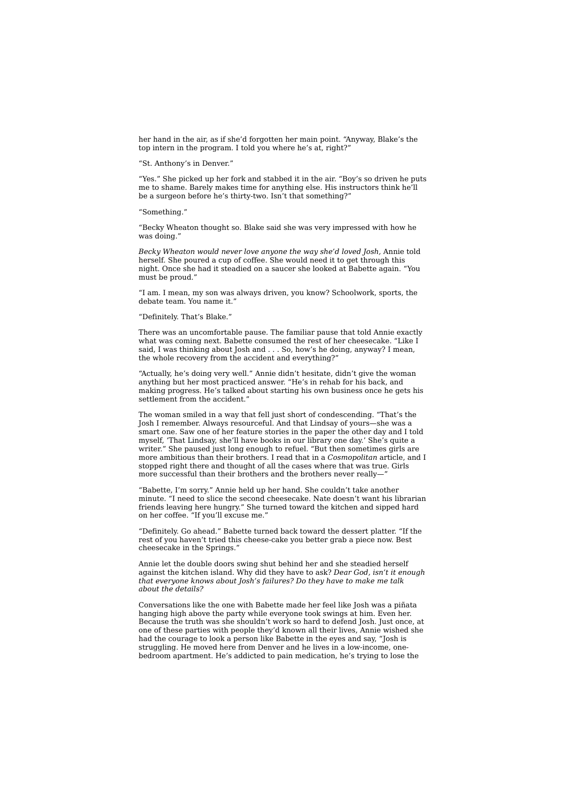her hand in the air, as if she'd forgotten her main point. "Anyway, Blake's the top intern in the program. I told you where he's at, right?"

"St. Anthony's in Denver."

"Yes." She picked up her fork and stabbed it in the air. "Boy's so driven he puts me to shame. Barely makes time for anything else. His instructors think he'll be a surgeon before he's thirty-two. Isn't that something?"

"Something."

"Becky Wheaton thought so. Blake said she was very impressed with how he was doing."

*Becky Wheaton would never love anyone the way she'd loved Josh,* Annie told herself. She poured a cup of coffee. She would need it to get through this night. Once she had it steadied on a saucer she looked at Babette again. "You must be proud."

"I am. I mean, my son was always driven, you know? Schoolwork, sports, the debate team. You name it."

#### "Definitely. That's Blake."

There was an uncomfortable pause. The familiar pause that told Annie exactly what was coming next. Babette consumed the rest of her cheesecake. "Like I said, I was thinking about Josh and . . . So, how's he doing, anyway? I mean, the whole recovery from the accident and everything?"

"Actually, he's doing very well." Annie didn't hesitate, didn't give the woman anything but her most practiced answer. "He's in rehab for his back, and making progress. He's talked about starting his own business once he gets his settlement from the accident.'

The woman smiled in a way that fell just short of condescending. "That's the Josh I remember. Always resourceful. And that Lindsay of yours—she was a smart one. Saw one of her feature stories in the paper the other day and I told myself, 'That Lindsay, she'll have books in our library one day.' She's quite a writer." She paused just long enough to refuel. "But then sometimes girls are more ambitious than their brothers. I read that in a *Cosmopolitan* article, and I stopped right there and thought of all the cases where that was true. Girls more successful than their brothers and the brothers never really—

"Babette, I'm sorry." Annie held up her hand. She couldn't take another minute. "I need to slice the second cheesecake. Nate doesn't want his librarian friends leaving here hungry." She turned toward the kitchen and sipped hard on her coffee. "If you'll excuse me."

"Definitely. Go ahead." Babette turned back toward the dessert platter. "If the rest of you haven't tried this cheese-cake you better grab a piece now. Best cheesecake in the Springs."

Annie let the double doors swing shut behind her and she steadied herself against the kitchen island. Why did they have to ask? *Dear God, isn't it enough that everyone knows about Josh's failures? Do they have to make me talk about the details?*

Conversations like the one with Babette made her feel like Josh was a piñata hanging high above the party while everyone took swings at him. Even her. Because the truth was she shouldn't work so hard to defend Josh. Just once, at one of these parties with people they'd known all their lives, Annie wished she had the courage to look a person like Babette in the eyes and say, "Josh is struggling. He moved here from Denver and he lives in a low-income, onebedroom apartment. He's addicted to pain medication, he's trying to lose the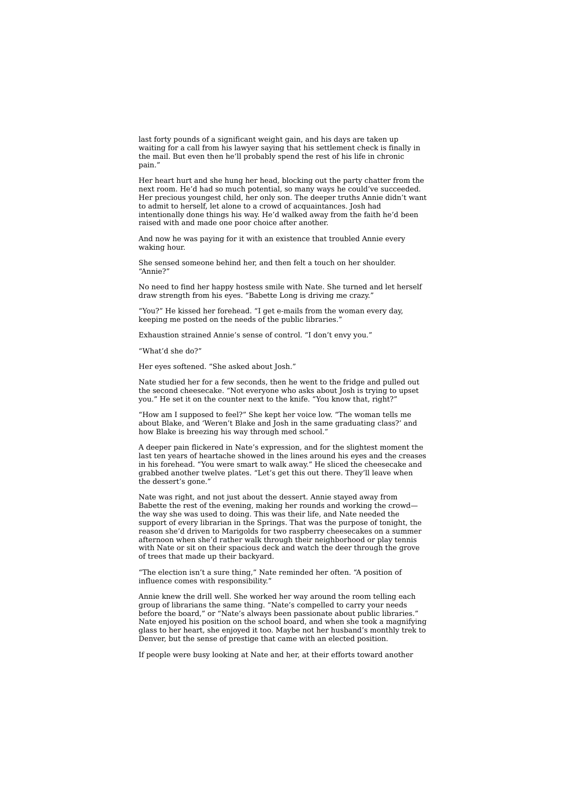last forty pounds of a significant weight gain, and his days are taken up waiting for a call from his lawyer saying that his settlement check is finally in the mail. But even then he'll probably spend the rest of his life in chronic pain."

Her heart hurt and she hung her head, blocking out the party chatter from the next room. He'd had so much potential, so many ways he could've succeeded. Her precious youngest child, her only son. The deeper truths Annie didn't want to admit to herself, let alone to a crowd of acquaintances. Josh had intentionally done things his way. He'd walked away from the faith he'd been raised with and made one poor choice after another.

And now he was paying for it with an existence that troubled Annie every waking hour.

She sensed someone behind her, and then felt a touch on her shoulder. "Annie?"

No need to find her happy hostess smile with Nate. She turned and let herself draw strength from his eyes. "Babette Long is driving me crazy."

"You?" He kissed her forehead. "I get e-mails from the woman every day, keeping me posted on the needs of the public libraries."

Exhaustion strained Annie's sense of control. "I don't envy you."

"What'd she do?"

Her eyes softened. "She asked about Josh."

Nate studied her for a few seconds, then he went to the fridge and pulled out the second cheesecake. "Not everyone who asks about Josh is trying to upset you." He set it on the counter next to the knife. "You know that, right?"

"How am I supposed to feel?" She kept her voice low. "The woman tells me about Blake, and 'Weren't Blake and Josh in the same graduating class?' and how Blake is breezing his way through med school."

A deeper pain flickered in Nate's expression, and for the slightest moment the last ten years of heartache showed in the lines around his eyes and the creases in his forehead. "You were smart to walk away." He sliced the cheesecake and grabbed another twelve plates. "Let's get this out there. They'll leave when the dessert's gone."

Nate was right, and not just about the dessert. Annie stayed away from Babette the rest of the evening, making her rounds and working the crowd the way she was used to doing. This was their life, and Nate needed the support of every librarian in the Springs. That was the purpose of tonight, the reason she'd driven to Marigolds for two raspberry cheesecakes on a summer afternoon when she'd rather walk through their neighborhood or play tennis with Nate or sit on their spacious deck and watch the deer through the grove of trees that made up their backyard.

"The election isn't a sure thing," Nate reminded her often. "A position of influence comes with responsibility."

Annie knew the drill well. She worked her way around the room telling each group of librarians the same thing. "Nate's compelled to carry your needs before the board," or "Nate's always been passionate about public libraries." Nate enjoyed his position on the school board, and when she took a magnifying glass to her heart, she enjoyed it too. Maybe not her husband's monthly trek to Denver, but the sense of prestige that came with an elected position.

If people were busy looking at Nate and her, at their efforts toward another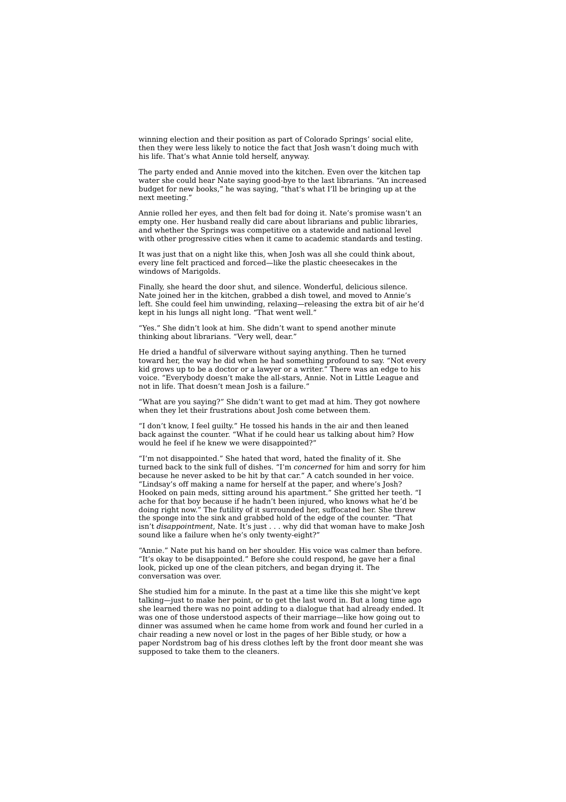winning election and their position as part of Colorado Springs' social elite, then they were less likely to notice the fact that Josh wasn't doing much with his life. That's what Annie told herself, anyway.

The party ended and Annie moved into the kitchen. Even over the kitchen tap water she could hear Nate saying good-bye to the last librarians. "An increased budget for new books," he was saying, "that's what I'll be bringing up at the next meeting."

Annie rolled her eyes, and then felt bad for doing it. Nate's promise wasn't an empty one. Her husband really did care about librarians and public libraries, and whether the Springs was competitive on a statewide and national level with other progressive cities when it came to academic standards and testing.

It was just that on a night like this, when Josh was all she could think about, every line felt practiced and forced—like the plastic cheesecakes in the windows of Marigolds.

Finally, she heard the door shut, and silence. Wonderful, delicious silence. Nate joined her in the kitchen, grabbed a dish towel, and moved to Annie's left. She could feel him unwinding, relaxing—releasing the extra bit of air he'd kept in his lungs all night long. "That went well."

"Yes." She didn't look at him. She didn't want to spend another minute thinking about librarians. "Very well, dear."

He dried a handful of silverware without saying anything. Then he turned toward her, the way he did when he had something profound to say. "Not every kid grows up to be a doctor or a lawyer or a writer." There was an edge to his voice. "Everybody doesn't make the all-stars, Annie. Not in Little League and not in life. That doesn't mean Josh is a failure.

"What are you saying?" She didn't want to get mad at him. They got nowhere when they let their frustrations about Josh come between them.

"I don't know, I feel guilty." He tossed his hands in the air and then leaned back against the counter. "What if he could hear us talking about him? How would he feel if he knew we were disappointed?"

"I'm not disappointed." She hated that word, hated the finality of it. She turned back to the sink full of dishes. "I'm *concerned* for him and sorry for him because he never asked to be hit by that car." A catch sounded in her voice. "Lindsay's off making a name for herself at the paper, and where's Josh? Hooked on pain meds, sitting around his apartment." She gritted her teeth. "I ache for that boy because if he hadn't been injured, who knows what he'd be doing right now." The futility of it surrounded her, suffocated her. She threw the sponge into the sink and grabbed hold of the edge of the counter. "That isn't *disappointment*, Nate. It's just . . . why did that woman have to make Josh sound like a failure when he's only twenty-eight?'

"Annie." Nate put his hand on her shoulder. His voice was calmer than before. "It's okay to be disappointed." Before she could respond, he gave her a final look, picked up one of the clean pitchers, and began drying it. The conversation was over.

She studied him for a minute. In the past at a time like this she might've kept talking—just to make her point, or to get the last word in. But a long time ago she learned there was no point adding to a dialogue that had already ended. It was one of those understood aspects of their marriage—like how going out to dinner was assumed when he came home from work and found her curled in a chair reading a new novel or lost in the pages of her Bible study, or how a paper Nordstrom bag of his dress clothes left by the front door meant she was supposed to take them to the cleaners.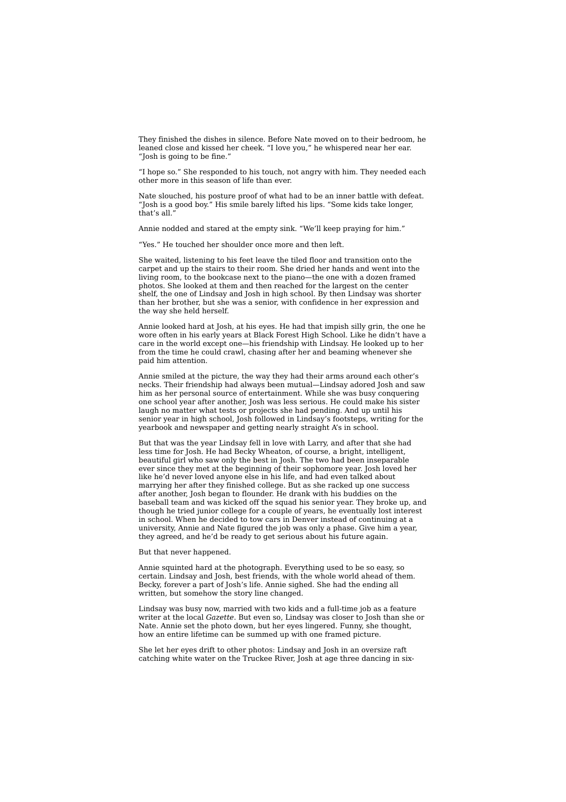They finished the dishes in silence. Before Nate moved on to their bedroom, he leaned close and kissed her cheek. "I love you," he whispered near her ear. "Josh is going to be fine."

"I hope so." She responded to his touch, not angry with him. They needed each other more in this season of life than ever.

Nate slouched, his posture proof of what had to be an inner battle with defeat. "Josh is a good boy." His smile barely lifted his lips. "Some kids take longer, that's all.

Annie nodded and stared at the empty sink. "We'll keep praying for him."

"Yes." He touched her shoulder once more and then left.

She waited, listening to his feet leave the tiled floor and transition onto the carpet and up the stairs to their room. She dried her hands and went into the living room, to the bookcase next to the piano—the one with a dozen framed photos. She looked at them and then reached for the largest on the center shelf, the one of Lindsay and Josh in high school. By then Lindsay was shorter than her brother, but she was a senior, with confidence in her expression and the way she held herself.

Annie looked hard at Josh, at his eyes. He had that impish silly grin, the one he wore often in his early years at Black Forest High School. Like he didn't have a care in the world except one—his friendship with Lindsay. He looked up to her from the time he could crawl, chasing after her and beaming whenever she paid him attention.

Annie smiled at the picture, the way they had their arms around each other's necks. Their friendship had always been mutual—Lindsay adored Josh and saw him as her personal source of entertainment. While she was busy conquering one school year after another, Josh was less serious. He could make his sister laugh no matter what tests or projects she had pending. And up until his senior year in high school, Josh followed in Lindsay's footsteps, writing for the yearbook and newspaper and getting nearly straight A's in school.

But that was the year Lindsay fell in love with Larry, and after that she had less time for Josh. He had Becky Wheaton, of course, a bright, intelligent, beautiful girl who saw only the best in Josh. The two had been inseparable ever since they met at the beginning of their sophomore year. Josh loved her like he'd never loved anyone else in his life, and had even talked about marrying her after they finished college. But as she racked up one success after another, Josh began to flounder. He drank with his buddies on the baseball team and was kicked off the squad his senior year. They broke up, and though he tried junior college for a couple of years, he eventually lost interest in school. When he decided to tow cars in Denver instead of continuing at a university, Annie and Nate figured the job was only a phase. Give him a year, they agreed, and he'd be ready to get serious about his future again.

#### But that never happened.

Annie squinted hard at the photograph. Everything used to be so easy, so certain. Lindsay and Josh, best friends, with the whole world ahead of them. Becky, forever a part of Josh's life. Annie sighed. She had the ending all written, but somehow the story line changed.

Lindsay was busy now, married with two kids and a full-time job as a feature writer at the local *Gazette*. But even so, Lindsay was closer to Josh than she or Nate. Annie set the photo down, but her eyes lingered. Funny, she thought, how an entire lifetime can be summed up with one framed picture.

She let her eyes drift to other photos: Lindsay and Josh in an oversize raft catching white water on the Truckee River, Josh at age three dancing in six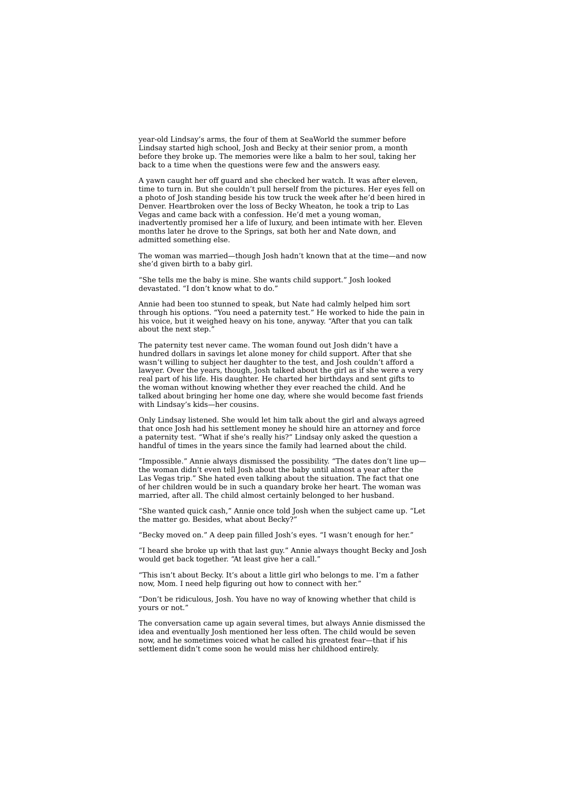year-old Lindsay's arms, the four of them at SeaWorld the summer before Lindsay started high school, Josh and Becky at their senior prom, a month before they broke up. The memories were like a balm to her soul, taking her back to a time when the questions were few and the answers easy.

A yawn caught her off guard and she checked her watch. It was after eleven, time to turn in. But she couldn't pull herself from the pictures. Her eyes fell on a photo of Josh standing beside his tow truck the week after he'd been hired in Denver. Heartbroken over the loss of Becky Wheaton, he took a trip to Las Vegas and came back with a confession. He'd met a young woman, inadvertently promised her a life of luxury, and been intimate with her. Eleven months later he drove to the Springs, sat both her and Nate down, and admitted something else.

The woman was married—though Josh hadn't known that at the time—and now she'd given birth to a baby girl.

"She tells me the baby is mine. She wants child support." Josh looked devastated. "I don't know what to do."

Annie had been too stunned to speak, but Nate had calmly helped him sort through his options. "You need a paternity test." He worked to hide the pain in his voice, but it weighed heavy on his tone, anyway. "After that you can talk about the next step.

The paternity test never came. The woman found out Josh didn't have a hundred dollars in savings let alone money for child support. After that she wasn't willing to subject her daughter to the test, and Josh couldn't afford a lawyer. Over the years, though, Josh talked about the girl as if she were a very real part of his life. His daughter. He charted her birthdays and sent gifts to the woman without knowing whether they ever reached the child. And he talked about bringing her home one day, where she would become fast friends with Lindsay's kids—her cousins.

Only Lindsay listened. She would let him talk about the girl and always agreed that once Josh had his settlement money he should hire an attorney and force a paternity test. "What if she's really his?" Lindsay only asked the question a handful of times in the years since the family had learned about the child.

"Impossible." Annie always dismissed the possibility. "The dates don't line up the woman didn't even tell Josh about the baby until almost a year after the Las Vegas trip." She hated even talking about the situation. The fact that one of her children would be in such a quandary broke her heart. The woman was married, after all. The child almost certainly belonged to her husband.

"She wanted quick cash," Annie once told Josh when the subject came up. "Let the matter go. Besides, what about Becky?"

"Becky moved on." A deep pain filled Josh's eyes. "I wasn't enough for her."

"I heard she broke up with that last guy." Annie always thought Becky and Josh would get back together. "At least give her a call."

"This isn't about Becky. It's about a little girl who belongs to me. I'm a father now, Mom. I need help figuring out how to connect with her."

"Don't be ridiculous, Josh. You have no way of knowing whether that child is yours or not."

The conversation came up again several times, but always Annie dismissed the idea and eventually Josh mentioned her less often. The child would be seven now, and he sometimes voiced what he called his greatest fear—that if his settlement didn't come soon he would miss her childhood entirely.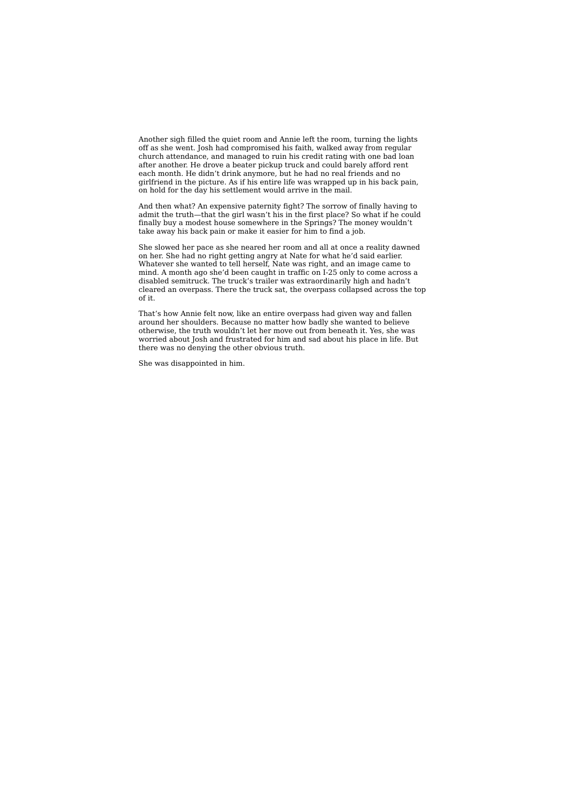Another sigh filled the quiet room and Annie left the room, turning the lights off as she went. Josh had compromised his faith, walked away from regular church attendance, and managed to ruin his credit rating with one bad loan after another. He drove a beater pickup truck and could barely afford rent each month. He didn't drink anymore, but he had no real friends and no girlfriend in the picture. As if his entire life was wrapped up in his back pain, on hold for the day his settlement would arrive in the mail.

And then what? An expensive paternity fight? The sorrow of finally having to admit the truth—that the girl wasn't his in the first place? So what if he could finally buy a modest house somewhere in the Springs? The money wouldn't take away his back pain or make it easier for him to find a job.

She slowed her pace as she neared her room and all at once a reality dawned on her. She had no right getting angry at Nate for what he'd said earlier. Whatever she wanted to tell herself, Nate was right, and an image came to mind. A month ago she'd been caught in traffic on I-25 only to come across a disabled semitruck. The truck's trailer was extraordinarily high and hadn't cleared an overpass. There the truck sat, the overpass collapsed across the top of it.

That's how Annie felt now, like an entire overpass had given way and fallen around her shoulders. Because no matter how badly she wanted to believe otherwise, the truth wouldn't let her move out from beneath it. Yes, she was worried about Josh and frustrated for him and sad about his place in life. But there was no denying the other obvious truth.

She was disappointed in him.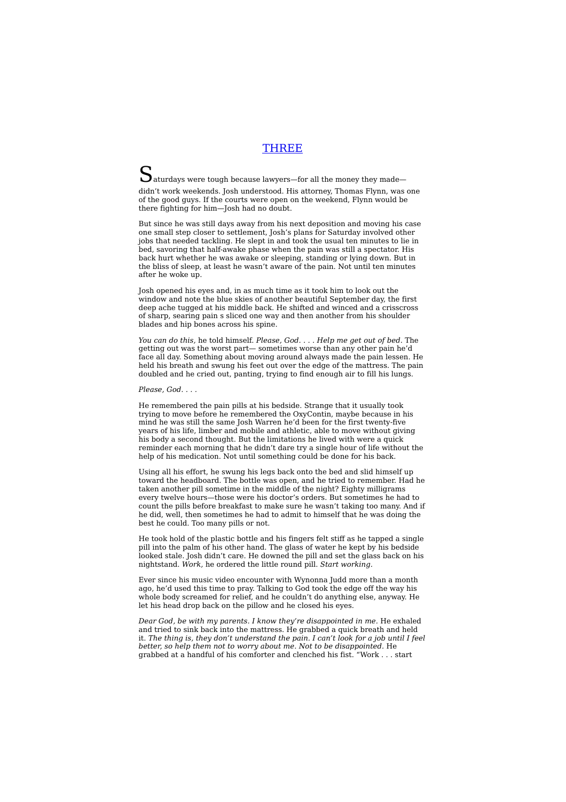## THREE

 $S_{\text{aturdays}}$  were tough because lawyers—for all the money they made didn't work weekends. Josh understood. His attorney, Thomas Flynn, was one of the good guys. If the courts were open on the weekend, Flynn would be there fighting for him—Josh had no doubt.

But since he was still days away from his next deposition and moving his case one small step closer to settlement, Josh's plans for Saturday involved other jobs that needed tackling. He slept in and took the usual ten minutes to lie in bed, savoring that half-awake phase when the pain was still a spectator. His back hurt whether he was awake or sleeping, standing or lying down. But in the bliss of sleep, at least he wasn't aware of the pain. Not until ten minutes after he woke up.

Josh opened his eyes and, in as much time as it took him to look out the window and note the blue skies of another beautiful September day, the first deep ache tugged at his middle back. He shifted and winced and a crisscross of sharp, searing pain s sliced one way and then another from his shoulder blades and hip bones across his spine.

*You can do this,* he told himself. *Please, God. . . . Help me get out of bed.* The getting out was the worst part— sometimes worse than any other pain he'd face all day. Something about moving around always made the pain lessen. He held his breath and swung his feet out over the edge of the mattress. The pain doubled and he cried out, panting, trying to find enough air to fill his lungs.

#### *Please, God. . . .*

He remembered the pain pills at his bedside. Strange that it usually took trying to move before he remembered the OxyContin, maybe because in his mind he was still the same Josh Warren he'd been for the first twenty-five years of his life, limber and mobile and athletic, able to move without giving his body a second thought. But the limitations he lived with were a quick reminder each morning that he didn't dare try a single hour of life without the help of his medication. Not until something could be done for his back.

Using all his effort, he swung his legs back onto the bed and slid himself up toward the headboard. The bottle was open, and he tried to remember. Had he taken another pill sometime in the middle of the night? Eighty milligrams every twelve hours—those were his doctor's orders. But sometimes he had to count the pills before breakfast to make sure he wasn't taking too many. And if he did, well, then sometimes he had to admit to himself that he was doing the best he could. Too many pills or not.

He took hold of the plastic bottle and his fingers felt stiff as he tapped a single pill into the palm of his other hand. The glass of water he kept by his bedside looked stale. Josh didn't care. He downed the pill and set the glass back on his nightstand. *Work,* he ordered the little round pill. *Start working.*

Ever since his music video encounter with Wynonna Judd more than a month ago, he'd used this time to pray. Talking to God took the edge off the way his whole body screamed for relief, and he couldn't do anything else, anyway. He let his head drop back on the pillow and he closed his eyes.

*Dear God, be with my parents. I know they're disappointed in me.* He exhaled and tried to sink back into the mattress. He grabbed a quick breath and held it. *The thing is, they don't understand the pain. I can't look for a job until I feel better, so help them not to worry about me. Not to be disappointed.* He grabbed at a handful of his comforter and clenched his fist. "Work . . . start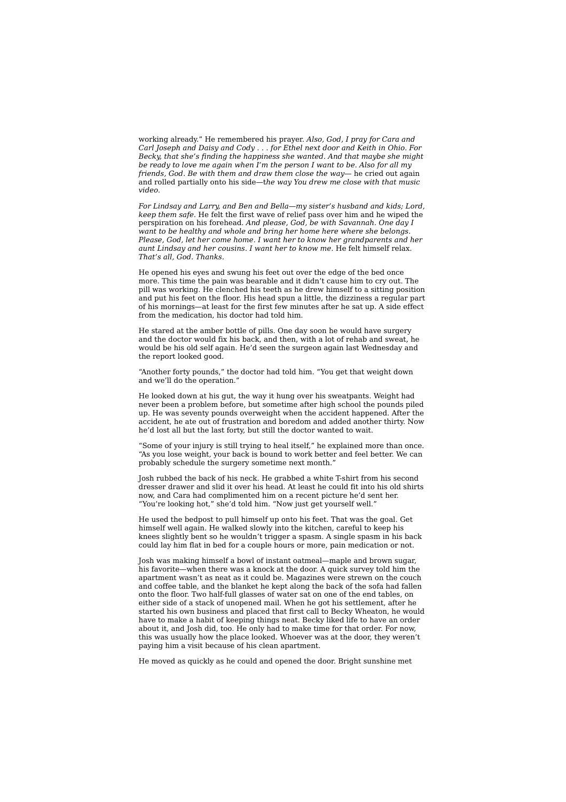working already." He remembered his prayer. *Also, God, I pray for Cara and Carl Joseph and Daisy and Cody . . . for Ethel next door and Keith in Ohio. For Becky, that she's finding the happiness she wanted. And that maybe she might be ready to love me again when I'm the person I want to be. Also for all my friends, God. Be with them and draw them close the way—* he cried out again and rolled partially onto his side—t*he way You drew me close with that music video.*

*For Lindsay and Larry, and Ben and Bella—my sister's husband and kids; Lord, keep them safe.* He felt the first wave of relief pass over him and he wiped the perspiration on his forehead. *And please, God, be with Savannah. One day I want to be healthy and whole and bring her home here where she belongs. Please, God, let her come home. I want her to know her grandparents and her aunt Lindsay and her cousins. I want her to know me.* He felt himself relax. *That's all, God. Thanks.*

He opened his eyes and swung his feet out over the edge of the bed once more. This time the pain was bearable and it didn't cause him to cry out. The pill was working. He clenched his teeth as he drew himself to a sitting position and put his feet on the floor. His head spun a little, the dizziness a regular part of his mornings—at least for the first few minutes after he sat up. A side effect from the medication, his doctor had told him.

He stared at the amber bottle of pills. One day soon he would have surgery and the doctor would fix his back, and then, with a lot of rehab and sweat, he would be his old self again. He'd seen the surgeon again last Wednesday and the report looked good.

"Another forty pounds," the doctor had told him. "You get that weight down and we'll do the operation."

He looked down at his gut, the way it hung over his sweatpants. Weight had never been a problem before, but sometime after high school the pounds piled up. He was seventy pounds overweight when the accident happened. After the accident, he ate out of frustration and boredom and added another thirty. Now he'd lost all but the last forty, but still the doctor wanted to wait.

"Some of your injury is still trying to heal itself," he explained more than once. "As you lose weight, your back is bound to work better and feel better. We can probably schedule the surgery sometime next month."

Josh rubbed the back of his neck. He grabbed a white T-shirt from his second dresser drawer and slid it over his head. At least he could fit into his old shirts now, and Cara had complimented him on a recent picture he'd sent her. "You're looking hot," she'd told him. "Now just get yourself well."

He used the bedpost to pull himself up onto his feet. That was the goal. Get himself well again. He walked slowly into the kitchen, careful to keep his knees slightly bent so he wouldn't trigger a spasm. A single spasm in his back could lay him flat in bed for a couple hours or more, pain medication or not.

Josh was making himself a bowl of instant oatmeal—maple and brown sugar, his favorite—when there was a knock at the door. A quick survey told him the apartment wasn't as neat as it could be. Magazines were strewn on the couch and coffee table, and the blanket he kept along the back of the sofa had fallen onto the floor. Two half-full glasses of water sat on one of the end tables, on either side of a stack of unopened mail. When he got his settlement, after he started his own business and placed that first call to Becky Wheaton, he would have to make a habit of keeping things neat. Becky liked life to have an order about it, and Josh did, too. He only had to make time for that order. For now, this was usually how the place looked. Whoever was at the door, they weren't paying him a visit because of his clean apartment.

He moved as quickly as he could and opened the door. Bright sunshine met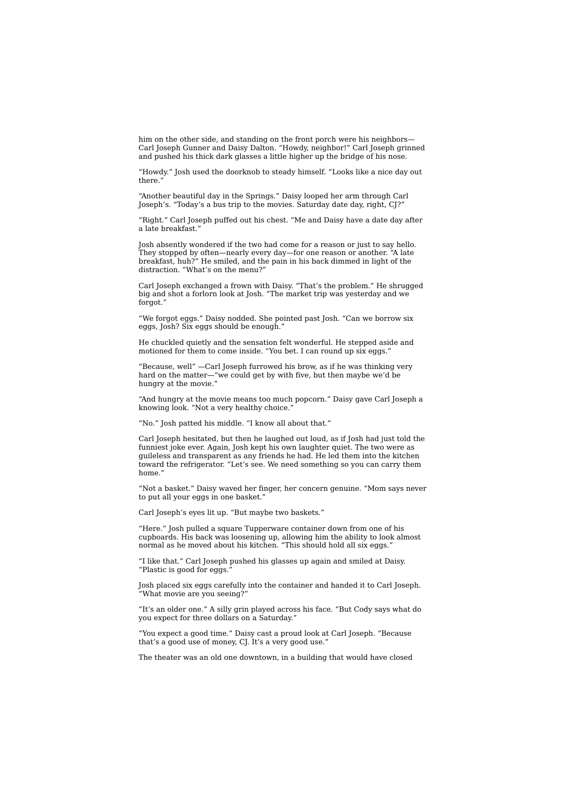him on the other side, and standing on the front porch were his neighbors— Carl Joseph Gunner and Daisy Dalton. "Howdy, neighbor!" Carl Joseph grinned and pushed his thick dark glasses a little higher up the bridge of his nose.

"Howdy." Josh used the doorknob to steady himself. "Looks like a nice day out there."

"Another beautiful day in the Springs." Daisy looped her arm through Carl Joseph's. "Today's a bus trip to the movies. Saturday date day, right, CJ?"

"Right." Carl Joseph puffed out his chest. "Me and Daisy have a date day after a late breakfast."

Josh absently wondered if the two had come for a reason or just to say hello. They stopped by often—nearly every day—for one reason or another. "A late breakfast, huh?" He smiled, and the pain in his back dimmed in light of the distraction. "What's on the menu?"

Carl Joseph exchanged a frown with Daisy. "That's the problem." He shrugged big and shot a forlorn look at Josh. "The market trip was yesterday and we forgot."

"We forgot eggs." Daisy nodded. She pointed past Josh. "Can we borrow six eggs, Josh? Six eggs should be enough."

He chuckled quietly and the sensation felt wonderful. He stepped aside and motioned for them to come inside. "You bet. I can round up six eggs."

"Because, well" —Carl Joseph furrowed his brow, as if he was thinking very hard on the matter—"we could get by with five, but then maybe we'd be hungry at the movie.'

"And hungry at the movie means too much popcorn." Daisy gave Carl Joseph a knowing look. "Not a very healthy choice.

"No." Josh patted his middle. "I know all about that."

Carl Joseph hesitated, but then he laughed out loud, as if Josh had just told the funniest joke ever. Again, Josh kept his own laughter quiet. The two were as guileless and transparent as any friends he had. He led them into the kitchen toward the refrigerator. "Let's see. We need something so you can carry them home."

"Not a basket." Daisy waved her finger, her concern genuine. "Mom says never to put all your eggs in one basket."

Carl Joseph's eyes lit up. "But maybe two baskets."

"Here." Josh pulled a square Tupperware container down from one of his cupboards. His back was loosening up, allowing him the ability to look almost normal as he moved about his kitchen. "This should hold all six eggs."

"I like that." Carl Joseph pushed his glasses up again and smiled at Daisy. "Plastic is good for eggs.

Josh placed six eggs carefully into the container and handed it to Carl Joseph. "What movie are you seeing?"

"It's an older one." A silly grin played across his face. "But Cody says what do you expect for three dollars on a Saturday."

"You expect a good time." Daisy cast a proud look at Carl Joseph. "Because that's a good use of money, CJ. It's a very good use."

The theater was an old one downtown, in a building that would have closed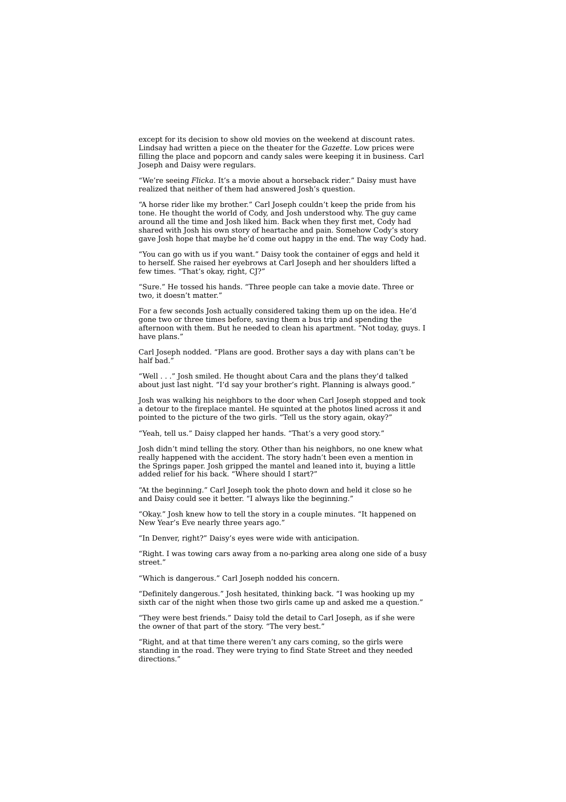except for its decision to show old movies on the weekend at discount rates. Lindsay had written a piece on the theater for the *Gazette*. Low prices were filling the place and popcorn and candy sales were keeping it in business. Carl Joseph and Daisy were regulars.

"We're seeing *Flicka*. It's a movie about a horseback rider." Daisy must have realized that neither of them had answered Josh's question.

"A horse rider like my brother." Carl Joseph couldn't keep the pride from his tone. He thought the world of Cody, and Josh understood why. The guy came around all the time and Josh liked him. Back when they first met, Cody had shared with Josh his own story of heartache and pain. Somehow Cody's story gave Josh hope that maybe he'd come out happy in the end. The way Cody had.

"You can go with us if you want." Daisy took the container of eggs and held it to herself. She raised her eyebrows at Carl Joseph and her shoulders lifted a few times. "That's okay, right, CJ?"

"Sure." He tossed his hands. "Three people can take a movie date. Three or two, it doesn't matter."

For a few seconds Josh actually considered taking them up on the idea. He'd gone two or three times before, saving them a bus trip and spending the afternoon with them. But he needed to clean his apartment. "Not today, guys. I have plans."

Carl Joseph nodded. "Plans are good. Brother says a day with plans can't be half bad."

"Well . . ." Josh smiled. He thought about Cara and the plans they'd talked about just last night. "I'd say your brother's right. Planning is always good."

Josh was walking his neighbors to the door when Carl Joseph stopped and took a detour to the fireplace mantel. He squinted at the photos lined across it and pointed to the picture of the two girls. "Tell us the story again, okay?"

"Yeah, tell us." Daisy clapped her hands. "That's a very good story."

Josh didn't mind telling the story. Other than his neighbors, no one knew what really happened with the accident. The story hadn't been even a mention in the Springs paper. Josh gripped the mantel and leaned into it, buying a little added relief for his back. "Where should I start?"

"At the beginning." Carl Joseph took the photo down and held it close so he and Daisy could see it better. "I always like the beginning."

"Okay." Josh knew how to tell the story in a couple minutes. "It happened on New Year's Eve nearly three years ago.

"In Denver, right?" Daisy's eyes were wide with anticipation.

"Right. I was towing cars away from a no-parking area along one side of a busy street."

"Which is dangerous." Carl Joseph nodded his concern.

"Definitely dangerous." Josh hesitated, thinking back. "I was hooking up my sixth car of the night when those two girls came up and asked me a question."

"They were best friends." Daisy told the detail to Carl Joseph, as if she were the owner of that part of the story. "The very best."

"Right, and at that time there weren't any cars coming, so the girls were standing in the road. They were trying to find State Street and they needed directions."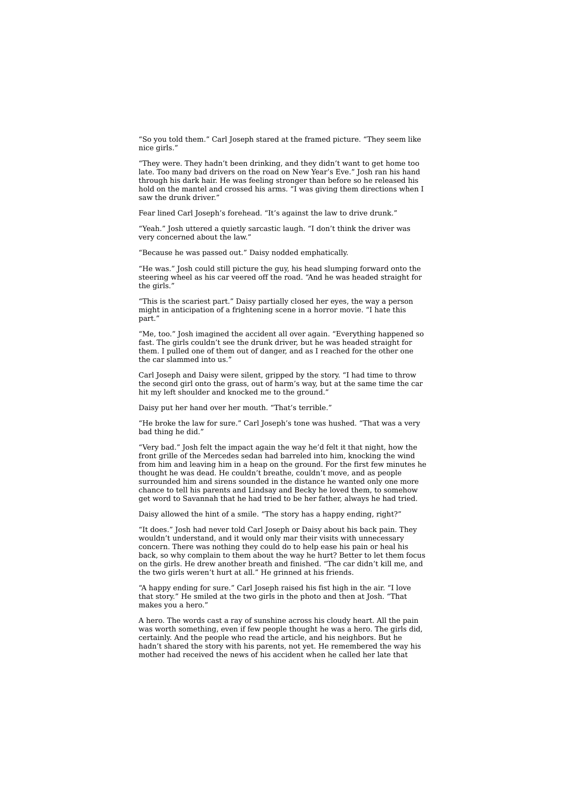"So you told them." Carl Joseph stared at the framed picture. "They seem like nice girls."

"They were. They hadn't been drinking, and they didn't want to get home too late. Too many bad drivers on the road on New Year's Eve." Josh ran his hand through his dark hair. He was feeling stronger than before so he released his hold on the mantel and crossed his arms. "I was giving them directions when I saw the drunk driver."

Fear lined Carl Joseph's forehead. "It's against the law to drive drunk."

"Yeah." Josh uttered a quietly sarcastic laugh. "I don't think the driver was very concerned about the law."

"Because he was passed out." Daisy nodded emphatically.

"He was." Josh could still picture the guy, his head slumping forward onto the steering wheel as his car veered off the road. "And he was headed straight for the girls."

"This is the scariest part." Daisy partially closed her eyes, the way a person might in anticipation of a frightening scene in a horror movie. "I hate this part."

"Me, too." Josh imagined the accident all over again. "Everything happened so fast. The girls couldn't see the drunk driver, but he was headed straight for them. I pulled one of them out of danger, and as I reached for the other one the car slammed into us."

Carl Joseph and Daisy were silent, gripped by the story. "I had time to throw the second girl onto the grass, out of harm's way, but at the same time the car hit my left shoulder and knocked me to the ground."

Daisy put her hand over her mouth. "That's terrible."

"He broke the law for sure." Carl Joseph's tone was hushed. "That was a very bad thing he did."

"Very bad." Josh felt the impact again the way he'd felt it that night, how the front grille of the Mercedes sedan had barreled into him, knocking the wind from him and leaving him in a heap on the ground. For the first few minutes he thought he was dead. He couldn't breathe, couldn't move, and as people surrounded him and sirens sounded in the distance he wanted only one more chance to tell his parents and Lindsay and Becky he loved them, to somehow get word to Savannah that he had tried to be her father, always he had tried.

Daisy allowed the hint of a smile. "The story has a happy ending, right?"

"It does." Josh had never told Carl Joseph or Daisy about his back pain. They wouldn't understand, and it would only mar their visits with unnecessary concern. There was nothing they could do to help ease his pain or heal his back, so why complain to them about the way he hurt? Better to let them focus on the girls. He drew another breath and finished. "The car didn't kill me, and the two girls weren't hurt at all." He grinned at his friends.

"A happy ending for sure." Carl Joseph raised his fist high in the air. "I love that story." He smiled at the two girls in the photo and then at Josh. "That makes you a hero."

A hero. The words cast a ray of sunshine across his cloudy heart. All the pain was worth something, even if few people thought he was a hero. The girls did, certainly. And the people who read the article, and his neighbors. But he hadn't shared the story with his parents, not yet. He remembered the way his mother had received the news of his accident when he called her late that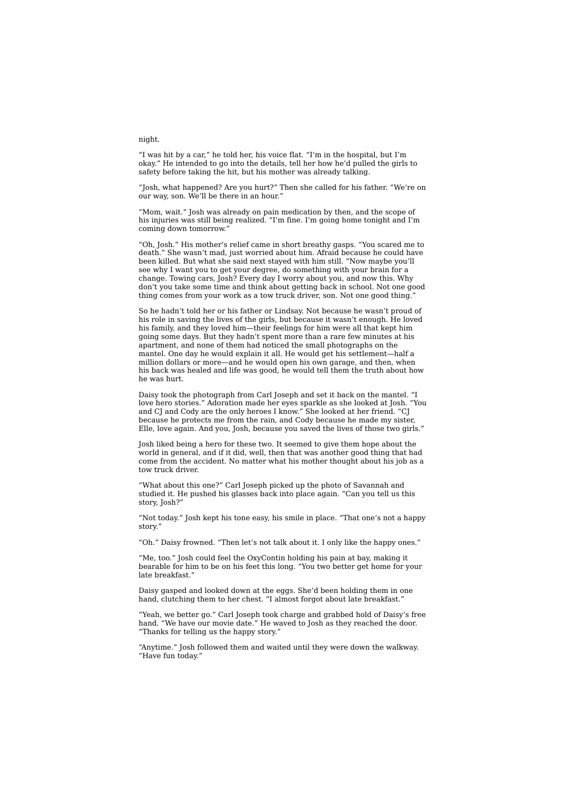#### night.

"I was hit by a car," he told her, his voice flat. "I'm in the hospital, but I'm okay." He intended to go into the details, tell her how he'd pulled the girls to safety before taking the hit, but his mother was already talking.

"Josh, what happened? Are you hurt?" Then she called for his father. "We're on our way, son. We'll be there in an hour."

"Mom, wait." Josh was already on pain medication by then, and the scope of his injuries was still being realized. "I'm fine. I'm going home tonight and I'm coming down tomorrow."

"Oh, Josh." His mother's relief came in short breathy gasps. "You scared me to death." She wasn't mad, just worried about him. Afraid because he could have been killed. But what she said next stayed with him still. "Now maybe you'll see why I want you to get your degree, do something with your brain for a change. Towing cars, Josh? Every day I worry about you, and now this. Why don't you take some time and think about getting back in school. Not one good thing comes from your work as a tow truck driver, son. Not one good thing.'

So he hadn't told her or his father or Lindsay. Not because he wasn't proud of his role in saving the lives of the girls, but because it wasn't enough. He loved his family, and they loved him—their feelings for him were all that kept him going some days. But they hadn't spent more than a rare few minutes at his apartment, and none of them had noticed the small photographs on the mantel. One day he would explain it all. He would get his settlement—half a million dollars or more—and he would open his own garage, and then, when his back was healed and life was good, he would tell them the truth about how he was hurt.

Daisy took the photograph from Carl Joseph and set it back on the mantel. "I love hero stories." Adoration made her eyes sparkle as she looked at Josh. "You and CJ and Cody are the only heroes I know." She looked at her friend. "CJ because he protects me from the rain, and Cody because he made my sister, Elle, love again. And you, Josh, because you saved the lives of those two girls."

Josh liked being a hero for these two. It seemed to give them hope about the world in general, and if it did, well, then that was another good thing that had come from the accident. No matter what his mother thought about his job as a tow truck driver.

"What about this one?" Carl Joseph picked up the photo of Savannah and studied it. He pushed his glasses back into place again. "Can you tell us this story, Josh?"

"Not today." Josh kept his tone easy, his smile in place. "That one's not a happy story."

"Oh." Daisy frowned. "Then let's not talk about it. I only like the happy ones."

"Me, too." Josh could feel the OxyContin holding his pain at bay, making it bearable for him to be on his feet this long. "You two better get home for your late breakfast."

Daisy gasped and looked down at the eggs. She'd been holding them in one hand, clutching them to her chest. "I almost forgot about late breakfast."

"Yeah, we better go." Carl Joseph took charge and grabbed hold of Daisy's free hand. "We have our movie date." He waved to Josh as they reached the door. "Thanks for telling us the happy story."

"Anytime." Josh followed them and waited until they were down the walkway. "Have fun today."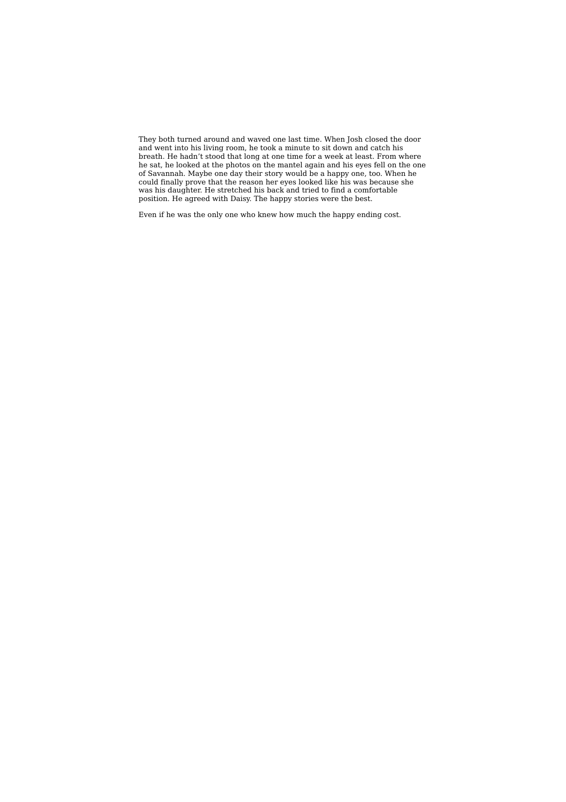They both turned around and waved one last time. When Josh closed the door and went into his living room, he took a minute to sit down and catch his breath. He hadn't stood that long at one time for a week at least. From where he sat, he looked at the photos on the mantel again and his eyes fell on the one of Savannah. Maybe one day their story would be a happy one, too. When he could finally prove that the reason her eyes looked like his was because she was his daughter. He stretched his back and tried to find a comfortable position. He agreed with Daisy. The happy stories were the best.

Even if he was the only one who knew how much the happy ending cost.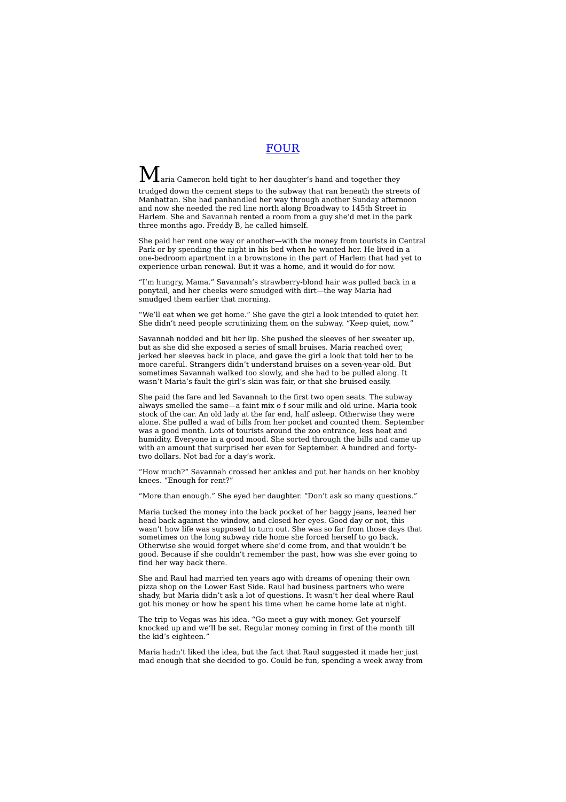### FOUR

 $\mathbf M$ aria Cameron held tight to her daughter's hand and together they trudged down the cement steps to the subway that ran beneath the streets of Manhattan. She had panhandled her way through another Sunday afternoon and now she needed the red line north along Broadway to 145th Street in Harlem. She and Savannah rented a room from a guy she'd met in the park three months ago. Freddy B, he called himself.

She paid her rent one way or another—with the money from tourists in Central Park or by spending the night in his bed when he wanted her. He lived in a one-bedroom apartment in a brownstone in the part of Harlem that had yet to experience urban renewal. But it was a home, and it would do for now.

"I'm hungry, Mama." Savannah's strawberry-blond hair was pulled back in a ponytail, and her cheeks were smudged with dirt—the way Maria had smudged them earlier that morning.

"We'll eat when we get home." She gave the girl a look intended to quiet her. She didn't need people scrutinizing them on the subway. "Keep quiet, now."

Savannah nodded and bit her lip. She pushed the sleeves of her sweater up, but as she did she exposed a series of small bruises. Maria reached over, jerked her sleeves back in place, and gave the girl a look that told her to be more careful. Strangers didn't understand bruises on a seven-year-old. But sometimes Savannah walked too slowly, and she had to be pulled along. It wasn't Maria's fault the girl's skin was fair, or that she bruised easily.

She paid the fare and led Savannah to the first two open seats. The subway always smelled the same—a faint mix o f sour milk and old urine. Maria took stock of the car. An old lady at the far end, half asleep. Otherwise they were alone. She pulled a wad of bills from her pocket and counted them. September was a good month. Lots of tourists around the zoo entrance, less heat and humidity. Everyone in a good mood. She sorted through the bills and came up with an amount that surprised her even for September. A hundred and fortytwo dollars. Not bad for a day's work.

"How much?" Savannah crossed her ankles and put her hands on her knobby knees. "Enough for rent?"

"More than enough." She eyed her daughter. "Don't ask so many questions."

Maria tucked the money into the back pocket of her baggy jeans, leaned her head back against the window, and closed her eyes. Good day or not, this wasn't how life was supposed to turn out. She was so far from those days that sometimes on the long subway ride home she forced herself to go back. Otherwise she would forget where she'd come from, and that wouldn't be good. Because if she couldn't remember the past, how was she ever going to find her way back there.

She and Raul had married ten years ago with dreams of opening their own pizza shop on the Lower East Side. Raul had business partners who were shady, but Maria didn't ask a lot of questions. It wasn't her deal where Raul got his money or how he spent his time when he came home late at night.

The trip to Vegas was his idea. "Go meet a guy with money. Get yourself knocked up and we'll be set. Regular money coming in first of the month till the kid's eighteen."

Maria hadn't liked the idea, but the fact that Raul suggested it made her just mad enough that she decided to go. Could be fun, spending a week away from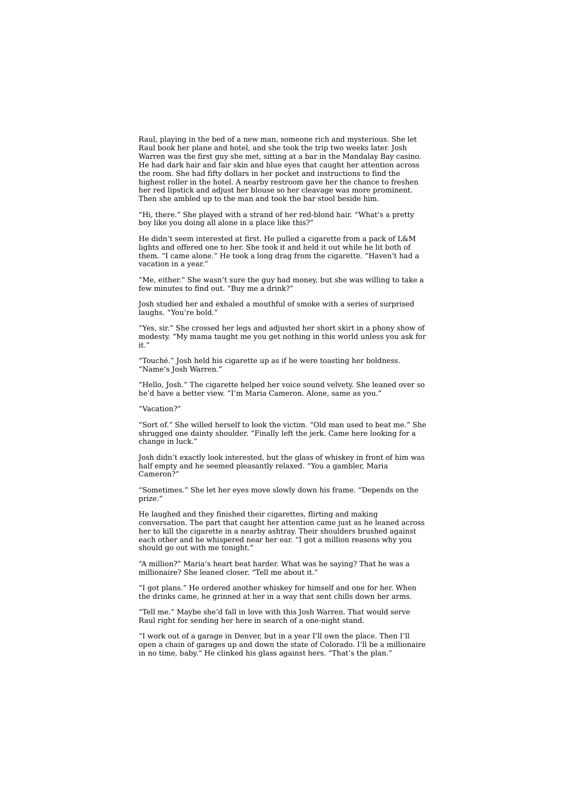Raul, playing in the bed of a new man, someone rich and mysterious. She let Raul book her plane and hotel, and she took the trip two weeks later. Josh Warren was the first guy she met, sitting at a bar in the Mandalay Bay casino. He had dark hair and fair skin and blue eyes that caught her attention across the room. She had fifty dollars in her pocket and instructions to find the highest roller in the hotel. A nearby restroom gave her the chance to freshen her red lipstick and adjust her blouse so her cleavage was more prominent. Then she ambled up to the man and took the bar stool beside him.

"Hi, there." She played with a strand of her red-blond hair. "What's a pretty boy like you doing all alone in a place like this?"

He didn't seem interested at first. He pulled a cigarette from a pack of L&M lights and offered one to her. She took it and held it out while he lit both of them. "I came alone." He took a long drag from the cigarette. "Haven't had a vacation in a year."

"Me, either." She wasn't sure the guy had money, but she was willing to take a few minutes to find out. "Buy me a drink?"

Josh studied her and exhaled a mouthful of smoke with a series of surprised laughs. "You're bold."

"Yes, sir." She crossed her legs and adjusted her short skirt in a phony show of modesty. "My mama taught me you get nothing in this world unless you ask for it."

"Touché." Josh held his cigarette up as if he were toasting her boldness. "Name's Josh Warren."

"Hello, Josh." The cigarette helped her voice sound velvety. She leaned over so he'd have a better view. "I'm Maria Cameron. Alone, same as you."

"Vacation?"

"Sort of." She willed herself to look the victim. "Old man used to beat me." She shrugged one dainty shoulder. "Finally left the jerk. Came here looking for a change in luck."

Josh didn't exactly look interested, but the glass of whiskey in front of him was half empty and he seemed pleasantly relaxed. "You a gambler, Maria Cameron?

"Sometimes." She let her eyes move slowly down his frame. "Depends on the prize."

He laughed and they finished their cigarettes, flirting and making conversation. The part that caught her attention came just as he leaned across her to kill the cigarette in a nearby ashtray. Their shoulders brushed against each other and he whispered near her ear. "I got a million reasons why you should go out with me tonight."

"A million?" Maria's heart beat harder. What was he saying? That he was a millionaire? She leaned closer. "Tell me about it."

"I got plans." He ordered another whiskey for himself and one for her. When the drinks came, he grinned at her in a way that sent chills down her arms.

"Tell me." Maybe she'd fall in love with this Josh Warren. That would serve Raul right for sending her here in search of a one-night stand.

"I work out of a garage in Denver, but in a year I'll own the place. Then I'll open a chain of garages up and down the state of Colorado. I'll be a millionaire in no time, baby." He clinked his glass against hers. "That's the plan."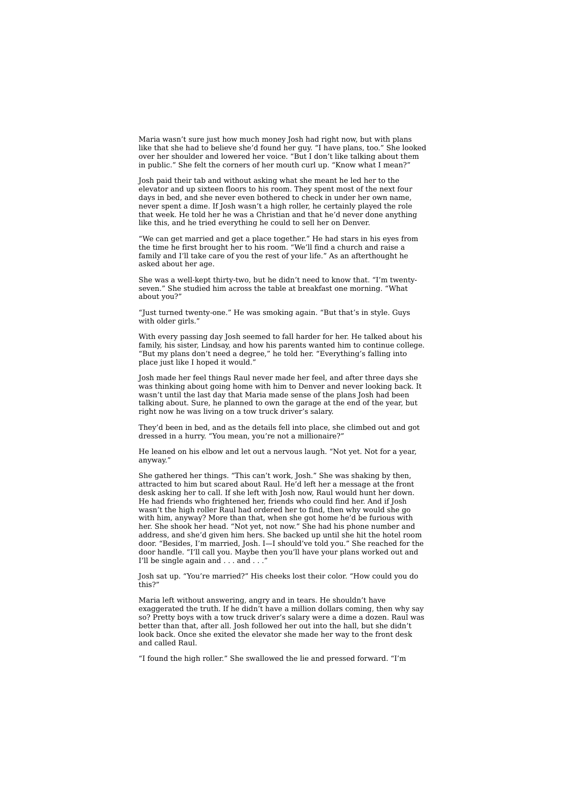Maria wasn't sure just how much money Josh had right now, but with plans like that she had to believe she'd found her guy. "I have plans, too." She looked over her shoulder and lowered her voice. "But I don't like talking about them in public." She felt the corners of her mouth curl up. "Know what I mean?"

Josh paid their tab and without asking what she meant he led her to the elevator and up sixteen floors to his room. They spent most of the next four days in bed, and she never even bothered to check in under her own name, never spent a dime. If Josh wasn't a high roller, he certainly played the role that week. He told her he was a Christian and that he'd never done anything like this, and he tried everything he could to sell her on Denver.

"We can get married and get a place together." He had stars in his eyes from the time he first brought her to his room. "We'll find a church and raise a family and I'll take care of you the rest of your life." As an afterthought he asked about her age.

She was a well-kept thirty-two, but he didn't need to know that. "I'm twentyseven." She studied him across the table at breakfast one morning. "What about you?"

"Just turned twenty-one." He was smoking again. "But that's in style. Guys with older girls.'

With every passing day Josh seemed to fall harder for her. He talked about his family, his sister, Lindsay, and how his parents wanted him to continue college. "But my plans don't need a degree," he told her. "Everything's falling into place just like I hoped it would."

Josh made her feel things Raul never made her feel, and after three days she was thinking about going home with him to Denver and never looking back. It wasn't until the last day that Maria made sense of the plans Josh had been talking about. Sure, he planned to own the garage at the end of the year, but right now he was living on a tow truck driver's salary.

They'd been in bed, and as the details fell into place, she climbed out and got dressed in a hurry. "You mean, you're not a millionaire?"

He leaned on his elbow and let out a nervous laugh. "Not yet. Not for a year, anyway."

She gathered her things. "This can't work, Josh." She was shaking by then, attracted to him but scared about Raul. He'd left her a message at the front desk asking her to call. If she left with Josh now, Raul would hunt her down. He had friends who frightened her, friends who could find her. And if Josh wasn't the high roller Raul had ordered her to find, then why would she go with him, anyway? More than that, when she got home he'd be furious with her. She shook her head. "Not yet, not now." She had his phone number and address, and she'd given him hers. She backed up until she hit the hotel room door. "Besides, I'm married, Josh. I—I should've told you." She reached for the door handle. "I'll call you. Maybe then you'll have your plans worked out and I'll be single again and  $\dots$  and  $\dots$ 

Josh sat up. "You're married?" His cheeks lost their color. "How could you do this?"

Maria left without answering, angry and in tears. He shouldn't have exaggerated the truth. If he didn't have a million dollars coming, then why say so? Pretty boys with a tow truck driver's salary were a dime a dozen. Raul was better than that, after all. Josh followed her out into the hall, but she didn't look back. Once she exited the elevator she made her way to the front desk and called Raul.

"I found the high roller." She swallowed the lie and pressed forward. "I'm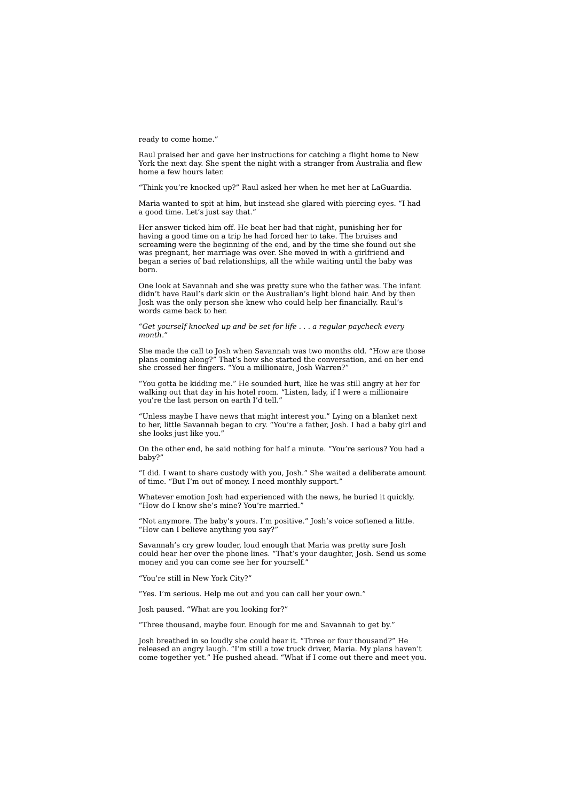ready to come home."

Raul praised her and gave her instructions for catching a flight home to New York the next day. She spent the night with a stranger from Australia and flew home a few hours later.

"Think you're knocked up?" Raul asked her when he met her at LaGuardia.

Maria wanted to spit at him, but instead she glared with piercing eyes. "I had a good time. Let's just say that."

Her answer ticked him off. He beat her bad that night, punishing her for having a good time on a trip he had forced her to take. The bruises and screaming were the beginning of the end, and by the time she found out she was pregnant, her marriage was over. She moved in with a girlfriend and began a series of bad relationships, all the while waiting until the baby was born.

One look at Savannah and she was pretty sure who the father was. The infant didn't have Raul's dark skin or the Australian's light blond hair. And by then Josh was the only person she knew who could help her financially. Raul's words came back to her.

*"Get yourself knocked up and be set for life . . . a regular paycheck every month."*

She made the call to Josh when Savannah was two months old. "How are those plans coming along?" That's how she started the conversation, and on her end she crossed her fingers. "You a millionaire, Josh Warren?"

"You gotta be kidding me." He sounded hurt, like he was still angry at her for walking out that day in his hotel room. "Listen, lady, if I were a millionaire you're the last person on earth I'd tell."

"Unless maybe I have news that might interest you." Lying on a blanket next to her, little Savannah began to cry. "You're a father, Josh. I had a baby girl and she looks just like you."

On the other end, he said nothing for half a minute. "You're serious? You had a baby?"

"I did. I want to share custody with you, Josh." She waited a deliberate amount of time. "But I'm out of money. I need monthly support."

Whatever emotion Josh had experienced with the news, he buried it quickly. "How do I know she's mine? You're married."

"Not anymore. The baby's yours. I'm positive." Josh's voice softened a little. "How can I believe anything you say?

Savannah's cry grew louder, loud enough that Maria was pretty sure Josh could hear her over the phone lines. "That's your daughter, Josh. Send us some money and you can come see her for yourself."

"You're still in New York City?"

"Yes. I'm serious. Help me out and you can call her your own."

Josh paused. "What are you looking for?"

"Three thousand, maybe four. Enough for me and Savannah to get by."

Josh breathed in so loudly she could hear it. "Three or four thousand?" He released an angry laugh. "I'm still a tow truck driver, Maria. My plans haven't come together yet." He pushed ahead. "What if I come out there and meet you.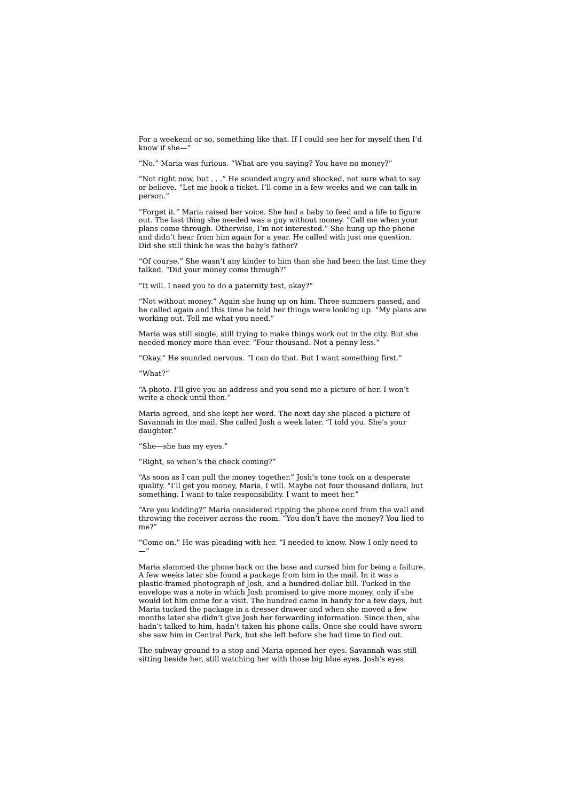For a weekend or so, something like that. If I could see her for myself then I'd know if she-

"No." Maria was furious. "What are you saying? You have no money?"

"Not right now, but . . ." He sounded angry and shocked, not sure what to say or believe. "Let me book a ticket. I'll come in a few weeks and we can talk in person."

"Forget it." Maria raised her voice. She had a baby to feed and a life to figure out. The last thing she needed was a guy without money. "Call me when your plans come through. Otherwise, I'm not interested." She hung up the phone and didn't hear from him again for a year. He called with just one question. Did she still think he was the baby's father?

"Of course." She wasn't any kinder to him than she had been the last time they talked. "Did your money come through?"

"It will. I need you to do a paternity test, okay?"

"Not without money." Again she hung up on him. Three summers passed, and he called again and this time he told her things were looking up. "My plans are working out. Tell me what you need."

Maria was still single, still trying to make things work out in the city. But she needed money more than ever. "Four thousand. Not a penny less."

"Okay." He sounded nervous. "I can do that. But I want something first."

"What?"

"A photo. I'll give you an address and you send me a picture of her. I won't write a check until then."

Maria agreed, and she kept her word. The next day she placed a picture of Savannah in the mail. She called Josh a week later. "I told you. She's your daughter."

"She—she has my eyes."

"Right, so when's the check coming?"

"As soon as I can pull the money together." Josh's tone took on a desperate quality. "I'll get you money, Maria, I will. Maybe not four thousand dollars, but something. I want to take responsibility. I want to meet her."

"Are you kidding?" Maria considered ripping the phone cord from the wall and throwing the receiver across the room. "You don't have the money? You lied to me?"

"Come on." He was pleading with her. "I needed to know. Now I only need to  $-$ "

Maria slammed the phone back on the base and cursed him for being a failure. A few weeks later she found a package from him in the mail. In it was a plastic-framed photograph of Josh, and a hundred-dollar bill. Tucked in the envelope was a note in which Josh promised to give more money, only if she would let him come for a visit. The hundred came in handy for a few days, but Maria tucked the package in a dresser drawer and when she moved a few months later she didn't give Josh her forwarding information. Since then, she hadn't talked to him, hadn't taken his phone calls. Once she could have sworn she saw him in Central Park, but she left before she had time to find out.

The subway ground to a stop and Maria opened her eyes. Savannah was still sitting beside her, still watching her with those big blue eyes. Josh's eyes.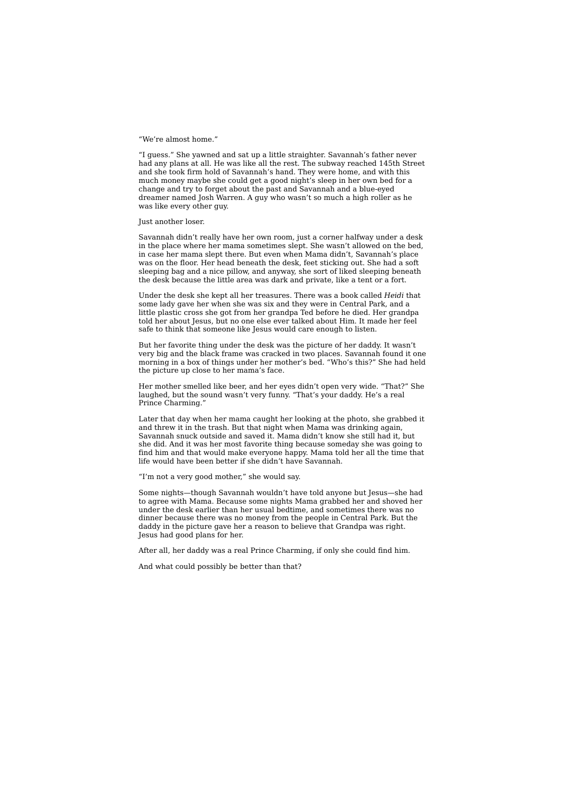## "We're almost home."

"I guess." She yawned and sat up a little straighter. Savannah's father never had any plans at all. He was like all the rest. The subway reached 145th Street and she took firm hold of Savannah's hand. They were home, and with this much money maybe she could get a good night's sleep in her own bed for a change and try to forget about the past and Savannah and a blue-eyed dreamer named Josh Warren. A guy who wasn't so much a high roller as he was like every other guy.

### Just another loser.

Savannah didn't really have her own room, just a corner halfway under a desk in the place where her mama sometimes slept. She wasn't allowed on the bed, in case her mama slept there. But even when Mama didn't, Savannah's place was on the floor. Her head beneath the desk, feet sticking out. She had a soft sleeping bag and a nice pillow, and anyway, she sort of liked sleeping beneath the desk because the little area was dark and private, like a tent or a fort.

Under the desk she kept all her treasures. There was a book called *Heidi* that some lady gave her when she was six and they were in Central Park, and a little plastic cross she got from her grandpa Ted before he died. Her grandpa told her about Jesus, but no one else ever talked about Him. It made her feel safe to think that someone like Jesus would care enough to listen.

But her favorite thing under the desk was the picture of her daddy. It wasn't very big and the black frame was cracked in two places. Savannah found it one morning in a box of things under her mother's bed. "Who's this?" She had held the picture up close to her mama's face.

Her mother smelled like beer, and her eyes didn't open very wide. "That?" She laughed, but the sound wasn't very funny. "That's your daddy. He's a real Prince Charming."

Later that day when her mama caught her looking at the photo, she grabbed it and threw it in the trash. But that night when Mama was drinking again, Savannah snuck outside and saved it. Mama didn't know she still had it, but she did. And it was her most favorite thing because someday she was going to find him and that would make everyone happy. Mama told her all the time that life would have been better if she didn't have Savannah.

### "I'm not a very good mother," she would say.

Some nights—though Savannah wouldn't have told anyone but Jesus—she had to agree with Mama. Because some nights Mama grabbed her and shoved her under the desk earlier than her usual bedtime, and sometimes there was no dinner because there was no money from the people in Central Park. But the daddy in the picture gave her a reason to believe that Grandpa was right. Jesus had good plans for her.

After all, her daddy was a real Prince Charming, if only she could find him.

And what could possibly be better than that?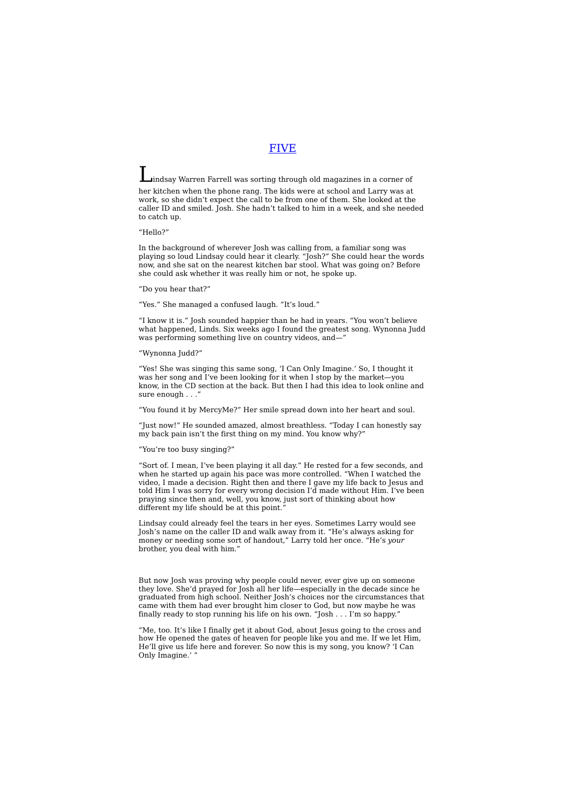## FIVE

Lindsay Warren Farrell was sorting through old magazines in <sup>a</sup> corner of her kitchen when the phone rang. The kids were at school and Larry was at work, so she didn't expect the call to be from one of them. She looked at the caller ID and smiled. Josh. She hadn't talked to him in a week, and she needed to catch up.

"Hello?"

In the background of wherever Josh was calling from, a familiar song was playing so loud Lindsay could hear it clearly. "Josh?" She could hear the words now, and she sat on the nearest kitchen bar stool. What was going on? Before she could ask whether it was really him or not, he spoke up.

"Do you hear that?"

"Yes." She managed a confused laugh. "It's loud."

"I know it is." Josh sounded happier than he had in years. "You won't believe what happened, Linds. Six weeks ago I found the greatest song. Wynonna Judd was performing something live on country videos, and—"

### "Wynonna Judd?"

"Yes! She was singing this same song, 'I Can Only Imagine.' So, I thought it was her song and I've been looking for it when I stop by the market—you know, in the CD section at the back. But then I had this idea to look online and sure enough . . .

"You found it by MercyMe?" Her smile spread down into her heart and soul.

"Just now!" He sounded amazed, almost breathless. "Today I can honestly say my back pain isn't the first thing on my mind. You know why?"

### "You're too busy singing?"

"Sort of. I mean, I've been playing it all day." He rested for a few seconds, and when he started up again his pace was more controlled. "When I watched the video, I made a decision. Right then and there I gave my life back to Jesus and told Him I was sorry for every wrong decision I'd made without Him. I've been praying since then and, well, you know, just sort of thinking about how different my life should be at this point.

Lindsay could already feel the tears in her eyes. Sometimes Larry would see Josh's name on the caller ID and walk away from it. "He's always asking for money or needing some sort of handout," Larry told her once. "He's *your* brother, you deal with him."

But now Josh was proving why people could never, ever give up on someone they love. She'd prayed for Josh all her life—especially in the decade since he graduated from high school. Neither Josh's choices nor the circumstances that came with them had ever brought him closer to God, but now maybe he was finally ready to stop running his life on his own. "Josh . . . I'm so happy."

"Me, too. It's like I finally get it about God, about Jesus going to the cross and how He opened the gates of heaven for people like you and me. If we let Him, He'll give us life here and forever. So now this is my song, you know? 'I Can Only Imagine.' "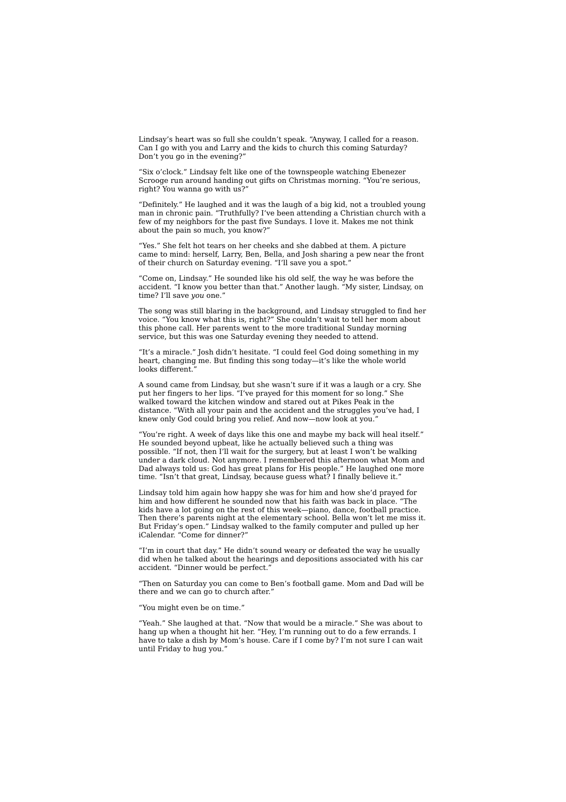Lindsay's heart was so full she couldn't speak. "Anyway, I called for a reason. Can I go with you and Larry and the kids to church this coming Saturday? Don't you go in the evening?"

"Six o'clock." Lindsay felt like one of the townspeople watching Ebenezer Scrooge run around handing out gifts on Christmas morning. "You're serious, right? You wanna go with us?"

"Definitely." He laughed and it was the laugh of a big kid, not a troubled young man in chronic pain. "Truthfully? I've been attending a Christian church with a few of my neighbors for the past five Sundays. I love it. Makes me not think about the pain so much, you know?"

"Yes." She felt hot tears on her cheeks and she dabbed at them. A picture came to mind: herself, Larry, Ben, Bella, and Josh sharing a pew near the front of their church on Saturday evening. "I'll save you a spot."

"Come on, Lindsay." He sounded like his old self, the way he was before the accident. "I know you better than that." Another laugh. "My sister, Lindsay, on time? I'll save *you* one."

The song was still blaring in the background, and Lindsay struggled to find her voice. "You know what this is, right?" She couldn't wait to tell her mom about this phone call. Her parents went to the more traditional Sunday morning service, but this was one Saturday evening they needed to attend.

"It's a miracle." Josh didn't hesitate. "I could feel God doing something in my heart, changing me. But finding this song today—it's like the whole world looks different.

A sound came from Lindsay, but she wasn't sure if it was a laugh or a cry. She put her fingers to her lips. "I've prayed for this moment for so long." She walked toward the kitchen window and stared out at Pikes Peak in the distance. "With all your pain and the accident and the struggles you've had, I knew only God could bring you relief. And now—now look at you.

"You're right. A week of days like this one and maybe my back will heal itself." He sounded beyond upbeat, like he actually believed such a thing was possible. "If not, then I'll wait for the surgery, but at least I won't be walking under a dark cloud. Not anymore. I remembered this afternoon what Mom and Dad always told us: God has great plans for His people." He laughed one more time. "Isn't that great, Lindsay, because guess what? I finally believe it.'

Lindsay told him again how happy she was for him and how she'd prayed for him and how different he sounded now that his faith was back in place. "The kids have a lot going on the rest of this week—piano, dance, football practice. Then there's parents night at the elementary school. Bella won't let me miss it. But Friday's open." Lindsay walked to the family computer and pulled up her iCalendar. "Come for dinner?"

"I'm in court that day." He didn't sound weary or defeated the way he usually did when he talked about the hearings and depositions associated with his car accident. "Dinner would be perfect."

"Then on Saturday you can come to Ben's football game. Mom and Dad will be there and we can go to church after."

"You might even be on time."

"Yeah." She laughed at that. "Now that would be a miracle." She was about to hang up when a thought hit her. "Hey, I'm running out to do a few errands. I have to take a dish by Mom's house. Care if I come by? I'm not sure I can wait until Friday to hug you."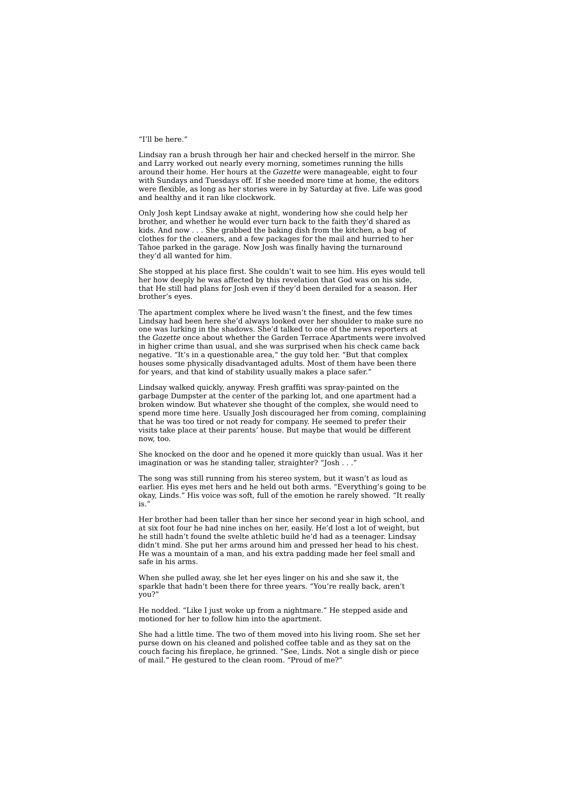## "I'll be here."

Lindsay ran a brush through her hair and checked herself in the mirror. She and Larry worked out nearly every morning, sometimes running the hills around their home. Her hours at the *Gazette* were manageable, eight to four with Sundays and Tuesdays off. If she needed more time at home, the editors were flexible, as long as her stories were in by Saturday at five. Life was good and healthy and it ran like clockwork.

Only Josh kept Lindsay awake at night, wondering how she could help her brother, and whether he would ever turn back to the faith they'd shared as kids. And now .. . She grabbed the baking dish from the kitchen, a bag of clothes for the cleaners, and a few packages for the mail and hurried to her Tahoe parked in the garage. Now Josh was finally having the turnaround they'd all wanted for him.

She stopped at his place first. She couldn't wait to see him. His eyes would tell her how deeply he was affected by this revelation that God was on his side, that He still had plans for Josh even if they'd been derailed for a season. Her brother's eyes.

The apartment complex where he lived wasn't the finest, and the few times Lindsay had been here she'd always looked over her shoulder to make sure no one was lurking in the shadows. She'd talked to one of the news reporters at the *Gazette* once about whether the Garden Terrace Apartments were involved in higher crime than usual, and she was surprised when his check came back negative. "It's in a questionable area," the guy told her. "But that complex houses some physically disadvantaged adults. Most of them have been there for years, and that kind of stability usually makes a place safer."

Lindsay walked quickly, anyway. Fresh graffiti was spray-painted on the garbage Dumpster at the center of the parking lot, and one apartment had a broken window. But whatever she thought of the complex, she would need to spend more time here. Usually Josh discouraged her from coming, complaining that he was too tired or not ready for company. He seemed to prefer their visits take place at their parents' house. But maybe that would be different now, too.

She knocked on the door and he opened it more quickly than usual. Was it her imagination or was he standing taller, straighter? "Josh . . ."

The song was still running from his stereo system, but it wasn't as loud as earlier. His eyes met hers and he held out both arms. "Everything's going to be okay, Linds." His voice was soft, full of the emotion he rarely showed. "It really is."

Her brother had been taller than her since her second year in high school, and at six foot four he had nine inches on her, easily. He'd lost a lot of weight, but he still hadn't found the svelte athletic build he'd had as a teenager. Lindsay didn't mind. She put her arms around him and pressed her head to his chest. He was a mountain of a man, and his extra padding made her feel small and safe in his arms.

When she pulled away, she let her eyes linger on his and she saw it, the sparkle that hadn't been there for three years. "You're really back, aren't you?"

He nodded. "Like I just woke up from a nightmare." He stepped aside and motioned for her to follow him into the apartment.

She had a little time. The two of them moved into his living room. She set her purse down on his cleaned and polished coffee table and as they sat on the couch facing his fireplace, he grinned. "See, Linds. Not a single dish or piece of mail." He gestured to the clean room. "Proud of me?"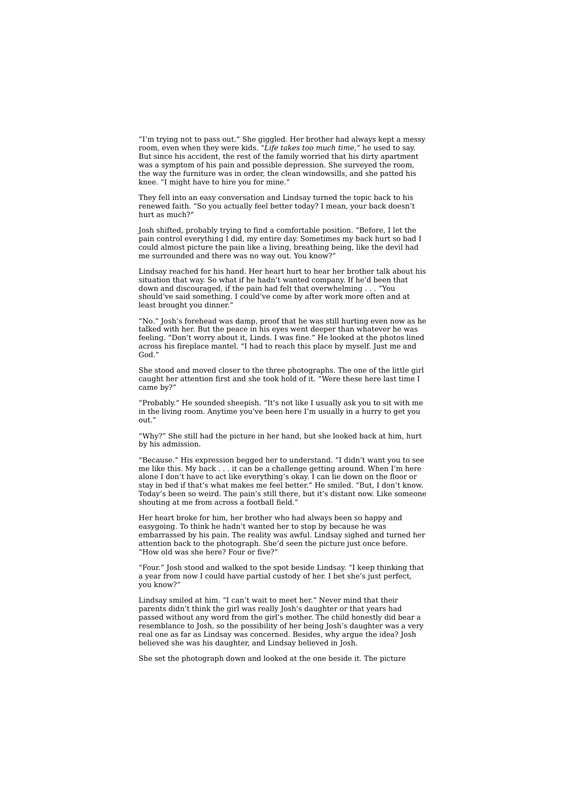"I'm trying not to pass out." She giggled. Her brother had always kept a messy run a *y*<sub>my</sub> hot is puse you. The *say compared to say*. The *nom, even when they were kids. "Life takes too much time,"* he used to say. But since his accident, the rest of the family worried that his dirty apartment was a symptom of his pain and possible depression. She surveyed the room, the way the furniture was in order, the clean windowsills, and she patted his knee. "I might have to hire you for mine."

They fell into an easy conversation and Lindsay turned the topic back to his renewed faith. "So you actually feel better today? I mean, your back doesn't hurt as much?"

Josh shifted, probably trying to find a comfortable position. "Before, I let the pain control everything I did, my entire day. Sometimes my back hurt so bad I could almost picture the pain like a living, breathing being, like the devil had me surrounded and there was no way out. You know?"

Lindsay reached for his hand. Her heart hurt to hear her brother talk about his situation that way. So what if he hadn't wanted company. If he'd been that down and discouraged, if the pain had felt that overwhelming . . . "You should've said something. I could've come by after work more often and at least brought you dinner."

"No." Josh's forehead was damp, proof that he was still hurting even now as he talked with her. But the peace in his eyes went deeper than whatever he was feeling. "Don't worry about it, Linds. I was fine." He looked at the photos lined across his fireplace mantel. "I had to reach this place by myself. Just me and God."

She stood and moved closer to the three photographs. The one of the little girl caught her attention first and she took hold of it. "Were these here last time I came by?"

"Probably." He sounded sheepish. "It's not like I usually ask you to sit with me in the living room. Anytime you've been here I'm usually in a hurry to get you out."

"Why?" She still had the picture in her hand, but she looked back at him, hurt by his admission.

"Because." His expression begged her to understand. "I didn't want you to see me like this. My back . . . it can be a challenge getting around. When I'm here alone I don't have to act like everything's okay. I can lie down on the floor or stay in bed if that's what makes me feel better." He smiled. "But, I don't know. Today's been so weird. The pain's still there, but it's distant now. Like someone shouting at me from across a football field."

Her heart broke for him, her brother who had always been so happy and easygoing. To think he hadn't wanted her to stop by because he was embarrassed by his pain. The reality was awful. Lindsay sighed and turned her attention back to the photograph. She'd seen the picture just once before. "How old was she here? Four or five?"

"Four." Josh stood and walked to the spot beside Lindsay. "I keep thinking that a year from now I could have partial custody of her. I bet she's just perfect, you know?"

Lindsay smiled at him. "I can't wait to meet her." Never mind that their parents didn't think the girl was really Josh's daughter or that years had passed without any word from the girl's mother. The child honestly did bear a resemblance to Josh, so the possibility of her being Josh's daughter was a very real one as far as Lindsay was concerned. Besides, why argue the idea? Josh believed she was his daughter, and Lindsay believed in Josh.

She set the photograph down and looked at the one beside it. The picture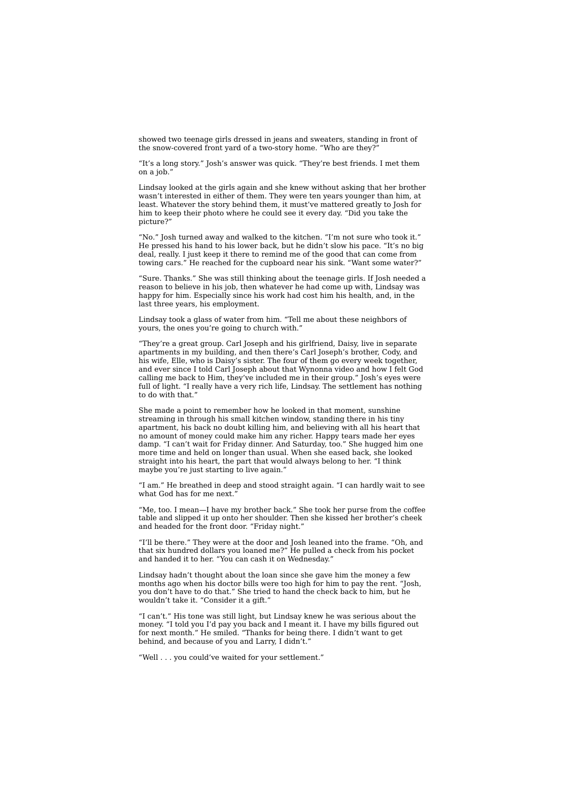showed two teenage girls dressed in jeans and sweaters, standing in front of the snow-covered front yard of a two-story home. "Who are they?"

"It's a long story." Josh's answer was quick. "They're best friends. I met them on a job."

Lindsay looked at the girls again and she knew without asking that her brother wasn't interested in either of them. They were ten years younger than him, at least. Whatever the story behind them, it must've mattered greatly to Josh for him to keep their photo where he could see it every day. "Did you take the picture?"

"No." Josh turned away and walked to the kitchen. "I'm not sure who took it." He pressed his hand to his lower back, but he didn't slow his pace. "It's no big deal, really. I just keep it there to remind me of the good that can come from towing cars." He reached for the cupboard near his sink. "Want some water?"

"Sure. Thanks." She was still thinking about the teenage girls. If Josh needed a reason to believe in his job, then whatever he had come up with. Lindsay was happy for him. Especially since his work had cost him his health, and, in the last three years, his employment.

Lindsay took a glass of water from him. "Tell me about these neighbors of yours, the ones you're going to church with."

"They're a great group. Carl Joseph and his girlfriend, Daisy, live in separate apartments in my building, and then there's Carl Joseph's brother, Cody, and his wife, Elle, who is Daisy's sister. The four of them go every week together, and ever since I told Carl Joseph about that Wynonna video and how I felt God calling me back to Him, they've included me in their group." Josh's eyes were full of light. "I really have a very rich life, Lindsay. The settlement has nothing to do with that."

She made a point to remember how he looked in that moment, sunshine streaming in through his small kitchen window, standing there in his tiny apartment, his back no doubt killing him, and believing with all his heart that no amount of money could make him any richer. Happy tears made her eyes damp. "I can't wait for Friday dinner. And Saturday, too." She hugged him one more time and held on longer than usual. When she eased back, she looked straight into his heart, the part that would always belong to her. "I think maybe you're just starting to live again."

"I am." He breathed in deep and stood straight again. "I can hardly wait to see what God has for me next."

"Me, too. I mean—I have my brother back." She took her purse from the coffee table and slipped it up onto her shoulder. Then she kissed her brother's cheek and headed for the front door. "Friday night."

"I'll be there." They were at the door and Josh leaned into the frame. "Oh, and that six hundred dollars you loaned me?" He pulled a check from his pocket and handed it to her. "You can cash it on Wednesday."

Lindsay hadn't thought about the loan since she gave him the money a few months ago when his doctor bills were too high for him to pay the rent. "Josh, you don't have to do that." She tried to hand the check back to him, but he wouldn't take it. "Consider it a gift."

"I can't." His tone was still light, but Lindsay knew he was serious about the money. "I told you I'd pay you back and I meant it. I have my bills figured out for next month." He smiled. "Thanks for being there. I didn't want to get behind, and because of you and Larry, I didn't.'

"Well . . . you could've waited for your settlement."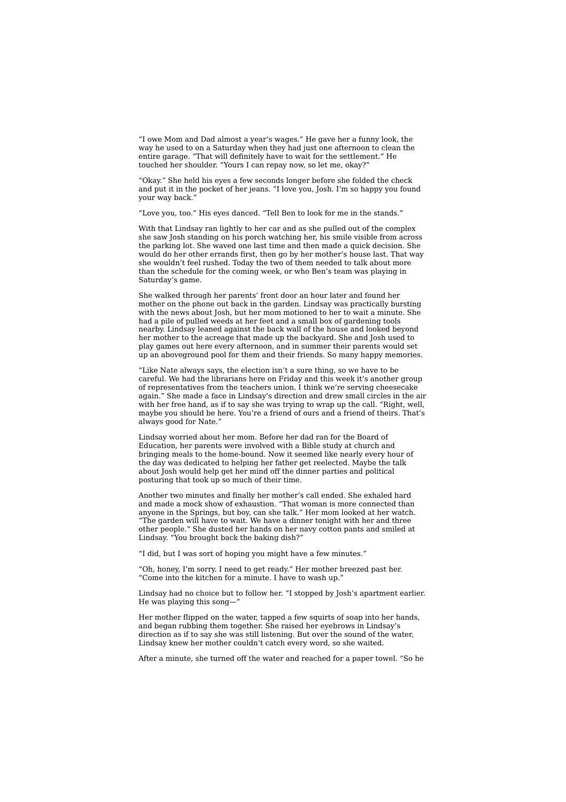"I owe Mom and Dad almost a year's wages." He gave her a funny look, the way he used to on a Saturday when they had just one afternoon to clean the entire garage. "That will definitely have to wait for the settlement." He touched her shoulder. "Yours I can repay now, so let me, okay?"

"Okay." She held his eyes a few seconds longer before she folded the check and put it in the pocket of her jeans. "I love you, Josh. I'm so happy you found your way back."

"Love you, too." His eyes danced. "Tell Ben to look for me in the stands."

With that Lindsay ran lightly to her car and as she pulled out of the complex she saw Josh standing on his porch watching her, his smile visible from across the parking lot. She waved one last time and then made a quick decision. She would do her other errands first, then go by her mother's house last. That way she wouldn't feel rushed. Today the two of them needed to talk about more than the schedule for the coming week, or who Ben's team was playing in Saturday's game.

She walked through her parents' front door an hour later and found her mother on the phone out back in the garden. Lindsay was practically bursting with the news about Josh, but her mom motioned to her to wait a minute. She had a pile of pulled weeds at her feet and a small box of gardening tools nearby. Lindsay leaned against the back wall of the house and looked beyond her mother to the acreage that made up the backyard. She and Josh used to play games out here every afternoon, and in summer their parents would set up an aboveground pool for them and their friends. So many happy memories.

"Like Nate always says, the election isn't a sure thing, so we have to be careful. We had the librarians here on Friday and this week it's another group of representatives from the teachers union. I think we're serving cheesecake again." She made a face in Lindsay's direction and drew small circles in the air with her free hand, as if to say she was trying to wrap up the call. "Right, well, maybe you should be here. You're a friend of ours and a friend of theirs. That's always good for Nate."

Lindsay worried about her mom. Before her dad ran for the Board of Education, her parents were involved with a Bible study at church and bringing meals to the home-bound. Now it seemed like nearly every hour of the day was dedicated to helping her father get reelected. Maybe the talk about Josh would help get her mind off the dinner parties and political posturing that took up so much of their time.

Another two minutes and finally her mother's call ended. She exhaled hard and made a mock show of exhaustion. "That woman is more connected than anyone in the Springs, but boy, can she talk." Her mom looked at her watch. "The garden will have to wait. We have a dinner tonight with her and three other people." She dusted her hands on her navy cotton pants and smiled at Lindsay. "You brought back the baking dish?"

"I did, but I was sort of hoping you might have a few minutes."

"Oh, honey, I'm sorry. I need to get ready." Her mother breezed past her. "Come into the kitchen for a minute. I have to wash up."

Lindsay had no choice but to follow her. "I stopped by Josh's apartment earlier. He was playing this song—"

Her mother flipped on the water, tapped a few squirts of soap into her hands, and began rubbing them together. She raised her eyebrows in Lindsay's direction as if to say she was still listening. But over the sound of the water, Lindsay knew her mother couldn't catch every word, so she waited.

After a minute, she turned off the water and reached for a paper towel. "So he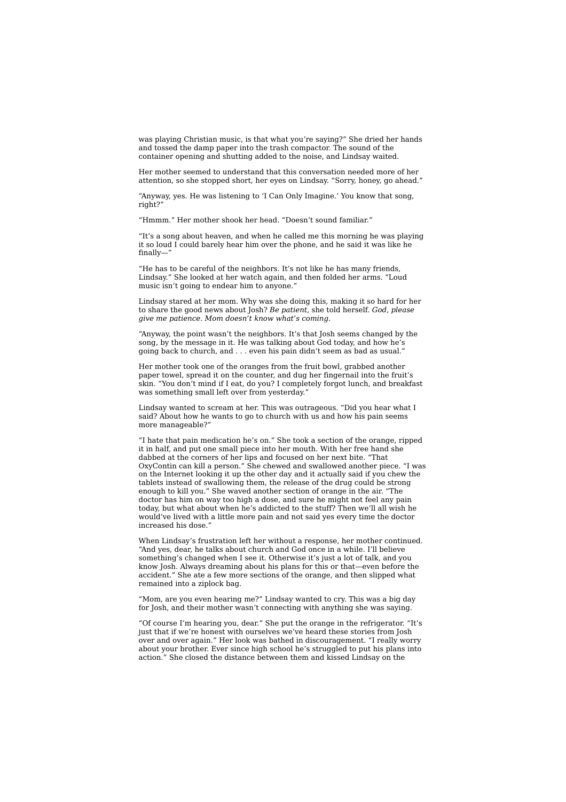was playing Christian music, is that what you're saying?" She dried her hands and tossed the damp paper into the trash compactor. The sound of the container opening and shutting added to the noise, and Lindsay waited.

Her mother seemed to understand that this conversation needed more of her attention, so she stopped short, her eyes on Lindsay. "Sorry, honey, go ahead."

"Anyway, yes. He was listening to 'I Can Only Imagine.' You know that song, right?"

"Hmmm." Her mother shook her head. "Doesn't sound familiar."

"It's a song about heaven, and when he called me this morning he was playing it so loud I could barely hear him over the phone, and he said it was like he finally-

"He has to be careful of the neighbors. It's not like he has many friends, Lindsay." She looked at her watch again, and then folded her arms. "Loud music isn't going to endear him to anyone."

Lindsay stared at her mom. Why was she doing this, making it so hard for her to share the good news about Josh? *Be patient,* she told herself. *God, please give me patience. Mom doesn't know what's coming.*

"Anyway, the point wasn't the neighbors. It's that Josh seems changed by the song, by the message in it. He was talking about God today, and how he's going back to church, and . . . even his pain didn't seem as bad as usual."

Her mother took one of the oranges from the fruit bowl, grabbed another paper towel, spread it on the counter, and dug her fingernail into the fruit's skin. "You don't mind if I eat, do you? I completely forgot lunch, and breakfast was something small left over from yesterday."

Lindsay wanted to scream at her. This was outrageous. "Did you hear what I said? About how he wants to go to church with us and how his pain seems more manageable?"

"I hate that pain medication he's on." She took a section of the orange, ripped it in half, and put one small piece into her mouth. With her free hand she dabbed at the corners of her lips and focused on her next bite. "That OxyContin can kill a person." She chewed and swallowed another piece. "I was on the Internet looking it up the other day and it actually said if you chew the tablets instead of swallowing them, the release of the drug could be strong enough to kill you." She waved another section of orange in the air. "The doctor has him on way too high a dose, and sure he might not feel any pain today, but what about when he's addicted to the stuff? Then we'll all wish he would've lived with a little more pain and not said yes every time the doctor increased his dose."

When Lindsay's frustration left her without a response, her mother continued. "And yes, dear, he talks about church and God once in a while. I'll believe something's changed when I see it. Otherwise it's just a lot of talk, and you know Josh. Always dreaming about his plans for this or that—even before the accident." She ate a few more sections of the orange, and then slipped what remained into a ziplock bag.

"Mom, are you even hearing me?" Lindsay wanted to cry. This was a big day for Josh, and their mother wasn't connecting with anything she was saying.

"Of course I'm hearing you, dear." She put the orange in the refrigerator. "It's just that if we're honest with ourselves we've heard these stories from Josh over and over again." Her look was bathed in discouragement. "I really worry about your brother. Ever since high school he's struggled to put his plans into action." She closed the distance between them and kissed Lindsay on the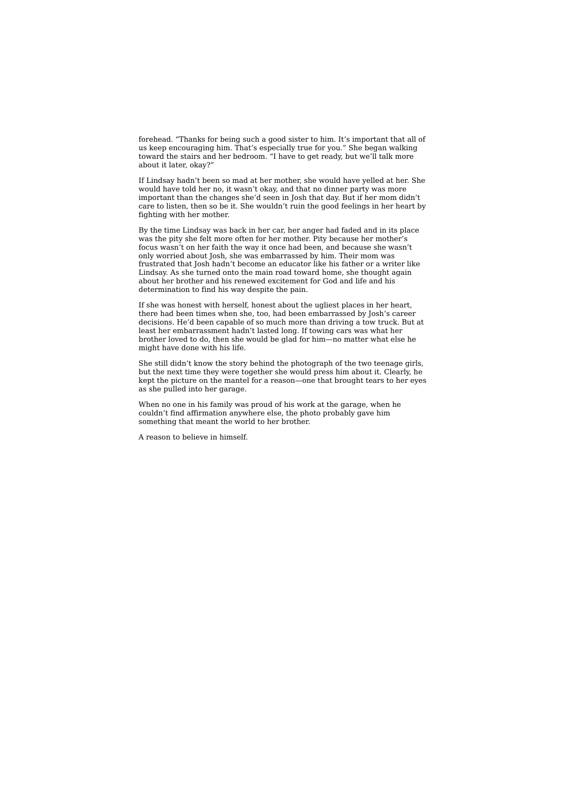forehead. "Thanks for being such a good sister to him. It's important that all of us keep encouraging him. That's especially true for you." She began walking toward the stairs and her bedroom. "I have to get ready, but we'll talk more about it later, okay?"

If Lindsay hadn't been so mad at her mother, she would have yelled at her. She would have told her no, it wasn't okay, and that no dinner party was more important than the changes she'd seen in Josh that day. But if her mom didn't care to listen, then so be it. She wouldn't ruin the good feelings in her heart by fighting with her mother.

By the time Lindsay was back in her car, her anger had faded and in its place was the pity she felt more often for her mother. Pity because her mother's focus wasn't on her faith the way it once had been, and because she wasn't only worried about Josh, she was embarrassed by him. Their mom was frustrated that Josh hadn't become an educator like his father or a writer like Lindsay. As she turned onto the main road toward home, she thought again about her brother and his renewed excitement for God and life and his determination to find his way despite the pain.

If she was honest with herself, honest about the ugliest places in her heart, there had been times when she, too, had been embarrassed by Josh's career decisions. He'd been capable of so much more than driving a tow truck. But at least her embarrassment hadn't lasted long. If towing cars was what her brother loved to do, then she would be glad for him—no matter what else he might have done with his life.

She still didn't know the story behind the photograph of the two teenage girls, but the next time they were together she would press him about it. Clearly, he kept the picture on the mantel for a reason—one that brought tears to her eyes as she pulled into her garage.

When no one in his family was proud of his work at the garage, when he couldn't find affirmation anywhere else, the photo probably gave him something that meant the world to her brother.

A reason to believe in himself.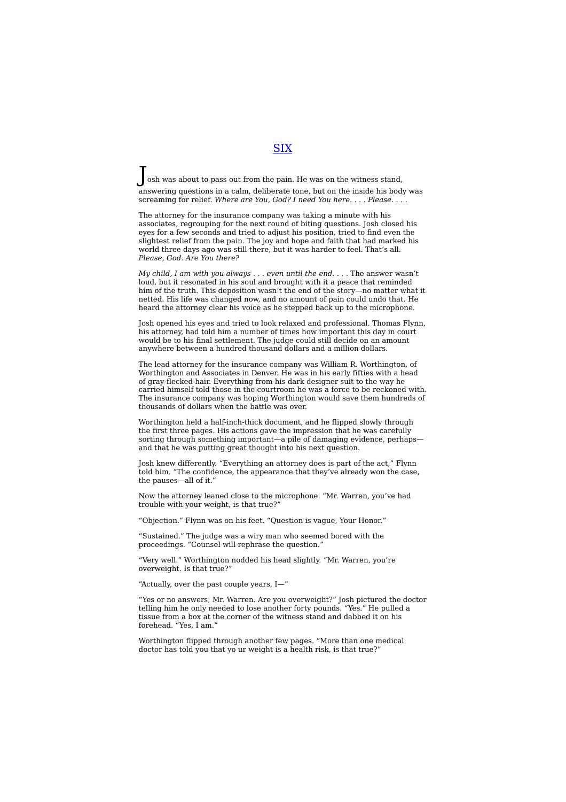osh was about to pass out from the pain. He was on the witness stand, answering questions in a calm, deliberate tone, but on the inside his body was screaming for relief. *Where are You, God? I need You here. . . . Please. . . .*

The attorney for the insurance company was taking a minute with his associates, regrouping for the next round of biting questions. Josh closed his eyes for a few seconds and tried to adjust his position, tried to find even the slightest relief from the pain. The joy and hope and faith that had marked his world three days ago was still there, but it was harder to feel. That's all. *Please, God. Are You there?*

*My child, I am with you always . . . even until the end. . . .* The answer wasn't loud, but it resonated in his soul and brought with it a peace that reminded him of the truth. This deposition wasn't the end of the story—no matter what it netted. His life was changed now, and no amount of pain could undo that. He heard the attorney clear his voice as he stepped back up to the microphone.

Josh opened his eyes and tried to look relaxed and professional. Thomas Flynn, his attorney, had told him a number of times how important this day in court would be to his final settlement. The judge could still decide on an amount anywhere between a hundred thousand dollars and a million dollars.

The lead attorney for the insurance company was William R. Worthington, of Worthington and Associates in Denver. He was in his early fifties with a head of gray-flecked hair. Everything from his dark designer suit to the way he carried himself told those in the courtroom he was a force to be reckoned with. The insurance company was hoping Worthington would save them hundreds of thousands of dollars when the battle was over.

Worthington held a half-inch-thick document, and he flipped slowly through the first three pages. His actions gave the impression that he was carefully sorting through something important—a pile of damaging evidence, perhaps and that he was putting great thought into his next question.

Josh knew differently. "Everything an attorney does is part of the act," Flynn told him. "The confidence, the appearance that they've already won the case, the pauses—all of it."

Now the attorney leaned close to the microphone. "Mr. Warren, you've had trouble with your weight, is that true?"

"Objection." Flynn was on his feet. "Question is vague, Your Honor."

"Sustained." The judge was a wiry man who seemed bored with the proceedings. "Counsel will rephrase the question."

"Very well." Worthington nodded his head slightly. "Mr. Warren, you're overweight. Is that true?"

"Actually, over the past couple years, I—"

"Yes or no answers, Mr. Warren. Are you overweight?" Josh pictured the doctor telling him he only needed to lose another forty pounds. "Yes." He pulled a tissue from a box at the corner of the witness stand and dabbed it on his forehead. "Yes, I am."

Worthington flipped through another few pages. "More than one medical doctor has told you that yo ur weight is a health risk, is that true?"

# SIX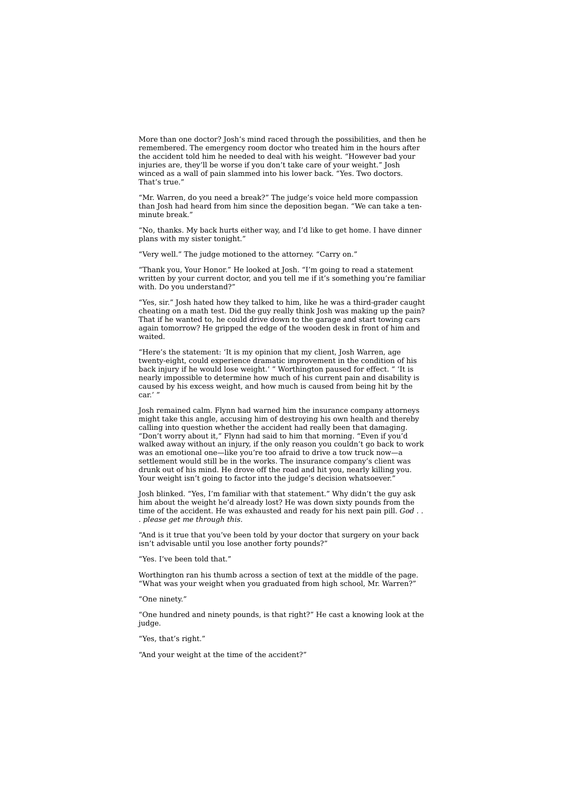More than one doctor? Josh's mind raced through the possibilities, and then he remembered. The emergency room doctor who treated him in the hours after the accident told him he needed to deal with his weight. "However bad your injuries are, they'll be worse if you don't take care of your weight." Josh winced as a wall of pain slammed into his lower back. "Yes. Two doctors. That's true."

"Mr. Warren, do you need a break?" The judge's voice held more compassion than Josh had heard from him since the deposition began. "We can take a ten minute break."

"No, thanks. My back hurts either way, and I'd like to get home. I have dinner plans with my sister tonight."

"Very well." The judge motioned to the attorney. "Carry on."

"Thank you, Your Honor." He looked at Josh. "I'm going to read a statement written by your current doctor, and you tell me if it's something you're familiar with. Do you understand?"

"Yes, sir." Josh hated how they talked to him, like he was a third-grader caught cheating on a math test. Did the guy really think Josh was making up the pain? That if he wanted to, he could drive down to the garage and start towing cars again tomorrow? He gripped the edge of the wooden desk in front of him and waited.

"Here's the statement: 'It is my opinion that my client, Josh Warren, age twenty-eight, could experience dramatic improvement in the condition of his back injury if he would lose weight.' " Worthington paused for effect. " 'It is nearly impossible to determine how much of his current pain and disability is caused by his excess weight, and how much is caused from being hit by the car."

Josh remained calm. Flynn had warned him the insurance company attorneys might take this angle, accusing him of destroying his own health and thereby calling into question whether the accident had really been that damaging. "Don't worry about it," Flynn had said to him that morning. "Even if you'd walked away without an injury, if the only reason you couldn't go back to work was an emotional one—like you're too afraid to drive a tow truck now—a settlement would still be in the works. The insurance company's client was drunk out of his mind. He drove off the road and hit you, nearly killing you. Your weight isn't going to factor into the judge's decision whatsoever.

Josh blinked. "Yes, I'm familiar with that statement." Why didn't the guy ask him about the weight he'd already lost? He was down sixty pounds from the time of the accident. He was exhausted and ready for his next pain pill. *God . . . please get me through this.*

"And is it true that you've been told by your doctor that surgery on your back isn't advisable until you lose another forty pounds?"

"Yes. I've been told that."

Worthington ran his thumb across a section of text at the middle of the page. "What was your weight when you graduated from high school, Mr. Warren?"

"One ninety."

"One hundred and ninety pounds, is that right?" He cast a knowing look at the judge.

"Yes, that's right."

"And your weight at the time of the accident?"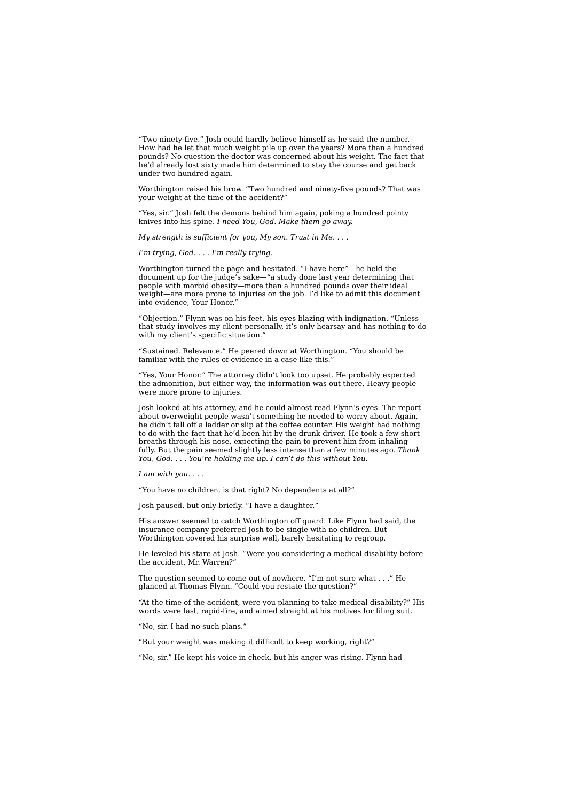"Two ninety-five." Josh could hardly believe himself as he said the number. How had he let that much weight pile up over the years? More than a hundred pounds? No question the doctor was concerned about his weight. The fact that he'd already lost sixty made him determined to stay the course and get back under two hundred again.

Worthington raised his brow. "Two hundred and ninety-five pounds? That was your weight at the time of the accident?"

"Yes, sir." Josh felt the demons behind him again, poking a hundred pointy knives into his spine. *I need You, God. Make them go away.*

*My strength is sufficient for you, My son. Trust in Me. . . .*

*I'm trying, God. . . . I'm really trying.*

Worthington turned the page and hesitated. "I have here"—he held the document up for the judge's sake—"a study done last year determining that people with morbid obesity—more than a hundred pounds over their ideal weight—are more prone to injuries on the job. I'd like to admit this document into evidence, Your Honor."

"Objection." Flynn was on his feet, his eyes blazing with indignation. "Unless that study involves my client personally, it's only hearsay and has nothing to do with my client's specific situation."

"Sustained. Relevance." He peered down at Worthington. "You should be familiar with the rules of evidence in a case like this.

"Yes, Your Honor." The attorney didn't look too upset. He probably expected the admonition, but either way, the information was out there. Heavy people were more prone to injuries.

Josh looked at his attorney, and he could almost read Flynn's eyes. The report about overweight people wasn't something he needed to worry about. Again, he didn't fall off a ladder or slip at the coffee counter. His weight had nothing to do with the fact that he'd been hit by the drunk driver. He took a few short breaths through his nose, expecting the pain to prevent him from inhaling fully. But the pain seemed slightly less intense than a few minutes ago. *Thank You, God. . . . You're holding me up. I can't do this without You.*

*I am with you. . . .*

"You have no children, is that right? No dependents at all?"

Josh paused, but only briefly. "I have a daughter."

His answer seemed to catch Worthington off guard. Like Flynn had said, the insurance company preferred Josh to be single with no children. But Worthington covered his surprise well, barely hesitating to regroup.

He leveled his stare at Josh. "Were you considering a medical disability before the accident, Mr. Warren?"

The question seemed to come out of nowhere. "I'm not sure what . . ." He glanced at Thomas Flynn. "Could you restate the question?"

"At the time of the accident, were you planning to take medical disability?" His words were fast, rapid-fire, and aimed straight at his motives for filing suit.

"No, sir. I had no such plans."

"But your weight was making it difficult to keep working, right?"

"No, sir." He kept his voice in check, but his anger was rising. Flynn had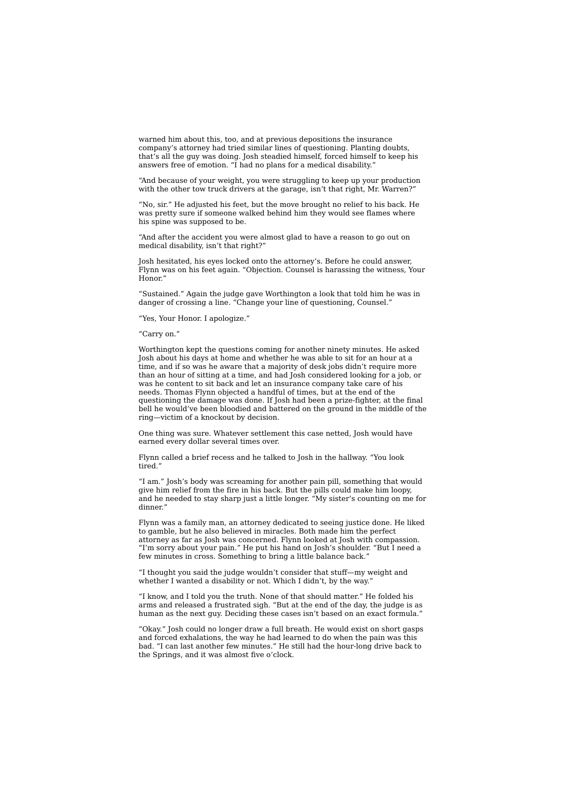warned him about this, too, and at previous depositions the insurance company's attorney had tried similar lines of questioning. Planting doubts, that's all the guy was doing. Josh steadied himself, forced himself to keep his answers free of emotion. "I had no plans for a medical disability."

"And because of your weight, you were struggling to keep up your production with the other tow truck drivers at the garage, isn't that right, Mr. Warren?"

"No, sir." He adjusted his feet, but the move brought no relief to his back. He was pretty sure if someone walked behind him they would see flames where his spine was supposed to be.

"And after the accident you were almost glad to have a reason to go out on medical disability, isn't that right?'

Josh hesitated, his eyes locked onto the attorney's. Before he could answer, Flynn was on his feet again. "Objection. Counsel is harassing the witness, Your Honor."

"Sustained." Again the judge gave Worthington a look that told him he was in danger of crossing a line. "Change your line of questioning, Counsel."

"Yes, Your Honor. I apologize."

"Carry on."

Worthington kept the questions coming for another ninety minutes. He asked Josh about his days at home and whether he was able to sit for an hour at a time, and if so was he aware that a majority of desk jobs didn't require more than an hour of sitting at a time, and had Josh considered looking for a job, or was he content to sit back and let an insurance company take care of his needs. Thomas Flynn objected a handful of times, but at the end of the questioning the damage was done. If Josh had been a prize-fighter, at the final bell he would've been bloodied and battered on the ground in the middle of the ring—victim of a knockout by decision.

One thing was sure. Whatever settlement this case netted, Josh would have earned every dollar several times over.

Flynn called a brief recess and he talked to Josh in the hallway. "You look tired."

"I am." Josh's body was screaming for another pain pill, something that would give him relief from the fire in his back. But the pills could make him loopy, and he needed to stay sharp just a little longer. "My sister's counting on me for dinner."

Flynn was a family man, an attorney dedicated to seeing justice done. He liked to gamble, but he also believed in miracles. Both made him the perfect attorney as far as Josh was concerned. Flynn looked at Josh with compassion. "I'm sorry about your pain." He put his hand on Josh's shoulder. "But I need a few minutes in cross. Something to bring a little balance back."

"I thought you said the judge wouldn't consider that stuff—my weight and whether I wanted a disability or not. Which I didn't, by the way.'

"I know, and I told you the truth. None of that should matter." He folded his arms and released a frustrated sigh. "But at the end of the day, the judge is as human as the next guy. Deciding these cases isn't based on an exact formula."

"Okay." Josh could no longer draw a full breath. He would exist on short gasps and forced exhalations, the way he had learned to do when the pain was this bad. "I can last another few minutes." He still had the hour-long drive back to the Springs, and it was almost five o'clock.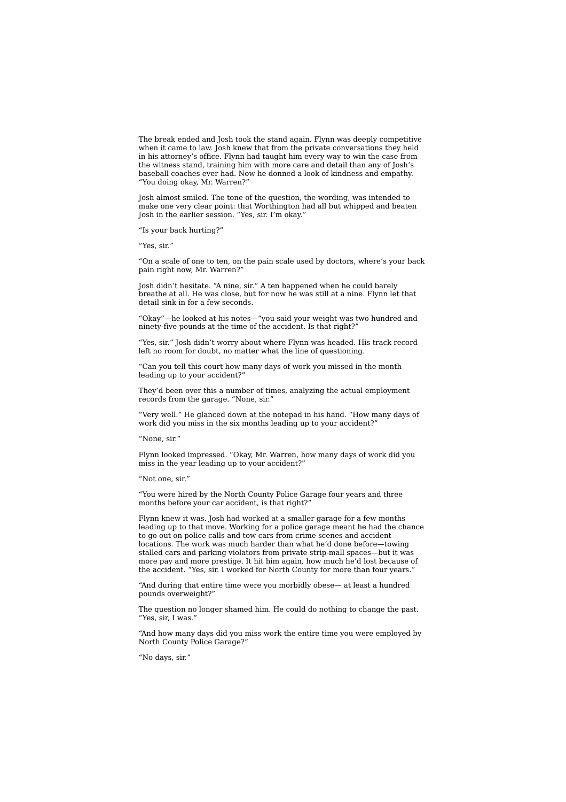The break ended and Josh took the stand again. Flynn was deeply competitive when it came to law. Josh knew that from the private conversations they held in his attorney's office. Flynn had taught him every way to win the case from the witness stand, training him with more care and detail than any of Josh's baseball coaches ever had. Now he donned a look of kindness and empathy. "You doing okay, Mr. Warren?"

Josh almost smiled. The tone of the question, the wording, was intended to make one very clear point: that Worthington had all but whipped and beaten Josh in the earlier session. "Yes, sir. I'm okay."

"Is your back hurting?"

"Yes, sir."

"On a scale of one to ten, on the pain scale used by doctors, where's your back pain right now, Mr. Warren?"

Josh didn't hesitate. "A nine, sir." A ten happened when he could barely breathe at all. He was close, but for now he was still at a nine. Flynn let that detail sink in for a few seconds.

"Okay"—he looked at his notes—"you said your weight was two hundred and ninety-five pounds at the time of the accident. Is that right?"

"Yes, sir." Josh didn't worry about where Flynn was headed. His track record left no room for doubt, no matter what the line of questioning.

"Can you tell this court how many days of work you missed in the month leading up to your accident?"

They'd been over this a number of times, analyzing the actual employment records from the garage. "None, sir."

"Very well." He glanced down at the notepad in his hand. "How many days of work did you miss in the six months leading up to your accident?"

"None, sir."

Flynn looked impressed. "Okay, Mr. Warren, how many days of work did you miss in the year leading up to your accident?"

"Not one, sir"

"You were hired by the North County Police Garage four years and three months before your car accident, is that right?"

Flynn knew it was. Josh had worked at a smaller garage for a few months leading up to that move. Working for a police garage meant he had the chance to go out on police calls and tow cars from crime scenes and accident locations. The work was much harder than what he'd done before—towing stalled cars and parking violators from private strip-mall spaces—but it was more pay and more prestige. It hit him again, how much he'd lost because of the accident. "Yes, sir. I worked for North County for more than four years."

"And during that entire time were you morbidly obese— at least a hundred pounds overweight?"

The question no longer shamed him. He could do nothing to change the past. "Yes, sir, I was."

"And how many days did you miss work the entire time you were employed by North County Police Garage?"

"No days, sir."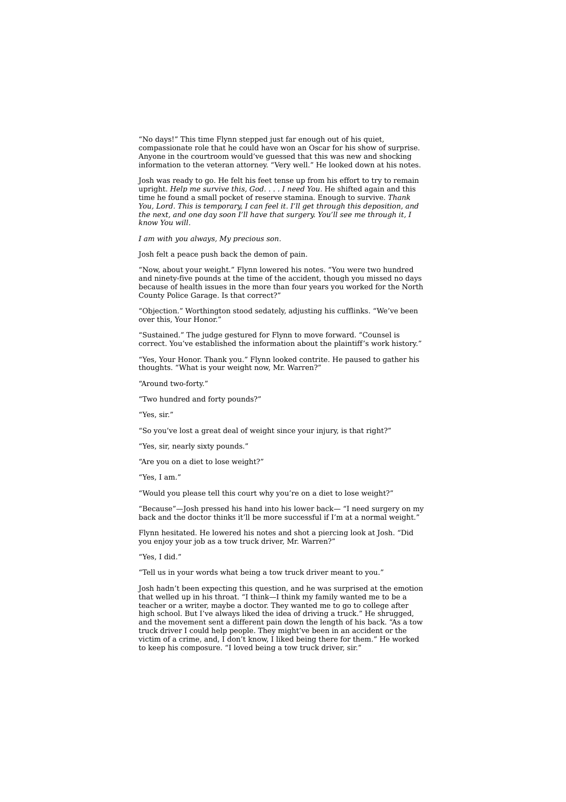"No days!" This time Flynn stepped just far enough out of his quiet, compassionate role that he could have won an Oscar for his show of surprise. Anyone in the courtroom would've guessed that this was new and shocking information to the veteran attorney. "Very well." He looked down at his notes.

Josh was ready to go. He felt his feet tense up from his effort to try to remain upright. *Help me survive this, God. . . . I need You.* He shifted again and this time he found a small pocket of reserve stamina. Enough to survive. *Thank You, Lord. This is temporary, I can feel it. I'll get through this deposition, and the next, and one day soon I'll have that surgery. You'll see me through it, I know You will.*

*I am with you always, My precious son.*

Josh felt a peace push back the demon of pain.

"Now, about your weight." Flynn lowered his notes. "You were two hundred and ninety-five pounds at the time of the accident, though you missed no days because of health issues in the more than four years you worked for the North County Police Garage. Is that correct?"

"Objection." Worthington stood sedately, adjusting his cufflinks. "We've been over this, Your Honor."

"Sustained." The judge gestured for Flynn to move forward. "Counsel is correct. You've established the information about the plaintiff's work history."

"Yes, Your Honor. Thank you." Flynn looked contrite. He paused to gather his thoughts. "What is your weight now, Mr. Warren?"

"Around two-forty."

"Two hundred and forty pounds?"

"Yes, sir."

"So you've lost a great deal of weight since your injury, is that right?"

"Yes, sir, nearly sixty pounds."

"Are you on a diet to lose weight?"

"Yes, I am."

"Would you please tell this court why you're on a diet to lose weight?"

"Because"—Josh pressed his hand into his lower back— "I need surgery on my back and the doctor thinks it'll be more successful if I'm at a normal weight."

Flynn hesitated. He lowered his notes and shot a piercing look at Josh. "Did you enjoy your job as a tow truck driver, Mr. Warren?"

"Yes, I did."

"Tell us in your words what being a tow truck driver meant to you."

Josh hadn't been expecting this question, and he was surprised at the emotion that welled up in his throat. "I think—I think my family wanted me to be a teacher or a writer, maybe a doctor. They wanted me to go to college after high school. But I've always liked the idea of driving a truck." He shrugged, and the movement sent a different pain down the length of his back. "As a tow truck driver I could help people. They might've been in an accident or the victim of a crime, and, I don't know, I liked being there for them." He worked to keep his composure. "I loved being a tow truck driver, sir."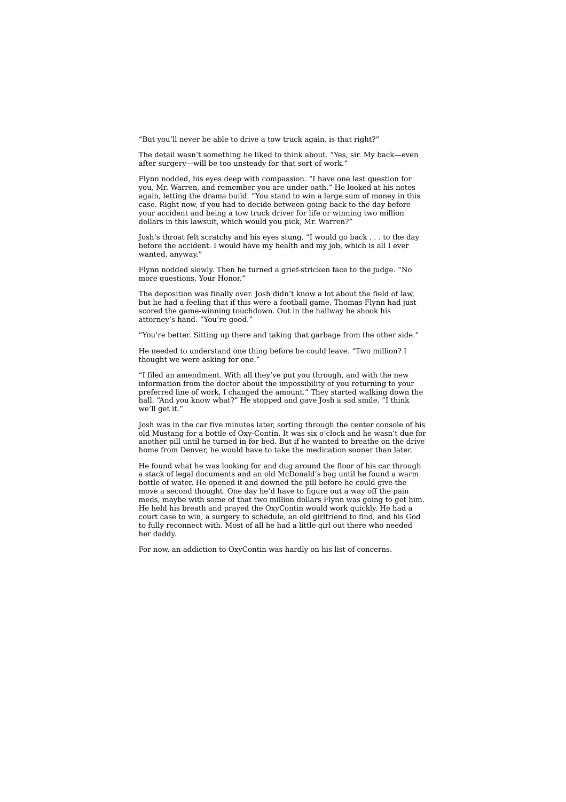"But you'll never be able to drive a tow truck again, is that right?"

The detail wasn't something he liked to think about. "Yes, sir. My back—even after surgery—will be too unsteady for that sort of work.

Flynn nodded, his eyes deep with compassion. "I have one last question for you, Mr. Warren, and remember you are under oath." He looked at his notes again, letting the drama build. "You stand to win a large sum of money in this case. Right now, if you had to decide between going back to the day before your accident and being a tow truck driver for life or winning two million dollars in this lawsuit, which would you pick, Mr. Warren?"

Josh's throat felt scratchy and his eyes stung. "I would go back . . . to the day before the accident. I would have my health and my job, which is all I ever wanted, anyway."

Flynn nodded slowly. Then he turned a grief-stricken face to the judge. "No more questions, Your Honor."

The deposition was finally over. Josh didn't know a lot about the field of law, but he had a feeling that if this were a football game, Thomas Flynn had just scored the game-winning touchdown. Out in the hallway he shook his attorney's hand. "You're good."

"You're better. Sitting up there and taking that garbage from the other side."

He needed to understand one thing before he could leave. "Two million? I thought we were asking for one."

"I filed an amendment. With all they've put you through, and with the new information from the doctor about the impossibility of you returning to your preferred line of work, I changed the amount." They started walking down the hall. "And you know what?" He stopped and gave Josh a sad smile. "I think we'll get it."

Josh was in the car five minutes later, sorting through the center console of his old Mustang for a bottle of Oxy-Contin. It was six o'clock and he wasn't due for another pill until he turned in for bed. But if he wanted to breathe on the drive home from Denver, he would have to take the medication sooner than later.

He found what he was looking for and dug around the floor of his car through a stack of legal documents and an old McDonald's bag until he found a warm bottle of water. He opened it and downed the pill before he could give the move a second thought. One day he'd have to figure out a way off the pain meds, maybe with some of that two million dollars Flynn was going to get him. He held his breath and prayed the OxyContin would work quickly. He had a court case to win, a surgery to schedule, an old girlfriend to find, and his God to fully reconnect with. Most of all he had a little girl out there who needed her daddy.

For now, an addiction to OxyContin was hardly on his list of concerns.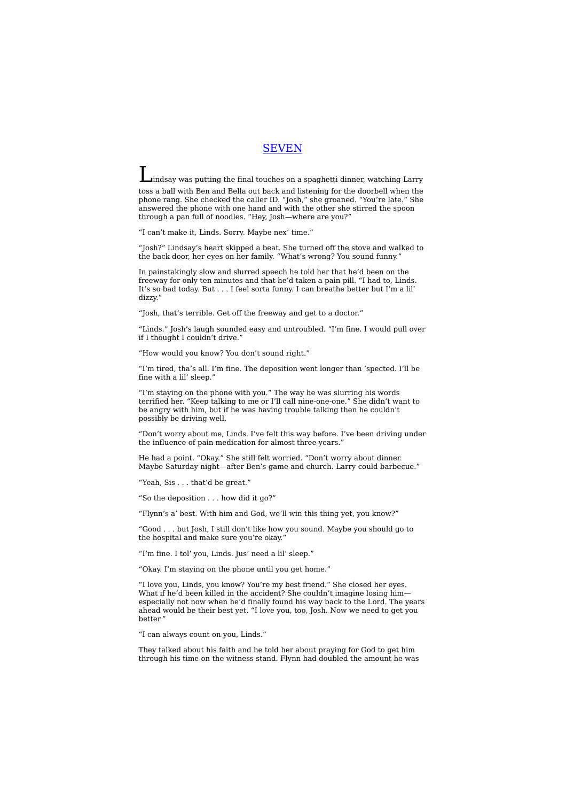# **SEVEN**

Lindsay was putting the final touches on <sup>a</sup> spaghetti dinner, watching Larry toss a ball with Ben and Bella out back and listening for the doorbell when the phone rang. She checked the caller ID. "Josh," she groaned. "You're late." She answered the phone with one hand and with the other she stirred the spoon through a pan full of noodles. "Hey, Josh—where are you?"

"I can't make it, Linds. Sorry. Maybe nex' time."

"Josh?" Lindsay's heart skipped a beat. She turned off the stove and walked to the back door, her eyes on her family. "What's wrong? You sound funny."

In painstakingly slow and slurred speech he told her that he'd been on the freeway for only ten minutes and that he'd taken a pain pill. "I had to, Linds. It's so bad today. But . . . I feel sorta funny. I can breathe better but I'm a lil' dizzy."

"Josh, that's terrible. Get off the freeway and get to a doctor."

"Linds." Josh's laugh sounded easy and untroubled. "I'm fine. I would pull over if I thought I couldn't drive."

"How would you know? You don't sound right."

"I'm tired, tha's all. I'm fine. The deposition went longer than 'spected. I'll be fine with a lil' sleep."

"I'm staying on the phone with you." The way he was slurring his words terrified her. "Keep talking to me or I'll call nine-one-one." She didn't want to be angry with him, but if he was having trouble talking then he couldn't possibly be driving well.

"Don't worry about me, Linds. I've felt this way before. I've been driving under the influence of pain medication for almost three years."

He had a point. "Okay." She still felt worried. "Don't worry about dinner. Maybe Saturday night—after Ben's game and church. Larry could barbecue."

"Yeah, Sis . . . that'd be great."

"So the deposition . . . how did it go?"

"Flynn's a' best. With him and God, we'll win this thing yet, you know?"

"Good . . . but Josh, I still don't like how you sound. Maybe you should go to the hospital and make sure you're okay."

"I'm fine. I tol' you, Linds. Jus' need a lil' sleep."

"Okay. I'm staying on the phone until you get home."

"I love you, Linds, you know? You're my best friend." She closed her eyes. What if he'd been killed in the accident? She couldn't imagine losing himespecially not now when he'd finally found his way back to the Lord. The years ahead would be their best yet. "I love you, too, Josh. Now we need to get you hetter<sup>'</sup>

"I can always count on you, Linds."

They talked about his faith and he told her about praying for God to get him through his time on the witness stand. Flynn had doubled the amount he was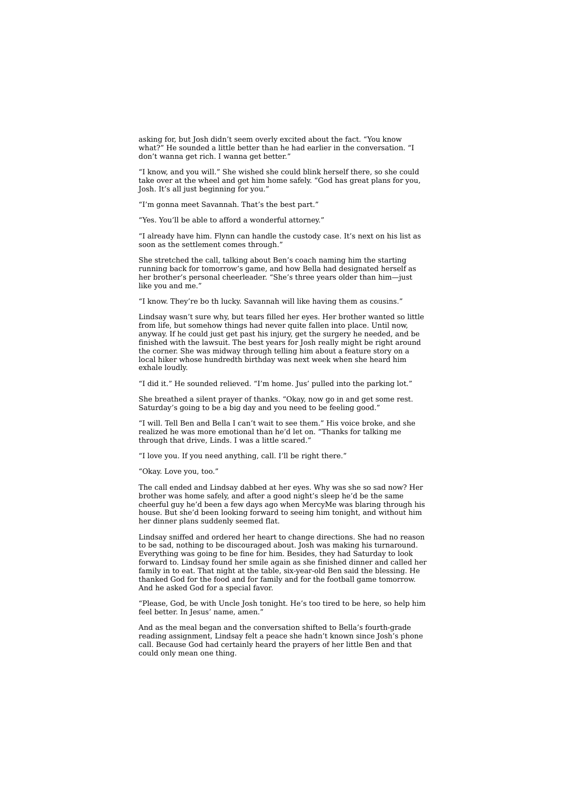asking for, but Josh didn't seem overly excited about the fact. "You know what?" He sounded a little better than he had earlier in the conversation. "I don't wanna get rich. I wanna get better."

"I know, and you will." She wished she could blink herself there, so she could take over at the wheel and get him home safely. "God has great plans for you, Josh. It's all just beginning for you."

"I'm gonna meet Savannah. That's the best part."

"Yes. You'll be able to afford a wonderful attorney."

"I already have him. Flynn can handle the custody case. It's next on his list as soon as the settlement comes through."

She stretched the call, talking about Ben's coach naming him the starting running back for tomorrow's game, and how Bella had designated herself as her brother's personal cheerleader. "She's three years older than him—just like you and me."

"I know. They're bo th lucky. Savannah will like having them as cousins."

Lindsay wasn't sure why, but tears filled her eyes. Her brother wanted so little from life, but somehow things had never quite fallen into place. Until now, anyway. If he could just get past his injury, get the surgery he needed, and be finished with the lawsuit. The best years for Josh really might be right around the corner. She was midway through telling him about a feature story on a local hiker whose hundredth birthday was next week when she heard him exhale loudly.

"I did it." He sounded relieved. "I'm home. Jus' pulled into the parking lot."

She breathed a silent prayer of thanks. "Okay, now go in and get some rest. Saturday's going to be a big day and you need to be feeling good."

"I will. Tell Ben and Bella I can't wait to see them." His voice broke, and she realized he was more emotional than he'd let on. "Thanks for talking me through that drive, Linds. I was a little scared."

"I love you. If you need anything, call. I'll be right there."

"Okay. Love you, too."

The call ended and Lindsay dabbed at her eyes. Why was she so sad now? Her brother was home safely, and after a good night's sleep he'd be the same cheerful guy he'd been a few days ago when MercyMe was blaring through his house. But she'd been looking forward to seeing him tonight, and without him her dinner plans suddenly seemed flat.

Lindsay sniffed and ordered her heart to change directions. She had no reason to be sad, nothing to be discouraged about. Josh was making his turnaround. Everything was going to be fine for him. Besides, they had Saturday to look forward to. Lindsay found her smile again as she finished dinner and called her family in to eat. That night at the table, six-year-old Ben said the blessing. He thanked God for the food and for family and for the football game tomorrow. And he asked God for a special favor.

"Please, God, be with Uncle Josh tonight. He's too tired to be here, so help him feel better. In Jesus' name, amen."

And as the meal began and the conversation shifted to Bella's fourth-grade reading assignment, Lindsay felt a peace she hadn't known since Josh's phone call. Because God had certainly heard the prayers of her little Ben and that could only mean one thing.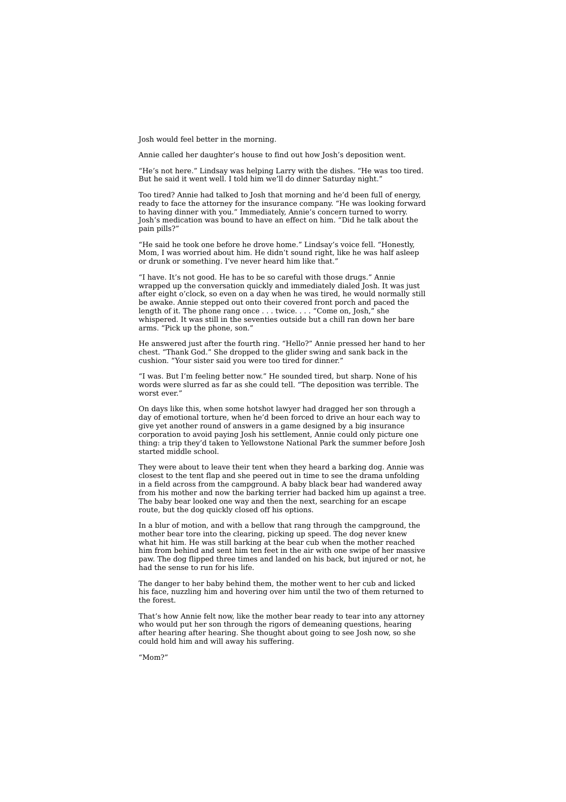Josh would feel better in the morning.

Annie called her daughter's house to find out how Josh's deposition went.

"He's not here." Lindsay was helping Larry with the dishes. "He was too tired. But he said it went well. I told him we'll do dinner Saturday night."

Too tired? Annie had talked to Josh that morning and he'd been full of energy, ready to face the attorney for the insurance company. "He was looking forward to having dinner with you." Immediately, Annie's concern turned to worry. Josh's medication was bound to have an effect on him. "Did he talk about the pain pills?"

"He said he took one before he drove home." Lindsay's voice fell. "Honestly, Mom, I was worried about him. He didn't sound right, like he was half asleep or drunk or something. I've never heard him like that."

"I have. It's not good. He has to be so careful with those drugs." Annie wrapped up the conversation quickly and immediately dialed Josh. It was just after eight o'clock, so even on a day when he was tired, he would normally still be awake. Annie stepped out onto their covered front porch and paced the length of it. The phone rang once . . . twice. . . . "Come on, Josh," she whispered. It was still in the seventies outside but a chill ran down her bare arms. "Pick up the phone, son."

He answered just after the fourth ring. "Hello?" Annie pressed her hand to her chest. "Thank God." She dropped to the glider swing and sank back in the cushion. "Your sister said you were too tired for dinner."

"I was. But I'm feeling better now." He sounded tired, but sharp. None of his words were slurred as far as she could tell. "The deposition was terrible. The worst ever."

On days like this, when some hotshot lawyer had dragged her son through a day of emotional torture, when he'd been forced to drive an hour each way to give yet another round of answers in a game designed by a big insurance corporation to avoid paying Josh his settlement, Annie could only picture one thing: a trip they'd taken to Yellowstone National Park the summer before Josh started middle school.

They were about to leave their tent when they heard a barking dog. Annie was closest to the tent flap and she peered out in time to see the drama unfolding in a field across from the campground. A baby black bear had wandered away from his mother and now the barking terrier had backed him up against a tree. The baby bear looked one way and then the next, searching for an escape route, but the dog quickly closed off his options.

In a blur of motion, and with a bellow that rang through the campground, the mother bear tore into the clearing, picking up speed. The dog never knew what hit him. He was still barking at the bear cub when the mother reached him from behind and sent him ten feet in the air with one swipe of her massive paw. The dog flipped three times and landed on his back, but injured or not, he had the sense to run for his life.

The danger to her baby behind them, the mother went to her cub and licked his face, nuzzling him and hovering over him until the two of them returned to the forest.

That's how Annie felt now, like the mother bear ready to tear into any attorney who would put her son through the rigors of demeaning questions, hearing after hearing after hearing. She thought about going to see Josh now, so she could hold him and will away his suffering.

"Mom?"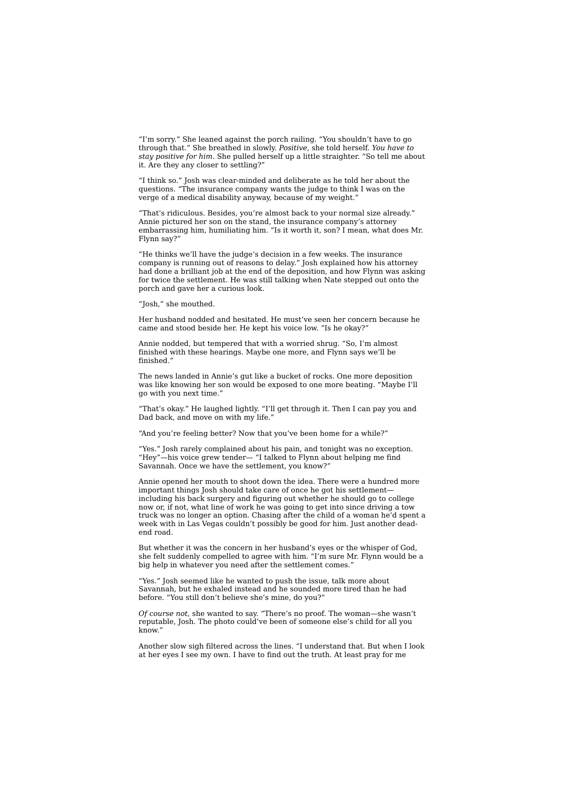"I'm sorry." She leaned against the porch railing. "You shouldn't have to go through that." She breathed in slowly. *Positive,* she told herself. *You have to stay positive for him.* She pulled herself up a little straighter. "So tell me about it. Are they any closer to settling?"

"I think so." Josh was clear-minded and deliberate as he told her about the questions. "The insurance company wants the judge to think I was on the verge of a medical disability anyway, because of my weight."

"That's ridiculous. Besides, you're almost back to your normal size already." Annie pictured her son on the stand, the insurance company's attorney embarrassing him, humiliating him. "Is it worth it, son? I mean, what does Mr. Flynn say?"

"He thinks we'll have the judge's decision in a few weeks. The insurance company is running out of reasons to delay." Josh explained how his attorney had done a brilliant job at the end of the deposition, and how Flynn was asking for twice the settlement. He was still talking when Nate stepped out onto the porch and gave her a curious look.

"Josh," she mouthed.

Her husband nodded and hesitated. He must've seen her concern because he came and stood beside her. He kept his voice low. "Is he okay?"

Annie nodded, but tempered that with a worried shrug. "So, I'm almost finished with these hearings. Maybe one more, and Flynn says we'll be finished."

The news landed in Annie's gut like a bucket of rocks. One more deposition was like knowing her son would be exposed to one more beating. "Maybe I'll go with you next time."

"That's okay." He laughed lightly. "I'll get through it. Then I can pay you and Dad back, and move on with my life."

"And you're feeling better? Now that you've been home for a while?"

"Yes." Josh rarely complained about his pain, and tonight was no exception. "Hey"—his voice grew tender— "I talked to Flynn about helping me find Savannah. Once we have the settlement, you know?'

Annie opened her mouth to shoot down the idea. There were a hundred more important things Josh should take care of once he got his settlement including his back surgery and figuring out whether he should go to college now or, if not, what line of work he was going to get into since driving a tow truck was no longer an option. Chasing after the child of a woman he'd spent a week with in Las Vegas couldn't possibly be good for him. Just another deadend road.

But whether it was the concern in her husband's eyes or the whisper of God, she felt suddenly compelled to agree with him. "I'm sure Mr. Flynn would be a big help in whatever you need after the settlement comes."

"Yes." Josh seemed like he wanted to push the issue, talk more about Savannah, but he exhaled instead and he sounded more tired than he had before. "You still don't believe she's mine, do you?"

*Of course not*, she wanted to say. "There's no proof. The woman—she wasn't reputable, Josh. The photo could've been of someone else's child for all you know."

Another slow sigh filtered across the lines. "I understand that. But when I look at her eyes I see my own. I have to find out the truth. At least pray for me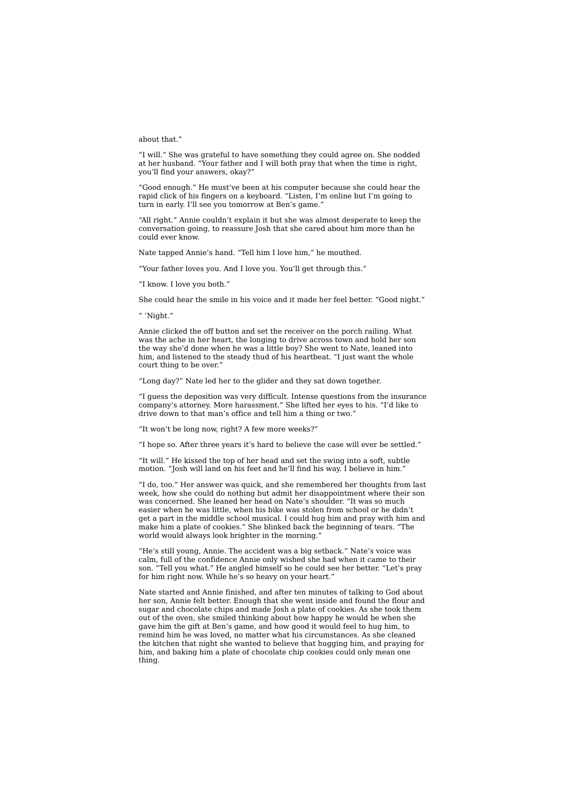about that."

"I will." She was grateful to have something they could agree on. She nodded at her husband. "Your father and I will both pray that when the time is right, you'll find your answers, okay?"

"Good enough." He must've been at his computer because she could hear the rapid click of his fingers on a keyboard. "Listen, I'm online but I'm going to turn in early. I'll see you tomorrow at Ben's game."

"All right." Annie couldn't explain it but she was almost desperate to keep the conversation going, to reassure Josh that she cared about him more than he could ever know.

Nate tapped Annie's hand. "Tell him I love him," he mouthed.

"Your father loves you. And I love you. You'll get through this."

"I know. I love you both."

She could hear the smile in his voice and it made her feel better. "Good night."

" 'Night."

Annie clicked the off button and set the receiver on the porch railing. What was the ache in her heart, the longing to drive across town and hold her son the way she'd done when he was a little boy? She went to Nate, leaned into him, and listened to the steady thud of his heartbeat. "I just want the whole court thing to be over."

"Long day?" Nate led her to the glider and they sat down together.

"I guess the deposition was very difficult. Intense questions from the insurance company's attorney. More harassment." She lifted her eyes to his. "I'd like to drive down to that man's office and tell him a thing or two."

"It won't be long now, right? A few more weeks?"

"I hope so. After three years it's hard to believe the case will ever be settled."

"It will." He kissed the top of her head and set the swing into a soft, subtle motion. "Josh will land on his feet and he'll find his way. I believe in him."

"I do, too." Her answer was quick, and she remembered her thoughts from last week, how she could do nothing but admit her disappointment where their son was concerned. She leaned her head on Nate's shoulder. "It was so much easier when he was little, when his bike was stolen from school or he didn't get a part in the middle school musical. I could hug him and pray with him and make him a plate of cookies." She blinked back the beginning of tears. "The world would always look brighter in the morning.'

"He's still young, Annie. The accident was a big setback." Nate's voice was calm, full of the confidence Annie only wished she had when it came to their son. "Tell you what." He angled himself so he could see her better. "Let's pray for him right now. While he's so heavy on your heart."

Nate started and Annie finished, and after ten minutes of talking to God about her son, Annie felt better. Enough that she went inside and found the flour and sugar and chocolate chips and made Josh a plate of cookies. As she took them out of the oven, she smiled thinking about how happy he would be when she gave him the gift at Ben's game, and how good it would feel to hug him, to remind him he was loved, no matter what his circumstances. As she cleaned the kitchen that night she wanted to believe that hugging him, and praying for him, and baking him a plate of chocolate chip cookies could only mean one thing.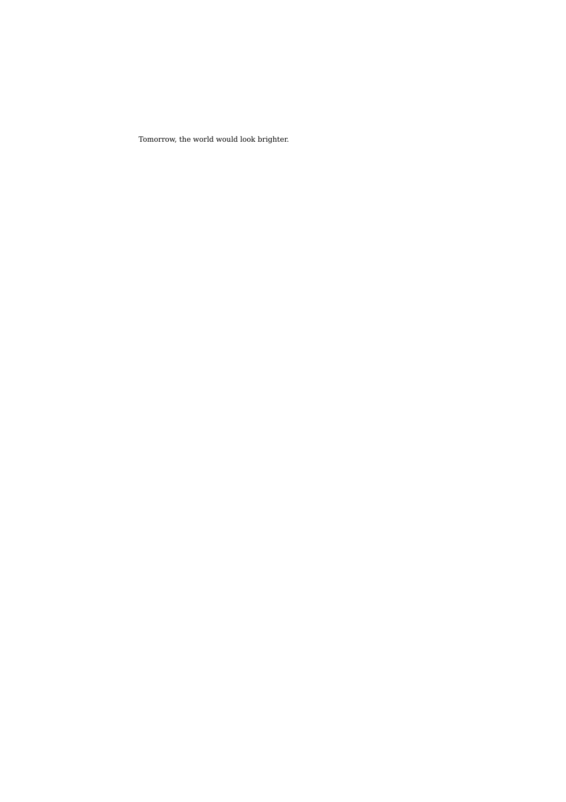Tomorrow, the world would look brighter.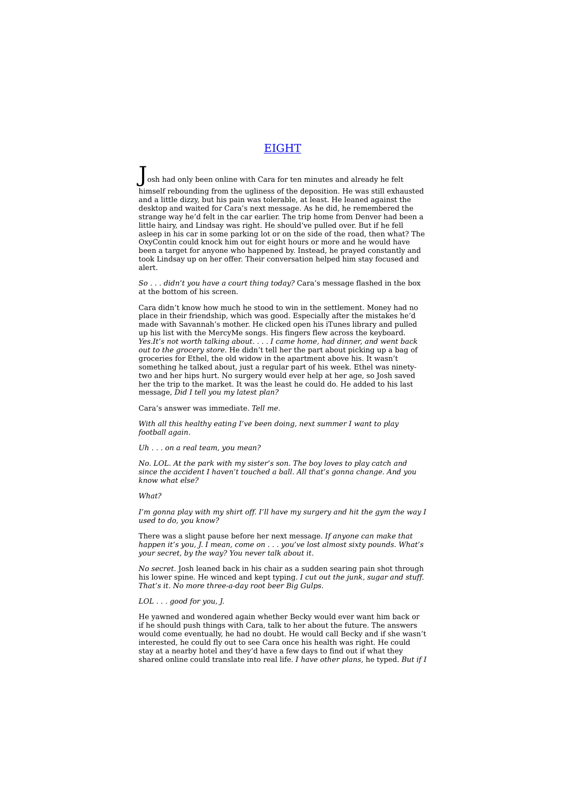# EIGHT

osh had only been online with Cara for ten minutes and already he felt himself rebounding from the ugliness of the deposition. He was still exhausted and a little dizzy, but his pain was tolerable, at least. He leaned against the desktop and waited for Cara's next message. As he did, he remembered the strange way he'd felt in the car earlier. The trip home from Denver had been a little hairy, and Lindsay was right. He should've pulled over. But if he fell asleep in his car in some parking lot or on the side of the road, then what? The OxyContin could knock him out for eight hours or more and he would have been a target for anyone who happened by. Instead, he prayed constantly and took Lindsay up on her offer. Their conversation helped him stay focused and alert.

*So . . . didn't you have a court thing today?* Cara's message flashed in the box at the bottom of his screen.

Cara didn't know how much he stood to win in the settlement. Money had no place in their friendship, which was good. Especially after the mistakes he'd made with Savannah's mother. He clicked open his iTunes library and pulled up his list with the MercyMe songs. His fingers flew across the keyboard. *Yes.It's not worth talking about. . . . I came home, had dinner, and went back out to the grocery store.* He didn't tell her the part about picking up a bag of groceries for Ethel, the old widow in the apartment above his. It wasn't something he talked about, just a regular part of his week. Ethel was ninetytwo and her hips hurt. No surgery would ever help at her age, so Josh saved her the trip to the market. It was the least he could do. He added to his last message, *Did I tell you my latest plan?*

Cara's answer was immediate. *Tell me*.

*With all this healthy eating I've been doing, next summer I want to play football again.*

*Uh . . . on a real team, you mean?*

*No. LOL. At the park with my sister's son. The boy loves to play catch and since the accident I haven't touched a ball. All that's gonna change. And you know what else?*

*What?*

*I'm gonna play with my shirt off. I'll have my surgery and hit the gym the way I used to do, you know?*

There was a slight pause before her next message. *If anyone can make that happen it's you, J. I mean, come on . . . you've lost almost sixty pounds. What's your secret, by the way? You never talk about it.*

*No secret.* Josh leaned back in his chair as a sudden searing pain shot through his lower spine. He winced and kept typing. *I cut out the junk, sugar and stuff. That's it. No more three-a-day root beer Big Gulps.*

## *LOL . . . good for you, J.*

He yawned and wondered again whether Becky would ever want him back or if he should push things with Cara, talk to her about the future. The answers would come eventually, he had no doubt. He would call Becky and if she wasn't interested, he could fly out to see Cara once his health was right. He could stay at a nearby hotel and they'd have a few days to find out if what they shared online could translate into real life. *I have other plans,* he typed. *But if I*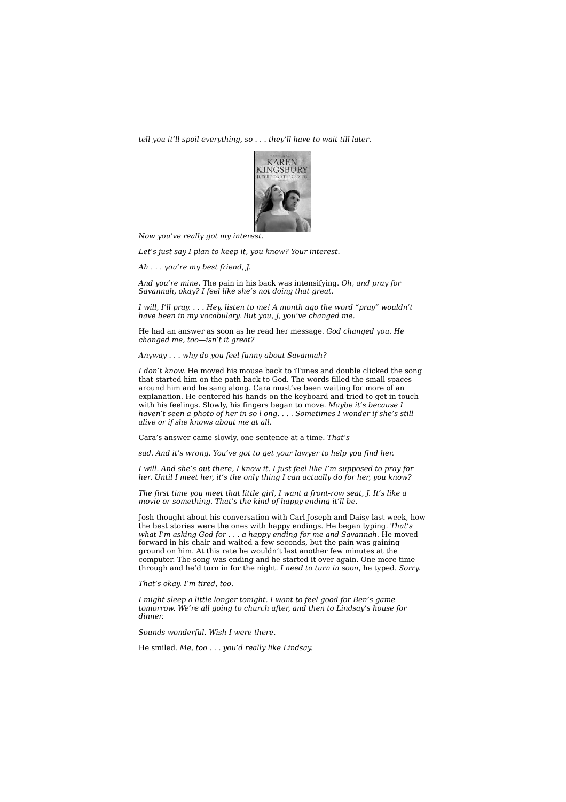*tell you it'll spoil everything, so . . . they'll have to wait till later*.



*Now you've really got my interest.*

*Let's just say I plan to keep it, you know? Your interest.*

*Ah . . . you're my best friend, J.*

*And you're mine.* The pain in his back was intensifying. *Oh, and pray for Savannah, okay? I feel like she's not doing that great.*

*I will, I'll pray. . . . Hey, listen to me! A month ago the word "pray" wouldn't have been in my vocabulary. But you, J, you've changed me.*

He had an answer as soon as he read her message. *God changed you. He changed me, too—isn't it great?*

*Anyway . . . why do you feel funny about Savannah?*

*I don't know.* He moved his mouse back to iTunes and double clicked the song that started him on the path back to God. The words filled the small spaces around him and he sang along. Cara must've been waiting for more of an explanation. He centered his hands on the keyboard and tried to get in touch with his feelings. Slowly, his fingers began to move. *Maybe it's because I haven't seen a photo of her in so l ong. . . . Sometimes I wonder if she's still alive or if she knows about me at all.*

Cara's answer came slowly, one sentence at a time. *That's*

*sad. And it's wrong. You've got to get your lawyer to help you find her.*

*I will. And she's out there, I know it. I just feel like I'm supposed to pray for her. Until I meet her, it's the only thing I can actually do for her, you know?*

*The first time you meet that little girl, I want a front-row seat, J. It's like a movie or something. That's the kind of happy ending it'll be.*

Josh thought about his conversation with Carl Joseph and Daisy last week, how the best stories were the ones with happy endings. He began typing. *That's what I'm asking God for . . . a happy ending for me and Savannah.* He moved forward in his chair and waited a few seconds, but the pain was gaining ground on him. At this rate he wouldn't last another few minutes at the computer. The song was ending and he started it over again. One more time through and he'd turn in for the night. *I need to turn in soon*, he typed. *Sorry.*

*That's okay. I'm tired, too.*

*I might sleep a little longer tonight. I want to feel good for Ben's game tomorrow. We're all going to church after, and then to Lindsay's house for dinner.*

*Sounds wonderful. Wish I were there.*

He smiled. *Me, too . . . you'd really like Lindsay.*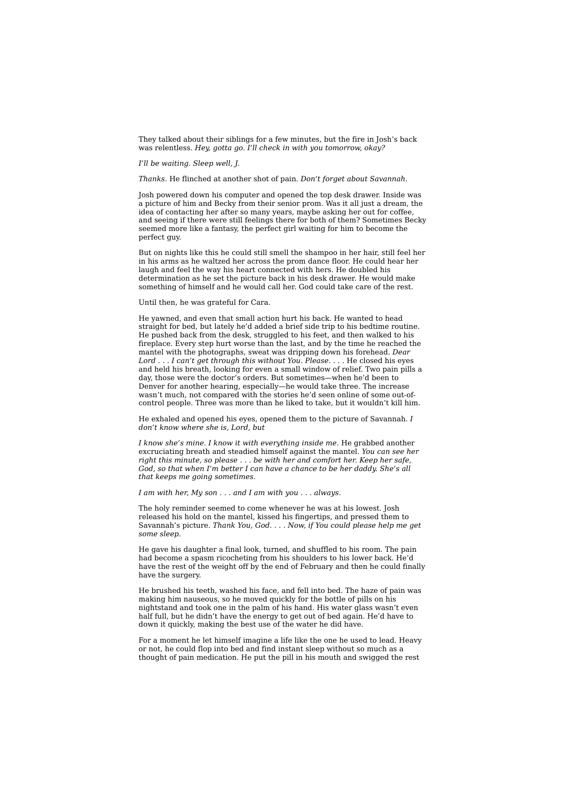They talked about their siblings for a few minutes, but the fire in Josh's back was relentless. *Hey, gotta go. I'll check in with you tomorrow, okay?*

## *I'll be waiting. Sleep well, J.*

*Thanks.* He flinched at another shot of pain. *Don't forget about Savannah.*

Josh powered down his computer and opened the top desk drawer. Inside was a picture of him and Becky from their senior prom. Was it all just a dream, the idea of contacting her after so many years, maybe asking her out for coffee, and seeing if there were still feelings there for both of them? Sometimes Becky seemed more like a fantasy, the perfect girl waiting for him to become the perfect guy.

But on nights like this he could still smell the shampoo in her hair, still feel her in his arms as he waltzed her across the prom dance floor. He could hear her laugh and feel the way his heart connected with hers. He doubled his determination as he set the picture back in his desk drawer. He would make something of himself and he would call her. God could take care of the rest.

## Until then, he was grateful for Cara.

He yawned, and even that small action hurt his back. He wanted to head straight for bed, but lately he'd added a brief side trip to his bedtime routine. He pushed back from the desk, struggled to his feet, and then walked to his fireplace. Every step hurt worse than the last, and by the time he reached the mantel with the photographs, sweat was dripping down his forehead. *Dear Lord . . . I can't get through this without You. Please. . . .* He closed his eyes and held his breath, looking for even a small window of relief. Two pain pills a day, those were the doctor's orders. But sometimes—when he'd been to Denver for another hearing, especially—he would take three. The increase wasn't much, not compared with the stories he'd seen online of some out-ofcontrol people. Three was more than he liked to take, but it wouldn't kill him.

He exhaled and opened his eyes, opened them to the picture of Savannah. *I don't know where she is, Lord, but*

*I know she's mine. I know it with everything inside me.* He grabbed another excruciating breath and steadied himself against the mantel. *You can see her right this minute, so please . . . be with her and comfort her. Keep her safe, God, so that when I'm better I can have a chance to be her daddy. She's all that keeps me going sometimes.*

*I am with her, My son . . . and I am with you . . . always.*

The holy reminder seemed to come whenever he was at his lowest. Josh released his hold on the mantel, kissed his fingertips, and pressed them to Savannah's picture. *Thank You, God. . . . Now, if You could please help me get some sleep.*

He gave his daughter a final look, turned, and shuffled to his room. The pain had become a spasm ricocheting from his shoulders to his lower back. He'd have the rest of the weight off by the end of February and then he could finally have the surgery.

He brushed his teeth, washed his face, and fell into bed. The haze of pain was making him nauseous, so he moved quickly for the bottle of pills on his nightstand and took one in the palm of his hand. His water glass wasn't even half full, but he didn't have the energy to get out of bed again. He'd have to down it quickly, making the best use of the water he did have.

For a moment he let himself imagine a life like the one he used to lead. Heavy or not, he could flop into bed and find instant sleep without so much as a thought of pain medication. He put the pill in his mouth and swigged the rest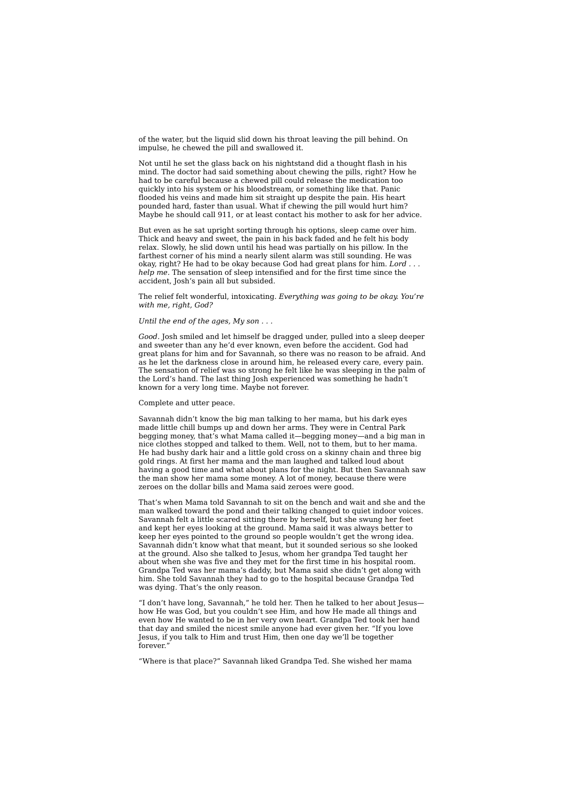of the water, but the liquid slid down his throat leaving the pill behind. On impulse, he chewed the pill and swallowed it.

Not until he set the glass back on his nightstand did a thought flash in his mind. The doctor had said something about chewing the pills, right? How he had to be careful because a chewed pill could release the medication too quickly into his system or his bloodstream, or something like that. Panic flooded his veins and made him sit straight up despite the pain. His heart pounded hard, faster than usual. What if chewing the pill would hurt him? Maybe he should call 911, or at least contact his mother to ask for her advice.

But even as he sat upright sorting through his options, sleep came over him. Thick and heavy and sweet, the pain in his back faded and he felt his body relax. Slowly, he slid down until his head was partially on his pillow. In the farthest corner of his mind a nearly silent alarm was still sounding. He was okay, right? He had to be okay because God had great plans for him. *Lord . . . help me.* The sensation of sleep intensified and for the first time since the accident, Josh's pain all but subsided.

The relief felt wonderful, intoxicating. *Everything was going to be okay. You're with me, right, God?*

## *Until the end of the ages, My son . . .*

*Good.* Josh smiled and let himself be dragged under, pulled into a sleep deeper and sweeter than any he'd ever known, even before the accident. God had great plans for him and for Savannah, so there was no reason to be afraid. And as he let the darkness close in around him, he released every care, every pain. The sensation of relief was so strong he felt like he was sleeping in the palm of the Lord's hand. The last thing Josh experienced was something he hadn't known for a very long time. Maybe not forever.

### Complete and utter peace.

Savannah didn't know the big man talking to her mama, but his dark eyes made little chill bumps up and down her arms. They were in Central Park begging money, that's what Mama called it—begging money—and a big man in nice clothes stopped and talked to them. Well, not to them, but to her mama. He had bushy dark hair and a little gold cross on a skinny chain and three big gold rings. At first her mama and the man laughed and talked loud about having a good time and what about plans for the night. But then Savannah saw the man show her mama some money. A lot of money, because there were zeroes on the dollar bills and Mama said zeroes were good.

That's when Mama told Savannah to sit on the bench and wait and she and the man walked toward the pond and their talking changed to quiet indoor voices. Savannah felt a little scared sitting there by herself, but she swung her feet and kept her eyes looking at the ground. Mama said it was always better to keep her eyes pointed to the ground so people wouldn't get the wrong idea. Savannah didn't know what that meant, but it sounded serious so she looked at the ground. Also she talked to Jesus, whom her grandpa Ted taught her about when she was five and they met for the first time in his hospital room. Grandpa Ted was her mama's daddy, but Mama said she didn't get along with him. She told Savannah they had to go to the hospital because Grandpa Ted was dying. That's the only reason.

"I don't have long, Savannah," he told her. Then he talked to her about Jesus how He was God, but you couldn't see Him, and how He made all things and even how He wanted to be in her very own heart. Grandpa Ted took her hand that day and smiled the nicest smile anyone had ever given her. "If you love Jesus, if you talk to Him and trust Him, then one day we'll be together forever."

"Where is that place?" Savannah liked Grandpa Ted. She wished her mama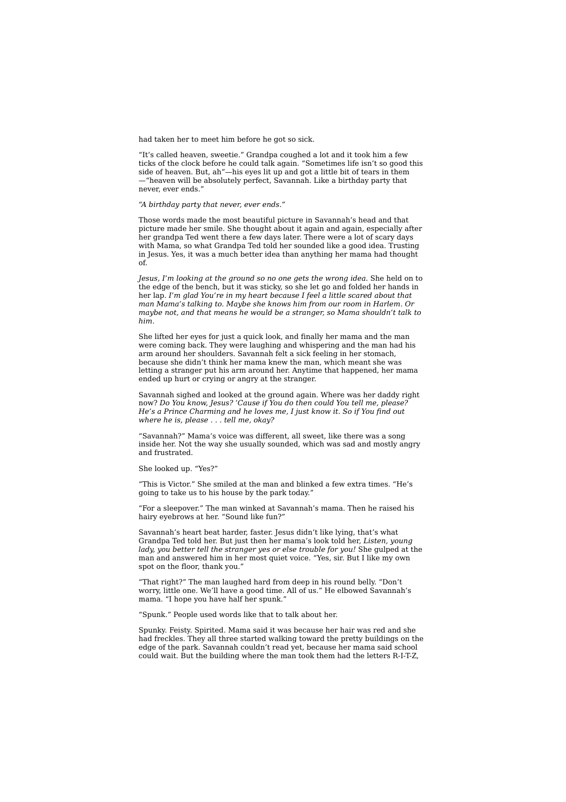had taken her to meet him before he got so sick.

"It's called heaven, sweetie." Grandpa coughed a lot and it took him a few ticks of the clock before he could talk again. "Sometimes life isn't so good this side of heaven. But, ah"—his eyes lit up and got a little bit of tears in them —"heaven will be absolutely perfect, Savannah. Like a birthday party that never, ever ends."

### *"A birthday party that never, ever ends."*

Those words made the most beautiful picture in Savannah's head and that picture made her smile. She thought about it again and again, especially after her grandpa Ted went there a few days later. There were a lot of scary days with Mama, so what Grandpa Ted told her sounded like a good idea. Trusting in Jesus. Yes, it was a much better idea than anything her mama had thought of.

*Jesus, I'm looking at the ground so no one gets the wrong idea.* She held on to the edge of the bench, but it was sticky, so she let go and folded her hands in her lap. *I'm glad You're in my heart because I feel a little scared about that man Mama's talking to. Maybe she knows him from our room in Harlem. Or maybe not, and that means he would be a stranger, so Mama shouldn't talk to him.*

She lifted her eyes for just a quick look, and finally her mama and the man were coming back. They were laughing and whispering and the man had his arm around her shoulders. Savannah felt a sick feeling in her stomach, because she didn't think her mama knew the man, which meant she was letting a stranger put his arm around her. Anytime that happened, her mama ended up hurt or crying or angry at the stranger.

Savannah sighed and looked at the ground again. Where was her daddy right now? *Do You know, Jesus? 'Cause if You do then could You tell me, please? He's a Prince Charming and he loves me, I just know it. So if You find out where he is, please . . . tell me, okay?*

"Savannah?" Mama's voice was different, all sweet, like there was a song inside her. Not the way she usually sounded, which was sad and mostly angry and frustrated.

She looked up. "Yes?"

"This is Victor." She smiled at the man and blinked a few extra times. "He's going to take us to his house by the park today."

"For a sleepover." The man winked at Savannah's mama. Then he raised his hairy eyebrows at her. "Sound like fun?"

Savannah's heart beat harder, faster. Jesus didn't like lying, that's what Grandpa Ted told her. But just then her mama's look told her, *Listen, young lady, you better tell the stranger yes or else trouble for you!* She gulped at the man and answered him in her most quiet voice. "Yes, sir. But I like my own spot on the floor, thank you."

"That right?" The man laughed hard from deep in his round belly. "Don't worry, little one. We'll have a good time. All of us." He elbowed Savannah's mama. "I hope you have half her spunk."

"Spunk." People used words like that to talk about her.

Spunky. Feisty. Spirited. Mama said it was because her hair was red and she had freckles. They all three started walking toward the pretty buildings on the edge of the park. Savannah couldn't read yet, because her mama said school could wait. But the building where the man took them had the letters R-I-T-Z,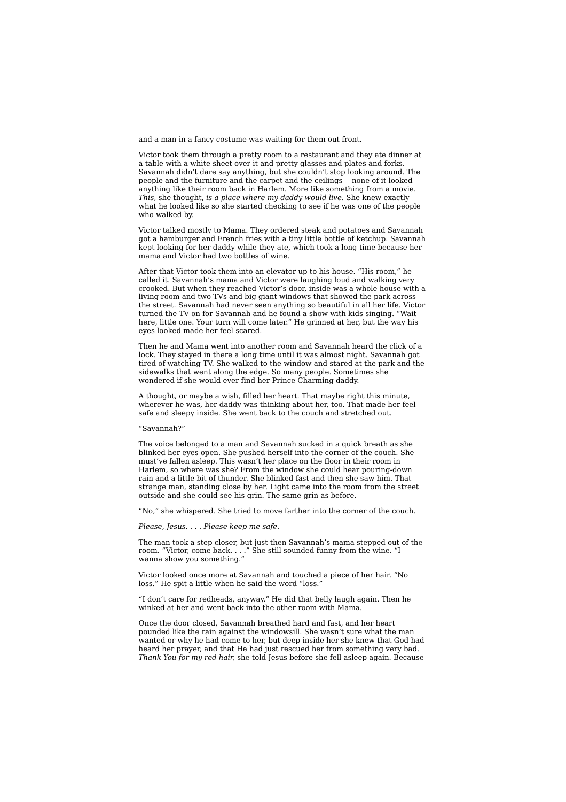and a man in a fancy costume was waiting for them out front.

Victor took them through a pretty room to a restaurant and they ate dinner at a table with a white sheet over it and pretty glasses and plates and forks. Savannah didn't dare say anything, but she couldn't stop looking around. The people and the furniture and the carpet and the ceilings— none of it looked anything like their room back in Harlem. More like something from a movie. *This*, she thought, *is a place where my daddy would live*. She knew exactly what he looked like so she started checking to see if he was one of the people who walked by.

Victor talked mostly to Mama. They ordered steak and potatoes and Savannah got a hamburger and French fries with a tiny little bottle of ketchup. Savannah kept looking for her daddy while they ate, which took a long time because her mama and Victor had two bottles of wine.

After that Victor took them into an elevator up to his house. "His room," he called it. Savannah's mama and Victor were laughing loud and walking very crooked. But when they reached Victor's door, inside was a whole house with a living room and two TVs and big giant windows that showed the park across the street. Savannah had never seen anything so beautiful in all her life. Victor turned the TV on for Savannah and he found a show with kids singing. "Wait here, little one. Your turn will come later." He grinned at her, but the way his eyes looked made her feel scared.

Then he and Mama went into another room and Savannah heard the click of a lock. They stayed in there a long time until it was almost night. Savannah got tired of watching TV. She walked to the window and stared at the park and the sidewalks that went along the edge. So many people. Sometimes she wondered if she would ever find her Prince Charming daddy.

A thought, or maybe a wish, filled her heart. That maybe right this minute, wherever he was, her daddy was thinking about her, too. That made her feel safe and sleepy inside. She went back to the couch and stretched out.

### "Savannah?"

The voice belonged to a man and Savannah sucked in a quick breath as she blinked her eyes open. She pushed herself into the corner of the couch. She must've fallen asleep. This wasn't her place on the floor in their room in Harlem, so where was she? From the window she could hear pouring-down rain and a little bit of thunder. She blinked fast and then she saw him. That strange man, standing close by her. Light came into the room from the street outside and she could see his grin. The same grin as before.

"No," she whispered. She tried to move farther into the corner of the couch.

### *Please, Jesus. . . . Please keep me safe.*

The man took a step closer, but just then Savannah's mama stepped out of the room. "Victor, come back. . . ." She still sounded funny from the wine. "I wanna show you something."

Victor looked once more at Savannah and touched a piece of her hair. "No loss." He spit a little when he said the word "loss."

"I don't care for redheads, anyway." He did that belly laugh again. Then he winked at her and went back into the other room with Mama.

Once the door closed, Savannah breathed hard and fast, and her heart pounded like the rain against the windowsill. She wasn't sure what the man wanted or why he had come to her, but deep inside her she knew that God had heard her prayer, and that He had just rescued her from something very bad. *Thank You for my red hair,* she told Jesus before she fell asleep again. Because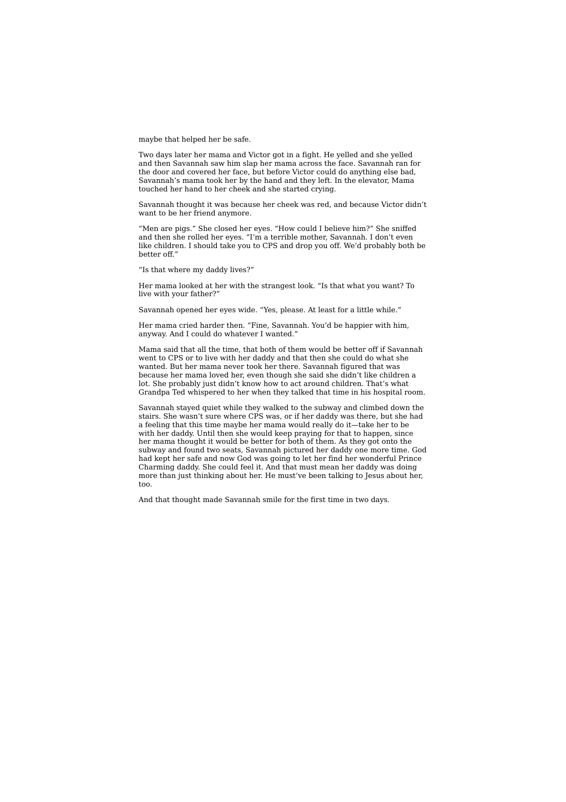maybe that helped her be safe.

Two days later her mama and Victor got in a fight. He yelled and she yelled and then Savannah saw him slap her mama across the face. Savannah ran for the door and covered her face, but before Victor could do anything else bad, Savannah's mama took her by the hand and they left. In the elevator, Mama touched her hand to her cheek and she started crying.

Savannah thought it was because her cheek was red, and because Victor didn't want to be her friend anymore.

"Men are pigs." She closed her eyes. "How could I believe him?" She sniffed and then she rolled her eyes. "I'm a terrible mother, Savannah. I don't even like children. I should take you to CPS and drop you off. We'd probably both be better off."

"Is that where my daddy lives?"

Her mama looked at her with the strangest look. "Is that what you want? To live with your father?"

Savannah opened her eyes wide. "Yes, please. At least for a little while."

Her mama cried harder then. "Fine, Savannah. You'd be happier with him, anyway. And I could do whatever I wanted."

Mama said that all the time, that both of them would be better off if Savannah went to CPS or to live with her daddy and that then she could do what she wanted. But her mama never took her there. Savannah figured that was because her mama loved her, even though she said she didn't like children a lot. She probably just didn't know how to act around children. That's what Grandpa Ted whispered to her when they talked that time in his hospital room.

Savannah stayed quiet while they walked to the subway and climbed down the stairs. She wasn't sure where CPS was, or if her daddy was there, but she had a feeling that this time maybe her mama would really do it—take her to be with her daddy. Until then she would keep praying for that to happen, since her mama thought it would be better for both of them. As they got onto the subway and found two seats, Savannah pictured her daddy one more time. God had kept her safe and now God was going to let her find her wonderful Prince Charming daddy. She could feel it. And that must mean her daddy was doing more than just thinking about her. He must've been talking to Jesus about her, too.

And that thought made Savannah smile for the first time in two days.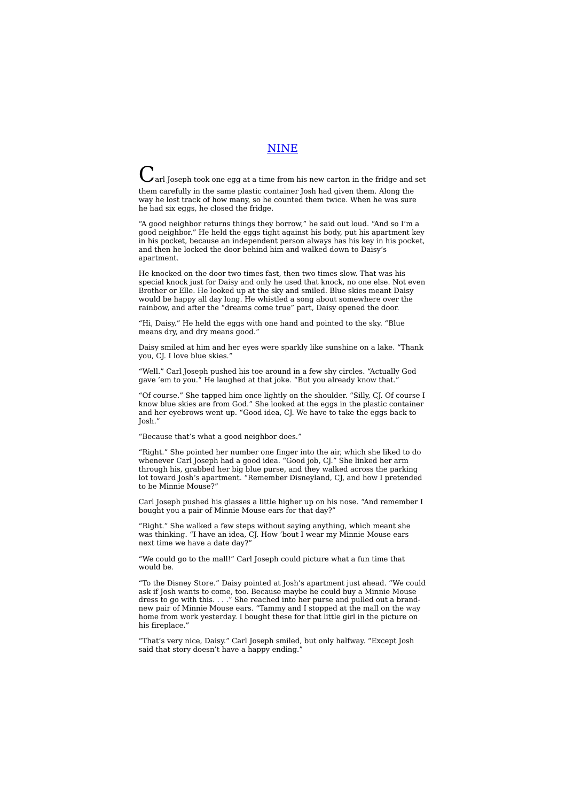# NINE

arl Joseph took one egg at a time from his new carton in the fridge and set them carefully in the same plastic container Josh had given them. Along the way he lost track of how many, so he counted them twice. When he was sure he had six eggs, he closed the fridge.

"A good neighbor returns things they borrow," he said out loud. "And so I'm a good neighbor." He held the eggs tight against his body, put his apartment key in his pocket, because an independent person always has his key in his pocket, and then he locked the door behind him and walked down to Daisy's apartment.

He knocked on the door two times fast, then two times slow. That was his special knock just for Daisy and only he used that knock, no one else. Not even Brother or Elle. He looked up at the sky and smiled. Blue skies meant Daisy would be happy all day long. He whistled a song about somewhere over the rainbow, and after the "dreams come true" part, Daisy opened the door.

"Hi, Daisy." He held the eggs with one hand and pointed to the sky. "Blue means dry, and dry means good."

Daisy smiled at him and her eyes were sparkly like sunshine on a lake. "Thank you, CJ. I love blue skies."

"Well." Carl Joseph pushed his toe around in a few shy circles. "Actually God gave 'em to you." He laughed at that joke. "But you already know that."

"Of course." She tapped him once lightly on the shoulder. "Silly, CJ. Of course I know blue skies are from God." She looked at the eggs in the plastic container and her eyebrows went up. "Good idea, CJ. We have to take the eggs back to Josh."

"Because that's what a good neighbor does."

"Right." She pointed her number one finger into the air, which she liked to do whenever Carl Joseph had a good idea. "Good job, CJ." She linked her arm through his, grabbed her big blue purse, and they walked across the parking lot toward Josh's apartment. "Remember Disneyland, CJ, and how I pretended to be Minnie Mouse?"

Carl Joseph pushed his glasses a little higher up on his nose. "And remember I bought you a pair of Minnie Mouse ears for that day?"

"Right." She walked a few steps without saying anything, which meant she was thinking. "I have an idea, CJ. How 'bout I wear my Minnie Mouse ears next time we have a date day?"

"We could go to the mall!" Carl Joseph could picture what a fun time that would be.

"To the Disney Store." Daisy pointed at Josh's apartment just ahead. "We could ask if Josh wants to come, too. Because maybe he could buy a Minnie Mouse dress to go with this. . . ." She reached into her purse and pulled out a brandnew pair of Minnie Mouse ears. "Tammy and I stopped at the mall on the way home from work yesterday. I bought these for that little girl in the picture on his fireplace."

"That's very nice, Daisy." Carl Joseph smiled, but only halfway. "Except Josh said that story doesn't have a happy ending."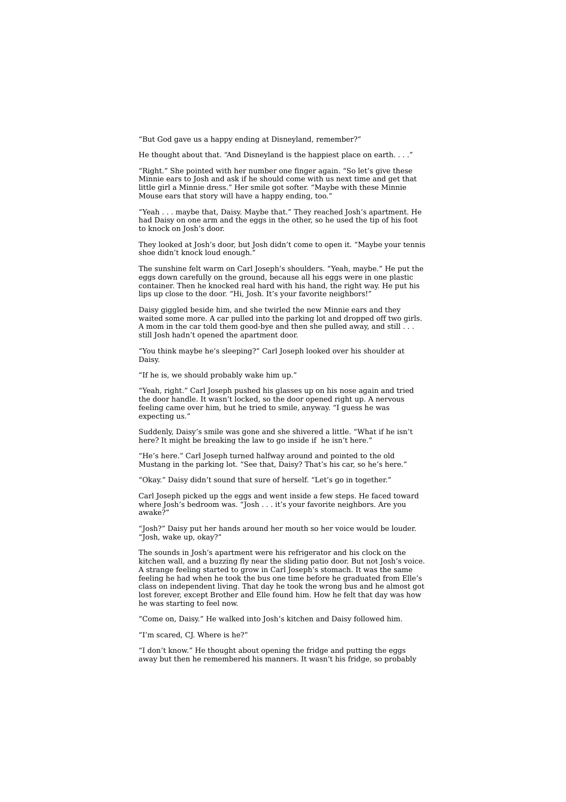"But God gave us a happy ending at Disneyland, remember?"

He thought about that. "And Disneyland is the happiest place on earth. . . ."

"Right." She pointed with her number one finger again. "So let's give these Minnie ears to Josh and ask if he should come with us next time and get that little girl a Minnie dress." Her smile got softer. "Maybe with these Minnie Mouse ears that story will have a happy ending, too."

"Yeah . . . maybe that, Daisy. Maybe that." They reached Josh's apartment. He had Daisy on one arm and the eggs in the other, so he used the tip of his foot to knock on Josh's door.

They looked at Josh's door, but Josh didn't come to open it. "Maybe your tennis shoe didn't knock loud enough."

The sunshine felt warm on Carl Joseph's shoulders. "Yeah, maybe." He put the eggs down carefully on the ground, because all his eggs were in one plastic container. Then he knocked real hard with his hand, the right way. He put his lips up close to the door. "Hi, Josh. It's your favorite neighbors!"

Daisy giggled beside him, and she twirled the new Minnie ears and they waited some more. A car pulled into the parking lot and dropped off two girls. A mom in the car told them good-bye and then she pulled away, and still ... still Josh hadn't opened the apartment door.

"You think maybe he's sleeping?" Carl Joseph looked over his shoulder at Daisy.

"If he is, we should probably wake him up."

"Yeah, right." Carl Joseph pushed his glasses up on his nose again and tried the door handle. It wasn't locked, so the door opened right up. A nervous feeling came over him, but he tried to smile, anyway. "I guess he was expecting us."

Suddenly, Daisy's smile was gone and she shivered a little. "What if he isn't here? It might be breaking the law to go inside if he isn't here."

"He's here." Carl Joseph turned halfway around and pointed to the old Mustang in the parking lot. "See that, Daisy? That's his car, so he's here."

"Okay." Daisy didn't sound that sure of herself. "Let's go in together."

Carl Joseph picked up the eggs and went inside a few steps. He faced toward where Josh's bedroom was. "Josh . . . it's your favorite neighbors. Are you awake?"

"Josh?" Daisy put her hands around her mouth so her voice would be louder. "Josh, wake up, okay?"

The sounds in Josh's apartment were his refrigerator and his clock on the kitchen wall, and a buzzing fly near the sliding patio door. But not Josh's voice. A strange feeling started to grow in Carl Joseph's stomach. It was the same feeling he had when he took the bus one time before he graduated from Elle's class on independent living. That day he took the wrong bus and he almost got lost forever, except Brother and Elle found him. How he felt that day was how he was starting to feel now.

"Come on, Daisy." He walked into Josh's kitchen and Daisy followed him.

"I'm scared, CJ. Where is he?"

"I don't know." He thought about opening the fridge and putting the eggs away but then he remembered his manners. It wasn't his fridge, so probably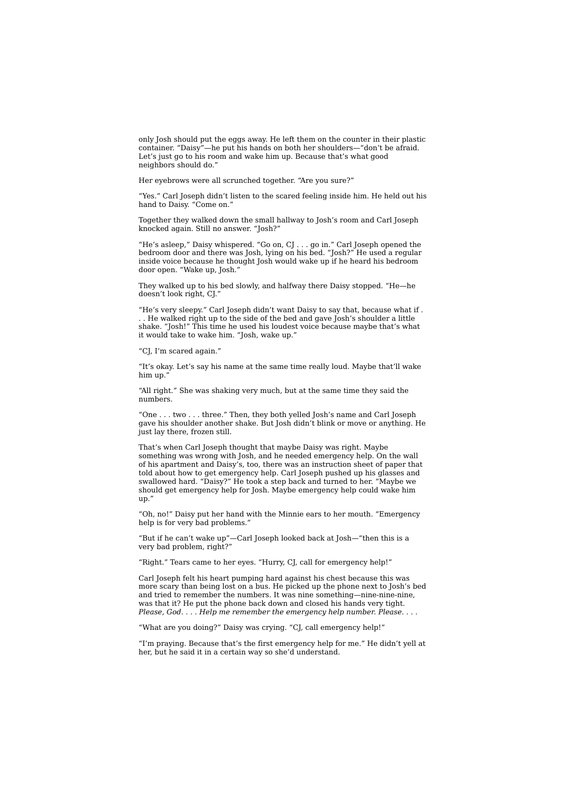only Josh should put the eggs away. He left them on the counter in their plastic container. "Daisy"—he put his hands on both her shoulders—"don't be afraid. Let's just go to his room and wake him up. Because that's what good neighbors should do."

Her eyebrows were all scrunched together. "Are you sure?"

"Yes." Carl Joseph didn't listen to the scared feeling inside him. He held out his hand to Daisy. "Come on."

Together they walked down the small hallway to Josh's room and Carl Joseph knocked again. Still no answer. "Josh?"

"He's asleep," Daisy whispered. "Go on, CJ . . . go in." Carl Joseph opened the bedroom door and there was Josh, lying on his bed. "Josh?" He used a regular inside voice because he thought Josh would wake up if he heard his bedroom door open. "Wake up, Josh."

They walked up to his bed slowly, and halfway there Daisy stopped. "He—he doesn't look right, CJ."

"He's very sleepy." Carl Joseph didn't want Daisy to say that, because what if . . . He walked right up to the side of the bed and gave Josh's shoulder a little shake. "Josh!" This time he used his loudest voice because maybe that's what it would take to wake him. "Josh, wake up."

"CJ, I'm scared again."

"It's okay. Let's say his name at the same time really loud. Maybe that'll wake him up."

"All right." She was shaking very much, but at the same time they said the numbers.

"One . . . two . . . three." Then, they both yelled Josh's name and Carl Joseph gave his shoulder another shake. But Josh didn't blink or move or anything. He just lay there, frozen still.

That's when Carl Joseph thought that maybe Daisy was right. Maybe something was wrong with Josh, and he needed emergency help. On the wall of his apartment and Daisy's, too, there was an instruction sheet of paper that told about how to get emergency help. Carl Joseph pushed up his glasses and swallowed hard. "Daisy?" He took a step back and turned to her. "Maybe we should get emergency help for Josh. Maybe emergency help could wake him up."

"Oh, no!" Daisy put her hand with the Minnie ears to her mouth. "Emergency help is for very bad problems.

"But if he can't wake up"—Carl Joseph looked back at Josh—"then this is a very bad problem, right?"

"Right." Tears came to her eyes. "Hurry, CJ, call for emergency help!"

Carl Joseph felt his heart pumping hard against his chest because this was more scary than being lost on a bus. He picked up the phone next to Josh's bed and tried to remember the numbers. It was nine something—nine-nine-nine, was that it? He put the phone back down and closed his hands very tight. *Please, God. . . . Help me remember the emergency help number. Please. . . .*

"What are you doing?" Daisy was crying. "CJ, call emergency help!"

"I'm praying. Because that's the first emergency help for me." He didn't yell at her, but he said it in a certain way so she'd understand.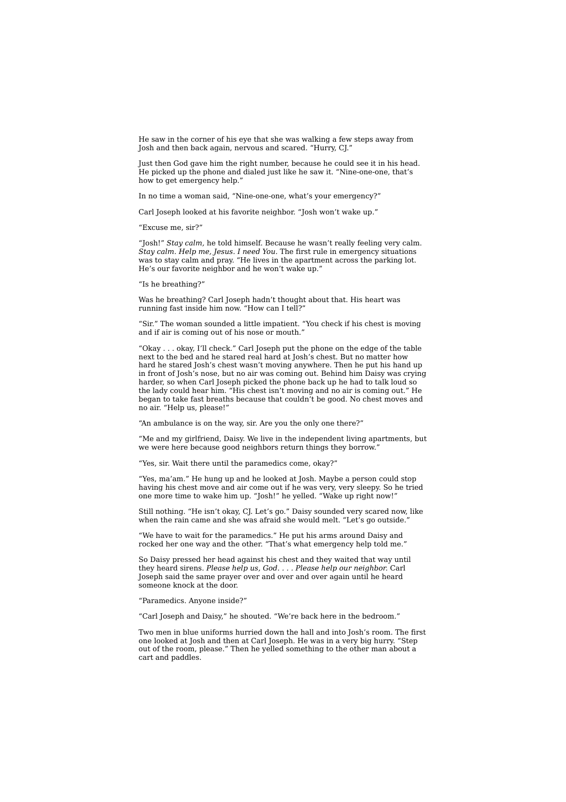He saw in the corner of his eye that she was walking a few steps away from Josh and then back again, nervous and scared. "Hurry, CJ."

Just then God gave him the right number, because he could see it in his head. He picked up the phone and dialed just like he saw it. "Nine-one-one, that's how to get emergency help."

In no time a woman said, "Nine-one-one, what's your emergency?"

Carl Joseph looked at his favorite neighbor. "Josh won't wake up."

"Excuse me, sir?"

"Josh!" *Stay calm,* he told himself. Because he wasn't really feeling very calm. *Stay calm. Help me, Jesus. I need You.* The first rule in emergency situations was to stay calm and pray. "He lives in the apartment across the parking lot. He's our favorite neighbor and he won't wake up."

#### "Is he breathing?"

Was he breathing? Carl Joseph hadn't thought about that. His heart was running fast inside him now. "How can I tell?"

"Sir." The woman sounded a little impatient. "You check if his chest is moving and if air is coming out of his nose or mouth."

"Okay . . . okay, I'll check." Carl Joseph put the phone on the edge of the table next to the bed and he stared real hard at Josh's chest. But no matter how hard he stared Josh's chest wasn't moving anywhere. Then he put his hand up in front of Josh's nose, but no air was coming out. Behind him Daisy was crying harder, so when Carl Joseph picked the phone back up he had to talk loud so the lady could hear him. "His chest isn't moving and no air is coming out." He began to take fast breaths because that couldn't be good. No chest moves and no air. "Help us, please!"

"An ambulance is on the way, sir. Are you the only one there?"

"Me and my girlfriend, Daisy. We live in the independent living apartments, but we were here because good neighbors return things they borrow."

"Yes, sir. Wait there until the paramedics come, okay?"

"Yes, ma'am." He hung up and he looked at Josh. Maybe a person could stop having his chest move and air come out if he was very, very sleepy. So he tried one more time to wake him up. "Josh!" he yelled. "Wake up right now!"

Still nothing. "He isn't okay, CJ. Let's go." Daisy sounded very scared now, like when the rain came and she was afraid she would melt. "Let's go outside."

"We have to wait for the paramedics." He put his arms around Daisy and rocked her one way and the other. "That's what emergency help told me."

So Daisy pressed her head against his chest and they waited that way until they heard sirens. *Please help us, God. . . . Please help our neighbor.* Carl Joseph said the same prayer over and over and over again until he heard someone knock at the door.

"Paramedics. Anyone inside?"

"Carl Joseph and Daisy," he shouted. "We're back here in the bedroom."

Two men in blue uniforms hurried down the hall and into Josh's room. The first one looked at Josh and then at Carl Joseph. He was in a very big hurry. "Step out of the room, please." Then he yelled something to the other man about a cart and paddles.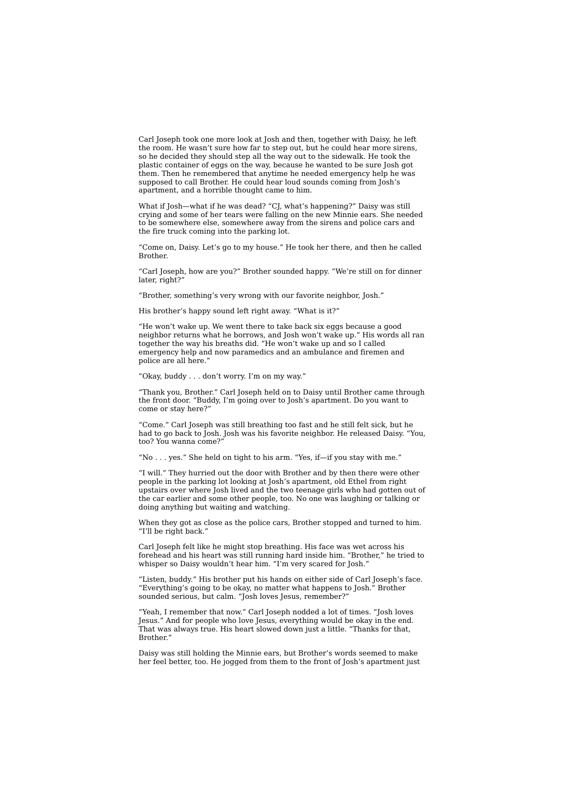Carl Joseph took one more look at Josh and then, together with Daisy, he left the room. He wasn't sure how far to step out, but he could hear more sirens, so he decided they should step all the way out to the sidewalk. He took the plastic container of eggs on the way, because he wanted to be sure Josh got them. Then he remembered that anytime he needed emergency help he was supposed to call Brother. He could hear loud sounds coming from Josh's apartment, and a horrible thought came to him.

What if Josh—what if he was dead? "CJ, what's happening?" Daisy was still crying and some of her tears were falling on the new Minnie ears. She needed to be somewhere else, somewhere away from the sirens and police cars and the fire truck coming into the parking lot.

"Come on, Daisy. Let's go to my house." He took her there, and then he called Brother.

"Carl Joseph, how are you?" Brother sounded happy. "We're still on for dinner later, right?

"Brother, something's very wrong with our favorite neighbor, Josh."

His brother's happy sound left right away. "What is it?"

"He won't wake up. We went there to take back six eggs because a good neighbor returns what he borrows, and Josh won't wake up." His words all ran together the way his breaths did. "He won't wake up and so I called emergency help and now paramedics and an ambulance and firemen and police are all here."

"Okay, buddy . . . don't worry. I'm on my way."

"Thank you, Brother." Carl Joseph held on to Daisy until Brother came through the front door. "Buddy, I'm going over to Josh's apartment. Do you want to come or stay here?"

"Come." Carl Joseph was still breathing too fast and he still felt sick, but he had to go back to Josh. Josh was his favorite neighbor. He released Daisy. "You, too? You wanna come?"

"No . . . yes." She held on tight to his arm. "Yes, if—if you stay with me."

"I will." They hurried out the door with Brother and by then there were other people in the parking lot looking at Josh's apartment, old Ethel from right upstairs over where Josh lived and the two teenage girls who had gotten out of the car earlier and some other people, too. No one was laughing or talking or doing anything but waiting and watching.

When they got as close as the police cars, Brother stopped and turned to him. "I'll be right back."

Carl Joseph felt like he might stop breathing. His face was wet across his forehead and his heart was still running hard inside him. "Brother," he tried to whisper so Daisy wouldn't hear him. "I'm very scared for Josh."

"Listen, buddy." His brother put his hands on either side of Carl Joseph's face. "Everything's going to be okay, no matter what happens to Josh." Brother sounded serious, but calm. "Josh loves Jesus, remember?"

"Yeah, I remember that now." Carl Joseph nodded a lot of times. "Josh loves Jesus." And for people who love Jesus, everything would be okay in the end. That was always true. His heart slowed down just a little. "Thanks for that, Brother."

Daisy was still holding the Minnie ears, but Brother's words seemed to make her feel better, too. He jogged from them to the front of Josh's apartment just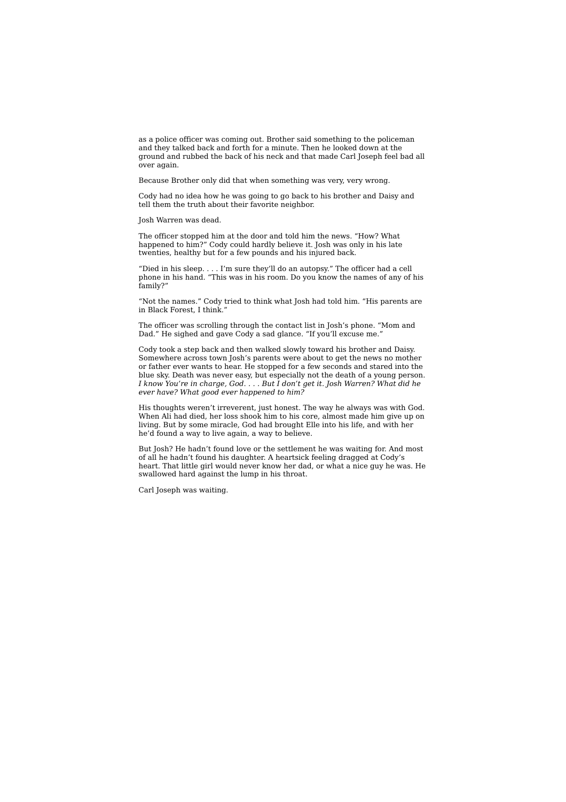as a police officer was coming out. Brother said something to the policeman and they talked back and forth for a minute. Then he looked down at the ground and rubbed the back of his neck and that made Carl Joseph feel bad all over again.

Because Brother only did that when something was very, very wrong.

Cody had no idea how he was going to go back to his brother and Daisy and tell them the truth about their favorite neighbor.

Josh Warren was dead.

The officer stopped him at the door and told him the news. "How? What happened to him?" Cody could hardly believe it. Josh was only in his late twenties, healthy but for a few pounds and his injured back.

"Died in his sleep. . . . I'm sure they'll do an autopsy." The officer had a cell phone in his hand. "This was in his room. Do you know the names of any of his family?"

"Not the names." Cody tried to think what Josh had told him. "His parents are in Black Forest, I think."

The officer was scrolling through the contact list in Josh's phone. "Mom and Dad." He sighed and gave Cody a sad glance. "If you'll excuse me."

Cody took a step back and then walked slowly toward his brother and Daisy. Somewhere across town Josh's parents were about to get the news no mother or father ever wants to hear. He stopped for a few seconds and stared into the blue sky. Death was never easy, but especially not the death of a young person. *I know You're in charge, God. . . . But I don't get it. Josh Warren? What did he ever have? What good ever happened to him?*

His thoughts weren't irreverent, just honest. The way he always was with God. When Ali had died, her loss shook him to his core, almost made him give up on living. But by some miracle, God had brought Elle into his life, and with her he'd found a way to live again, a way to believe.

But Josh? He hadn't found love or the settlement he was waiting for. And most of all he hadn't found his daughter. A heartsick feeling dragged at Cody's heart. That little girl would never know her dad, or what a nice guy he was. He swallowed hard against the lump in his throat.

Carl Joseph was waiting.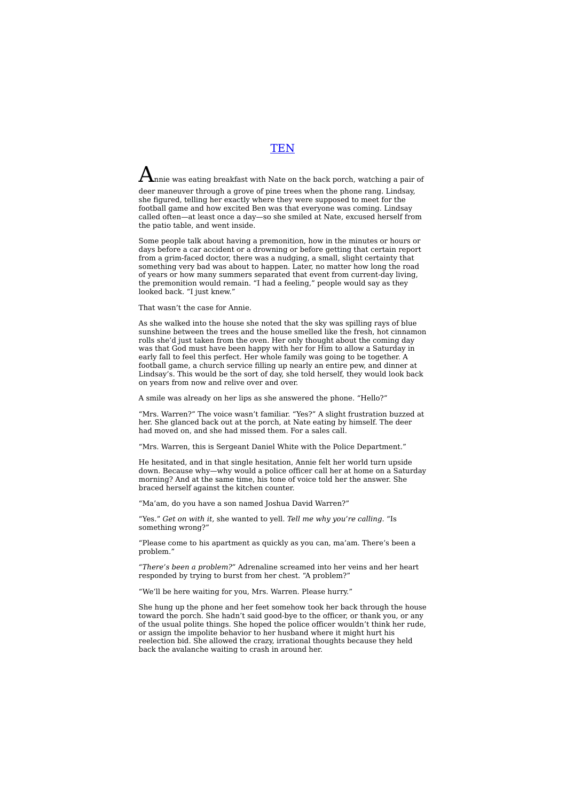${\mathbf A}$ nnie was eating breakfast with Nate on the back porch, watching a pair of deer maneuver through a grove of pine trees when the phone rang. Lindsay, she figured, telling her exactly where they were supposed to meet for the football game and how excited Ben was that everyone was coming. Lindsay called often—at least once a day—so she smiled at Nate, excused herself from the patio table, and went inside.

Some people talk about having a premonition, how in the minutes or hours or days before a car accident or a drowning or before getting that certain report from a grim-faced doctor, there was a nudging, a small, slight certainty that something very bad was about to happen. Later, no matter how long the road of years or how many summers separated that event from current-day living, the premonition would remain. "I had a feeling," people would say as they looked back. "I just knew."

That wasn't the case for Annie.

As she walked into the house she noted that the sky was spilling rays of blue sunshine between the trees and the house smelled like the fresh, hot cinnamon rolls she'd just taken from the oven. Her only thought about the coming day was that God must have been happy with her for Him to allow a Saturday in early fall to feel this perfect. Her whole family was going to be together. A football game, a church service filling up nearly an entire pew, and dinner at Lindsay's. This would be the sort of day, she told herself, they would look back on years from now and relive over and over.

A smile was already on her lips as she answered the phone. "Hello?"

"Mrs. Warren?" The voice wasn't familiar. "Yes?" A slight frustration buzzed at her. She glanced back out at the porch, at Nate eating by himself. The deer had moved on, and she had missed them. For a sales call.

"Mrs. Warren, this is Sergeant Daniel White with the Police Department."

He hesitated, and in that single hesitation, Annie felt her world turn upside down. Because why—why would a police officer call her at home on a Saturday morning? And at the same time, his tone of voice told her the answer. She braced herself against the kitchen counter.

"Ma'am, do you have a son named Joshua David Warren?"

"Yes." *Get on with it,* she wanted to yell. *Tell me why you're calling.* "Is something wrong?"

"Please come to his apartment as quickly as you can, ma'am. There's been a problem."

*"There's been a problem?"* Adrenaline screamed into her veins and her heart responded by trying to burst from her chest. "A problem?"

"We'll be here waiting for you, Mrs. Warren. Please hurry."

She hung up the phone and her feet somehow took her back through the house toward the porch. She hadn't said good-bye to the officer, or thank you, or any of the usual polite things. She hoped the police officer wouldn't think her rude, or assign the impolite behavior to her husband where it might hurt his reelection bid. She allowed the crazy, irrational thoughts because they held back the avalanche waiting to crash in around her.

# **TEN**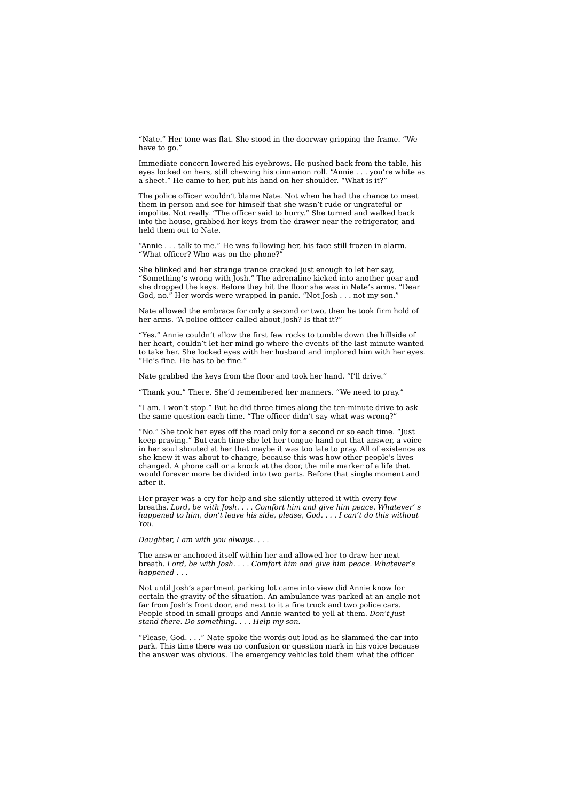"Nate." Her tone was flat. She stood in the doorway gripping the frame. "We have to go.'

Immediate concern lowered his eyebrows. He pushed back from the table, his eyes locked on hers, still chewing his cinnamon roll. "Annie . . . you're white as a sheet." He came to her, put his hand on her shoulder. "What is it?"

The police officer wouldn't blame Nate. Not when he had the chance to meet them in person and see for himself that she wasn't rude or ungrateful or impolite. Not really. "The officer said to hurry." She turned and walked back into the house, grabbed her keys from the drawer near the refrigerator, and held them out to Nate.

"Annie . . . talk to me." He was following her, his face still frozen in alarm. "What officer? Who was on the phone?"

She blinked and her strange trance cracked just enough to let her say, "Something's wrong with Josh." The adrenaline kicked into another gear and she dropped the keys. Before they hit the floor she was in Nate's arms. "Dear God, no." Her words were wrapped in panic. "Not Josh . . . not my son."

Nate allowed the embrace for only a second or two, then he took firm hold of her arms. "A police officer called about Josh? Is that it?"

"Yes." Annie couldn't allow the first few rocks to tumble down the hillside of her heart, couldn't let her mind go where the events of the last minute wanted to take her. She locked eyes with her husband and implored him with her eyes. "He's fine. He has to be fine."

Nate grabbed the keys from the floor and took her hand. "I'll drive."

"Thank you." There. She'd remembered her manners. "We need to pray."

"I am. I won't stop." But he did three times along the ten-minute drive to ask the same question each time. "The officer didn't say what was wrong?"

"No." She took her eyes off the road only for a second or so each time. "Just keep praying." But each time she let her tongue hand out that answer, a voice in her soul shouted at her that maybe it was too late to pray. All of existence as she knew it was about to change, because this was how other people's lives changed. A phone call or a knock at the door, the mile marker of a life that would forever more be divided into two parts. Before that single moment and after it.

Her prayer was a cry for help and she silently uttered it with every few breaths. *Lord, be with Josh. . . . Comfort him and give him peace. Whatever' s happened to him, don't leave his side, please, God. . . . I can't do this without You.*

*Daughter, I am with you always. . . .*

The answer anchored itself within her and allowed her to draw her next breath. *Lord, be with Josh. . . . Comfort him and give him peace. Whatever's happened . . .*

Not until Josh's apartment parking lot came into view did Annie know for certain the gravity of the situation. An ambulance was parked at an angle not far from Josh's front door, and next to it a fire truck and two police cars. People stood in small groups and Annie wanted to yell at them. *Don't just stand there. Do something. . . . Help my son.*

"Please, God. . . ." Nate spoke the words out loud as he slammed the car into park. This time there was no confusion or question mark in his voice because the answer was obvious. The emergency vehicles told them what the officer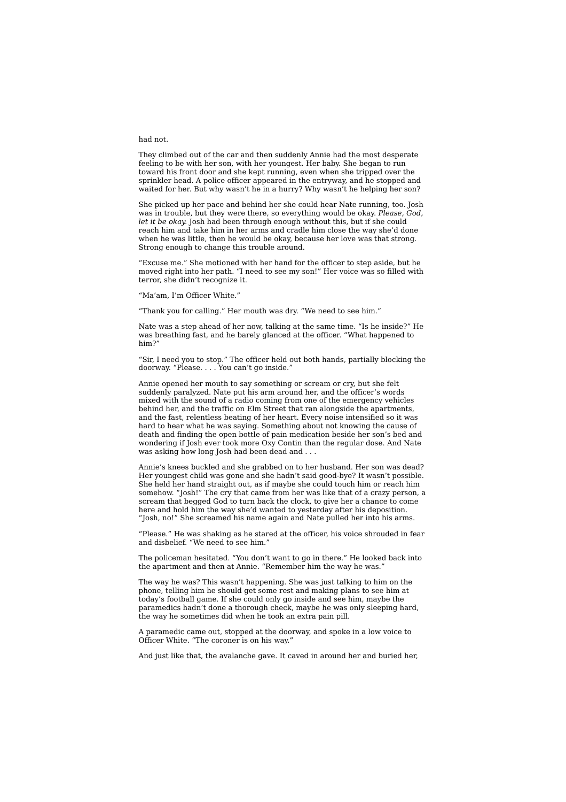### had not.

They climbed out of the car and then suddenly Annie had the most desperate feeling to be with her son, with her youngest. Her baby. She began to run toward his front door and she kept running, even when she tripped over the sprinkler head. A police officer appeared in the entryway, and he stopped and waited for her. But why wasn't he in a hurry? Why wasn't he helping her son?

She picked up her pace and behind her she could hear Nate running, too. Josh was in trouble, but they were there, so everything would be okay. *Please, God, let it be okay.* Josh had been through enough without this, but if she could reach him and take him in her arms and cradle him close the way she'd done when he was little, then he would be okay, because her love was that strong. Strong enough to change this trouble around.

"Excuse me." She motioned with her hand for the officer to step aside, but he moved right into her path. "I need to see my son!" Her voice was so filled with terror, she didn't recognize it.

"Ma'am, I'm Officer White."

"Thank you for calling." Her mouth was dry. "We need to see him."

Nate was a step ahead of her now, talking at the same time. "Is he inside?" He was breathing fast, and he barely glanced at the officer. "What happened to him?"

"Sir, I need you to stop." The officer held out both hands, partially blocking the doorway. "Please. . . . You can't go inside."

Annie opened her mouth to say something or scream or cry, but she felt suddenly paralyzed. Nate put his arm around her, and the officer's words mixed with the sound of a radio coming from one of the emergency vehicles behind her, and the traffic on Elm Street that ran alongside the apartments, and the fast, relentless beating of her heart. Every noise intensified so it was hard to hear what he was saying. Something about not knowing the cause of death and finding the open bottle of pain medication beside her son's bed and wondering if Josh ever took more Oxy Contin than the regular dose. And Nate was asking how long Josh had been dead and . . .

Annie's knees buckled and she grabbed on to her husband. Her son was dead? Her youngest child was gone and she hadn't said good-bye? It wasn't possible. She held her hand straight out, as if maybe she could touch him or reach him somehow. "Josh!" The cry that came from her was like that of a crazy person, a scream that begged God to turn back the clock, to give her a chance to come here and hold him the way she'd wanted to yesterday after his deposition. "Josh, no!" She screamed his name again and Nate pulled her into his arms.

"Please." He was shaking as he stared at the officer, his voice shrouded in fear and disbelief. "We need to see him."

The policeman hesitated. "You don't want to go in there." He looked back into the apartment and then at Annie. "Remember him the way he was."

The way he was? This wasn't happening. She was just talking to him on the phone, telling him he should get some rest and making plans to see him at today's football game. If she could only go inside and see him, maybe the paramedics hadn't done a thorough check, maybe he was only sleeping hard, the way he sometimes did when he took an extra pain pill.

A paramedic came out, stopped at the doorway, and spoke in a low voice to Officer White. "The coroner is on his way."

And just like that, the avalanche gave. It caved in around her and buried her,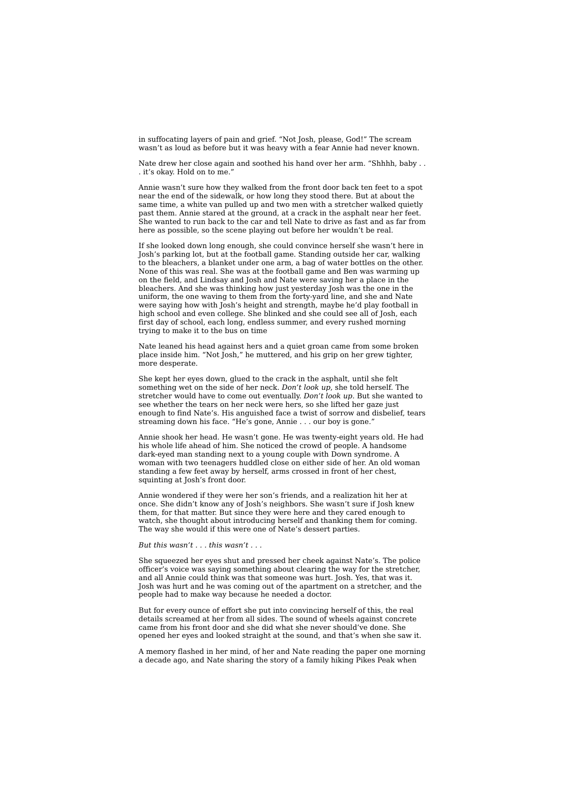in suffocating layers of pain and grief. "Not Josh, please, God!" The scream wasn't as loud as before but it was heavy with a fear Annie had never known.

Nate drew her close again and soothed his hand over her arm. "Shhhh, baby . . . it's okay. Hold on to me."

Annie wasn't sure how they walked from the front door back ten feet to a spot near the end of the sidewalk, or how long they stood there. But at about the same time, a white van pulled up and two men with a stretcher walked quietly past them. Annie stared at the ground, at a crack in the asphalt near her feet. She wanted to run back to the car and tell Nate to drive as fast and as far from here as possible, so the scene playing out before her wouldn't be real.

If she looked down long enough, she could convince herself she wasn't here in Josh's parking lot, but at the football game. Standing outside her car, walking to the bleachers, a blanket under one arm, a bag of water bottles on the other. None of this was real. She was at the football game and Ben was warming up on the field, and Lindsay and Josh and Nate were saving her a place in the bleachers. And she was thinking how just yesterday Josh was the one in the uniform, the one waving to them from the forty-yard line, and she and Nate were saying how with Josh's height and strength, maybe he'd play football in high school and even college. She blinked and she could see all of Josh, each first day of school, each long, endless summer, and every rushed morning trying to make it to the bus on time

Nate leaned his head against hers and a quiet groan came from some broken place inside him. "Not Josh," he muttered, and his grip on her grew tighter, more desperate.

She kept her eyes down, glued to the crack in the asphalt, until she felt something wet on the side of her neck. *Don't look up*, she told herself. The stretcher would have to come out eventually. *Don't look up*. But she wanted to see whether the tears on her neck were hers, so she lifted her gaze just enough to find Nate's. His anguished face a twist of sorrow and disbelief, tears streaming down his face. "He's gone, Annie . . . our boy is gone."

Annie shook her head. He wasn't gone. He was twenty-eight years old. He had his whole life ahead of him. She noticed the crowd of people. A handsome dark-eyed man standing next to a young couple with Down syndrome. A woman with two teenagers huddled close on either side of her. An old woman standing a few feet away by herself, arms crossed in front of her chest, squinting at Josh's front door.

Annie wondered if they were her son's friends, and a realization hit her at once. She didn't know any of Josh's neighbors. She wasn't sure if Josh knew them, for that matter. But since they were here and they cared enough to watch, she thought about introducing herself and thanking them for coming. The way she would if this were one of Nate's dessert parties.

#### *But this wasn't . . . this wasn't . . .*

She squeezed her eyes shut and pressed her cheek against Nate's. The police officer's voice was saying something about clearing the way for the stretcher, and all Annie could think was that someone was hurt. Josh. Yes, that was it. Josh was hurt and he was coming out of the apartment on a stretcher, and the people had to make way because he needed a doctor.

But for every ounce of effort she put into convincing herself of this, the real details screamed at her from all sides. The sound of wheels against concrete came from his front door and she did what she never should've done. She opened her eyes and looked straight at the sound, and that's when she saw it.

A memory flashed in her mind, of her and Nate reading the paper one morning a decade ago, and Nate sharing the story of a family hiking Pikes Peak when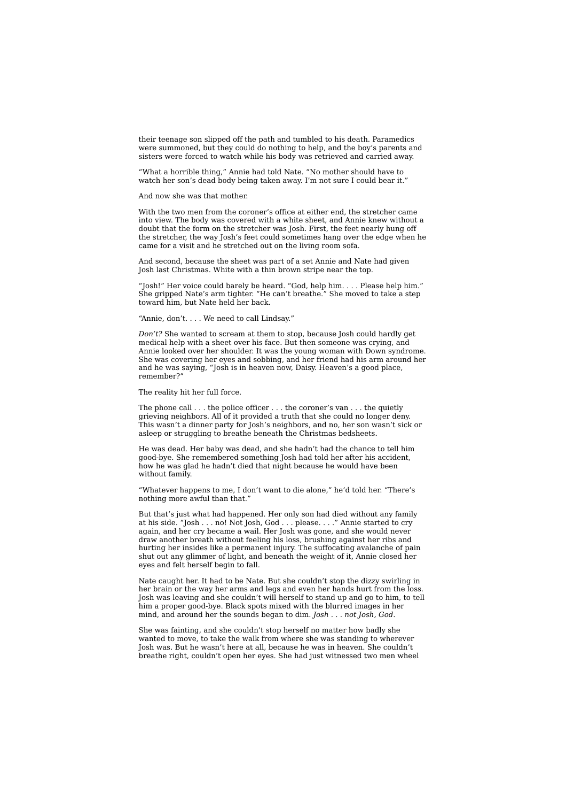their teenage son slipped off the path and tumbled to his death. Paramedics were summoned, but they could do nothing to help, and the boy's parents and sisters were forced to watch while his body was retrieved and carried away.

"What a horrible thing," Annie had told Nate. "No mother should have to watch her son's dead body being taken away. I'm not sure I could bear it."

## And now she was that mother.

With the two men from the coroner's office at either end, the stretcher came into view. The body was covered with a white sheet, and Annie knew without a doubt that the form on the stretcher was Josh. First, the feet nearly hung off the stretcher, the way Josh's feet could sometimes hang over the edge when he came for a visit and he stretched out on the living room sofa.

And second, because the sheet was part of a set Annie and Nate had given Josh last Christmas. White with a thin brown stripe near the top.

"Josh!" Her voice could barely be heard. "God, help him. . . . Please help him." She gripped Nate's arm tighter. "He can't breathe." She moved to take a step toward him, but Nate held her back.

## "Annie, don't. . . . We need to call Lindsay."

*Don't?* She wanted to scream at them to stop, because Josh could hardly get medical help with a sheet over his face. But then someone was crying, and Annie looked over her shoulder. It was the young woman with Down syndrome. She was covering her eyes and sobbing, and her friend had his arm around her and he was saying, "Josh is in heaven now, Daisy. Heaven's a good place, remember?"

#### The reality hit her full force.

The phone call . . . the police officer . . . the coroner's van . . . the quietly grieving neighbors. All of it provided a truth that she could no longer deny. This wasn't a dinner party for Josh's neighbors, and no, her son wasn't sick or asleep or struggling to breathe beneath the Christmas bedsheets.

He was dead. Her baby was dead, and she hadn't had the chance to tell him good-bye. She remembered something Josh had told her after his accident, how he was glad he hadn't died that night because he would have been without family.

"Whatever happens to me, I don't want to die alone," he'd told her. "There's nothing more awful than that."

But that's just what had happened. Her only son had died without any family at his side. "Josh . . . no! Not Josh, God . . . please. . . ." Annie started to cry again, and her cry became a wail. Her Josh was gone, and she would never draw another breath without feeling his loss, brushing against her ribs and hurting her insides like a permanent injury. The suffocating avalanche of pain shut out any glimmer of light, and beneath the weight of it, Annie closed her eyes and felt herself begin to fall.

Nate caught her. It had to be Nate. But she couldn't stop the dizzy swirling in her brain or the way her arms and legs and even her hands hurt from the loss. Josh was leaving and she couldn't will herself to stand up and go to him, to tell him a proper good-bye. Black spots mixed with the blurred images in her mind, and around her the sounds began to dim. *Josh . . . not Josh, God.*

She was fainting, and she couldn't stop herself no matter how badly she wanted to move, to take the walk from where she was standing to wherever Josh was. But he wasn't here at all, because he was in heaven. She couldn't breathe right, couldn't open her eyes. She had just witnessed two men wheel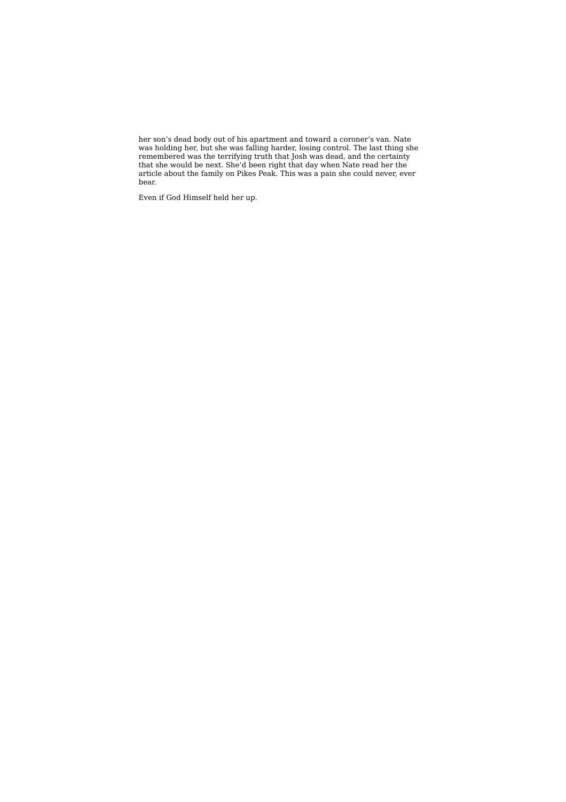her son's dead body out of his apartment and toward a coroner's van. Nate was holding her, but she was falling harder, losing control. The last thing she remembered was the terrifying truth that Josh was dead, and the certainty that she would be next. She'd been right that day when Nate read her the article about the family on Pikes Peak. This was a pain she could never, ever bear.

Even if God Himself held her up.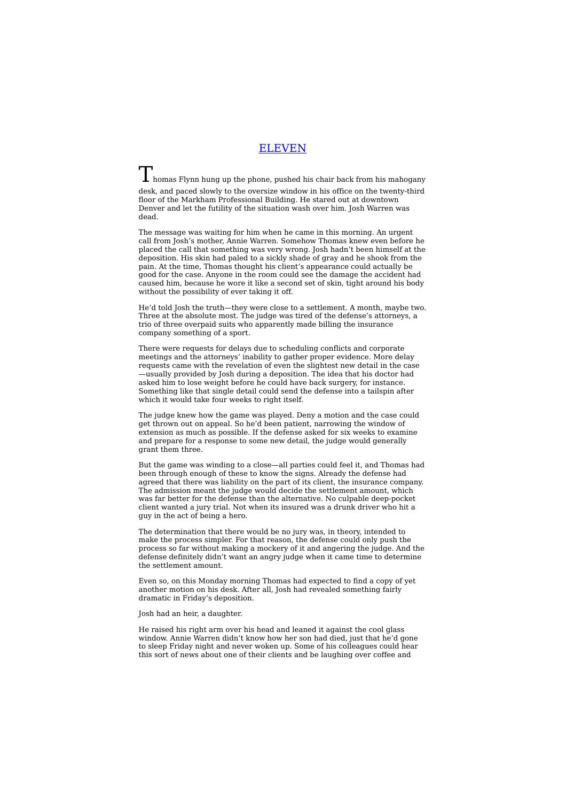## ELEVEN

 $\perp$  homas Flynn hung up the phone, pushed his chair back from his mahogany desk, and paced slowly to the oversize window in his office on the twenty-third floor of the Markham Professional Building. He stared out at downtown Denver and let the futility of the situation wash over him. Josh Warren was dead.

The message was waiting for him when he came in this morning. An urgent call from Josh's mother, Annie Warren. Somehow Thomas knew even before he placed the call that something was very wrong. Josh hadn't been himself at the deposition. His skin had paled to a sickly shade of gray and he shook from the pain. At the time, Thomas thought his client's appearance could actually be good for the case. Anyone in the room could see the damage the accident had caused him, because he wore it like a second set of skin, tight around his body without the possibility of ever taking it off.

He'd told Josh the truth—they were close to a settlement. A month, maybe two. Three at the absolute most. The judge was tired of the defense's attorneys, a trio of three overpaid suits who apparently made billing the insurance company something of a sport.

There were requests for delays due to scheduling conflicts and corporate meetings and the attorneys' inability to gather proper evidence. More delay requests came with the revelation of even the slightest new detail in the case —usually provided by Josh during a deposition. The idea that his doctor had asked him to lose weight before he could have back surgery, for instance. Something like that single detail could send the defense into a tailspin after which it would take four weeks to right itself.

The judge knew how the game was played. Deny a motion and the case could get thrown out on appeal. So he'd been patient, narrowing the window of extension as much as possible. If the defense asked for six weeks to examine and prepare for a response to some new detail, the judge would generally grant them three.

But the game was winding to a close—all parties could feel it, and Thomas had been through enough of these to know the signs. Already the defense had agreed that there was liability on the part of its client, the insurance company. The admission meant the judge would decide the settlement amount, which was far better for the defense than the alternative. No culpable deep-pocket client wanted a jury trial. Not when its insured was a drunk driver who hit a guy in the act of being a hero.

The determination that there would be no jury was, in theory, intended to make the process simpler. For that reason, the defense could only push the process so far without making a mockery of it and angering the judge. And the defense definitely didn't want an angry judge when it came time to determine the settlement amount.

Even so, on this Monday morning Thomas had expected to find a copy of yet another motion on his desk. After all, Josh had revealed something fairly dramatic in Friday's deposition.

Josh had an heir, a daughter.

He raised his right arm over his head and leaned it against the cool glass window. Annie Warren didn't know how her son had died, just that he'd gone to sleep Friday night and never woken up. Some of his colleagues could hear this sort of news about one of their clients and be laughing over coffee and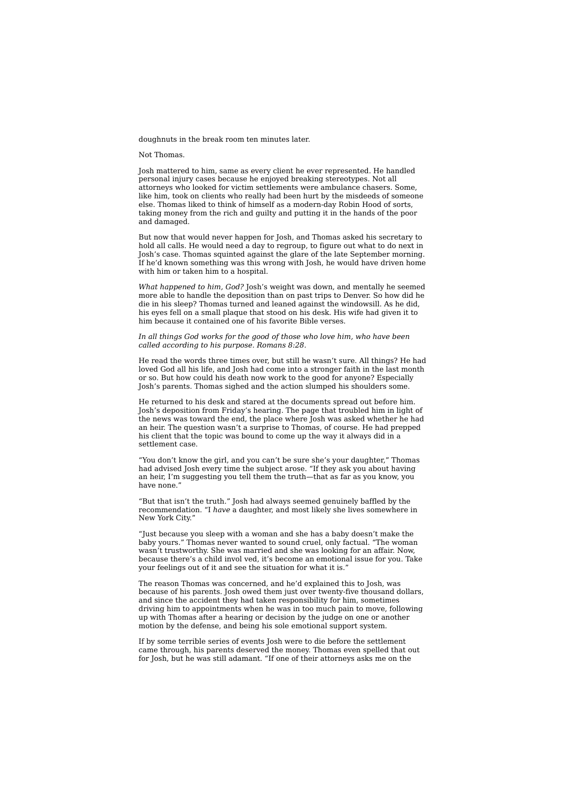doughnuts in the break room ten minutes later.

### Not Thomas.

Josh mattered to him, same as every client he ever represented. He handled personal injury cases because he enjoyed breaking stereotypes. Not all attorneys who looked for victim settlements were ambulance chasers. Some, like him, took on clients who really had been hurt by the misdeeds of someone else. Thomas liked to think of himself as a modern-day Robin Hood of sorts, taking money from the rich and guilty and putting it in the hands of the poor and damaged.

But now that would never happen for Josh, and Thomas asked his secretary to hold all calls. He would need a day to regroup, to figure out what to do next in Josh's case. Thomas squinted against the glare of the late September morning. If he'd known something was this wrong with Josh, he would have driven home with him or taken him to a hospital.

*What happened to him, God?* Josh's weight was down, and mentally he seemed more able to handle the deposition than on past trips to Denver. So how did he die in his sleep? Thomas turned and leaned against the windowsill. As he did, his eyes fell on a small plaque that stood on his desk. His wife had given it to him because it contained one of his favorite Bible verses.

#### *In all things God works for the good of those who love him, who have been called according to his purpose. Romans 8:28.*

He read the words three times over, but still he wasn't sure. All things? He had loved God all his life, and Josh had come into a stronger faith in the last month or so. But how could his death now work to the good for anyone? Especially Josh's parents. Thomas sighed and the action slumped his shoulders some.

He returned to his desk and stared at the documents spread out before him. Josh's deposition from Friday's hearing. The page that troubled him in light of the news was toward the end, the place where Josh was asked whether he had an heir. The question wasn't a surprise to Thomas, of course. He had prepped his client that the topic was bound to come up the way it always did in a settlement case.

"You don't know the girl, and you can't be sure she's your daughter," Thomas had advised Josh every time the subject arose. "If they ask you about having an heir, I'm suggesting you tell them the truth—that as far as you know, you have none."

"But that isn't the truth." Josh had always seemed genuinely baffled by the recommendation. "I *have* a daughter, and most likely she lives somewhere in New York City."

"Just because you sleep with a woman and she has a baby doesn't make the baby yours." Thomas never wanted to sound cruel, only factual. "The woman wasn't trustworthy. She was married and she was looking for an affair. Now, because there's a child invol ved, it's become an emotional issue for you. Take your feelings out of it and see the situation for what it is.'

The reason Thomas was concerned, and he'd explained this to Josh, was because of his parents. Josh owed them just over twenty-five thousand dollars, and since the accident they had taken responsibility for him, sometimes driving him to appointments when he was in too much pain to move, following up with Thomas after a hearing or decision by the judge on one or another motion by the defense, and being his sole emotional support system.

If by some terrible series of events Josh were to die before the settlement came through, his parents deserved the money. Thomas even spelled that out for Josh, but he was still adamant. "If one of their attorneys asks me on the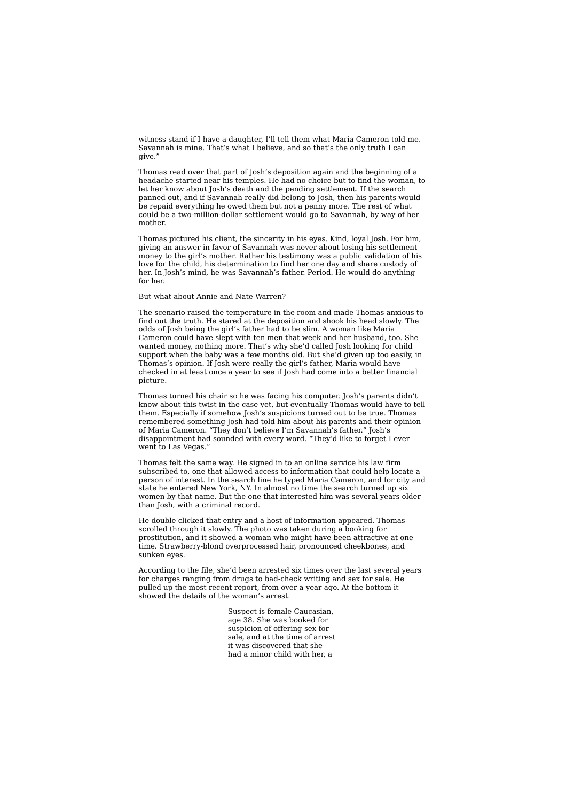witness stand if I have a daughter, I'll tell them what Maria Cameron told me. Savannah is mine. That's what I believe, and so that's the only truth I can give."

Thomas read over that part of Josh's deposition again and the beginning of a headache started near his temples. He had no choice but to find the woman, to let her know about Josh's death and the pending settlement. If the search panned out, and if Savannah really did belong to Josh, then his parents would be repaid everything he owed them but not a penny more. The rest of what could be a two-million-dollar settlement would go to Savannah, by way of her mother.

Thomas pictured his client, the sincerity in his eyes. Kind, loyal Josh. For him, giving an answer in favor of Savannah was never about losing his settlement money to the girl's mother. Rather his testimony was a public validation of his love for the child, his determination to find her one day and share custody of her. In Josh's mind, he was Savannah's father. Period. He would do anything for her.

But what about Annie and Nate Warren?

The scenario raised the temperature in the room and made Thomas anxious to find out the truth. He stared at the deposition and shook his head slowly. The odds of Josh being the girl's father had to be slim. A woman like Maria Cameron could have slept with ten men that week and her husband, too. She wanted money, nothing more. That's why she'd called Josh looking for child support when the baby was a few months old. But she'd given up too easily, in Thomas's opinion. If Josh were really the girl's father, Maria would have checked in at least once a year to see if Josh had come into a better financial picture.

Thomas turned his chair so he was facing his computer. Josh's parents didn't know about this twist in the case yet, but eventually Thomas would have to tell them. Especially if somehow Josh's suspicions turned out to be true. Thomas remembered something Josh had told him about his parents and their opinion of Maria Cameron. "They don't believe I'm Savannah's father." Josh's disappointment had sounded with every word. "They'd like to forget I ever went to Las Vegas."

Thomas felt the same way. He signed in to an online service his law firm subscribed to, one that allowed access to information that could help locate a person of interest. In the search line he typed Maria Cameron, and for city and state he entered New York, NY. In almost no time the search turned up six women by that name. But the one that interested him was several years older than Josh, with a criminal record.

He double clicked that entry and a host of information appeared. Thomas scrolled through it slowly. The photo was taken during a booking for prostitution, and it showed a woman who might have been attractive at one time. Strawberry-blond overprocessed hair, pronounced cheekbones, and sunken eyes.

According to the file, she'd been arrested six times over the last several years for charges ranging from drugs to bad-check writing and sex for sale. He pulled up the most recent report, from over a year ago. At the bottom it showed the details of the woman's arrest.

> Suspect is female Caucasian, age 38. She was booked for suspicion of offering sex for sale, and at the time of arrest it was discovered that she had a minor child with her, a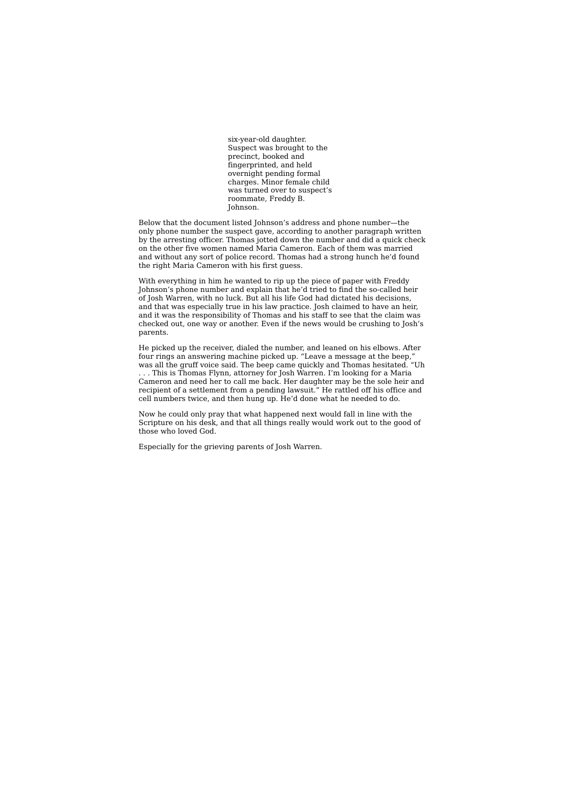six-year-old daughter. Suspect was brought to the precinct, booked and fingerprinted, and held overnight pending formal charges. Minor female child was turned over to suspect's roommate, Freddy B. Johnson.

Below that the document listed Johnson's address and phone number—the only phone number the suspect gave, according to another paragraph written by the arresting officer. Thomas jotted down the number and did a quick check on the other five women named Maria Cameron. Each of them was married and without any sort of police record. Thomas had a strong hunch he'd found the right Maria Cameron with his first guess.

With everything in him he wanted to rip up the piece of paper with Freddy Johnson's phone number and explain that he'd tried to find the so-called heir of Josh Warren, with no luck. But all his life God had dictated his decisions, and that was especially true in his law practice. Josh claimed to have an heir, and it was the responsibility of Thomas and his staff to see that the claim was checked out, one way or another. Even if the news would be crushing to Josh's parents.

He picked up the receiver, dialed the number, and leaned on his elbows. After four rings an answering machine picked up. "Leave a message at the beep," was all the gruff voice said. The beep came quickly and Thomas hesitated. "Uh . . . This is Thomas Flynn, attorney for Josh Warren. I'm looking for a Maria Cameron and need her to call me back. Her daughter may be the sole heir and recipient of a settlement from a pending lawsuit." He rattled off his office and cell numbers twice, and then hung up. He'd done what he needed to do.

Now he could only pray that what happened next would fall in line with the Scripture on his desk, and that all things really would work out to the good of those who loved God.

Especially for the grieving parents of Josh Warren.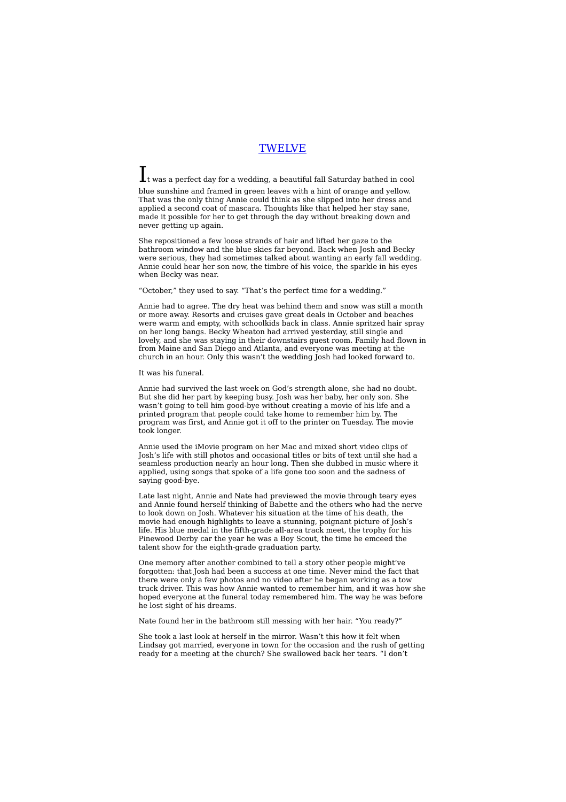# TWELVE

 $\mathbf 1$ t was a perfect day for a wedding, a beautiful fall Saturday bathed in cool blue sunshine and framed in green leaves with a hint of orange and yellow. That was the only thing Annie could think as she slipped into her dress and applied a second coat of mascara. Thoughts like that helped her stay sane, made it possible for her to get through the day without breaking down and never getting up again.

She repositioned a few loose strands of hair and lifted her gaze to the bathroom window and the blue skies far beyond. Back when Josh and Becky were serious, they had sometimes talked about wanting an early fall wedding. Annie could hear her son now, the timbre of his voice, the sparkle in his eyes when Becky was near.

"October," they used to say. "That's the perfect time for a wedding."

Annie had to agree. The dry heat was behind them and snow was still a month or more away. Resorts and cruises gave great deals in October and beaches were warm and empty, with schoolkids back in class. Annie spritzed hair spray on her long bangs. Becky Wheaton had arrived yesterday, still single and lovely, and she was staying in their downstairs quest room. Family had flown in from Maine and San Diego and Atlanta, and everyone was meeting at the church in an hour. Only this wasn't the wedding Josh had looked forward to.

It was his funeral.

Annie had survived the last week on God's strength alone, she had no doubt. But she did her part by keeping busy. Josh was her baby, her only son. She wasn't going to tell him good-bye without creating a movie of his life and a printed program that people could take home to remember him by. The program was first, and Annie got it off to the printer on Tuesday. The movie took longer.

Annie used the iMovie program on her Mac and mixed short video clips of Josh's life with still photos and occasional titles or bits of text until she had a seamless production nearly an hour long. Then she dubbed in music where it applied, using songs that spoke of a life gone too soon and the sadness of saying good-bye.

Late last night, Annie and Nate had previewed the movie through teary eyes and Annie found herself thinking of Babette and the others who had the nerve to look down on Josh. Whatever his situation at the time of his death, the movie had enough highlights to leave a stunning, poignant picture of Josh's life. His blue medal in the fifth-grade all-area track meet, the trophy for his Pinewood Derby car the year he was a Boy Scout, the time he emceed the talent show for the eighth-grade graduation party.

One memory after another combined to tell a story other people might've forgotten: that Josh had been a success at one time. Never mind the fact that there were only a few photos and no video after he began working as a tow truck driver. This was how Annie wanted to remember him, and it was how she hoped everyone at the funeral today remembered him. The way he was before he lost sight of his dreams.

Nate found her in the bathroom still messing with her hair. "You ready?"

She took a last look at herself in the mirror. Wasn't this how it felt when Lindsay got married, everyone in town for the occasion and the rush of getting ready for a meeting at the church? She swallowed back her tears. "I don't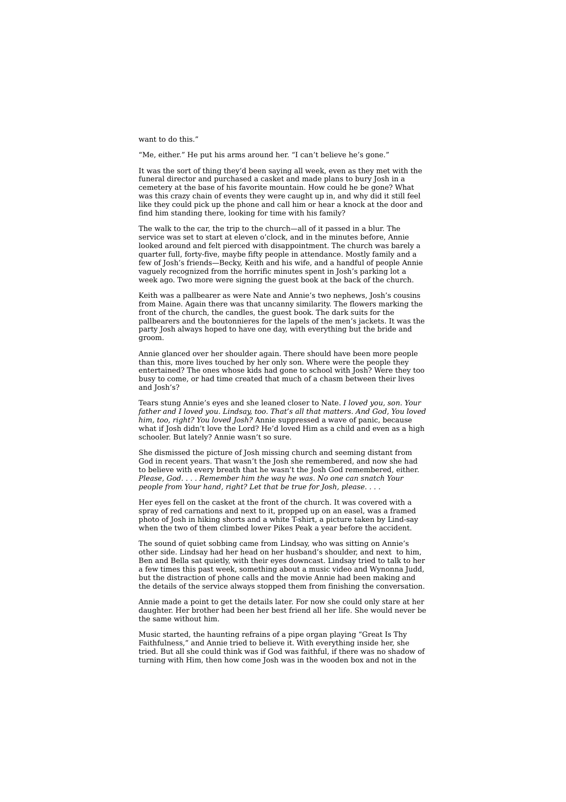want to do this."

"Me, either." He put his arms around her. "I can't believe he's gone."

It was the sort of thing they'd been saying all week, even as they met with the funeral director and purchased a casket and made plans to bury Josh in a cemetery at the base of his favorite mountain. How could he be gone? What was this crazy chain of events they were caught up in, and why did it still feel like they could pick up the phone and call him or hear a knock at the door and find him standing there, looking for time with his family?

The walk to the car, the trip to the church—all of it passed in a blur. The service was set to start at eleven o'clock, and in the minutes before, Annie looked around and felt pierced with disappointment. The church was barely a quarter full, forty-five, maybe fifty people in attendance. Mostly family and a few of Josh's friends—Becky, Keith and his wife, and a handful of people Annie vaguely recognized from the horrific minutes spent in Josh's parking lot a week ago. Two more were signing the guest book at the back of the church.

Keith was a pallbearer as were Nate and Annie's two nephews, Josh's cousins from Maine. Again there was that uncanny similarity. The flowers marking the front of the church, the candles, the guest book. The dark suits for the pallbearers and the boutonnieres for the lapels of the men's jackets. It was the party Josh always hoped to have one day, with everything but the bride and groom.

Annie glanced over her shoulder again. There should have been more people than this, more lives touched by her only son. Where were the people they entertained? The ones whose kids had gone to school with Josh? Were they too busy to come, or had time created that much of a chasm between their lives and Josh's?

Tears stung Annie's eyes and she leaned closer to Nate. *I loved you, son. Your father and I loved you. Lindsay, too. That's all that matters. And God, You loved him, too, right? You loved Josh?* Annie suppressed a wave of panic, because what if Josh didn't love the Lord? He'd loved Him as a child and even as a high schooler. But lately? Annie wasn't so sure.

She dismissed the picture of Josh missing church and seeming distant from God in recent years. That wasn't the Josh she remembered, and now she had to believe with every breath that he wasn't the Josh God remembered, either. *Please, God. . . . Remember him the way he was. No one can snatch Your people from Your hand, right? Let that be true for Josh, please. . . .*

Her eyes fell on the casket at the front of the church. It was covered with a spray of red carnations and next to it, propped up on an easel, was a framed photo of Josh in hiking shorts and a white T-shirt, a picture taken by Lind-say when the two of them climbed lower Pikes Peak a year before the accident.

The sound of quiet sobbing came from Lindsay, who was sitting on Annie's other side. Lindsay had her head on her husband's shoulder, and next to him, Ben and Bella sat quietly, with their eyes downcast. Lindsay tried to talk to her a few times this past week, something about a music video and Wynonna Judd, but the distraction of phone calls and the movie Annie had been making and the details of the service always stopped them from finishing the conversation.

Annie made a point to get the details later. For now she could only stare at her daughter. Her brother had been her best friend all her life. She would never be the same without him.

Music started, the haunting refrains of a pipe organ playing "Great Is Thy Faithfulness," and Annie tried to believe it. With everything inside her, she tried. But all she could think was if God was faithful, if there was no shadow of turning with Him, then how come Josh was in the wooden box and not in the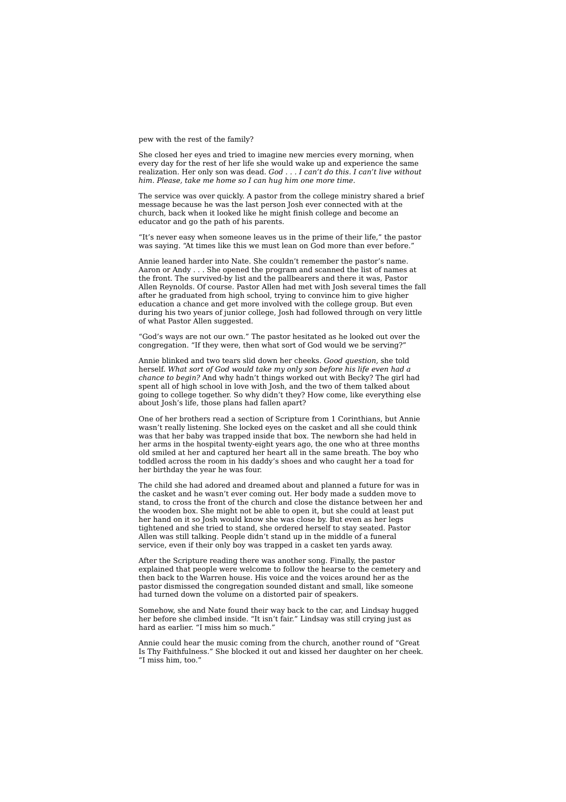pew with the rest of the family?

She closed her eyes and tried to imagine new mercies every morning, when every day for the rest of her life she would wake up and experience the same realization. Her only son was dead. *God . . . I can't do this. I can't live without him. Please, take me home so I can hug him one more time.*

The service was over quickly. A pastor from the college ministry shared a brief message because he was the last person Josh ever connected with at the church, back when it looked like he might finish college and become an educator and go the path of his parents.

"It's never easy when someone leaves us in the prime of their life," the pastor was saying. "At times like this we must lean on God more than ever before."

Annie leaned harder into Nate. She couldn't remember the pastor's name. Aaron or Andy . . . She opened the program and scanned the list of names at the front. The survived-by list and the pallbearers and there it was, Pastor Allen Reynolds. Of course. Pastor Allen had met with Josh several times the fall after he graduated from high school, trying to convince him to give higher education a chance and get more involved with the college group. But even during his two years of junior college, Josh had followed through on very little of what Pastor Allen suggested.

"God's ways are not our own." The pastor hesitated as he looked out over the congregation. "If they were, then what sort of God would we be serving?"

Annie blinked and two tears slid down her cheeks. *Good question,* she told herself. *What sort of God would take my only son before his life even had a chance to begin?* And why hadn't things worked out with Becky? The girl had spent all of high school in love with Josh, and the two of them talked about going to college together. So why didn't they? How come, like everything else about Josh's life, those plans had fallen apart?

One of her brothers read a section of Scripture from 1 Corinthians, but Annie wasn't really listening. She locked eyes on the casket and all she could think was that her baby was trapped inside that box. The newborn she had held in her arms in the hospital twenty-eight years ago, the one who at three months old smiled at her and captured her heart all in the same breath. The boy who toddled across the room in his daddy's shoes and who caught her a toad for her birthday the year he was four.

The child she had adored and dreamed about and planned a future for was in the casket and he wasn't ever coming out. Her body made a sudden move to stand, to cross the front of the church and close the distance between her and the wooden box. She might not be able to open it, but she could at least put her hand on it so Josh would know she was close by. But even as her legs tightened and she tried to stand, she ordered herself to stay seated. Pastor Allen was still talking. People didn't stand up in the middle of a funeral service, even if their only boy was trapped in a casket ten yards away.

After the Scripture reading there was another song. Finally, the pastor explained that people were welcome to follow the hearse to the cemetery and then back to the Warren house. His voice and the voices around her as the pastor dismissed the congregation sounded distant and small, like someone had turned down the volume on a distorted pair of speakers.

Somehow, she and Nate found their way back to the car, and Lindsay hugged her before she climbed inside. "It isn't fair." Lindsay was still crying just as hard as earlier. "I miss him so much."

Annie could hear the music coming from the church, another round of "Great Is Thy Faithfulness." She blocked it out and kissed her daughter on her cheek. "I miss him, too."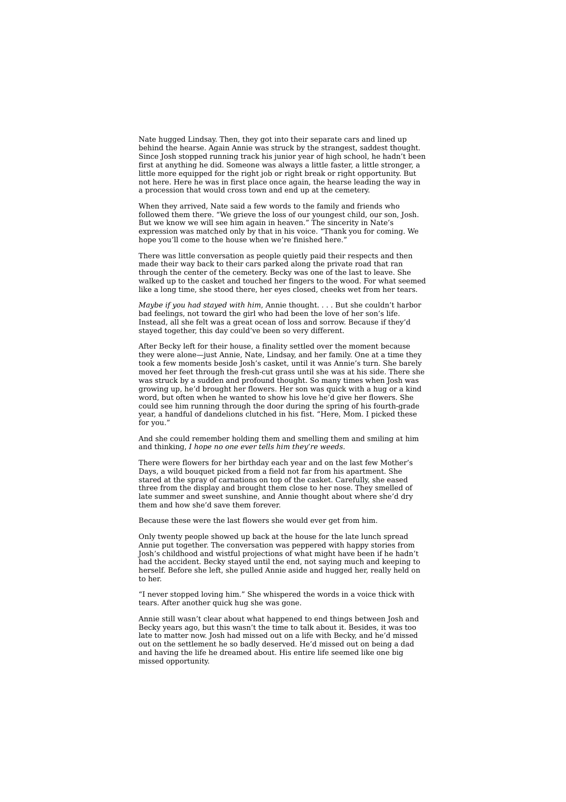Nate hugged Lindsay. Then, they got into their separate cars and lined up behind the hearse. Again Annie was struck by the strangest, saddest thought. Since Josh stopped running track his junior year of high school, he hadn't been first at anything he did. Someone was always a little faster, a little stronger, a little more equipped for the right job or right break or right opportunity. But not here. Here he was in first place once again, the hearse leading the way in a procession that would cross town and end up at the cemetery.

When they arrived, Nate said a few words to the family and friends who followed them there. "We grieve the loss of our youngest child, our son, Josh. But we know we will see him again in heaven." The sincerity in Nate's expression was matched only by that in his voice. "Thank you for coming. We hope you'll come to the house when we're finished here.'

There was little conversation as people quietly paid their respects and then made their way back to their cars parked along the private road that ran through the center of the cemetery. Becky was one of the last to leave. She walked up to the casket and touched her fingers to the wood. For what seemed like a long time, she stood there, her eyes closed, cheeks wet from her tears.

*Maybe if you had stayed with him*, Annie thought. . . . But she couldn't harbor bad feelings, not toward the girl who had been the love of her son's life. Instead, all she felt was a great ocean of loss and sorrow. Because if they'd stayed together, this day could've been so very different.

After Becky left for their house, a finality settled over the moment because they were alone—just Annie, Nate, Lindsay, and her family. One at a time they took a few moments beside Josh's casket, until it was Annie's turn. She barely moved her feet through the fresh-cut grass until she was at his side. There she was struck by a sudden and profound thought. So many times when Josh was growing up, he'd brought her flowers. Her son was quick with a hug or a kind word, but often when he wanted to show his love he'd give her flowers. She could see him running through the door during the spring of his fourth-grade year, a handful of dandelions clutched in his fist. "Here, Mom. I picked these for you."

And she could remember holding them and smelling them and smiling at him and thinking, *I hope no one ever tells him they're weeds.*

There were flowers for her birthday each year and on the last few Mother's Days, a wild bouquet picked from a field not far from his apartment. She stared at the spray of carnations on top of the casket. Carefully, she eased three from the display and brought them close to her nose. They smelled of late summer and sweet sunshine, and Annie thought about where she'd dry them and how she'd save them forever.

Because these were the last flowers she would ever get from him.

Only twenty people showed up back at the house for the late lunch spread Annie put together. The conversation was peppered with happy stories from Josh's childhood and wistful projections of what might have been if he hadn't had the accident. Becky stayed until the end, not saying much and keeping to herself. Before she left, she pulled Annie aside and hugged her, really held on to her.

"I never stopped loving him." She whispered the words in a voice thick with tears. After another quick hug she was gone.

Annie still wasn't clear about what happened to end things between Josh and Becky years ago, but this wasn't the time to talk about it. Besides, it was too late to matter now. Josh had missed out on a life with Becky, and he'd missed out on the settlement he so badly deserved. He'd missed out on being a dad and having the life he dreamed about. His entire life seemed like one big missed opportunity.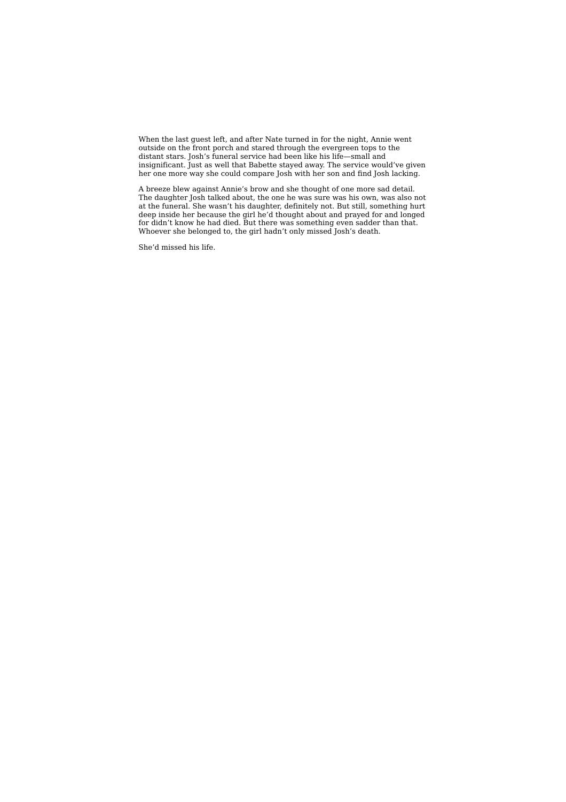When the last guest left, and after Nate turned in for the night, Annie went outside on the front porch and stared through the evergreen tops to the distant stars. Josh's funeral service had been like his life—small and insignificant. Just as well that Babette stayed away. The service would've given her one more way she could compare Josh with her son and find Josh lacking.

A breeze blew against Annie's brow and she thought of one more sad detail. The daughter Josh talked about, the one he was sure was his own, was also not at the funeral. She wasn't his daughter, definitely not. But still, something hurt deep inside her because the girl he'd thought about and prayed for and longed for didn't know he had died. But there was something even sadder than that. Whoever she belonged to, the girl hadn't only missed Josh's death.

She'd missed his life.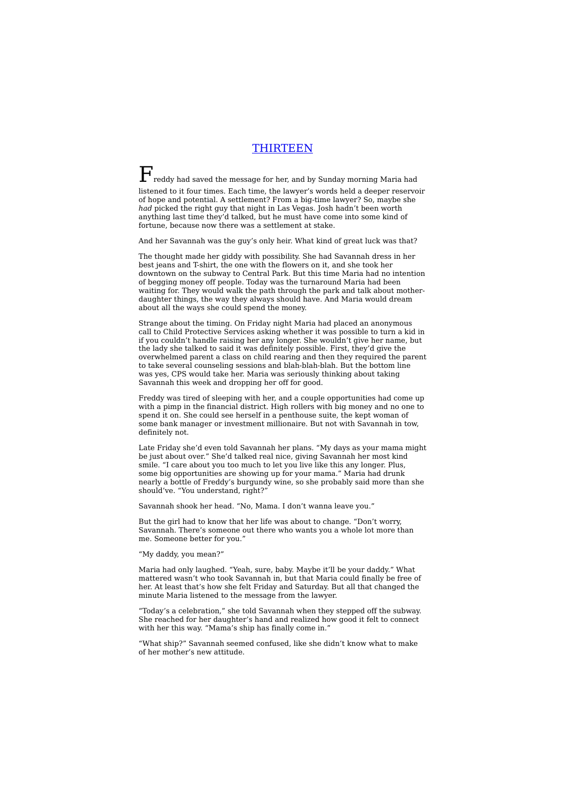# **THIRTEEN**

Freddy had saved the message for her, and by Sunday morning Maria had listened to it four times. Each time, the lawyer's words held a deeper reservoir of hope and potential. A settlement? From a big-time lawyer? So, maybe she *had* picked the right guy that night in Las Vegas. Josh hadn't been worth anything last time they'd talked, but he must have come into some kind of fortune, because now there was a settlement at stake.

And her Savannah was the guy's only heir. What kind of great luck was that?

The thought made her giddy with possibility. She had Savannah dress in her best jeans and T-shirt, the one with the flowers on it, and she took her downtown on the subway to Central Park. But this time Maria had no intention of begging money off people. Today was the turnaround Maria had been waiting for. They would walk the path through the park and talk about motherdaughter things, the way they always should have. And Maria would dream about all the ways she could spend the money.

Strange about the timing. On Friday night Maria had placed an anonymous call to Child Protective Services asking whether it was possible to turn a kid in if you couldn't handle raising her any longer. She wouldn't give her name, but the lady she talked to said it was definitely possible. First, they'd give the overwhelmed parent a class on child rearing and then they required the parent to take several counseling sessions and blah-blah-blah. But the bottom line was yes, CPS would take her. Maria was seriously thinking about taking Savannah this week and dropping her off for good.

Freddy was tired of sleeping with her, and a couple opportunities had come up with a pimp in the financial district. High rollers with big money and no one to spend it on. She could see herself in a penthouse suite, the kept woman of some bank manager or investment millionaire. But not with Savannah in tow, definitely not.

Late Friday she'd even told Savannah her plans. "My days as your mama might be just about over." She'd talked real nice, giving Savannah her most kind smile. "I care about you too much to let you live like this any longer. Plus, some big opportunities are showing up for your mama." Maria had drunk nearly a bottle of Freddy's burgundy wine, so she probably said more than she should've. "You understand, right?"

Savannah shook her head. "No, Mama. I don't wanna leave you."

But the girl had to know that her life was about to change. "Don't worry, Savannah. There's someone out there who wants you a whole lot more than me. Someone better for you."

#### "My daddy, you mean?"

Maria had only laughed. "Yeah, sure, baby. Maybe it'll be your daddy." What mattered wasn't who took Savannah in, but that Maria could finally be free of her. At least that's how she felt Friday and Saturday. But all that changed the minute Maria listened to the message from the lawyer.

"Today's a celebration," she told Savannah when they stepped off the subway. She reached for her daughter's hand and realized how good it felt to connect with her this way. "Mama's ship has finally come in."

"What ship?" Savannah seemed confused, like she didn't know what to make of her mother's new attitude.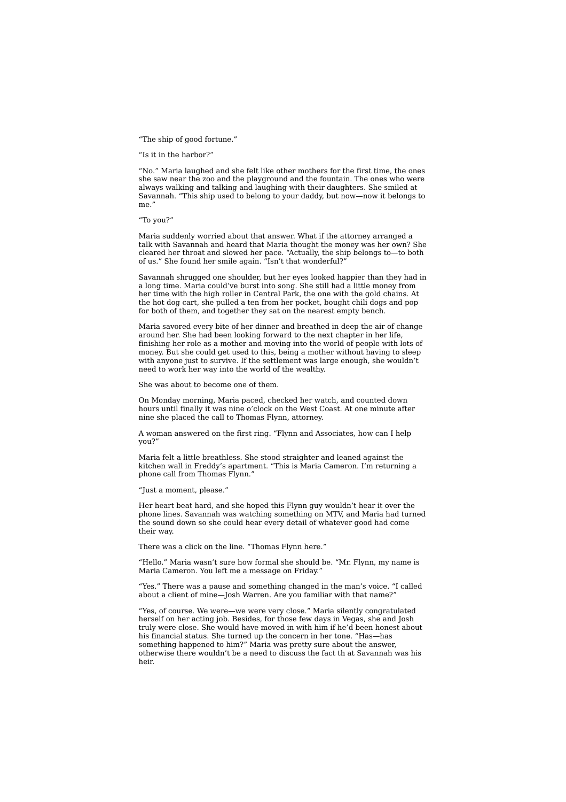### "The ship of good fortune."

### "Is it in the harbor?"

"No." Maria laughed and she felt like other mothers for the first time, the ones she saw near the zoo and the playground and the fountain. The ones who were always walking and talking and laughing with their daughters. She smiled at Savannah. "This ship used to belong to your daddy, but now—now it belongs to me."

### "To you?"

Maria suddenly worried about that answer. What if the attorney arranged a talk with Savannah and heard that Maria thought the money was her own? She cleared her throat and slowed her pace. "Actually, the ship belongs to—to both of us." She found her smile again. "Isn't that wonderful?"

Savannah shrugged one shoulder, but her eyes looked happier than they had in a long time. Maria could've burst into song. She still had a little money from her time with the high roller in Central Park, the one with the gold chains. At the hot dog cart, she pulled a ten from her pocket, bought chili dogs and pop for both of them, and together they sat on the nearest empty bench.

Maria savored every bite of her dinner and breathed in deep the air of change around her. She had been looking forward to the next chapter in her life, finishing her role as a mother and moving into the world of people with lots of money. But she could get used to this, being a mother without having to sleep with anyone just to survive. If the settlement was large enough, she wouldn't need to work her way into the world of the wealthy.

She was about to become one of them.

On Monday morning, Maria paced, checked her watch, and counted down hours until finally it was nine o'clock on the West Coast. At one minute after nine she placed the call to Thomas Flynn, attorney.

A woman answered on the first ring. "Flynn and Associates, how can I help you?"

Maria felt a little breathless. She stood straighter and leaned against the kitchen wall in Freddy's apartment. "This is Maria Cameron. I'm returning a phone call from Thomas Flynn."

#### "Just a moment, please."

Her heart beat hard, and she hoped this Flynn guy wouldn't hear it over the phone lines. Savannah was watching something on MTV, and Maria had turned the sound down so she could hear every detail of whatever good had come their way.

There was a click on the line. "Thomas Flynn here."

"Hello." Maria wasn't sure how formal she should be. "Mr. Flynn, my name is Maria Cameron. You left me a message on Friday."

"Yes." There was a pause and something changed in the man's voice. "I called about a client of mine—Josh Warren. Are you familiar with that name?"

"Yes, of course. We were—we were very close." Maria silently congratulated herself on her acting job. Besides, for those few days in Vegas, she and Josh truly were close. She would have moved in with him if he'd been honest about his financial status. She turned up the concern in her tone. "Has—has something happened to him?" Maria was pretty sure about the answer, otherwise there wouldn't be a need to discuss the fact th at Savannah was his heir.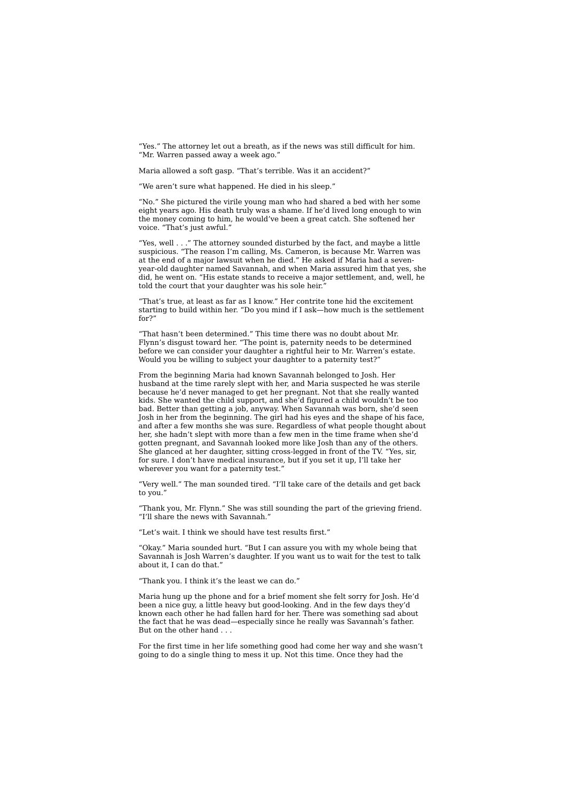"Yes." The attorney let out a breath, as if the news was still difficult for him. "Mr. Warren passed away a week ago."

Maria allowed a soft gasp. "That's terrible. Was it an accident?"

"We aren't sure what happened. He died in his sleep."

"No." She pictured the virile young man who had shared a bed with her some eight years ago. His death truly was a shame. If he'd lived long enough to win the money coming to him, he would've been a great catch. She softened her voice. "That's just awful."

"Yes, well . . ." The attorney sounded disturbed by the fact, and maybe a little suspicious. "The reason I'm calling, Ms. Cameron, is because Mr. Warren was at the end of a major lawsuit when he died." He asked if Maria had a sevenyear-old daughter named Savannah, and when Maria assured him that yes, she did, he went on. "His estate stands to receive a major settlement, and, well, he told the court that your daughter was his sole heir."

"That's true, at least as far as I know." Her contrite tone hid the excitement starting to build within her. "Do you mind if I ask—how much is the settlement for?"

"That hasn't been determined." This time there was no doubt about Mr. Flynn's disgust toward her. "The point is, paternity needs to be determined before we can consider your daughter a rightful heir to Mr. Warren's estate. Would you be willing to subject your daughter to a paternity test?"

From the beginning Maria had known Savannah belonged to Josh. Her husband at the time rarely slept with her, and Maria suspected he was sterile because he'd never managed to get her pregnant. Not that she really wanted kids. She wanted the child support, and she'd figured a child wouldn't be too bad. Better than getting a job, anyway. When Savannah was born, she'd seen Josh in her from the beginning. The girl had his eyes and the shape of his face, and after a few months she was sure. Regardless of what people thought about her, she hadn't slept with more than a few men in the time frame when she'd gotten pregnant, and Savannah looked more like Josh than any of the others. She glanced at her daughter, sitting cross-legged in front of the TV. "Yes, sir, for sure. I don't have medical insurance, but if you set it up, I'll take her wherever you want for a paternity test.'

"Very well." The man sounded tired. "I'll take care of the details and get back to you.

"Thank you, Mr. Flynn." She was still sounding the part of the grieving friend. "I'll share the news with Savannah."

"Let's wait. I think we should have test results first."

"Okay." Maria sounded hurt. "But I can assure you with my whole being that Savannah is Josh Warren's daughter. If you want us to wait for the test to talk about it, I can do that."

"Thank you. I think it's the least we can do."

Maria hung up the phone and for a brief moment she felt sorry for Josh. He'd been a nice guy, a little heavy but good-looking. And in the few days they'd known each other he had fallen hard for her. There was something sad about the fact that he was dead—especially since he really was Savannah's father. But on the other hand . .

For the first time in her life something good had come her way and she wasn't going to do a single thing to mess it up. Not this time. Once they had the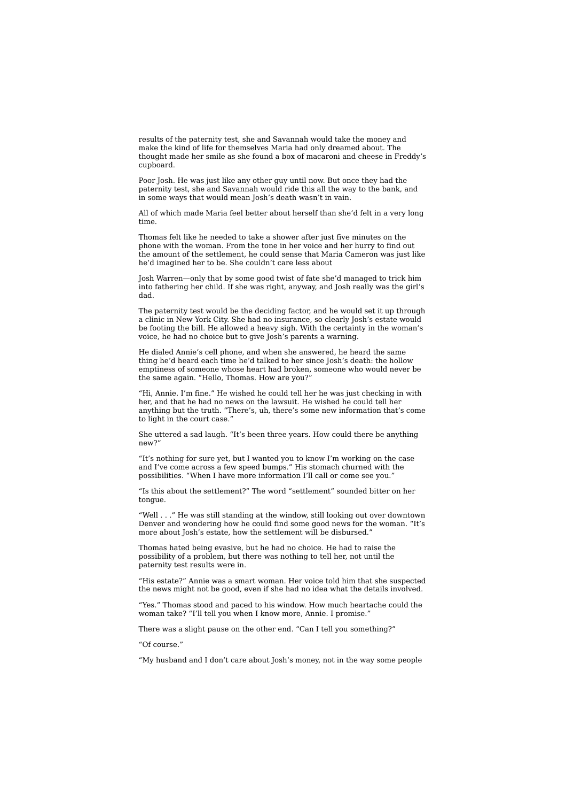results of the paternity test, she and Savannah would take the money and make the kind of life for themselves Maria had only dreamed about. The thought made her smile as she found a box of macaroni and cheese in Freddy's cupboard.

Poor Josh. He was just like any other guy until now. But once they had the paternity test, she and Savannah would ride this all the way to the bank, and in some ways that would mean Josh's death wasn't in vain.

All of which made Maria feel better about herself than she'd felt in a very long time.

Thomas felt like he needed to take a shower after just five minutes on the phone with the woman. From the tone in her voice and her hurry to find out the amount of the settlement, he could sense that Maria Cameron was just like he'd imagined her to be. She couldn't care less about

Josh Warren—only that by some good twist of fate she'd managed to trick him into fathering her child. If she was right, anyway, and Josh really was the girl's dad.

The paternity test would be the deciding factor, and he would set it up through a clinic in New York City. She had no insurance, so clearly Josh's estate would be footing the bill. He allowed a heavy sigh. With the certainty in the woman's voice, he had no choice but to give Josh's parents a warning.

He dialed Annie's cell phone, and when she answered, he heard the same thing he'd heard each time he'd talked to her since Josh's death: the hollow emptiness of someone whose heart had broken, someone who would never be the same again. "Hello, Thomas. How are you?"

"Hi, Annie. I'm fine." He wished he could tell her he was just checking in with her, and that he had no news on the lawsuit. He wished he could tell her anything but the truth. "There's, uh, there's some new information that's come to light in the court case."

She uttered a sad laugh. "It's been three years. How could there be anything new?"

"It's nothing for sure yet, but I wanted you to know I'm working on the case and I've come across a few speed bumps." His stomach churned with the possibilities. "When I have more information I'll call or come see you."

"Is this about the settlement?" The word "settlement" sounded bitter on her tongue.

"Well . . ." He was still standing at the window, still looking out over downtown Denver and wondering how he could find some good news for the woman. "It's more about Josh's estate, how the settlement will be disbursed."

Thomas hated being evasive, but he had no choice. He had to raise the possibility of a problem, but there was nothing to tell her, not until the paternity test results were in.

"His estate?" Annie was a smart woman. Her voice told him that she suspected the news might not be good, even if she had no idea what the details involved.

"Yes." Thomas stood and paced to his window. How much heartache could the woman take? "I'll tell you when I know more, Annie. I promise."

There was a slight pause on the other end. "Can I tell you something?"

"Of course."

"My husband and I don't care about Josh's money, not in the way some people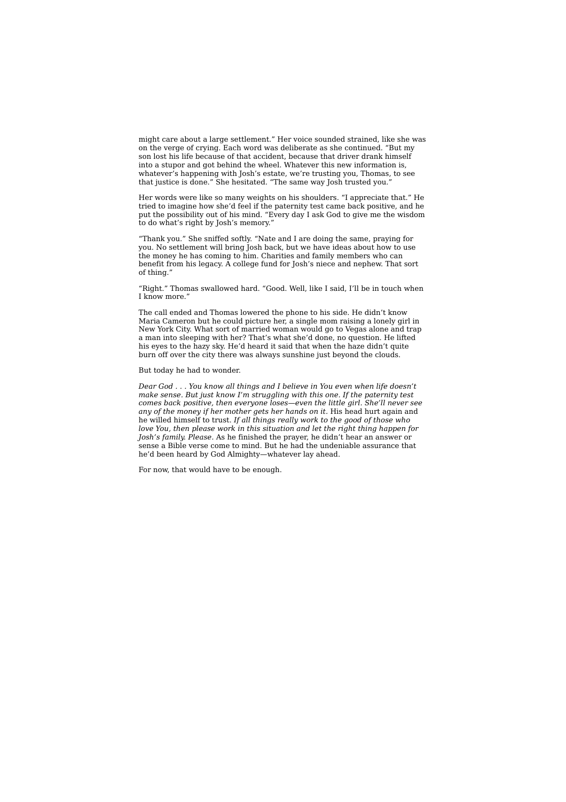might care about a large settlement." Her voice sounded strained, like she was on the verge of crying. Each word was deliberate as she continued. "But my son lost his life because of that accident, because that driver drank himself into a stupor and got behind the wheel. Whatever this new information is, whatever's happening with Josh's estate, we're trusting you, Thomas, to see that justice is done." She hesitated. "The same way Josh trusted you."

Her words were like so many weights on his shoulders. "I appreciate that." He tried to imagine how she'd feel if the paternity test came back positive, and he put the possibility out of his mind. "Every day I ask God to give me the wisdom to do what's right by Josh's memory."

"Thank you." She sniffed softly. "Nate and I are doing the same, praying for you. No settlement will bring Josh back, but we have ideas about how to use the money he has coming to him. Charities and family members who can benefit from his legacy. A college fund for Josh's niece and nephew. That sort  $of$  thing.

"Right." Thomas swallowed hard. "Good. Well, like I said, I'll be in touch when I know more."

The call ended and Thomas lowered the phone to his side. He didn't know Maria Cameron but he could picture her, a single mom raising a lonely girl in New York City. What sort of married woman would go to Vegas alone and trap a man into sleeping with her? That's what she'd done, no question. He lifted his eyes to the hazy sky. He'd heard it said that when the haze didn't quite burn off over the city there was always sunshine just beyond the clouds.

But today he had to wonder.

*Dear God . . . You know all things and I believe in You even when life doesn't make sense. But just know I'm struggling with this one. If the paternity test comes back positive, then everyone loses—even the little girl. She'll never see any of the money if her mother gets her hands on it.* His head hurt again and he willed himself to trust. *If all things really work to the good of those who love You, then please work in this situation and let the right thing happen for Josh's family. Please.* As he finished the prayer, he didn't hear an answer or sense a Bible verse come to mind. But he had the undeniable assurance that he'd been heard by God Almighty—whatever lay ahead.

For now, that would have to be enough.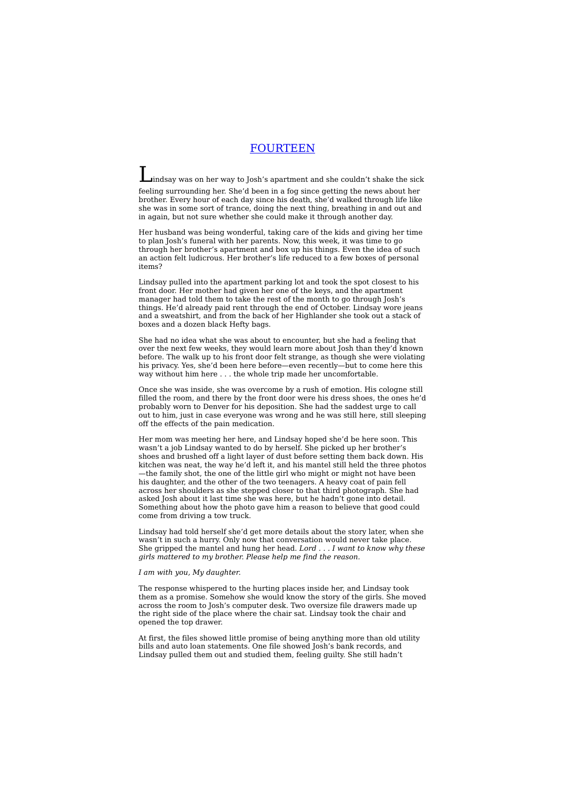## FOURTEEN

 $\mu$ indsay was on her way to Josh's apartment and she couldn't shake the sick feeling surrounding her. She'd been in a fog since getting the news about her brother. Every hour of each day since his death, she'd walked through life like she was in some sort of trance, doing the next thing, breathing in and out and in again, but not sure whether she could make it through another day.

Her husband was being wonderful, taking care of the kids and giving her time to plan Josh's funeral with her parents. Now, this week, it was time to go through her brother's apartment and box up his things. Even the idea of such an action felt ludicrous. Her brother's life reduced to a few boxes of personal items?

Lindsay pulled into the apartment parking lot and took the spot closest to his front door. Her mother had given her one of the keys, and the apartment manager had told them to take the rest of the month to go through Josh's things. He'd already paid rent through the end of October. Lindsay wore jeans and a sweatshirt, and from the back of her Highlander she took out a stack of boxes and a dozen black Hefty bags.

She had no idea what she was about to encounter, but she had a feeling that over the next few weeks, they would learn more about Josh than they'd known before. The walk up to his front door felt strange, as though she were violating his privacy. Yes, she'd been here before—even recently—but to come here this way without him here . . . the whole trip made her uncomfortable.

Once she was inside, she was overcome by a rush of emotion. His cologne still filled the room, and there by the front door were his dress shoes, the ones he'd probably worn to Denver for his deposition. She had the saddest urge to call out to him, just in case everyone was wrong and he was still here, still sleeping off the effects of the pain medication.

Her mom was meeting her here, and Lindsay hoped she'd be here soon. This wasn't a job Lindsay wanted to do by herself. She picked up her brother's shoes and brushed off a light layer of dust before setting them back down. His kitchen was neat, the way he'd left it, and his mantel still held the three photos —the family shot, the one of the little girl who might or might not have been his daughter, and the other of the two teenagers. A heavy coat of pain fell across her shoulders as she stepped closer to that third photograph. She had asked Josh about it last time she was here, but he hadn't gone into detail. Something about how the photo gave him a reason to believe that good could come from driving a tow truck.

Lindsay had told herself she'd get more details about the story later, when she wasn't in such a hurry. Only now that conversation would never take place. She gripped the mantel and hung her head. *Lord . . . I want to know why these girls mattered to my brother. Please help me find the reason.*

#### *I am with you, My daughter.*

The response whispered to the hurting places inside her, and Lindsay took them as a promise. Somehow she would know the story of the girls. She moved across the room to Josh's computer desk. Two oversize file drawers made up the right side of the place where the chair sat. Lindsay took the chair and opened the top drawer.

At first, the files showed little promise of being anything more than old utility bills and auto loan statements. One file showed Josh's bank records, and Lindsay pulled them out and studied them, feeling guilty. She still hadn't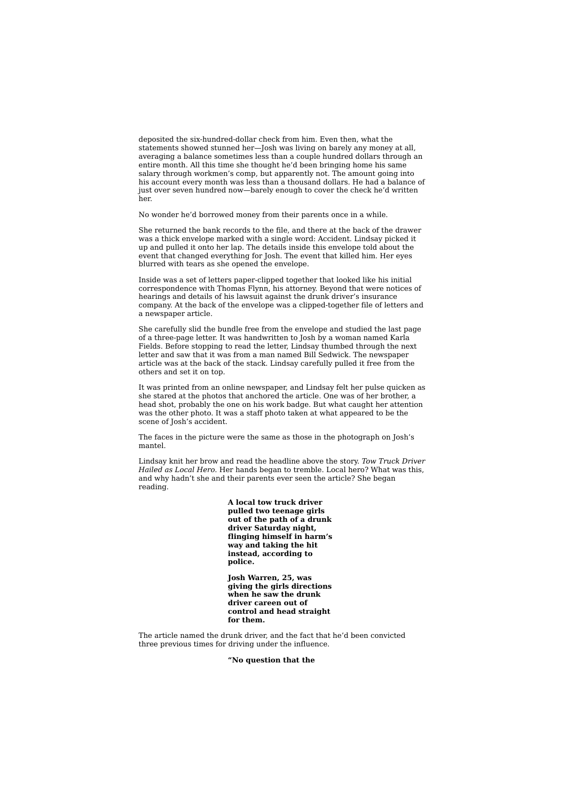deposited the six-hundred-dollar check from him. Even then, what the statements showed stunned her—Josh was living on barely any money at all, averaging a balance sometimes less than a couple hundred dollars through an entire month. All this time she thought he'd been bringing home his same salary through workmen's comp, but apparently not. The amount going into his account every month was less than a thousand dollars. He had a balance of just over seven hundred now—barely enough to cover the check he'd written her.

No wonder he'd borrowed money from their parents once in a while.

She returned the bank records to the file, and there at the back of the drawer was a thick envelope marked with a single word: Accident. Lindsay picked it up and pulled it onto her lap. The details inside this envelope told about the event that changed everything for Josh. The event that killed him. Her eyes blurred with tears as she opened the envelope.

Inside was a set of letters paper-clipped together that looked like his initial correspondence with Thomas Flynn, his attorney. Beyond that were notices of hearings and details of his lawsuit against the drunk driver's insurance company. At the back of the envelope was a clipped-together file of letters and a newspaper article.

She carefully slid the bundle free from the envelope and studied the last page of a three-page letter. It was handwritten to Josh by a woman named Karla Fields. Before stopping to read the letter, Lindsay thumbed through the next letter and saw that it was from a man named Bill Sedwick. The newspaper article was at the back of the stack. Lindsay carefully pulled it free from the others and set it on top.

It was printed from an online newspaper, and Lindsay felt her pulse quicken as she stared at the photos that anchored the article. One was of her brother, a head shot, probably the one on his work badge. But what caught her attention was the other photo. It was a staff photo taken at what appeared to be the scene of Josh's accident.

The faces in the picture were the same as those in the photograph on Josh's mantel.

Lindsay knit her brow and read the headline above the story. *Tow Truck Driver Hailed as Local Hero.* Her hands began to tremble. Local hero? What was this, and why hadn't she and their parents ever seen the article? She began reading.

> **A local tow truck driver pulled two teenage girls out of the path of a drunk driver Saturday night, flinging himself in harm's way and taking the hit instead, according to police.**

> **Josh Warren, 25, was giving the girls directions when he saw the drunk driver careen out of control and head straight for them.**

The article named the drunk driver, and the fact that he'd been convicted three previous times for driving under the influence.

**"No question that the**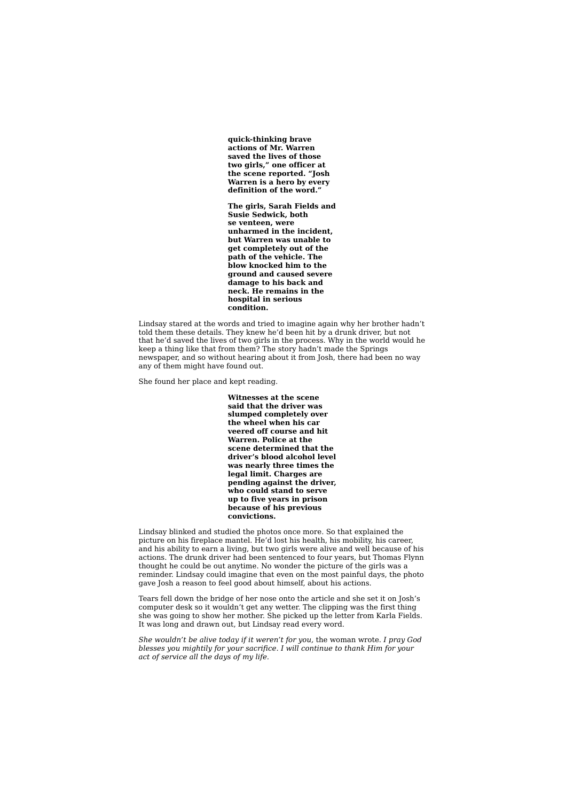**quick-thinking brave actions of Mr. Warren saved the lives of those two girls," one officer at the scene reported. "Josh Warren is a hero by every definition of the word."**

**The girls, Sarah Fields and Susie Sedwick, both se venteen, were unharmed in the incident, but Warren was unable to get completely out of the path of the vehicle. The blow knocked him to the ground and caused severe damage to his back and neck. He remains in the hospital in serious condition.**

Lindsay stared at the words and tried to imagine again why her brother hadn't told them these details. They knew he'd been hit by a drunk driver, but not that he'd saved the lives of two girls in the process. Why in the world would he keep a thing like that from them? The story hadn't made the Springs newspaper, and so without hearing about it from Josh, there had been no way any of them might have found out.

She found her place and kept reading.

**Witnesses at the scene said that the driver was slumped completely over the wheel when his car veered off course and hit Warren. Police at the scene determined that the driver's blood alcohol level was nearly three times the legal limit. Charges are pending against the driver, who could stand to serve up to five years in prison because of his previous convictions.**

Lindsay blinked and studied the photos once more. So that explained the picture on his fireplace mantel. He'd lost his health, his mobility, his career, and his ability to earn a living, but two girls were alive and well because of his actions. The drunk driver had been sentenced to four years, but Thomas Flynn thought he could be out anytime. No wonder the picture of the girls was a reminder. Lindsay could imagine that even on the most painful days, the photo gave Josh a reason to feel good about himself, about his actions.

Tears fell down the bridge of her nose onto the article and she set it on Josh's computer desk so it wouldn't get any wetter. The clipping was the first thing she was going to show her mother. She picked up the letter from Karla Fields. It was long and drawn out, but Lindsay read every word.

*She wouldn't be alive today if it weren't for you,* the woman wrote. *I pray God blesses you mightily for your sacrifice. I will continue to thank Him for your act of service all the days of my life.*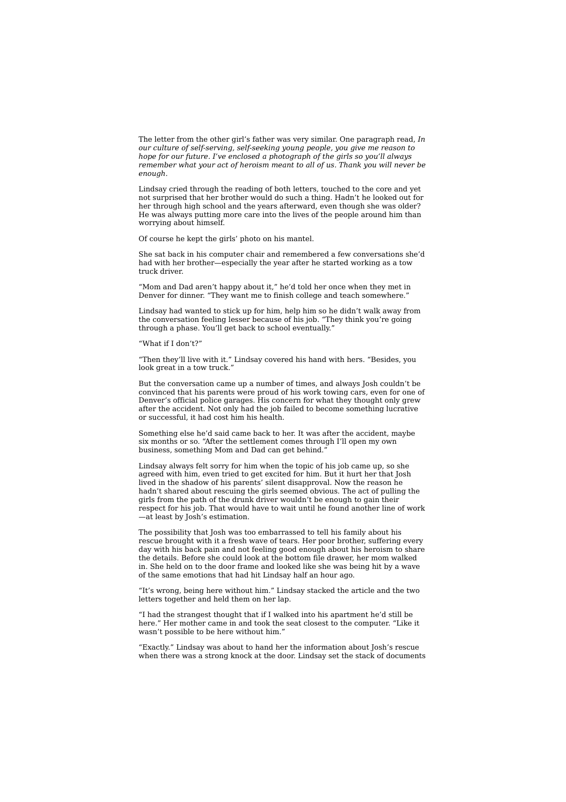The letter from the other girl's father was very similar. One paragraph read, *In our culture of self-serving, self-seeking young people, you give me reason to hope for our future. I've enclosed a photograph of the girls so you'll always remember what your act of heroism meant to all of us. Thank you will never be enough.*

Lindsay cried through the reading of both letters, touched to the core and yet not surprised that her brother would do such a thing. Hadn't he looked out for her through high school and the years afterward, even though she was older? He was always putting more care into the lives of the people around him than worrying about himself.

Of course he kept the girls' photo on his mantel.

She sat back in his computer chair and remembered a few conversations she'd had with her brother—especially the year after he started working as a tow truck driver.

"Mom and Dad aren't happy about it," he'd told her once when they met in Denver for dinner. "They want me to finish college and teach somewhere."

Lindsay had wanted to stick up for him, help him so he didn't walk away from the conversation feeling lesser because of his job. "They think you're going through a phase. You'll get back to school eventually."

#### "What if I don't?"

"Then they'll live with it." Lindsay covered his hand with hers. "Besides, you look great in a tow truck."

But the conversation came up a number of times, and always Josh couldn't be convinced that his parents were proud of his work towing cars, even for one of Denver's official police garages. His concern for what they thought only grew after the accident. Not only had the job failed to become something lucrative or successful, it had cost him his health.

Something else he'd said came back to her. It was after the accident, maybe six months or so. "After the settlement comes through I'll open my own business, something Mom and Dad can get behind.

Lindsay always felt sorry for him when the topic of his job came up, so she agreed with him, even tried to get excited for him. But it hurt her that Josh lived in the shadow of his parents' silent disapproval. Now the reason he hadn't shared about rescuing the girls seemed obvious. The act of pulling the girls from the path of the drunk driver wouldn't be enough to gain their respect for his job. That would have to wait until he found another line of work —at least by Josh's estimation.

The possibility that Josh was too embarrassed to tell his family about his rescue brought with it a fresh wave of tears. Her poor brother, suffering every day with his back pain and not feeling good enough about his heroism to share the details. Before she could look at the bottom file drawer, her mom walked in. She held on to the door frame and looked like she was being hit by a wave of the same emotions that had hit Lindsay half an hour ago.

"It's wrong, being here without him." Lindsay stacked the article and the two letters together and held them on her lap.

"I had the strangest thought that if I walked into his apartment he'd still be here." Her mother came in and took the seat closest to the computer. "Like it wasn't possible to be here without him.'

"Exactly." Lindsay was about to hand her the information about Josh's rescue when there was a strong knock at the door. Lindsay set the stack of documents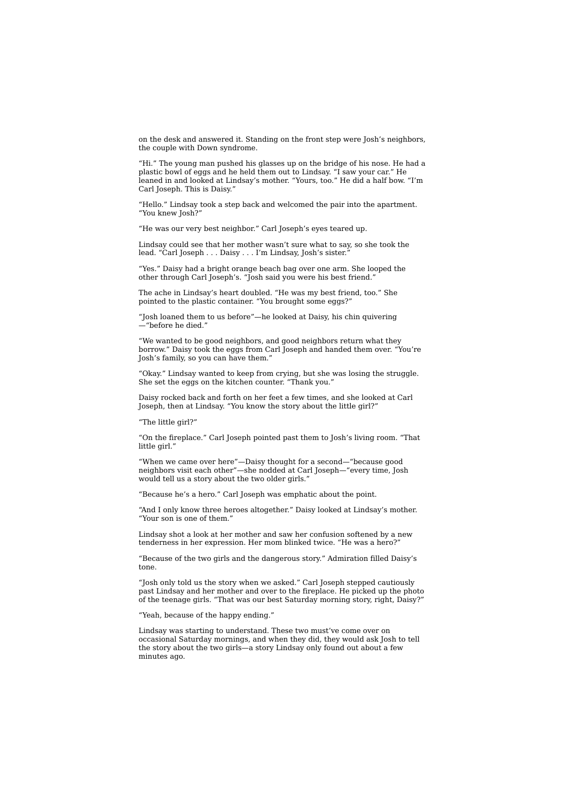on the desk and answered it. Standing on the front step were Josh's neighbors, the couple with Down syndrome.

"Hi." The young man pushed his glasses up on the bridge of his nose. He had a plastic bowl of eggs and he held them out to Lindsay. "I saw your car." He leaned in and looked at Lindsay's mother. "Yours, too." He did a half bow. "I'm Carl Joseph. This is Daisy."

"Hello." Lindsay took a step back and welcomed the pair into the apartment. "You knew Josh?"

"He was our very best neighbor." Carl Joseph's eyes teared up.

Lindsay could see that her mother wasn't sure what to say, so she took the lead. "Carl Joseph . . . Daisy . . . I'm Lindsay, Josh's sister."

"Yes." Daisy had a bright orange beach bag over one arm. She looped the other through Carl Joseph's. "Josh said you were his best friend."

The ache in Lindsay's heart doubled. "He was my best friend, too." She pointed to the plastic container. "You brought some eggs?"

"Josh loaned them to us before"—he looked at Daisy, his chin quivering —"before he died."

"We wanted to be good neighbors, and good neighbors return what they borrow." Daisy took the eggs from Carl Joseph and handed them over. "You're Josh's family, so you can have them."

"Okay." Lindsay wanted to keep from crying, but she was losing the struggle. She set the eggs on the kitchen counter. "Thank you."

Daisy rocked back and forth on her feet a few times, and she looked at Carl Joseph, then at Lindsay. "You know the story about the little girl?"

"The little girl?"

"On the fireplace." Carl Joseph pointed past them to Josh's living room. "That little girl."

"When we came over here"—Daisy thought for a second—"because good neighbors visit each other"—she nodded at Carl Joseph—"every time, Josh would tell us a story about the two older girls."

"Because he's a hero." Carl Joseph was emphatic about the point.

"And I only know three heroes altogether." Daisy looked at Lindsay's mother. "Your son is one of them."

Lindsay shot a look at her mother and saw her confusion softened by a new tenderness in her expression. Her mom blinked twice. "He was a hero?"

"Because of the two girls and the dangerous story." Admiration filled Daisy's tone.

"Josh only told us the story when we asked." Carl Joseph stepped cautiously past Lindsay and her mother and over to the fireplace. He picked up the photo of the teenage girls. "That was our best Saturday morning story, right, Daisy?"

"Yeah, because of the happy ending."

Lindsay was starting to understand. These two must've come over on occasional Saturday mornings, and when they did, they would ask Josh to tell the story about the two girls—a story Lindsay only found out about a few minutes ago.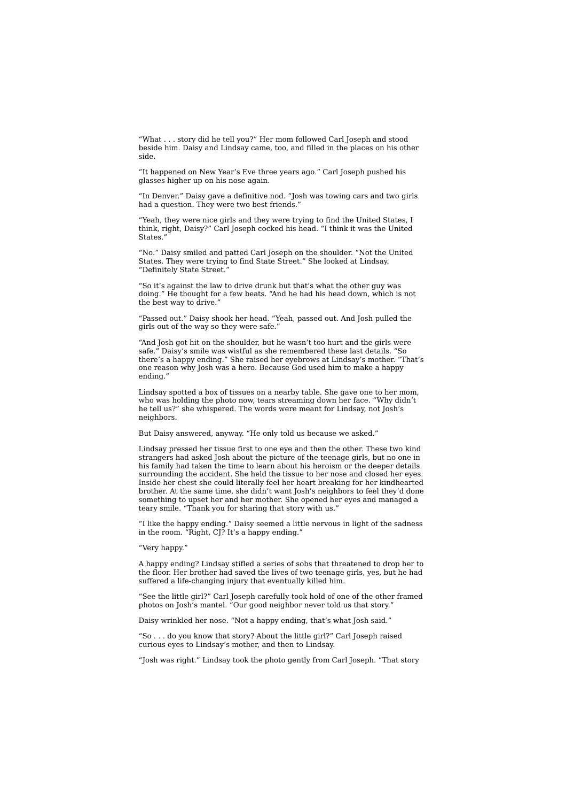"What . . . story did he tell you?" Her mom followed Carl Joseph and stood beside him. Daisy and Lindsay came, too, and filled in the places on his other side.

"It happened on New Year's Eve three years ago." Carl Joseph pushed his glasses higher up on his nose again.

"In Denver." Daisy gave a definitive nod. "Josh was towing cars and two girls had a question. They were two best friends."

"Yeah, they were nice girls and they were trying to find the United States, I think, right, Daisy?" Carl Joseph cocked his head. "I think it was the United States."

"No." Daisy smiled and patted Carl Joseph on the shoulder. "Not the United States. They were trying to find State Street." She looked at Lindsay. "Definitely State Street."

"So it's against the law to drive drunk but that's what the other guy was doing." He thought for a few beats. "And he had his head down, which is not the best way to drive."

"Passed out." Daisy shook her head. "Yeah, passed out. And Josh pulled the girls out of the way so they were safe."

"And Josh got hit on the shoulder, but he wasn't too hurt and the girls were safe." Daisy's smile was wistful as she remembered these last details. "So there's a happy ending." She raised her eyebrows at Lindsay's mother. "That's one reason why Josh was a hero. Because God used him to make a happy ending."

Lindsay spotted a box of tissues on a nearby table. She gave one to her mom, who was holding the photo now, tears streaming down her face. "Why didn't he tell us?" she whispered. The words were meant for Lindsay, not Josh's neighbors.

But Daisy answered, anyway. "He only told us because we asked."

Lindsay pressed her tissue first to one eye and then the other. These two kind strangers had asked Josh about the picture of the teenage girls, but no one in his family had taken the time to learn about his heroism or the deeper details surrounding the accident. She held the tissue to her nose and closed her eyes. Inside her chest she could literally feel her heart breaking for her kindhearted brother. At the same time, she didn't want Josh's neighbors to feel they'd done something to upset her and her mother. She opened her eyes and managed a teary smile. "Thank you for sharing that story with us."

"I like the happy ending." Daisy seemed a little nervous in light of the sadness in the room. "Right, CJ? It's a happy ending."

"Very happy."

A happy ending? Lindsay stifled a series of sobs that threatened to drop her to the floor. Her brother had saved the lives of two teenage girls, yes, but he had suffered a life-changing injury that eventually killed him.

"See the little girl?" Carl Joseph carefully took hold of one of the other framed photos on Josh's mantel. "Our good neighbor never told us that story."

Daisy wrinkled her nose. "Not a happy ending, that's what Josh said."

"So . . . do you know that story? About the little girl?" Carl Joseph raised curious eyes to Lindsay's mother, and then to Lindsay.

"Josh was right." Lindsay took the photo gently from Carl Joseph. "That story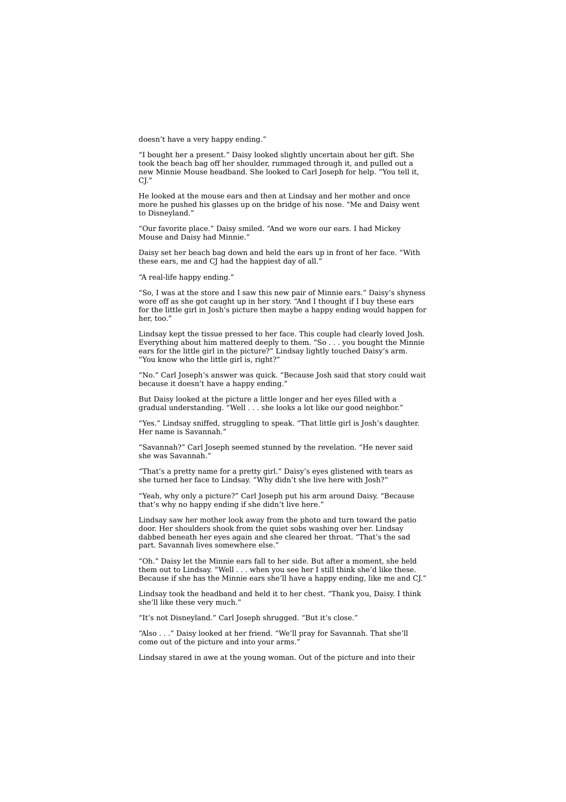doesn't have a very happy ending."

"I bought her a present." Daisy looked slightly uncertain about her gift. She took the beach bag off her shoulder, rummaged through it, and pulled out a new Minnie Mouse headband. She looked to Carl Joseph for help. "You tell it, CI.

He looked at the mouse ears and then at Lindsay and her mother and once more he pushed his glasses up on the bridge of his nose. "Me and Daisy went to Disneyland."

"Our favorite place." Daisy smiled. "And we wore our ears. I had Mickey Mouse and Daisy had Minnie."

Daisy set her beach bag down and held the ears up in front of her face. "With these ears, me and CJ had the happiest day of all."

"A real-life happy ending."

"So, I was at the store and I saw this new pair of Minnie ears." Daisy's shyness wore off as she got caught up in her story. "And I thought if I buy these ears for the little girl in Josh's picture then maybe a happy ending would happen for her, too."

Lindsay kept the tissue pressed to her face. This couple had clearly loved Josh. Everything about him mattered deeply to them. "So . . . you bought the Minnie ears for the little girl in the picture?" Lindsay lightly touched Daisy's arm. "You know who the little girl is, right?"

"No." Carl Joseph's answer was quick. "Because Josh said that story could wait because it doesn't have a happy ending."

But Daisy looked at the picture a little longer and her eyes filled with a gradual understanding. "Well . . . she looks a lot like our good neighbor."

"Yes." Lindsay sniffed, struggling to speak. "That little girl is Josh's daughter. Her name is Savannah."

"Savannah?" Carl Joseph seemed stunned by the revelation. "He never said she was Savannah."

"That's a pretty name for a pretty girl." Daisy's eyes glistened with tears as she turned her face to Lindsay. "Why didn't she live here with Josh?"

"Yeah, why only a picture?" Carl Joseph put his arm around Daisy. "Because that's why no happy ending if she didn't live here."

Lindsay saw her mother look away from the photo and turn toward the patio door. Her shoulders shook from the quiet sobs washing over her. Lindsay dabbed beneath her eyes again and she cleared her throat. "That's the sad part. Savannah lives somewhere else."

"Oh." Daisy let the Minnie ears fall to her side. But after a moment, she held them out to Lindsay. "Well . . . when you see her I still think she'd like these. Because if she has the Minnie ears she'll have a happy ending, like me and CJ."

Lindsay took the headband and held it to her chest. "Thank you, Daisy. I think she'll like these very much."

"It's not Disneyland." Carl Joseph shrugged. "But it's close."

"Also . . ." Daisy looked at her friend. "We'll pray for Savannah. That she'll come out of the picture and into your arms."

Lindsay stared in awe at the young woman. Out of the picture and into their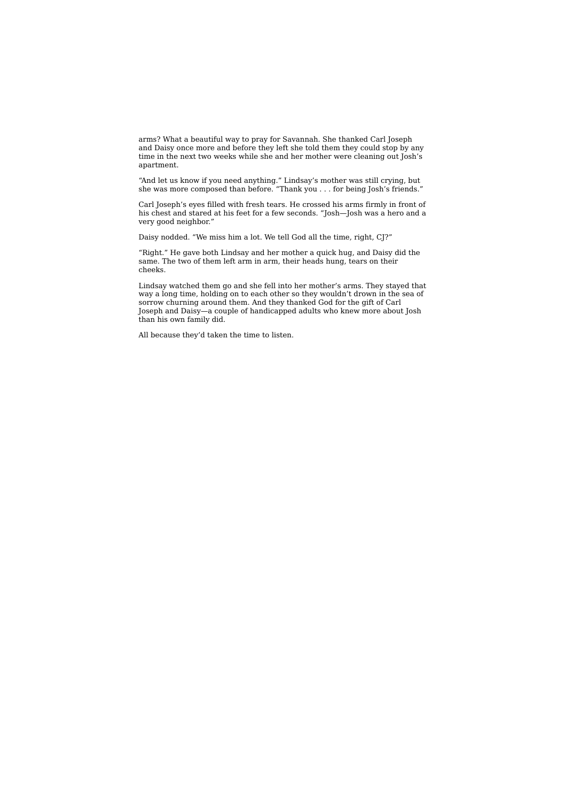arms? What a beautiful way to pray for Savannah. She thanked Carl Joseph and Daisy once more and before they left she told them they could stop by any time in the next two weeks while she and her mother were cleaning out Josh's apartment.

"And let us know if you need anything." Lindsay's mother was still crying, but she was more composed than before. "Thank you . . . for being Josh's friends."

Carl Joseph's eyes filled with fresh tears. He crossed his arms firmly in front of his chest and stared at his feet for a few seconds. "Josh—Josh was a hero and a very good neighbor."

Daisy nodded. "We miss him a lot. We tell God all the time, right, CJ?"

"Right." He gave both Lindsay and her mother a quick hug, and Daisy did the same. The two of them left arm in arm, their heads hung, tears on their cheeks.

Lindsay watched them go and she fell into her mother's arms. They stayed that way a long time, holding on to each other so they wouldn't drown in the sea of sorrow churning around them. And they thanked God for the gift of Carl Joseph and Daisy—a couple of handicapped adults who knew more about Josh than his own family did.

All because they'd taken the time to listen.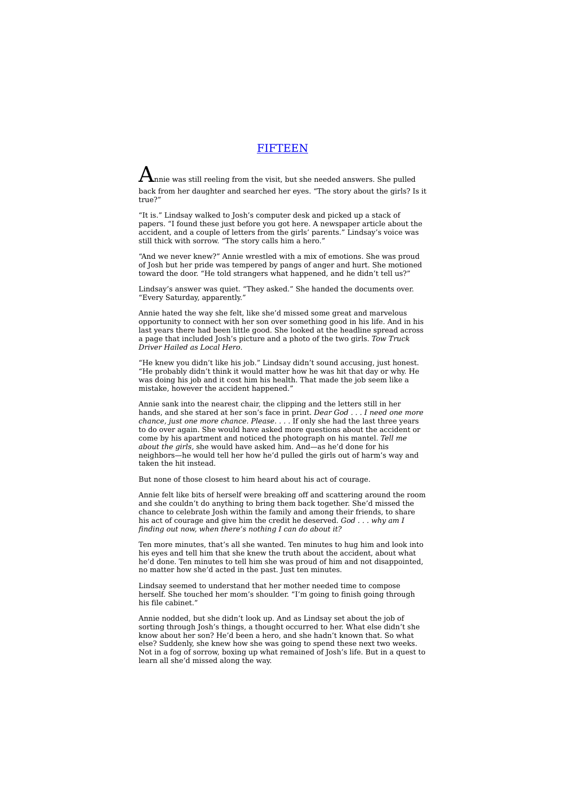# FIFTEEN

Annie was still reeling from the visit, but she needed answers. She pulled back from her daughter and searched her eyes. "The story about the girls? Is it true?"

"It is." Lindsay walked to Josh's computer desk and picked up a stack of papers. "I found these just before you got here. A newspaper article about the accident, and a couple of letters from the girls' parents." Lindsay's voice was still thick with sorrow. "The story calls him a hero."

"And we never knew?" Annie wrestled with a mix of emotions. She was proud of Josh but her pride was tempered by pangs of anger and hurt. She motioned toward the door. "He told strangers what happened, and he didn't tell us?"

Lindsay's answer was quiet. "They asked." She handed the documents over. "Every Saturday, apparently."

Annie hated the way she felt, like she'd missed some great and marvelous opportunity to connect with her son over something good in his life. And in his last years there had been little good. She looked at the headline spread across a page that included Josh's picture and a photo of the two girls. *Tow Truck Driver Hailed as Local Hero*.

"He knew you didn't like his job." Lindsay didn't sound accusing, just honest. "He probably didn't think it would matter how he was hit that day or why. He was doing his job and it cost him his health. That made the job seem like a mistake, however the accident happened."

Annie sank into the nearest chair, the clipping and the letters still in her hands, and she stared at her son's face in print. *Dear God . . . I need one more chance, just one more chance. Please. . . .* If only she had the last three years to do over again. She would have asked more questions about the accident or come by his apartment and noticed the photograph on his mantel. *Tell me about the girls,* she would have asked him. And—as he'd done for his neighbors—he would tell her how he'd pulled the girls out of harm's way and taken the hit instead.

But none of those closest to him heard about his act of courage.

Annie felt like bits of herself were breaking off and scattering around the room and she couldn't do anything to bring them back together. She'd missed the chance to celebrate Josh within the family and among their friends, to share his act of courage and give him the credit he deserved. *God . . . why am I finding out now, when there's nothing I can do about it?*

Ten more minutes, that's all she wanted. Ten minutes to hug him and look into his eyes and tell him that she knew the truth about the accident, about what he'd done. Ten minutes to tell him she was proud of him and not disappointed, no matter how she'd acted in the past. Just ten minutes.

Lindsay seemed to understand that her mother needed time to compose herself. She touched her mom's shoulder. "I'm going to finish going through his file cabinet."

Annie nodded, but she didn't look up. And as Lindsay set about the job of sorting through Josh's things, a thought occurred to her. What else didn't she know about her son? He'd been a hero, and she hadn't known that. So what else? Suddenly, she knew how she was going to spend these next two weeks. Not in a fog of sorrow, boxing up what remained of Josh's life. But in a quest to learn all she'd missed along the way.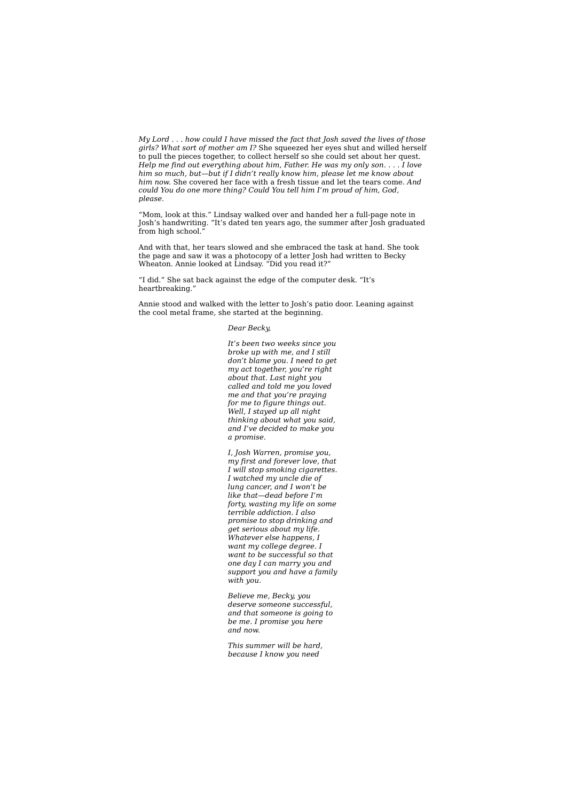*My Lord . . . how could I have missed the fact that Josh saved the lives of those girls? What sort of mother am I?* She squeezed her eyes shut and willed herself to pull the pieces together, to collect herself so she could set about her quest. *Help me find out everything about him, Father. He was my only son. . . . I love him so much, but—but if I didn't really know him, please let me know about him now.* She covered her face with a fresh tissue and let the tears come. *And could You do one more thing? Could You tell him I'm proud of him, God, please.*

"Mom, look at this." Lindsay walked over and handed her a full-page note in Josh's handwriting. "It's dated ten years ago, the summer after Josh graduated from high school."

And with that, her tears slowed and she embraced the task at hand. She took the page and saw it was a photocopy of a letter Josh had written to Becky Wheaton. Annie looked at Lindsay. "Did you read it?"

"I did." She sat back against the edge of the computer desk. "It's heartbreaking."

Annie stood and walked with the letter to Josh's patio door. Leaning against the cool metal frame, she started at the beginning.

#### *Dear Becky,*

*It's been two weeks since you broke up with me, and I still don't blame you. I need to get my act together, you're right about that. Last night you called and told me you loved me and that you're praying for me to figure things out. Well, I stayed up all night thinking about what you said, and I've decided to make you a promise.*

*I, Josh Warren, promise you, my first and forever love, that I will stop smoking cigarettes. I watched my uncle die of lung cancer, and I won't be like that—dead before I'm forty, wasting my life on some terrible addiction. I also promise to stop drinking and get serious about my life. Whatever else happens, I want my college degree. I want to be successful so that one day I can marry you and support you and have a family with you.*

*Believe me, Becky, you deserve someone successful, and that someone is going to be me. I promise you here and now.*

*This summer will be hard, because I know you need*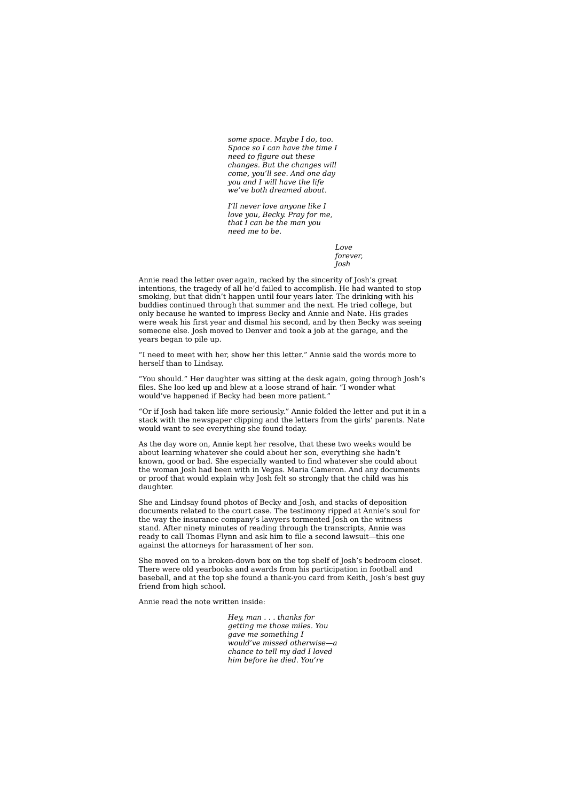*some space. Maybe I do, too. Space so I can have the time I need to figure out these changes. But the changes will come, you'll see. And one day you and I will have the life we've both dreamed about.*

*I'll never love anyone like I love you, Becky. Pray for me, that I can be the man you need me to be.*

> *Love forever, Josh*

Annie read the letter over again, racked by the sincerity of Josh's great intentions, the tragedy of all he'd failed to accomplish. He had wanted to stop smoking, but that didn't happen until four years later. The drinking with his buddies continued through that summer and the next. He tried college, but only because he wanted to impress Becky and Annie and Nate. His grades were weak his first year and dismal his second, and by then Becky was seeing someone else. Josh moved to Denver and took a job at the garage, and the years began to pile up.

"I need to meet with her, show her this letter." Annie said the words more to herself than to Lindsay.

"You should." Her daughter was sitting at the desk again, going through Josh's files. She loo ked up and blew at a loose strand of hair. "I wonder what would've happened if Becky had been more patient."

"Or if Josh had taken life more seriously." Annie folded the letter and put it in a stack with the newspaper clipping and the letters from the girls' parents. Nate would want to see everything she found today.

As the day wore on, Annie kept her resolve, that these two weeks would be about learning whatever she could about her son, everything she hadn't known, good or bad. She especially wanted to find whatever she could about the woman Josh had been with in Vegas. Maria Cameron. And any documents or proof that would explain why Josh felt so strongly that the child was his daughter.

She and Lindsay found photos of Becky and Josh, and stacks of deposition documents related to the court case. The testimony ripped at Annie's soul for the way the insurance company's lawyers tormented Josh on the witness stand. After ninety minutes of reading through the transcripts, Annie was ready to call Thomas Flynn and ask him to file a second lawsuit—this one against the attorneys for harassment of her son.

She moved on to a broken-down box on the top shelf of Josh's bedroom closet. There were old yearbooks and awards from his participation in football and baseball, and at the top she found a thank-you card from Keith, Josh's best guy friend from high school.

Annie read the note written inside:

*Hey, man . . . thanks for getting me those miles. You gave me something I would've missed otherwise—a chance to tell my dad I loved him before he died. You're*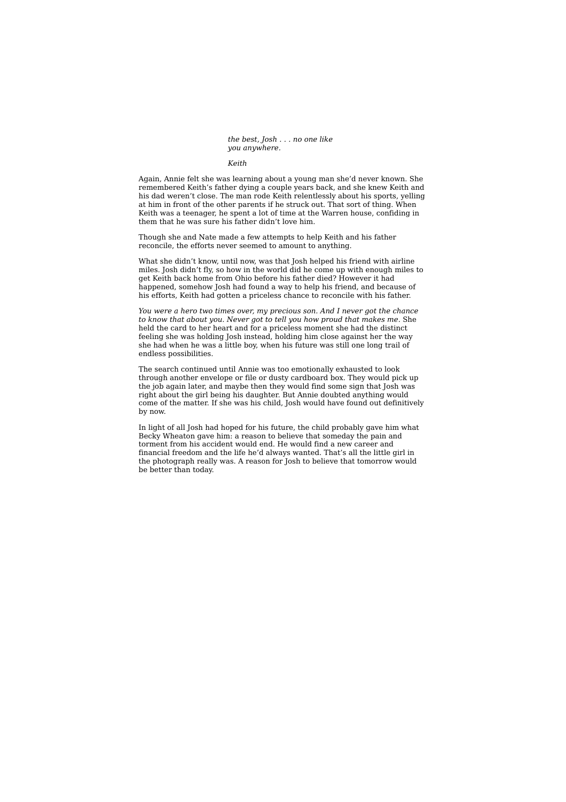*the best, Josh . . . no one like you anywhere.*

### *Keith*

Again, Annie felt she was learning about a young man she'd never known. She remembered Keith's father dying a couple years back, and she knew Keith and his dad weren't close. The man rode Keith relentlessly about his sports, yelling at him in front of the other parents if he struck out. That sort of thing. When Keith was a teenager, he spent a lot of time at the Warren house, confiding in them that he was sure his father didn't love him.

Though she and Nate made a few attempts to help Keith and his father reconcile, the efforts never seemed to amount to anything.

What she didn't know, until now, was that Josh helped his friend with airline miles. Josh didn't fly, so how in the world did he come up with enough miles to get Keith back home from Ohio before his father died? However it had happened, somehow Josh had found a way to help his friend, and because of his efforts, Keith had gotten a priceless chance to reconcile with his father.

*You were a hero two times over, my precious son. And I never got the chance to know that about you. Never got to tell you how proud that makes me.* She held the card to her heart and for a priceless moment she had the distinct feeling she was holding Josh instead, holding him close against her the way she had when he was a little boy, when his future was still one long trail of endless possibilities.

The search continued until Annie was too emotionally exhausted to look through another envelope or file or dusty cardboard box. They would pick up the job again later, and maybe then they would find some sign that Josh was right about the girl being his daughter. But Annie doubted anything would come of the matter. If she was his child, Josh would have found out definitively by now.

In light of all Josh had hoped for his future, the child probably gave him what Becky Wheaton gave him: a reason to believe that someday the pain and torment from his accident would end. He would find a new career and financial freedom and the life he'd always wanted. That's all the little girl in the photograph really was. A reason for Josh to believe that tomorrow would be better than today.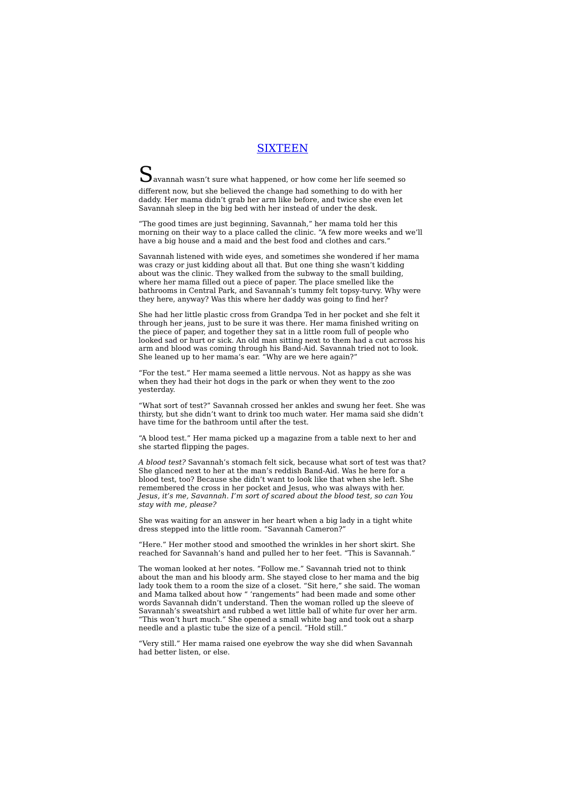## **SIXTEEN**

Savannah wasn't sure what happened, or how come her life seemed so different now, but she believed the change had something to do with her daddy. Her mama didn't grab her arm like before, and twice she even let Savannah sleep in the big bed with her instead of under the desk.

"The good times are just beginning, Savannah," her mama told her this morning on their way to a place called the clinic. "A few more weeks and we'll have a big house and a maid and the best food and clothes and cars."

Savannah listened with wide eyes, and sometimes she wondered if her mama was crazy or just kidding about all that. But one thing she wasn't kidding about was the clinic. They walked from the subway to the small building, where her mama filled out a piece of paper. The place smelled like the bathrooms in Central Park, and Savannah's tummy felt topsy-turvy. Why were they here, anyway? Was this where her daddy was going to find her?

She had her little plastic cross from Grandpa Ted in her pocket and she felt it through her jeans, just to be sure it was there. Her mama finished writing on the piece of paper, and together they sat in a little room full of people who looked sad or hurt or sick. An old man sitting next to them had a cut across his arm and blood was coming through his Band-Aid. Savannah tried not to look. She leaned up to her mama's ear. "Why are we here again?"

"For the test." Her mama seemed a little nervous. Not as happy as she was when they had their hot dogs in the park or when they went to the zoo yesterday.

"What sort of test?" Savannah crossed her ankles and swung her feet. She was thirsty, but she didn't want to drink too much water. Her mama said she didn't have time for the bathroom until after the test.

"A blood test." Her mama picked up a magazine from a table next to her and she started flipping the pages.

*A blood test?* Savannah's stomach felt sick, because what sort of test was that? She glanced next to her at the man's reddish Band-Aid. Was he here for a blood test, too? Because she didn't want to look like that when she left. She remembered the cross in her pocket and Jesus, who was always with her. *Jesus, it's me, Savannah. I'm sort of scared about the blood test, so can You stay with me, please?*

She was waiting for an answer in her heart when a big lady in a tight white dress stepped into the little room. "Savannah Cameron?"

"Here." Her mother stood and smoothed the wrinkles in her short skirt. She reached for Savannah's hand and pulled her to her feet. "This is Savannah."

The woman looked at her notes. "Follow me." Savannah tried not to think about the man and his bloody arm. She stayed close to her mama and the big lady took them to a room the size of a closet. "Sit here," she said. The woman and Mama talked about how " 'rangements" had been made and some other words Savannah didn't understand. Then the woman rolled up the sleeve of Savannah's sweatshirt and rubbed a wet little ball of white fur over her arm. "This won't hurt much." She opened a small white bag and took out a sharp needle and a plastic tube the size of a pencil. "Hold still."

"Very still." Her mama raised one eyebrow the way she did when Savannah had better listen, or else.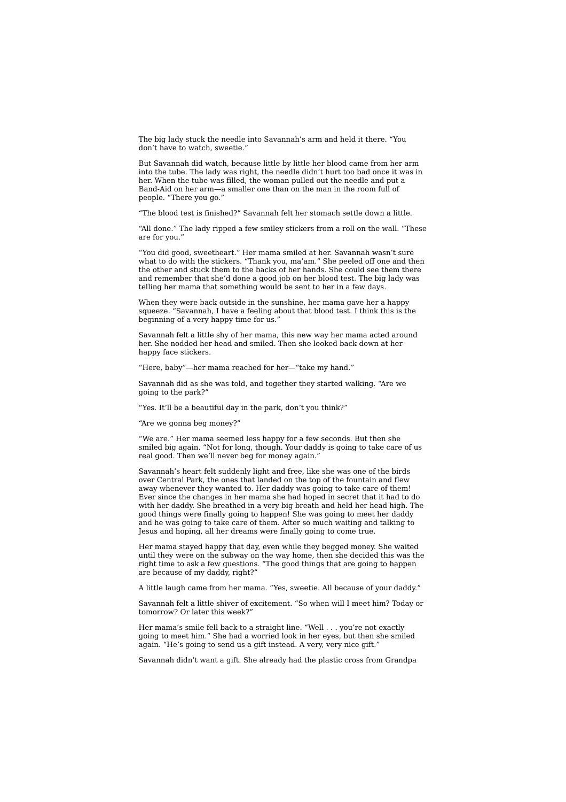The big lady stuck the needle into Savannah's arm and held it there. "You don't have to watch, sweetie.'

But Savannah did watch, because little by little her blood came from her arm into the tube. The lady was right, the needle didn't hurt too bad once it was in her. When the tube was filled, the woman pulled out the needle and put a Band-Aid on her arm—a smaller one than on the man in the room full of people. "There you go."

"The blood test is finished?" Savannah felt her stomach settle down a little.

"All done." The lady ripped a few smiley stickers from a roll on the wall. "These are for you."

"You did good, sweetheart." Her mama smiled at her. Savannah wasn't sure what to do with the stickers. "Thank you, ma'am." She peeled off one and then the other and stuck them to the backs of her hands. She could see them there and remember that she'd done a good job on her blood test. The big lady was telling her mama that something would be sent to her in a few days.

When they were back outside in the sunshine, her mama gave her a happy squeeze. "Savannah, I have a feeling about that blood test. I think this is the beginning of a very happy time for us."

Savannah felt a little shy of her mama, this new way her mama acted around her. She nodded her head and smiled. Then she looked back down at her happy face stickers.

"Here, baby"—her mama reached for her—"take my hand."

Savannah did as she was told, and together they started walking. "Are we going to the park?"

"Yes. It'll be a beautiful day in the park, don't you think?"

"Are we gonna beg money?"

"We are." Her mama seemed less happy for a few seconds. But then she smiled big again. "Not for long, though. Your daddy is going to take care of us real good. Then we'll never beg for money again."

Savannah's heart felt suddenly light and free, like she was one of the birds over Central Park, the ones that landed on the top of the fountain and flew away whenever they wanted to. Her daddy was going to take care of them! Ever since the changes in her mama she had hoped in secret that it had to do with her daddy. She breathed in a very big breath and held her head high. The good things were finally going to happen! She was going to meet her daddy and he was going to take care of them. After so much waiting and talking to Jesus and hoping, all her dreams were finally going to come true.

Her mama stayed happy that day, even while they begged money. She waited until they were on the subway on the way home, then she decided this was the right time to ask a few questions. "The good things that are going to happen are because of my daddy, right?"

A little laugh came from her mama. "Yes, sweetie. All because of your daddy."

Savannah felt a little shiver of excitement. "So when will I meet him? Today or tomorrow? Or later this week?"

Her mama's smile fell back to a straight line. "Well . . . you're not exactly going to meet him." She had a worried look in her eyes, but then she smiled again. "He's going to send us a gift instead. A very, very nice gift."

Savannah didn't want a gift. She already had the plastic cross from Grandpa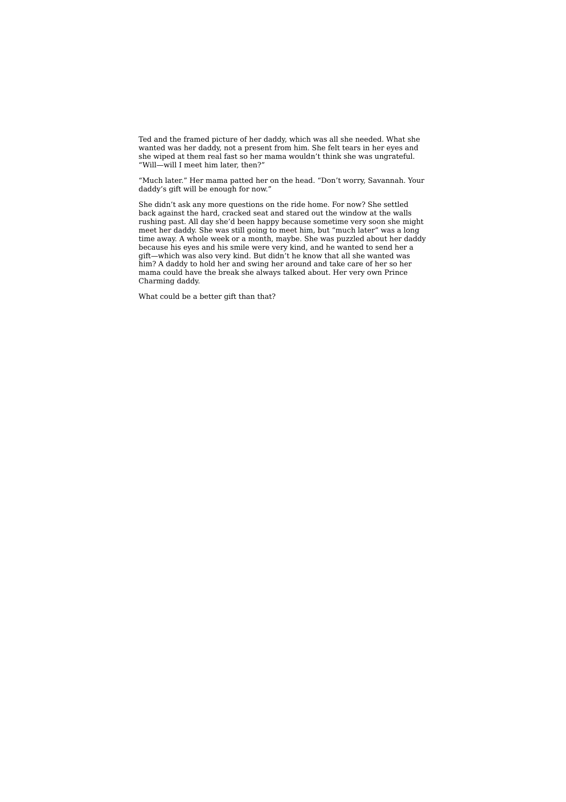Ted and the framed picture of her daddy, which was all she needed. What she wanted was her daddy, not a present from him. She felt tears in her eyes and she wiped at them real fast so her mama wouldn't think she was ungrateful. "Will—will I meet him later, then?"

"Much later." Her mama patted her on the head. "Don't worry, Savannah. Your daddy's gift will be enough for now."

She didn't ask any more questions on the ride home. For now? She settled back against the hard, cracked seat and stared out the window at the walls rushing past. All day she'd been happy because sometime very soon she might meet her daddy. She was still going to meet him, but "much later" was a long time away. A whole week or a month, maybe. She was puzzled about her daddy because his eyes and his smile were very kind, and he wanted to send her a gift—which was also very kind. But didn't he know that all she wanted was him? A daddy to hold her and swing her around and take care of her so her mama could have the break she always talked about. Her very own Prince Charming daddy.

What could be a better gift than that?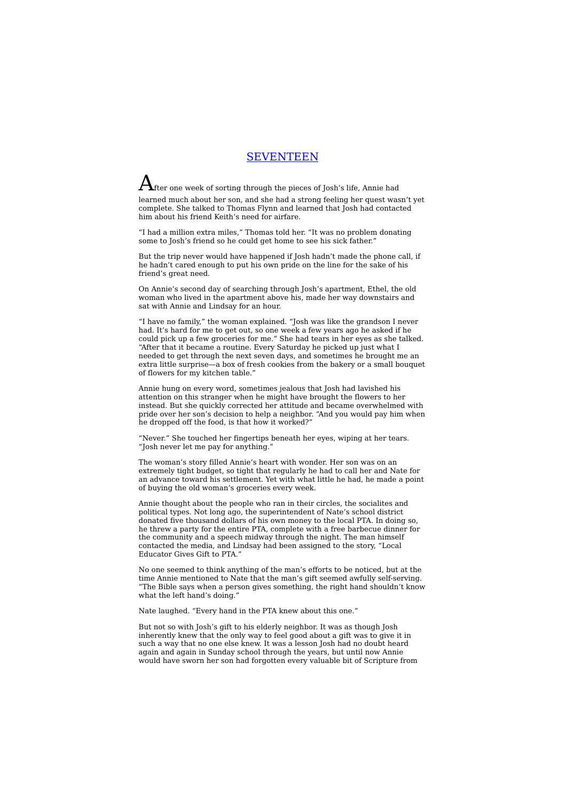# SEVENTEEN

 ${\mathbf A}$ fter one week of sorting through the pieces of Josh's life, Annie had learned much about her son, and she had a strong feeling her quest wasn't yet complete. She talked to Thomas Flynn and learned that Josh had contacted him about his friend Keith's need for airfare.

"I had a million extra miles," Thomas told her. "It was no problem donating some to Josh's friend so he could get home to see his sick father."

But the trip never would have happened if Josh hadn't made the phone call, if he hadn't cared enough to put his own pride on the line for the sake of his friend's great need.

On Annie's second day of searching through Josh's apartment, Ethel, the old woman who lived in the apartment above his, made her way downstairs and sat with Annie and Lindsay for an hour.

"I have no family," the woman explained. "Josh was like the grandson I never had. It's hard for me to get out, so one week a few years ago he asked if he could pick up a few groceries for me." She had tears in her eyes as she talked. "After that it became a routine. Every Saturday he picked up just what I needed to get through the next seven days, and sometimes he brought me an extra little surprise—a box of fresh cookies from the bakery or a small bouquet of flowers for my kitchen table."

Annie hung on every word, sometimes jealous that Josh had lavished his attention on this stranger when he might have brought the flowers to her instead. But she quickly corrected her attitude and became overwhelmed with pride over her son's decision to help a neighbor. "And you would pay him when he dropped off the food, is that how it worked?"

"Never." She touched her fingertips beneath her eyes, wiping at her tears. "Josh never let me pay for anything."

The woman's story filled Annie's heart with wonder. Her son was on an extremely tight budget, so tight that regularly he had to call her and Nate for an advance toward his settlement. Yet with what little he had, he made a point of buying the old woman's groceries every week.

Annie thought about the people who ran in their circles, the socialites and political types. Not long ago, the superintendent of Nate's school district donated five thousand dollars of his own money to the local PTA. In doing so, he threw a party for the entire PTA, complete with a free barbecue dinner for the community and a speech midway through the night. The man himself contacted the media, and Lindsay had been assigned to the story, "Local Educator Gives Gift to PTA."

No one seemed to think anything of the man's efforts to be noticed, but at the time Annie mentioned to Nate that the man's gift seemed awfully self-serving. "The Bible says when a person gives something, the right hand shouldn't know what the left hand's doing."

Nate laughed. "Every hand in the PTA knew about this one."

But not so with Josh's gift to his elderly neighbor. It was as though Josh inherently knew that the only way to feel good about a gift was to give it in such a way that no one else knew. It was a lesson Josh had no doubt heard again and again in Sunday school through the years, but until now Annie would have sworn her son had forgotten every valuable bit of Scripture from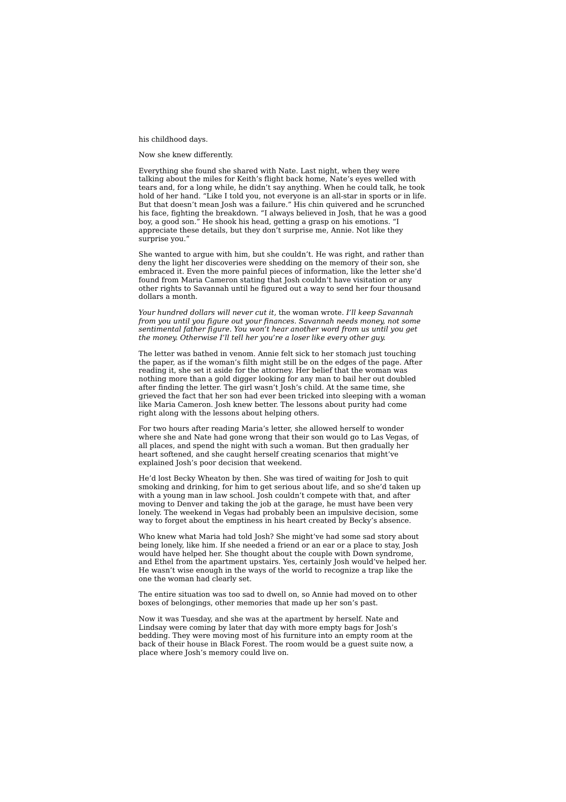his childhood days.

Now she knew differently.

Everything she found she shared with Nate. Last night, when they were talking about the miles for Keith's flight back home, Nate's eyes welled with tears and, for a long while, he didn't say anything. When he could talk, he took hold of her hand. "Like I told you, not everyone is an all-star in sports or in life. But that doesn't mean Josh was a failure." His chin quivered and he scrunched his face, fighting the breakdown. "I always believed in Josh, that he was a good boy, a good son." He shook his head, getting a grasp on his emotions. "I appreciate these details, but they don't surprise me, Annie. Not like they surprise you.'

She wanted to argue with him, but she couldn't. He was right, and rather than deny the light her discoveries were shedding on the memory of their son, she embraced it. Even the more painful pieces of information, like the letter she'd found from Maria Cameron stating that Josh couldn't have visitation or any other rights to Savannah until he figured out a way to send her four thousand dollars a month.

*Your hundred dollars will never cut it,* the woman wrote. *I'll keep Savannah from you until you figure out your finances. Savannah needs money, not some sentimental father figure. You won't hear another word from us until you get the money. Otherwise I'll tell her you're a loser like every other guy.*

The letter was bathed in venom. Annie felt sick to her stomach just touching the paper, as if the woman's filth might still be on the edges of the page. After reading it, she set it aside for the attorney. Her belief that the woman was nothing more than a gold digger looking for any man to bail her out doubled after finding the letter. The girl wasn't Josh's child. At the same time, she grieved the fact that her son had ever been tricked into sleeping with a woman like Maria Cameron. Josh knew better. The lessons about purity had come right along with the lessons about helping others.

For two hours after reading Maria's letter, she allowed herself to wonder where she and Nate had gone wrong that their son would go to Las Vegas, of all places, and spend the night with such a woman. But then gradually her heart softened, and she caught herself creating scenarios that might've explained Josh's poor decision that weekend.

He'd lost Becky Wheaton by then. She was tired of waiting for Josh to quit smoking and drinking, for him to get serious about life, and so she'd taken up with a young man in law school. Josh couldn't compete with that, and after moving to Denver and taking the job at the garage, he must have been very lonely. The weekend in Vegas had probably been an impulsive decision, some way to forget about the emptiness in his heart created by Becky's absence.

Who knew what Maria had told Josh? She might've had some sad story about being lonely, like him. If she needed a friend or an ear or a place to stay, Josh would have helped her. She thought about the couple with Down syndrome, and Ethel from the apartment upstairs. Yes, certainly Josh would've helped her. He wasn't wise enough in the ways of the world to recognize a trap like the one the woman had clearly set.

The entire situation was too sad to dwell on, so Annie had moved on to other boxes of belongings, other memories that made up her son's past.

Now it was Tuesday, and she was at the apartment by herself. Nate and Lindsay were coming by later that day with more empty bags for Josh's bedding. They were moving most of his furniture into an empty room at the back of their house in Black Forest. The room would be a guest suite now, a place where Josh's memory could live on.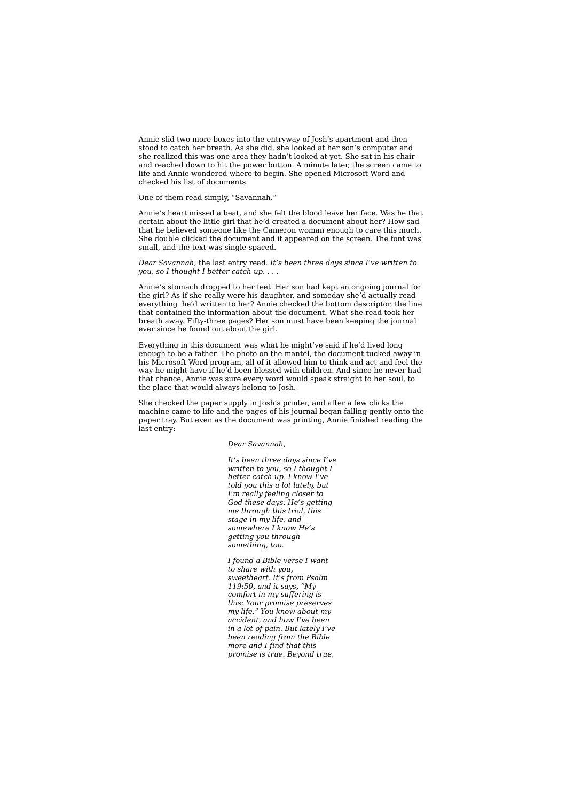Annie slid two more boxes into the entryway of Josh's apartment and then stood to catch her breath. As she did, she looked at her son's computer and she realized this was one area they hadn't looked at yet. She sat in his chair and reached down to hit the power button. A minute later, the screen came to life and Annie wondered where to begin. She opened Microsoft Word and checked his list of documents.

One of them read simply, "Savannah."

Annie's heart missed a beat, and she felt the blood leave her face. Was he that certain about the little girl that he'd created a document about her? How sad that he believed someone like the Cameron woman enough to care this much. She double clicked the document and it appeared on the screen. The font was small, and the text was single-spaced.

*Dear Savannah,* the last entry read. *It's been three days since I've written to you, so I thought I better catch up. . . .*

Annie's stomach dropped to her feet. Her son had kept an ongoing journal for the girl? As if she really were his daughter, and someday she'd actually read everything he'd written to her? Annie checked the bottom descriptor, the line that contained the information about the document. What she read took her breath away. Fifty-three pages? Her son must have been keeping the journal ever since he found out about the girl.

Everything in this document was what he might've said if he'd lived long enough to be a father. The photo on the mantel, the document tucked away in his Microsoft Word program, all of it allowed him to think and act and feel the way he might have if he'd been blessed with children. And since he never had that chance, Annie was sure every word would speak straight to her soul, to the place that would always belong to Josh.

She checked the paper supply in Josh's printer, and after a few clicks the machine came to life and the pages of his journal began falling gently onto the paper tray. But even as the document was printing, Annie finished reading the last entry:

*Dear Savannah,*

*It's been three days since I've written to you, so I thought I better catch up. I know I've told you this a lot lately, but I'm really feeling closer to God these days. He's getting me through this trial, this stage in my life, and somewhere I know He's getting you through something, too.*

*I found a Bible verse I want to share with you, sweetheart. It's from Psalm 119:50, and it says, "My comfort in my suffering is this: Your promise preserves my life." You know about my accident, and how I've been in a lot of pain. But lately I've been reading from the Bible more and I find that this promise is true. Beyond true,*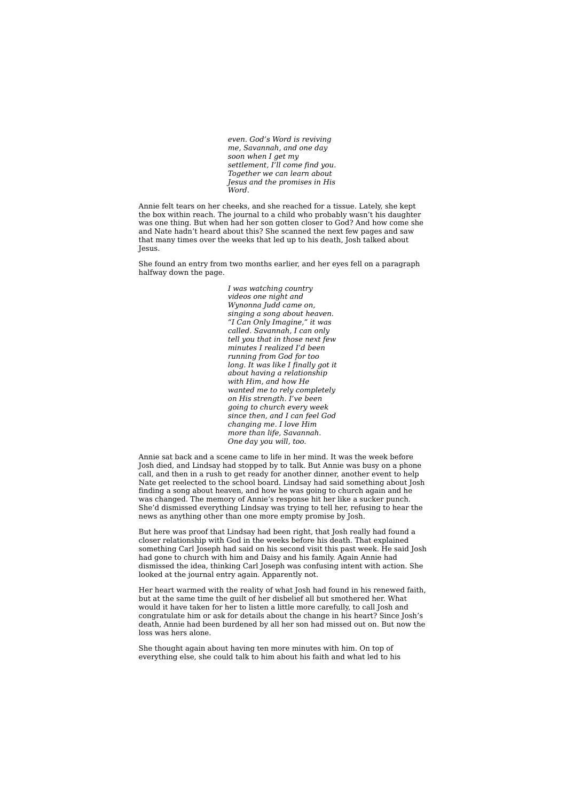*even. God's Word is reviving me, Savannah, and one day soon when I get my settlement, I'll come find you. Together we can learn about Jesus and the promises in His Word.*

Annie felt tears on her cheeks, and she reached for a tissue. Lately, she kept the box within reach. The journal to a child who probably wasn't his daughter was one thing. But when had her son gotten closer to God? And how come she and Nate hadn't heard about this? She scanned the next few pages and saw that many times over the weeks that led up to his death, Josh talked about Jesus.

She found an entry from two months earlier, and her eyes fell on a paragraph halfway down the page.

> *I was watching country videos one night and Wynonna Judd came on, singing a song about heaven. "I Can Only Imagine," it was called. Savannah, I can only tell you that in those next few minutes I realized I'd been running from God for too long. It was like I finally got it about having a relationship with Him, and how He wanted me to rely completely on His strength. I've been going to church every week since then, and I can feel God changing me. I love Him more than life, Savannah. One day you will, too.*

Annie sat back and a scene came to life in her mind. It was the week before Josh died, and Lindsay had stopped by to talk. But Annie was busy on a phone call, and then in a rush to get ready for another dinner, another event to help Nate get reelected to the school board. Lindsay had said something about Josh finding a song about heaven, and how he was going to church again and he was changed. The memory of Annie's response hit her like a sucker punch. She'd dismissed everything Lindsay was trying to tell her, refusing to hear the news as anything other than one more empty promise by Josh.

But here was proof that Lindsay had been right, that Josh really had found a closer relationship with God in the weeks before his death. That explained something Carl Joseph had said on his second visit this past week. He said Josh had gone to church with him and Daisy and his family. Again Annie had dismissed the idea, thinking Carl Joseph was confusing intent with action. She looked at the journal entry again. Apparently not.

Her heart warmed with the reality of what Josh had found in his renewed faith, but at the same time the guilt of her disbelief all but smothered her. What would it have taken for her to listen a little more carefully, to call Josh and congratulate him or ask for details about the change in his heart? Since Josh's death, Annie had been burdened by all her son had missed out on. But now the loss was hers alone.

She thought again about having ten more minutes with him. On top of everything else, she could talk to him about his faith and what led to his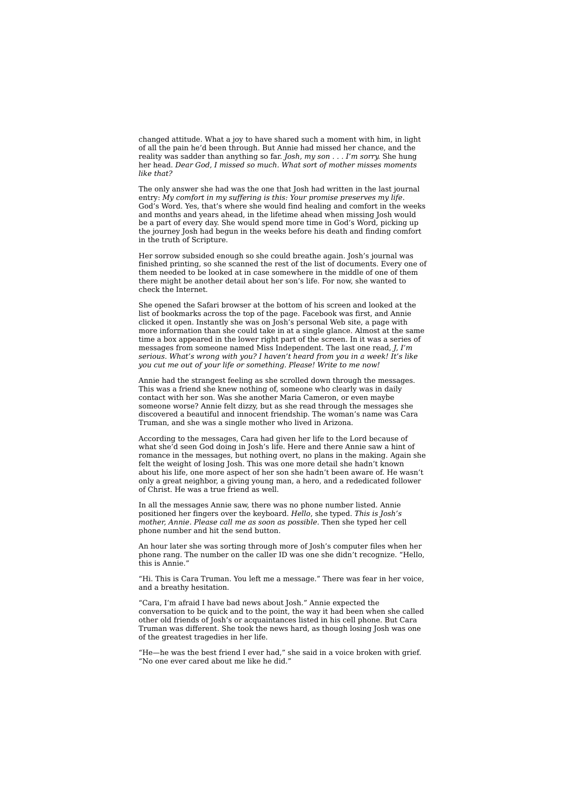changed attitude. What a joy to have shared such a moment with him, in light of all the pain he'd been through. But Annie had missed her chance, and the reality was sadder than anything so far. *Josh, my son . . . I'm sorry.* She hung her head. *Dear God, I missed so much. What sort of mother misses moments like that?*

The only answer she had was the one that Josh had written in the last journal entry: *My comfort in my suffering is this: Your promise preserves my life.* God's Word. Yes, that's where she would find healing and comfort in the weeks and months and years ahead, in the lifetime ahead when missing Josh would be a part of every day. She would spend more time in God's Word, picking up the journey Josh had begun in the weeks before his death and finding comfort in the truth of Scripture.

Her sorrow subsided enough so she could breathe again. Josh's journal was finished printing, so she scanned the rest of the list of documents. Every one of them needed to be looked at in case somewhere in the middle of one of them there might be another detail about her son's life. For now, she wanted to check the Internet.

She opened the Safari browser at the bottom of his screen and looked at the list of bookmarks across the top of the page. Facebook was first, and Annie clicked it open. Instantly she was on Josh's personal Web site, a page with more information than she could take in at a single glance. Almost at the same time a box appeared in the lower right part of the screen. In it was a series of messages from someone named Miss Independent. The last one read, *J, I'm serious. What's wrong with you? I haven't heard from you in a week! It's like you cut me out of your life or something. Please! Write to me now!*

Annie had the strangest feeling as she scrolled down through the messages. This was a friend she knew nothing of, someone who clearly was in daily contact with her son. Was she another Maria Cameron, or even maybe someone worse? Annie felt dizzy, but as she read through the messages she discovered a beautiful and innocent friendship. The woman's name was Cara Truman, and she was a single mother who lived in Arizona.

According to the messages, Cara had given her life to the Lord because of what she'd seen God doing in Josh's life. Here and there Annie saw a hint of romance in the messages, but nothing overt, no plans in the making. Again she felt the weight of losing Josh. This was one more detail she hadn't known about his life, one more aspect of her son she hadn't been aware of. He wasn't only a great neighbor, a giving young man, a hero, and a rededicated follower of Christ. He was a true friend as well.

In all the messages Annie saw, there was no phone number listed. Annie positioned her fingers over the keyboard. *Hello*, she typed. *This is Josh's mother, Annie. Please call me as soon as possible.* Then she typed her cell phone number and hit the send button.

An hour later she was sorting through more of Josh's computer files when her phone rang. The number on the caller ID was one she didn't recognize. "Hello, this is Annie."

"Hi. This is Cara Truman. You left me a message." There was fear in her voice, and a breathy hesitation.

"Cara, I'm afraid I have bad news about Josh." Annie expected the conversation to be quick and to the point, the way it had been when she called other old friends of Josh's or acquaintances listed in his cell phone. But Cara Truman was different. She took the news hard, as though losing Josh was one of the greatest tragedies in her life.

"He—he was the best friend I ever had," she said in a voice broken with grief. "No one ever cared about me like he did."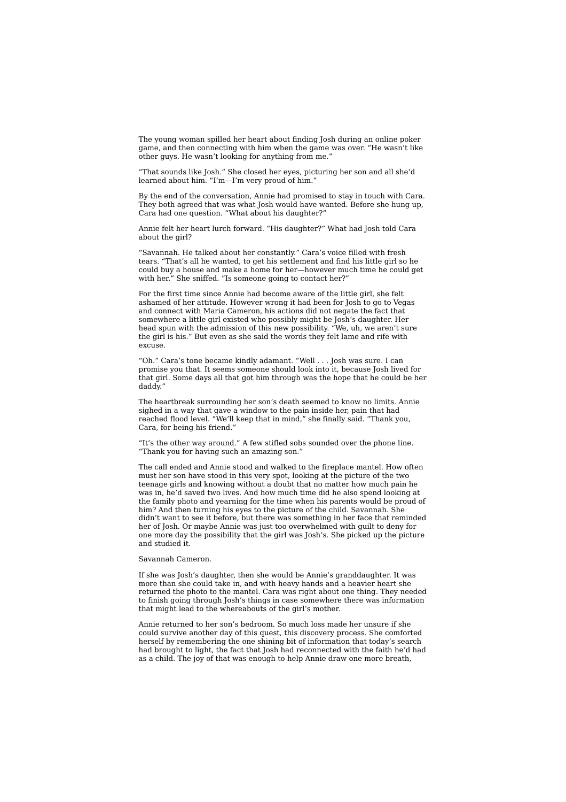The young woman spilled her heart about finding Josh during an online poker game, and then connecting with him when the game was over. "He wasn't like other guys. He wasn't looking for anything from me."

"That sounds like Josh." She closed her eyes, picturing her son and all she'd learned about him. "I'm—I'm very proud of him."

By the end of the conversation, Annie had promised to stay in touch with Cara. They both agreed that was what Josh would have wanted. Before she hung up, Cara had one question. "What about his daughter?"

Annie felt her heart lurch forward. "His daughter?" What had Josh told Cara about the girl?

"Savannah. He talked about her constantly." Cara's voice filled with fresh tears. "That's all he wanted, to get his settlement and find his little girl so he could buy a house and make a home for her—however much time he could get with her." She sniffed. "Is someone going to contact her?"

For the first time since Annie had become aware of the little girl, she felt ashamed of her attitude. However wrong it had been for Josh to go to Vegas and connect with Maria Cameron, his actions did not negate the fact that somewhere a little girl existed who possibly might be Josh's daughter. Her head spun with the admission of this new possibility. "We, uh, we aren't sure the girl is his." But even as she said the words they felt lame and rife with excuse.

"Oh." Cara's tone became kindly adamant. "Well . . . Josh was sure. I can promise you that. It seems someone should look into it, because Josh lived for that girl. Some days all that got him through was the hope that he could be her daddy."

The heartbreak surrounding her son's death seemed to know no limits. Annie sighed in a way that gave a window to the pain inside her, pain that had reached flood level. "We'll keep that in mind," she finally said. "Thank you, Cara, for being his friend."

"It's the other way around." A few stifled sobs sounded over the phone line. "Thank you for having such an amazing son."

The call ended and Annie stood and walked to the fireplace mantel. How often must her son have stood in this very spot, looking at the picture of the two teenage girls and knowing without a doubt that no matter how much pain he was in, he'd saved two lives. And how much time did he also spend looking at the family photo and yearning for the time when his parents would be proud of him? And then turning his eyes to the picture of the child. Savannah. She didn't want to see it before, but there was something in her face that reminded her of Josh. Or maybe Annie was just too overwhelmed with guilt to deny for one more day the possibility that the girl was Josh's. She picked up the picture and studied it.

### Savannah Cameron.

If she was Josh's daughter, then she would be Annie's granddaughter. It was more than she could take in, and with heavy hands and a heavier heart she returned the photo to the mantel. Cara was right about one thing. They needed to finish going through Josh's things in case somewhere there was information that might lead to the whereabouts of the girl's mother.

Annie returned to her son's bedroom. So much loss made her unsure if she could survive another day of this quest, this discovery process. She comforted herself by remembering the one shining bit of information that today's search had brought to light, the fact that Josh had reconnected with the faith he'd had as a child. The joy of that was enough to help Annie draw one more breath,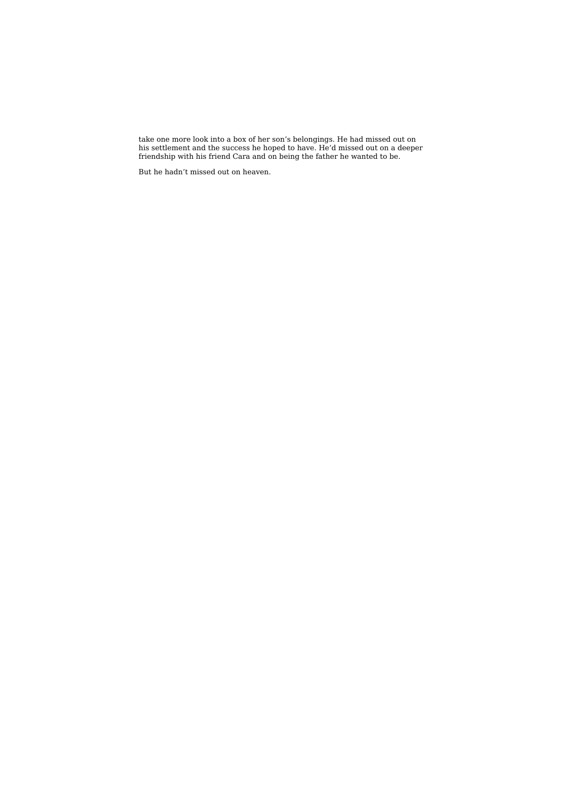take one more look into a box of her son's belongings. He had missed out on his settlement and the success he hoped to have. He'd missed out on a deeper friendship with his friend Cara and on being the father he wanted to be.

But he hadn't missed out on heaven.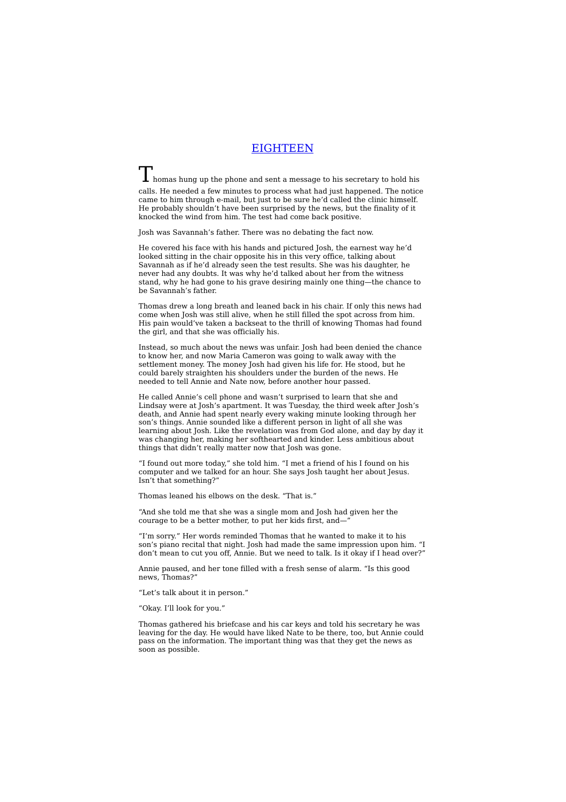## EIGHTEEN

 $\perp$  homas hung up the phone and sent a message to his secretary to hold his calls. He needed a few minutes to process what had just happened. The notice came to him through e-mail, but just to be sure he'd called the clinic himself. He probably shouldn't have been surprised by the news, but the finality of it knocked the wind from him. The test had come back positive.

Josh was Savannah's father. There was no debating the fact now.

He covered his face with his hands and pictured Josh, the earnest way he'd looked sitting in the chair opposite his in this very office, talking about Savannah as if he'd already seen the test results. She was his daughter, he never had any doubts. It was why he'd talked about her from the witness stand, why he had gone to his grave desiring mainly one thing—the chance to be Savannah's father.

Thomas drew a long breath and leaned back in his chair. If only this news had come when Josh was still alive, when he still filled the spot across from him. His pain would've taken a backseat to the thrill of knowing Thomas had found the girl, and that she was officially his.

Instead, so much about the news was unfair. Josh had been denied the chance to know her, and now Maria Cameron was going to walk away with the settlement money. The money Josh had given his life for. He stood, but he could barely straighten his shoulders under the burden of the news. He needed to tell Annie and Nate now, before another hour passed.

He called Annie's cell phone and wasn't surprised to learn that she and Lindsay were at Josh's apartment. It was Tuesday, the third week after Josh's death, and Annie had spent nearly every waking minute looking through her son's things. Annie sounded like a different person in light of all she was learning about Josh. Like the revelation was from God alone, and day by day it was changing her, making her softhearted and kinder. Less ambitious about things that didn't really matter now that Josh was gone.

"I found out more today," she told him. "I met a friend of his I found on his computer and we talked for an hour. She says Josh taught her about Jesus. Isn't that something?"

Thomas leaned his elbows on the desk. "That is."

"And she told me that she was a single mom and Josh had given her the courage to be a better mother, to put her kids first, and—"

"I'm sorry." Her words reminded Thomas that he wanted to make it to his son's piano recital that night. Josh had made the same impression upon him. "I don't mean to cut you off, Annie. But we need to talk. Is it okay if I head over?"

Annie paused, and her tone filled with a fresh sense of alarm. "Is this good news, Thomas?"

"Let's talk about it in person."

"Okay. I'll look for you."

Thomas gathered his briefcase and his car keys and told his secretary he was leaving for the day. He would have liked Nate to be there, too, but Annie could pass on the information. The important thing was that they get the news as soon as possible.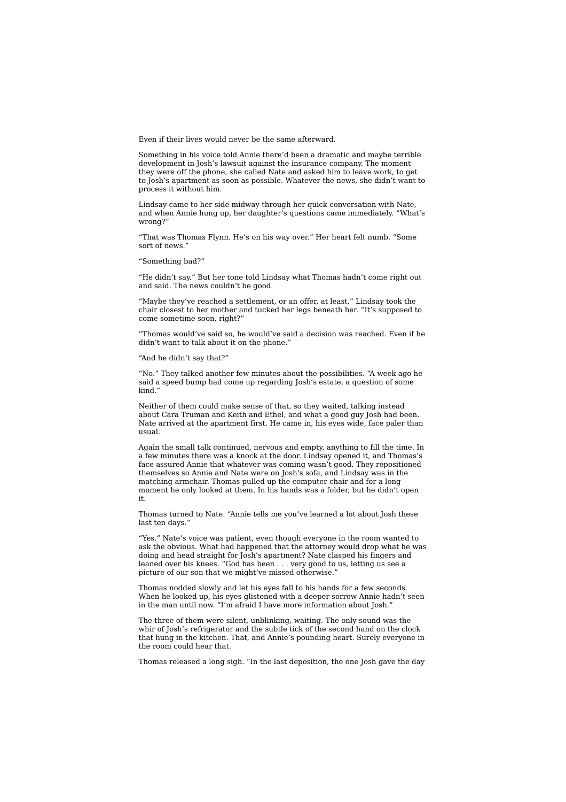Even if their lives would never be the same afterward.

Something in his voice told Annie there'd been a dramatic and maybe terrible development in Josh's lawsuit against the insurance company. The moment they were off the phone, she called Nate and asked him to leave work, to get to Josh's apartment as soon as possible. Whatever the news, she didn't want to process it without him.

Lindsay came to her side midway through her quick conversation with Nate, and when Annie hung up, her daughter's questions came immediately. "What's wrong?"

"That was Thomas Flynn. He's on his way over." Her heart felt numb. "Some sort of news."

"Something bad?"

"He didn't say." But her tone told Lindsay what Thomas hadn't come right out and said. The news couldn't be good.

"Maybe they've reached a settlement, or an offer, at least." Lindsay took the chair closest to her mother and tucked her legs beneath her. "It's supposed to come sometime soon, right?"

"Thomas would've said so, he would've said a decision was reached. Even if he didn't want to talk about it on the phone."

"And he didn't say that?"

"No." They talked another few minutes about the possibilities. "A week ago he said a speed bump had come up regarding Josh's estate, a question of some kind."

Neither of them could make sense of that, so they waited, talking instead about Cara Truman and Keith and Ethel, and what a good guy Josh had been. Nate arrived at the apartment first. He came in, his eyes wide, face paler than usual.

Again the small talk continued, nervous and empty, anything to fill the time. In a few minutes there was a knock at the door. Lindsay opened it, and Thomas's face assured Annie that whatever was coming wasn't good. They repositioned themselves so Annie and Nate were on Josh's sofa, and Lindsay was in the matching armchair. Thomas pulled up the computer chair and for a long moment he only looked at them. In his hands was a folder, but he didn't open it.

Thomas turned to Nate. "Annie tells me you've learned a lot about Josh these last ten days."

"Yes." Nate's voice was patient, even though everyone in the room wanted to ask the obvious. What had happened that the attorney would drop what he was doing and head straight for Josh's apartment? Nate clasped his fingers and leaned over his knees. "God has been . . . very good to us, letting us see a picture of our son that we might've missed otherwise."

Thomas nodded slowly and let his eyes fall to his hands for a few seconds. When he looked up, his eyes glistened with a deeper sorrow Annie hadn't seen in the man until now. "I'm afraid I have more information about Josh."

The three of them were silent, unblinking, waiting. The only sound was the whir of Josh's refrigerator and the subtle tick of the second hand on the clock that hung in the kitchen. That, and Annie's pounding heart. Surely everyone in the room could hear that.

Thomas released a long sigh. "In the last deposition, the one Josh gave the day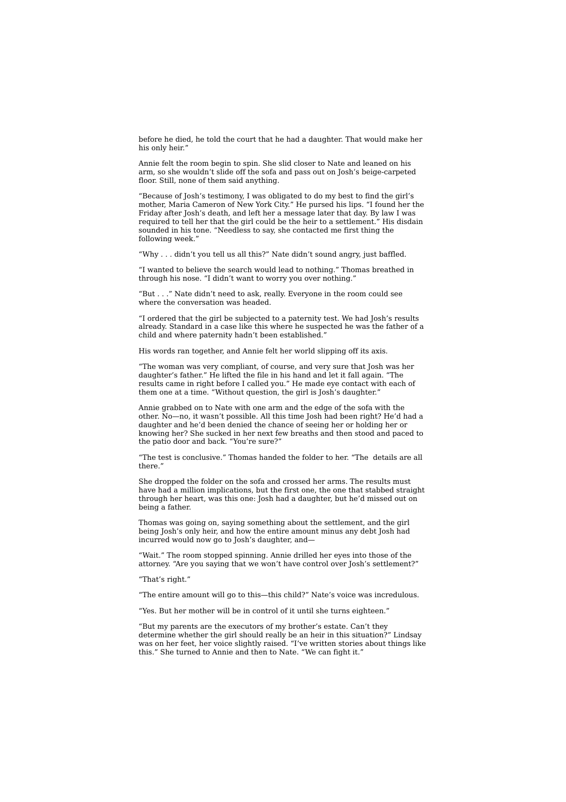before he died, he told the court that he had a daughter. That would make her his only heir."

Annie felt the room begin to spin. She slid closer to Nate and leaned on his arm, so she wouldn't slide off the sofa and pass out on Josh's beige-carpeted floor. Still, none of them said anything.

"Because of Josh's testimony, I was obligated to do my best to find the girl's mother, Maria Cameron of New York City." He pursed his lips. "I found her the Friday after Josh's death, and left her a message later that day. By law I was required to tell her that the girl could be the heir to a settlement." His disdain sounded in his tone. "Needless to say, she contacted me first thing the following week."

"Why . . . didn't you tell us all this?" Nate didn't sound angry, just baffled.

"I wanted to believe the search would lead to nothing." Thomas breathed in through his nose. "I didn't want to worry you over nothing."

"But . . ." Nate didn't need to ask, really. Everyone in the room could see where the conversation was headed.

"I ordered that the girl be subjected to a paternity test. We had Josh's results already. Standard in a case like this where he suspected he was the father of a child and where paternity hadn't been established."

His words ran together, and Annie felt her world slipping off its axis.

"The woman was very compliant, of course, and very sure that Josh was her daughter's father." He lifted the file in his hand and let it fall again. "The results came in right before I called you." He made eye contact with each of them one at a time. "Without question, the girl is Josh's daughter."

Annie grabbed on to Nate with one arm and the edge of the sofa with the other. No—no, it wasn't possible. All this time Josh had been right? He'd had a daughter and he'd been denied the chance of seeing her or holding her or knowing her? She sucked in her next few breaths and then stood and paced to the patio door and back. "You're sure?"

"The test is conclusive." Thomas handed the folder to her. "The details are all there."

She dropped the folder on the sofa and crossed her arms. The results must have had a million implications, but the first one, the one that stabbed straight through her heart, was this one: Josh had a daughter, but he'd missed out on being a father.

Thomas was going on, saying something about the settlement, and the girl being Josh's only heir, and how the entire amount minus any debt Josh had incurred would now go to Josh's daughter, and—

"Wait." The room stopped spinning. Annie drilled her eyes into those of the attorney. "Are you saying that we won't have control over Josh's settlement?"

"That's right."

"The entire amount will go to this—this child?" Nate's voice was incredulous.

"Yes. But her mother will be in control of it until she turns eighteen."

"But my parents are the executors of my brother's estate. Can't they determine whether the girl should really be an heir in this situation?" Lindsay was on her feet, her voice slightly raised. "I've written stories about things like this." She turned to Annie and then to Nate. "We can fight it."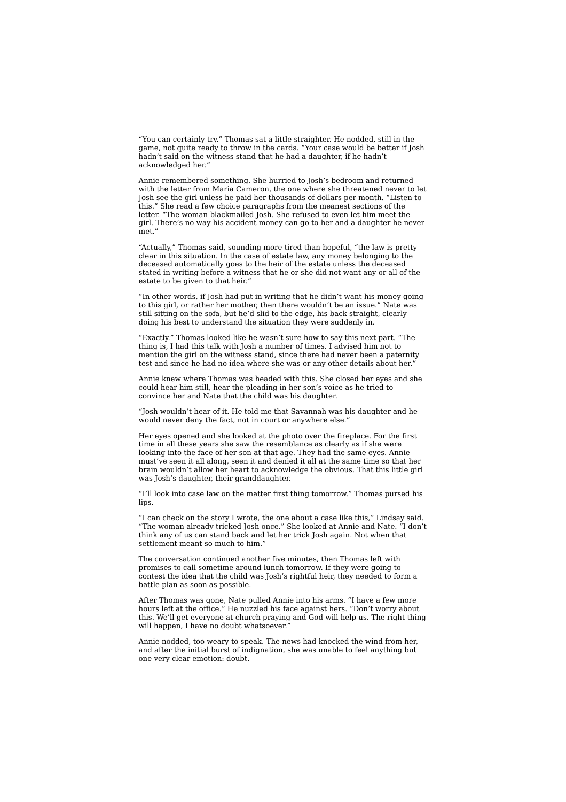"You can certainly try." Thomas sat a little straighter. He nodded, still in the game, not quite ready to throw in the cards. "Your case would be better if Josh hadn't said on the witness stand that he had a daughter, if he hadn't acknowledged her."

Annie remembered something. She hurried to Josh's bedroom and returned with the letter from Maria Cameron, the one where she threatened never to let Josh see the girl unless he paid her thousands of dollars per month. "Listen to this." She read a few choice paragraphs from the meanest sections of the letter. "The woman blackmailed Josh. She refused to even let him meet the girl. There's no way his accident money can go to her and a daughter he never met '

"Actually," Thomas said, sounding more tired than hopeful, "the law is pretty clear in this situation. In the case of estate law, any money belonging to the deceased automatically goes to the heir of the estate unless the deceased stated in writing before a witness that he or she did not want any or all of the estate to be given to that heir."

"In other words, if Josh had put in writing that he didn't want his money going to this girl, or rather her mother, then there wouldn't be an issue." Nate was still sitting on the sofa, but he'd slid to the edge, his back straight, clearly doing his best to understand the situation they were suddenly in.

"Exactly." Thomas looked like he wasn't sure how to say this next part. "The thing is, I had this talk with Josh a number of times. I advised him not to mention the girl on the witness stand, since there had never been a paternity test and since he had no idea where she was or any other details about her.

Annie knew where Thomas was headed with this. She closed her eyes and she could hear him still, hear the pleading in her son's voice as he tried to convince her and Nate that the child was his daughter.

"Josh wouldn't hear of it. He told me that Savannah was his daughter and he would never deny the fact, not in court or anywhere else."

Her eyes opened and she looked at the photo over the fireplace. For the first time in all these years she saw the resemblance as clearly as if she were looking into the face of her son at that age. They had the same eyes. Annie must've seen it all along, seen it and denied it all at the same time so that her brain wouldn't allow her heart to acknowledge the obvious. That this little girl was Josh's daughter, their granddaughter.

"I'll look into case law on the matter first thing tomorrow." Thomas pursed his lips.

"I can check on the story I wrote, the one about a case like this," Lindsay said. "The woman already tricked Josh once." She looked at Annie and Nate. "I don't think any of us can stand back and let her trick Josh again. Not when that settlement meant so much to him."

The conversation continued another five minutes, then Thomas left with promises to call sometime around lunch tomorrow. If they were going to contest the idea that the child was Josh's rightful heir, they needed to form a battle plan as soon as possible.

After Thomas was gone, Nate pulled Annie into his arms. "I have a few more hours left at the office." He nuzzled his face against hers. "Don't worry about this. We'll get everyone at church praying and God will help us. The right thing will happen, I have no doubt whatsoever.

Annie nodded, too weary to speak. The news had knocked the wind from her, and after the initial burst of indignation, she was unable to feel anything but one very clear emotion: doubt.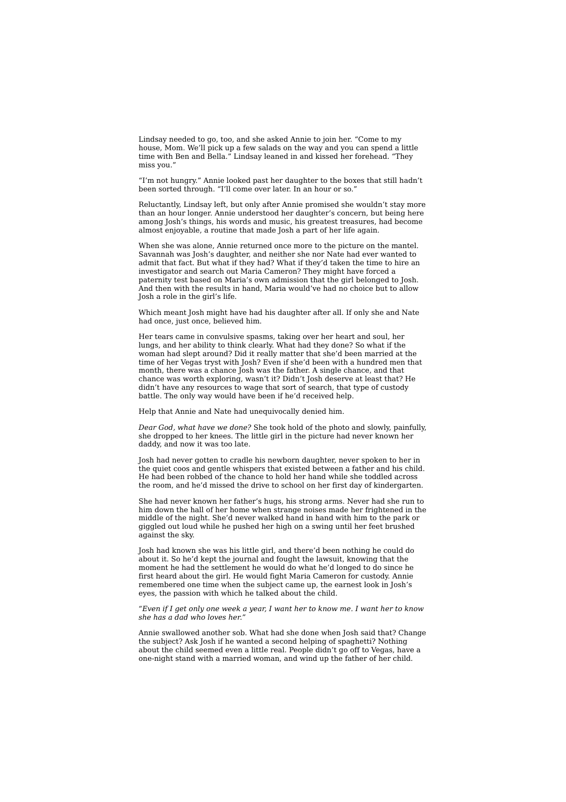Lindsay needed to go, too, and she asked Annie to join her. "Come to my house, Mom. We'll pick up a few salads on the way and you can spend a little time with Ben and Bella." Lindsay leaned in and kissed her forehead. "They miss you."

"I'm not hungry." Annie looked past her daughter to the boxes that still hadn't been sorted through. "I'll come over later. In an hour or so."

Reluctantly, Lindsay left, but only after Annie promised she wouldn't stay more than an hour longer. Annie understood her daughter's concern, but being here among Josh's things, his words and music, his greatest treasures, had become almost enjoyable, a routine that made Josh a part of her life again.

When she was alone, Annie returned once more to the picture on the mantel. Savannah was Josh's daughter, and neither she nor Nate had ever wanted to admit that fact. But what if they had? What if they'd taken the time to hire an investigator and search out Maria Cameron? They might have forced a paternity test based on Maria's own admission that the girl belonged to Josh. And then with the results in hand. Maria would've had no choice but to allow Josh a role in the girl's life.

Which meant Josh might have had his daughter after all. If only she and Nate had once, just once, believed him.

Her tears came in convulsive spasms, taking over her heart and soul, her lungs, and her ability to think clearly. What had they done? So what if the woman had slept around? Did it really matter that she'd been married at the time of her Vegas tryst with Josh? Even if she'd been with a hundred men that month, there was a chance Josh was the father. A single chance, and that chance was worth exploring, wasn't it? Didn't Josh deserve at least that? He didn't have any resources to wage that sort of search, that type of custody battle. The only way would have been if he'd received help.

Help that Annie and Nate had unequivocally denied him.

*Dear God, what have we done?* She took hold of the photo and slowly, painfully, she dropped to her knees. The little girl in the picture had never known her daddy, and now it was too late.

Josh had never gotten to cradle his newborn daughter, never spoken to her in the quiet coos and gentle whispers that existed between a father and his child. He had been robbed of the chance to hold her hand while she toddled across the room, and he'd missed the drive to school on her first day of kindergarten.

She had never known her father's hugs, his strong arms. Never had she run to him down the hall of her home when strange noises made her frightened in the middle of the night. She'd never walked hand in hand with him to the park or giggled out loud while he pushed her high on a swing until her feet brushed against the sky.

Josh had known she was his little girl, and there'd been nothing he could do about it. So he'd kept the journal and fought the lawsuit, knowing that the moment he had the settlement he would do what he'd longed to do since he first heard about the girl. He would fight Maria Cameron for custody. Annie remembered one time when the subject came up, the earnest look in Josh's eyes, the passion with which he talked about the child.

*"Even if I get only one week a year, I want her to know me. I want her to know she has a dad who loves her."*

Annie swallowed another sob. What had she done when Josh said that? Change the subject? Ask Josh if he wanted a second helping of spaghetti? Nothing about the child seemed even a little real. People didn't go off to Vegas, have a one-night stand with a married woman, and wind up the father of her child.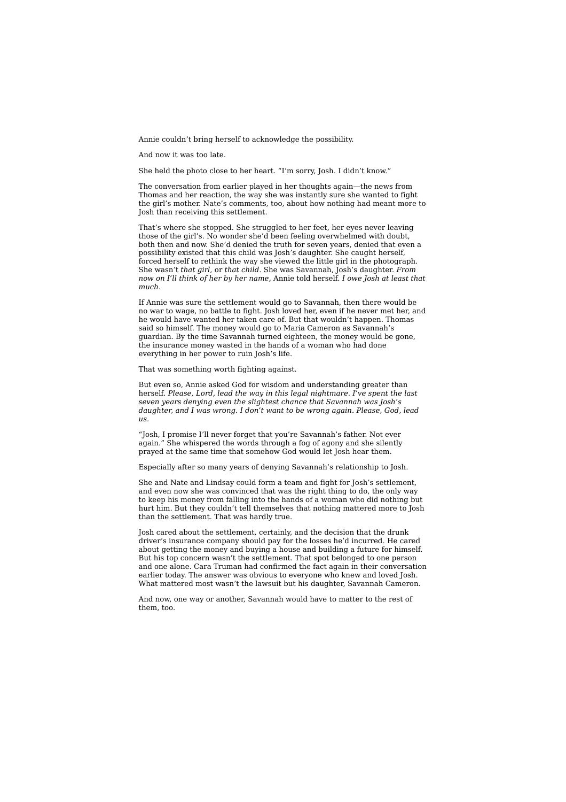Annie couldn't bring herself to acknowledge the possibility.

And now it was too late.

She held the photo close to her heart. "I'm sorry, Josh. I didn't know."

The conversation from earlier played in her thoughts again—the news from Thomas and her reaction, the way she was instantly sure she wanted to fight the girl's mother. Nate's comments, too, about how nothing had meant more to Josh than receiving this settlement.

That's where she stopped. She struggled to her feet, her eyes never leaving those of the girl's. No wonder she'd been feeling overwhelmed with doubt, both then and now. She'd denied the truth for seven years, denied that even a possibility existed that this child was Josh's daughter. She caught herself, forced herself to rethink the way she viewed the little girl in the photograph. She wasn't *that girl*, or *that child*. She was Savannah, Josh's daughter. *From now on I'll think of her by her name,* Annie told herself. *I owe Josh at least that much.*

If Annie was sure the settlement would go to Savannah, then there would be no war to wage, no battle to fight. Josh loved her, even if he never met her, and he would have wanted her taken care of. But that wouldn't happen. Thomas said so himself. The money would go to Maria Cameron as Savannah's guardian. By the time Savannah turned eighteen, the money would be gone, the insurance money wasted in the hands of a woman who had done everything in her power to ruin Josh's life.

That was something worth fighting against.

But even so, Annie asked God for wisdom and understanding greater than herself. *Please, Lord, lead the way in this legal nightmare. I've spent the last seven years denying even the slightest chance that Savannah was Josh's daughter, and I was wrong. I don't want to be wrong again. Please, God, lead us.*

"Josh, I promise I'll never forget that you're Savannah's father. Not ever again." She whispered the words through a fog of agony and she silently prayed at the same time that somehow God would let Josh hear them.

Especially after so many years of denying Savannah's relationship to Josh.

She and Nate and Lindsay could form a team and fight for Josh's settlement, and even now she was convinced that was the right thing to do, the only way to keep his money from falling into the hands of a woman who did nothing but hurt him. But they couldn't tell themselves that nothing mattered more to Josh than the settlement. That was hardly true.

Josh cared about the settlement, certainly, and the decision that the drunk driver's insurance company should pay for the losses he'd incurred. He cared about getting the money and buying a house and building a future for himself. But his top concern wasn't the settlement. That spot belonged to one person and one alone. Cara Truman had confirmed the fact again in their conversation earlier today. The answer was obvious to everyone who knew and loved Josh. What mattered most wasn't the lawsuit but his daughter, Savannah Cameron.

And now, one way or another, Savannah would have to matter to the rest of them, too.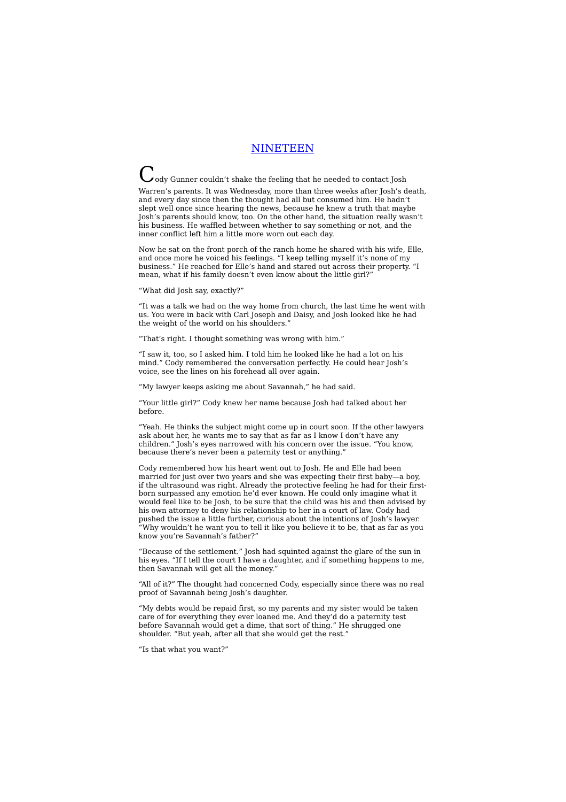### NINETEEN

ody Gunner couldn't shake the feeling that he needed to contact Josh Warren's parents. It was Wednesday, more than three weeks after Josh's death, and every day since then the thought had all but consumed him. He hadn't slept well once since hearing the news, because he knew a truth that maybe Josh's parents should know, too. On the other hand, the situation really wasn't his business. He waffled between whether to say something or not, and the inner conflict left him a little more worn out each day.

Now he sat on the front porch of the ranch home he shared with his wife, Elle, and once more he voiced his feelings. "I keep telling myself it's none of my business." He reached for Elle's hand and stared out across their property. "I mean, what if his family doesn't even know about the little girl?"

"What did Josh say, exactly?"

"It was a talk we had on the way home from church, the last time he went with us. You were in back with Carl Joseph and Daisy, and Josh looked like he had the weight of the world on his shoulders."

"That's right. I thought something was wrong with him."

"I saw it, too, so I asked him. I told him he looked like he had a lot on his mind." Cody remembered the conversation perfectly. He could hear Josh's voice, see the lines on his forehead all over again.

"My lawyer keeps asking me about Savannah," he had said.

"Your little girl?" Cody knew her name because Josh had talked about her before.

"Yeah. He thinks the subject might come up in court soon. If the other lawyers ask about her, he wants me to say that as far as I know I don't have any children." Josh's eyes narrowed with his concern over the issue. "You know, because there's never been a paternity test or anything."

Cody remembered how his heart went out to Josh. He and Elle had been married for just over two years and she was expecting their first baby—a boy, if the ultrasound was right. Already the protective feeling he had for their firstborn surpassed any emotion he'd ever known. He could only imagine what it would feel like to be Josh, to be sure that the child was his and then advised by his own attorney to deny his relationship to her in a court of law. Cody had pushed the issue a little further, curious about the intentions of Josh's lawyer. "Why wouldn't he want you to tell it like you believe it to be, that as far as you know you're Savannah's father?"

"Because of the settlement." Josh had squinted against the glare of the sun in his eyes. "If I tell the court I have a daughter, and if something happens to me, then Savannah will get all the money."

"All of it?" The thought had concerned Cody, especially since there was no real proof of Savannah being Josh's daughter.

"My debts would be repaid first, so my parents and my sister would be taken care of for everything they ever loaned me. And they'd do a paternity test before Savannah would get a dime, that sort of thing." He shrugged one shoulder. "But yeah, after all that she would get the rest."

"Is that what you want?"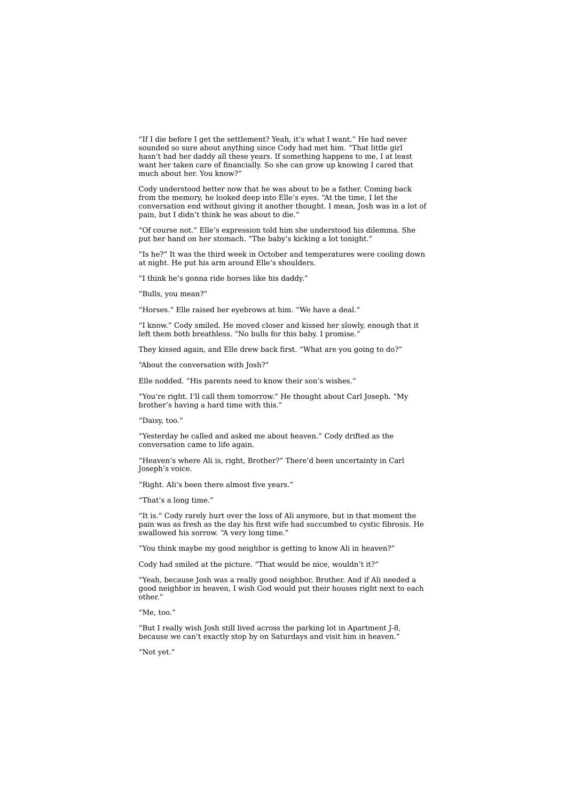"If I die before I get the settlement? Yeah, it's what I want." He had never sounded so sure about anything since Cody had met him. "That little girl hasn't had her daddy all these years. If something happens to me, I at least want her taken care of financially. So she can grow up knowing I cared that much about her. You know?"

Cody understood better now that he was about to be a father. Coming back from the memory, he looked deep into Elle's eyes. "At the time, I let the conversation end without giving it another thought. I mean, Josh was in a lot of pain, but I didn't think he was about to die."

"Of course not." Elle's expression told him she understood his dilemma. She put her hand on her stomach. "The baby's kicking a lot tonight."

"Is he?" It was the third week in October and temperatures were cooling down at night. He put his arm around Elle's shoulders.

"I think he's gonna ride horses like his daddy."

"Bulls, you mean?"

"Horses." Elle raised her eyebrows at him. "We have a deal."

"I know." Cody smiled. He moved closer and kissed her slowly, enough that it left them both breathless. "No bulls for this baby. I promise."

They kissed again, and Elle drew back first. "What are you going to do?"

"About the conversation with Josh?"

Elle nodded. "His parents need to know their son's wishes."

"You're right. I'll call them tomorrow." He thought about Carl Joseph. "My brother's having a hard time with this."

"Daisy, too."

"Yesterday he called and asked me about heaven." Cody drifted as the conversation came to life again.

"Heaven's where Ali is, right, Brother?" There'd been uncertainty in Carl Joseph's voice.

"Right. Ali's been there almost five years."

"That's a long time."

"It is." Cody rarely hurt over the loss of Ali anymore, but in that moment the pain was as fresh as the day his first wife had succumbed to cystic fibrosis. He swallowed his sorrow. "A very long time."

"You think maybe my good neighbor is getting to know Ali in heaven?"

Cody had smiled at the picture. "That would be nice, wouldn't it?"

"Yeah, because Josh was a really good neighbor, Brother. And if Ali needed a good neighbor in heaven, I wish God would put their houses right next to each other."

"Me, too."

"But I really wish Josh still lived across the parking lot in Apartment J-8, because we can't exactly stop by on Saturdays and visit him in heaven."

"Not yet."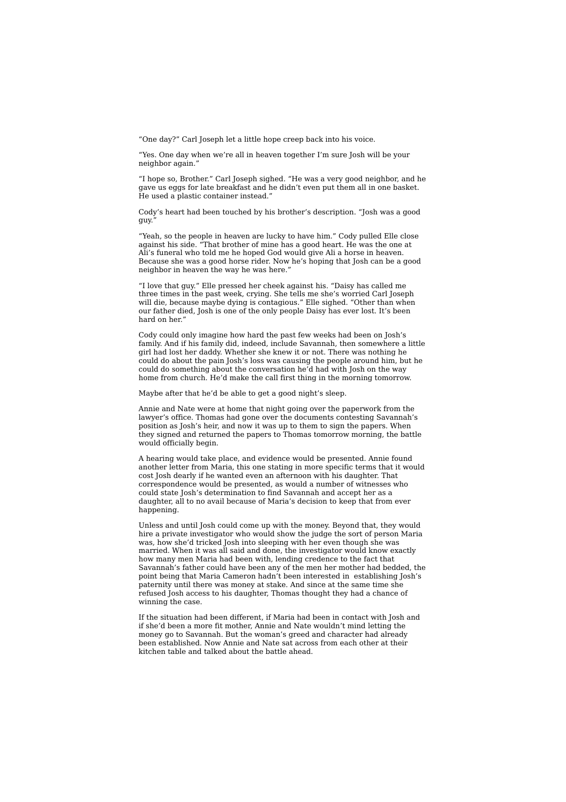"One day?" Carl Joseph let a little hope creep back into his voice.

"Yes. One day when we're all in heaven together I'm sure Josh will be your neighbor again."

"I hope so, Brother." Carl Joseph sighed. "He was a very good neighbor, and he gave us eggs for late breakfast and he didn't even put them all in one basket. He used a plastic container instead."

Cody's heart had been touched by his brother's description. "Josh was a good guy."

"Yeah, so the people in heaven are lucky to have him." Cody pulled Elle close against his side. "That brother of mine has a good heart. He was the one at Ali's funeral who told me he hoped God would give Ali a horse in heaven. Because she was a good horse rider. Now he's hoping that Josh can be a good neighbor in heaven the way he was here."

"I love that guy." Elle pressed her cheek against his. "Daisy has called me three times in the past week, crying. She tells me she's worried Carl Joseph will die, because maybe dying is contagious." Elle sighed. "Other than when our father died, Josh is one of the only people Daisy has ever lost. It's been hard on her."

Cody could only imagine how hard the past few weeks had been on Josh's family. And if his family did, indeed, include Savannah, then somewhere a little girl had lost her daddy. Whether she knew it or not. There was nothing he could do about the pain Josh's loss was causing the people around him, but he could do something about the conversation he'd had with Josh on the way home from church. He'd make the call first thing in the morning tomorrow.

Maybe after that he'd be able to get a good night's sleep.

Annie and Nate were at home that night going over the paperwork from the lawyer's office. Thomas had gone over the documents contesting Savannah's position as Josh's heir, and now it was up to them to sign the papers. When they signed and returned the papers to Thomas tomorrow morning, the battle would officially begin.

A hearing would take place, and evidence would be presented. Annie found another letter from Maria, this one stating in more specific terms that it would cost Josh dearly if he wanted even an afternoon with his daughter. That correspondence would be presented, as would a number of witnesses who could state Josh's determination to find Savannah and accept her as a daughter, all to no avail because of Maria's decision to keep that from ever happening.

Unless and until Josh could come up with the money. Beyond that, they would hire a private investigator who would show the judge the sort of person Maria was, how she'd tricked Josh into sleeping with her even though she was married. When it was all said and done, the investigator would know exactly how many men Maria had been with, lending credence to the fact that Savannah's father could have been any of the men her mother had bedded, the point being that Maria Cameron hadn't been interested in establishing Josh's paternity until there was money at stake. And since at the same time she refused Josh access to his daughter, Thomas thought they had a chance of winning the case.

If the situation had been different, if Maria had been in contact with Josh and if she'd been a more fit mother, Annie and Nate wouldn't mind letting the money go to Savannah. But the woman's greed and character had already been established. Now Annie and Nate sat across from each other at their kitchen table and talked about the battle ahead.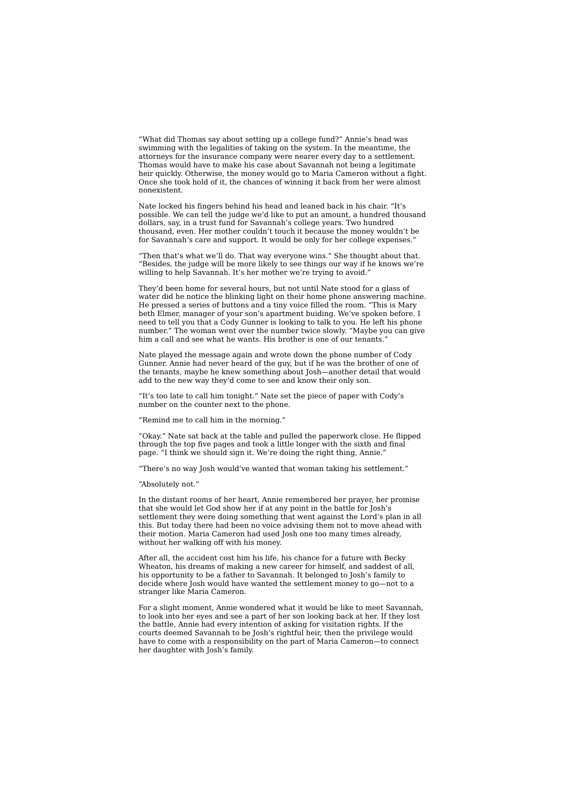"What did Thomas say about setting up a college fund?" Annie's head was swimming with the legalities of taking on the system. In the meantime, the attorneys for the insurance company were nearer every day to a settlement. Thomas would have to make his case about Savannah not being a legitimate heir quickly. Otherwise, the money would go to Maria Cameron without a fight. Once she took hold of it, the chances of winning it back from her were almost nonexistent.

Nate locked his fingers behind his head and leaned back in his chair. "It's possible. We can tell the judge we'd like to put an amount, a hundred thousand dollars, say, in a trust fund for Savannah's college years. Two hundred thousand, even. Her mother couldn't touch it because the money wouldn't be for Savannah's care and support. It would be only for her college expenses."

"Then that's what we'll do. That way everyone wins." She thought about that. "Besides, the judge will be more likely to see things our way if he knows we're willing to help Savannah. It's her mother we're trying to avoid."

They'd been home for several hours, but not until Nate stood for a glass of water did he notice the blinking light on their home phone answering machine. He pressed a series of buttons and a tiny voice filled the room. "This is Mary beth Elmer, manager of your son's apartment buiding. We've spoken before. I need to tell you that a Cody Gunner is looking to talk to you. He left his phone number." The woman went over the number twice slowly. "Maybe you can give him a call and see what he wants. His brother is one of our tenants."

Nate played the message again and wrote down the phone number of Cody Gunner. Annie had never heard of the guy, but if he was the brother of one of the tenants, maybe he knew something about Josh—another detail that would add to the new way they'd come to see and know their only son.

"It's too late to call him tonight." Nate set the piece of paper with Cody's number on the counter next to the phone.

"Remind me to call him in the morning."

"Okay." Nate sat back at the table and pulled the paperwork close. He flipped through the top five pages and took a little longer with the sixth and final page. "I think we should sign it. We're doing the right thing, Annie."

"There's no way Josh would've wanted that woman taking his settlement."

"Absolutely not."

In the distant rooms of her heart, Annie remembered her prayer, her promise that she would let God show her if at any point in the battle for Josh's settlement they were doing something that went against the Lord's plan in all this. But today there had been no voice advising them not to move ahead with their motion. Maria Cameron had used Josh one too many times already, without her walking off with his money.

After all, the accident cost him his life, his chance for a future with Becky Wheaton, his dreams of making a new career for himself, and saddest of all, his opportunity to be a father to Savannah. It belonged to Josh's family to decide where Josh would have wanted the settlement money to go—not to a stranger like Maria Cameron.

For a slight moment, Annie wondered what it would be like to meet Savannah, to look into her eyes and see a part of her son looking back at her. If they lost the battle, Annie had every intention of asking for visitation rights. If the courts deemed Savannah to be Josh's rightful heir, then the privilege would have to come with a responsibility on the part of Maria Cameron—to connect her daughter with Josh's family.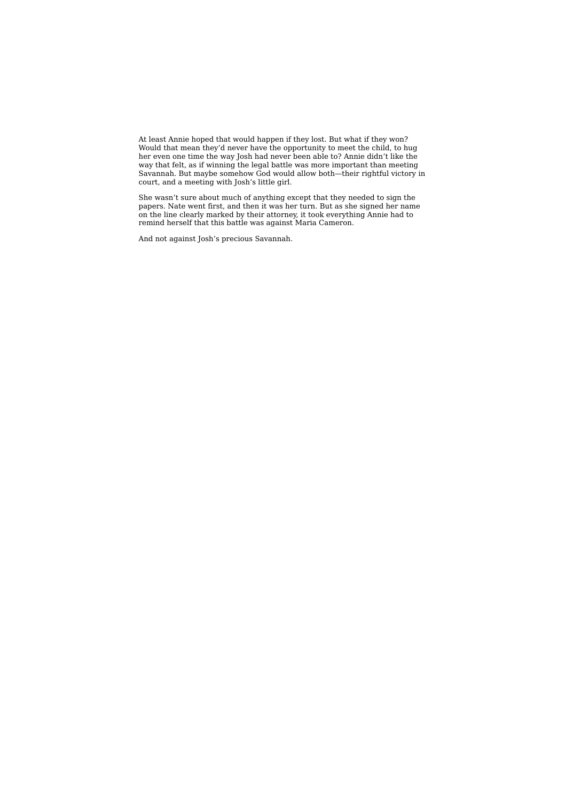At least Annie hoped that would happen if they lost. But what if they won? Would that mean they'd never have the opportunity to meet the child, to hug her even one time the way Josh had never been able to? Annie didn't like the way that felt, as if winning the legal battle was more important than meeting Savannah. But maybe somehow God would allow both—their rightful victory in court, and a meeting with Josh's little girl.

She wasn't sure about much of anything except that they needed to sign the papers. Nate went first, and then it was her turn. But as she signed her name on the line clearly marked by their attorney, it took everything Annie had to remind herself that this battle was against Maria Cameron.

And not against Josh's precious Savannah.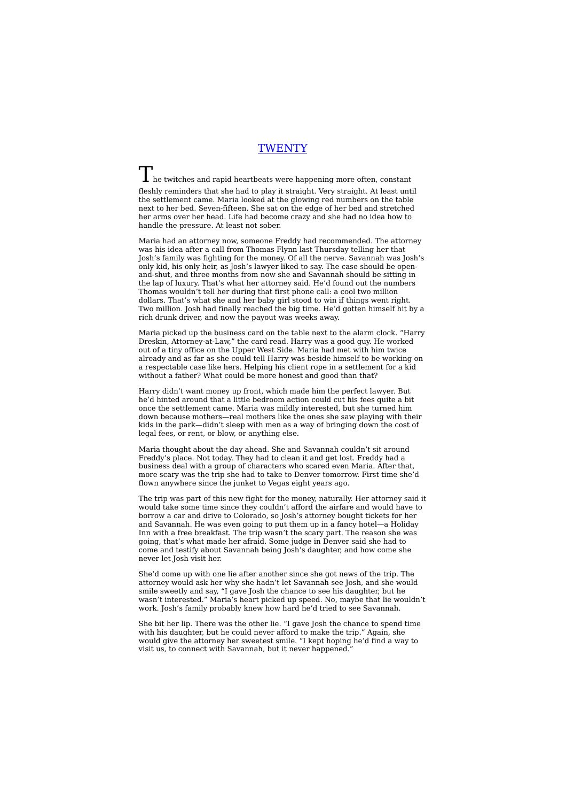### TWENTY

 $\mathsf{L}\,$  he twitches and rapid heartbeats were happening more often, constant fleshly reminders that she had to play it straight. Very straight. At least until the settlement came. Maria looked at the glowing red numbers on the table next to her bed. Seven-fifteen. She sat on the edge of her bed and stretched her arms over her head. Life had become crazy and she had no idea how to handle the pressure. At least not sober.

Maria had an attorney now, someone Freddy had recommended. The attorney was his idea after a call from Thomas Flynn last Thursday telling her that Josh's family was fighting for the money. Of all the nerve. Savannah was Josh's only kid, his only heir, as Josh's lawyer liked to say. The case should be openand-shut, and three months from now she and Savannah should be sitting in the lap of luxury. That's what her attorney said. He'd found out the numbers Thomas wouldn't tell her during that first phone call: a cool two million dollars. That's what she and her baby girl stood to win if things went right. Two million. Josh had finally reached the big time. He'd gotten himself hit by a rich drunk driver, and now the payout was weeks away.

Maria picked up the business card on the table next to the alarm clock. "Harry Dreskin, Attorney-at-Law," the card read. Harry was a good guy. He worked out of a tiny office on the Upper West Side. Maria had met with him twice already and as far as she could tell Harry was beside himself to be working on a respectable case like hers. Helping his client rope in a settlement for a kid without a father? What could be more honest and good than that?

Harry didn't want money up front, which made him the perfect lawyer. But he'd hinted around that a little bedroom action could cut his fees quite a bit once the settlement came. Maria was mildly interested, but she turned him down because mothers—real mothers like the ones she saw playing with their kids in the park—didn't sleep with men as a way of bringing down the cost of legal fees, or rent, or blow, or anything else.

Maria thought about the day ahead. She and Savannah couldn't sit around Freddy's place. Not today. They had to clean it and get lost. Freddy had a business deal with a group of characters who scared even Maria. After that, more scary was the trip she had to take to Denver tomorrow. First time she'd flown anywhere since the junket to Vegas eight years ago.

The trip was part of this new fight for the money, naturally. Her attorney said it would take some time since they couldn't afford the airfare and would have to borrow a car and drive to Colorado, so Josh's attorney bought tickets for her and Savannah. He was even going to put them up in a fancy hotel—a Holiday Inn with a free breakfast. The trip wasn't the scary part. The reason she was going, that's what made her afraid. Some judge in Denver said she had to come and testify about Savannah being Josh's daughter, and how come she never let Josh visit her.

She'd come up with one lie after another since she got news of the trip. The attorney would ask her why she hadn't let Savannah see Josh, and she would smile sweetly and say, "I gave Josh the chance to see his daughter, but he wasn't interested." Maria's heart picked up speed. No, maybe that lie wouldn't work. Josh's family probably knew how hard he'd tried to see Savannah.

She bit her lip. There was the other lie. "I gave Josh the chance to spend time with his daughter, but he could never afford to make the trip." Again, she would give the attorney her sweetest smile. "I kept hoping he'd find a way to visit us, to connect with Savannah, but it never happened."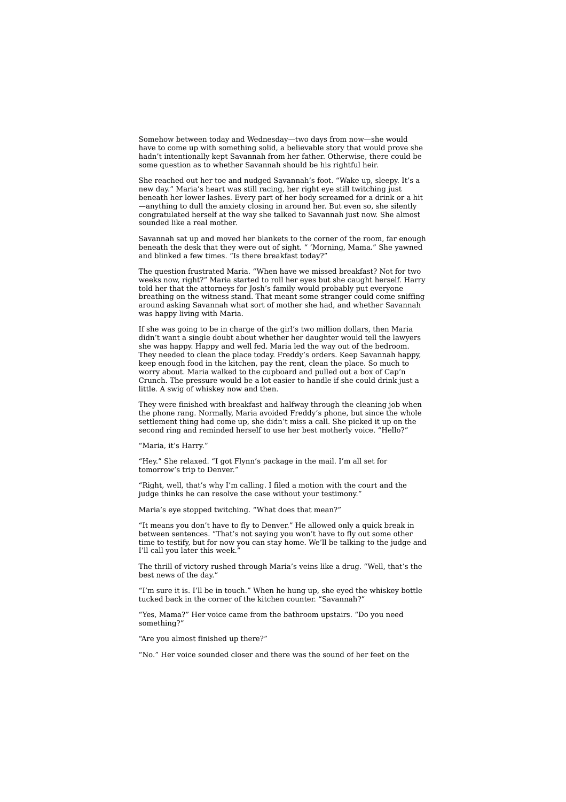Somehow between today and Wednesday—two days from now—she would have to come up with something solid, a believable story that would prove she hadn't intentionally kept Savannah from her father. Otherwise, there could be some question as to whether Savannah should be his rightful heir.

She reached out her toe and nudged Savannah's foot. "Wake up, sleepy. It's a new day." Maria's heart was still racing, her right eye still twitching just beneath her lower lashes. Every part of her body screamed for a drink or a hit —anything to dull the anxiety closing in around her. But even so, she silently congratulated herself at the way she talked to Savannah just now. She almost sounded like a real mother.

Savannah sat up and moved her blankets to the corner of the room, far enough beneath the desk that they were out of sight. " 'Morning, Mama." She yawned and blinked a few times. "Is there breakfast today?"

The question frustrated Maria. "When have we missed breakfast? Not for two weeks now, right?" Maria started to roll her eyes but she caught herself. Harry told her that the attorneys for Josh's family would probably put everyone breathing on the witness stand. That meant some stranger could come sniffing around asking Savannah what sort of mother she had, and whether Savannah was happy living with Maria.

If she was going to be in charge of the girl's two million dollars, then Maria didn't want a single doubt about whether her daughter would tell the lawyers she was happy. Happy and well fed. Maria led the way out of the bedroom. They needed to clean the place today. Freddy's orders. Keep Savannah happy, keep enough food in the kitchen, pay the rent, clean the place. So much to worry about. Maria walked to the cupboard and pulled out a box of Cap'n Crunch. The pressure would be a lot easier to handle if she could drink just a little. A swig of whiskey now and then.

They were finished with breakfast and halfway through the cleaning job when the phone rang. Normally, Maria avoided Freddy's phone, but since the whole settlement thing had come up, she didn't miss a call. She picked it up on the second ring and reminded herself to use her best motherly voice. "Hello?"

"Maria, it's Harry."

"Hey." She relaxed. "I got Flynn's package in the mail. I'm all set for tomorrow's trip to Denver."

"Right, well, that's why I'm calling. I filed a motion with the court and the judge thinks he can resolve the case without your testimony."

Maria's eye stopped twitching. "What does that mean?"

"It means you don't have to fly to Denver." He allowed only a quick break in between sentences. "That's not saying you won't have to fly out some other time to testify, but for now you can stay home. We'll be talking to the judge and I'll call you later this week.

The thrill of victory rushed through Maria's veins like a drug. "Well, that's the best news of the day."

"I'm sure it is. I'll be in touch." When he hung up, she eyed the whiskey bottle tucked back in the corner of the kitchen counter. "Savannah?"

"Yes, Mama?" Her voice came from the bathroom upstairs. "Do you need something?"

"Are you almost finished up there?"

"No." Her voice sounded closer and there was the sound of her feet on the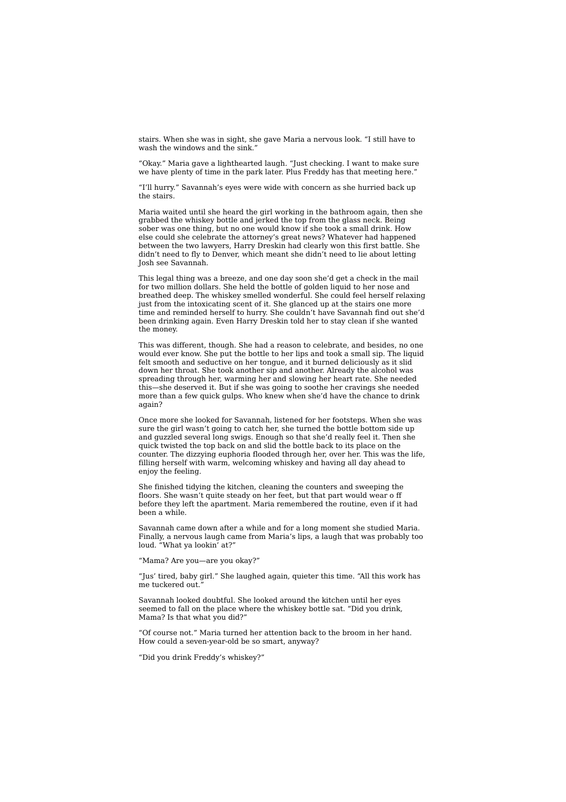stairs. When she was in sight, she gave Maria a nervous look. "I still have to wash the windows and the sink."

"Okay." Maria gave a lighthearted laugh. "Just checking. I want to make sure we have plenty of time in the park later. Plus Freddy has that meeting here."

"I'll hurry." Savannah's eyes were wide with concern as she hurried back up the stairs.

Maria waited until she heard the girl working in the bathroom again, then she grabbed the whiskey bottle and jerked the top from the glass neck. Being sober was one thing, but no one would know if she took a small drink. How else could she celebrate the attorney's great news? Whatever had happened between the two lawyers, Harry Dreskin had clearly won this first battle. She didn't need to fly to Denver, which meant she didn't need to lie about letting Josh see Savannah.

This legal thing was a breeze, and one day soon she'd get a check in the mail for two million dollars. She held the bottle of golden liquid to her nose and breathed deep. The whiskey smelled wonderful. She could feel herself relaxing just from the intoxicating scent of it. She glanced up at the stairs one more time and reminded herself to hurry. She couldn't have Savannah find out she'd been drinking again. Even Harry Dreskin told her to stay clean if she wanted the money.

This was different, though. She had a reason to celebrate, and besides, no one would ever know. She put the bottle to her lips and took a small sip. The liquid felt smooth and seductive on her tongue, and it burned deliciously as it slid down her throat. She took another sip and another. Already the alcohol was spreading through her, warming her and slowing her heart rate. She needed this—she deserved it. But if she was going to soothe her cravings she needed more than a few quick gulps. Who knew when she'd have the chance to drink again?

Once more she looked for Savannah, listened for her footsteps. When she was sure the girl wasn't going to catch her, she turned the bottle bottom side up and guzzled several long swigs. Enough so that she'd really feel it. Then she quick twisted the top back on and slid the bottle back to its place on the counter. The dizzying euphoria flooded through her, over her. This was the life, filling herself with warm, welcoming whiskey and having all day ahead to enjoy the feeling.

She finished tidying the kitchen, cleaning the counters and sweeping the floors. She wasn't quite steady on her feet, but that part would wear o ff before they left the apartment. Maria remembered the routine, even if it had been a while.

Savannah came down after a while and for a long moment she studied Maria. Finally, a nervous laugh came from Maria's lips, a laugh that was probably too loud. "What ya lookin' at?"

"Mama? Are you—are you okay?"

"Jus' tired, baby girl." She laughed again, quieter this time. "All this work has me tuckered out.

Savannah looked doubtful. She looked around the kitchen until her eyes seemed to fall on the place where the whiskey bottle sat. "Did you drink, Mama? Is that what you did?"

"Of course not." Maria turned her attention back to the broom in her hand. How could a seven-year-old be so smart, anyway?

"Did you drink Freddy's whiskey?"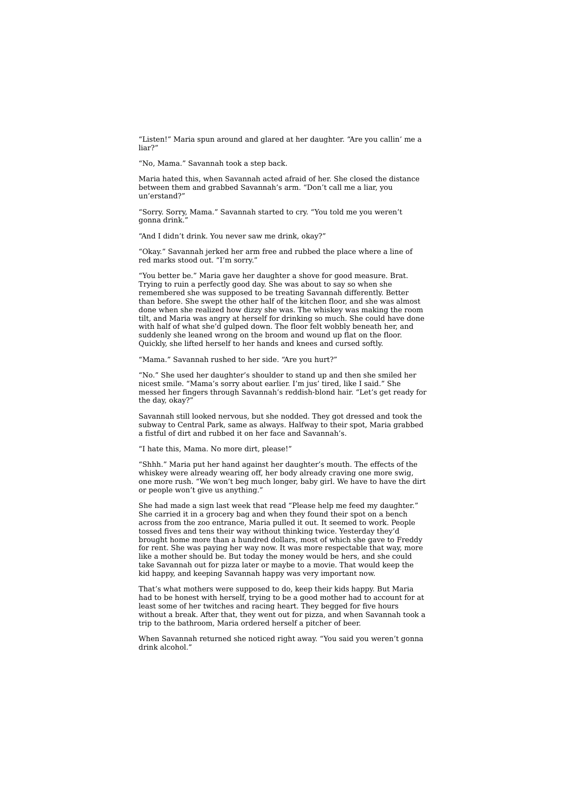"Listen!" Maria spun around and glared at her daughter. "Are you callin' me a liar?"

"No, Mama." Savannah took a step back.

Maria hated this, when Savannah acted afraid of her. She closed the distance between them and grabbed Savannah's arm. "Don't call me a liar, you un'erstand?"

"Sorry. Sorry, Mama." Savannah started to cry. "You told me you weren't gonna drink."

"And I didn't drink. You never saw me drink, okay?"

"Okay." Savannah jerked her arm free and rubbed the place where a line of red marks stood out. "I'm sorry."

"You better be." Maria gave her daughter a shove for good measure. Brat. Trying to ruin a perfectly good day. She was about to say so when she remembered she was supposed to be treating Savannah differently. Better than before. She swept the other half of the kitchen floor, and she was almost done when she realized how dizzy she was. The whiskey was making the room tilt, and Maria was angry at herself for drinking so much. She could have done with half of what she'd gulped down. The floor felt wobbly beneath her, and suddenly she leaned wrong on the broom and wound up flat on the floor. Quickly, she lifted herself to her hands and knees and cursed softly.

"Mama." Savannah rushed to her side. "Are you hurt?"

"No." She used her daughter's shoulder to stand up and then she smiled her nicest smile. "Mama's sorry about earlier. I'm jus' tired, like I said." She messed her fingers through Savannah's reddish-blond hair. "Let's get ready for the day, okay?"

Savannah still looked nervous, but she nodded. They got dressed and took the subway to Central Park, same as always. Halfway to their spot, Maria grabbed a fistful of dirt and rubbed it on her face and Savannah's.

"I hate this, Mama. No more dirt, please!"

"Shhh." Maria put her hand against her daughter's mouth. The effects of the whiskey were already wearing off, her body already craving one more swig, one more rush. "We won't beg much longer, baby girl. We have to have the dirt or people won't give us anything."

She had made a sign last week that read "Please help me feed my daughter." She carried it in a grocery bag and when they found their spot on a bench across from the zoo entrance, Maria pulled it out. It seemed to work. People tossed fives and tens their way without thinking twice. Yesterday they'd brought home more than a hundred dollars, most of which she gave to Freddy for rent. She was paying her way now. It was more respectable that way, more like a mother should be. But today the money would be hers, and she could take Savannah out for pizza later or maybe to a movie. That would keep the kid happy, and keeping Savannah happy was very important now.

That's what mothers were supposed to do, keep their kids happy. But Maria had to be honest with herself, trying to be a good mother had to account for at least some of her twitches and racing heart. They begged for five hours without a break. After that, they went out for pizza, and when Savannah took a trip to the bathroom, Maria ordered herself a pitcher of beer.

When Savannah returned she noticed right away. "You said you weren't gonna drink alcohol."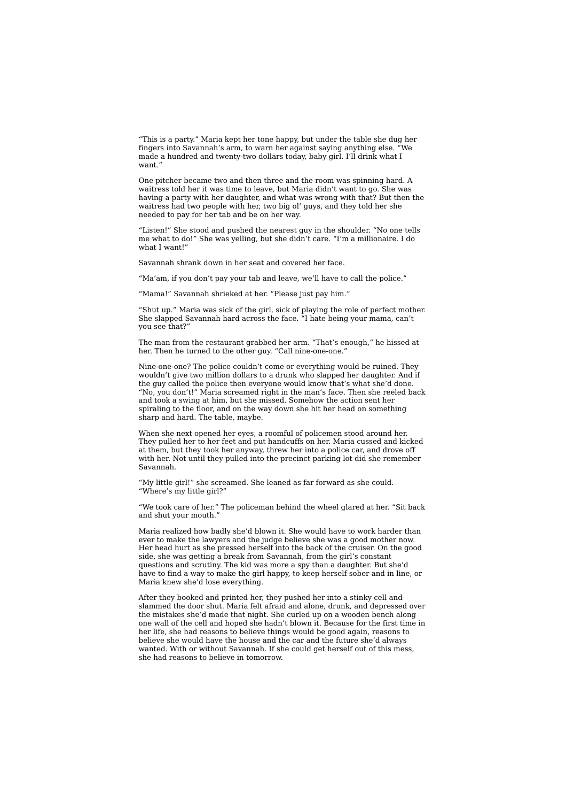"This is a party." Maria kept her tone happy, but under the table she dug her fingers into Savannah's arm, to warn her against saying anything else. "We made a hundred and twenty-two dollars today, baby girl. I'll drink what I want."

One pitcher became two and then three and the room was spinning hard. A waitress told her it was time to leave, but Maria didn't want to go. She was having a party with her daughter, and what was wrong with that? But then the waitress had two people with her, two big ol' guys, and they told her she needed to pay for her tab and be on her way.

"Listen!" She stood and pushed the nearest guy in the shoulder. "No one tells me what to do!" She was yelling, but she didn't care. "I'm a millionaire. I do what I want!"

Savannah shrank down in her seat and covered her face.

"Ma'am, if you don't pay your tab and leave, we'll have to call the police."

"Mama!" Savannah shrieked at her. "Please just pay him."

"Shut up." Maria was sick of the girl, sick of playing the role of perfect mother. She slapped Savannah hard across the face. "I hate being your mama, can't you see that?"

The man from the restaurant grabbed her arm. "That's enough," he hissed at her. Then he turned to the other guy. "Call nine-one-one."

Nine-one-one? The police couldn't come or everything would be ruined. They wouldn't give two million dollars to a drunk who slapped her daughter. And if the guy called the police then everyone would know that's what she'd done. "No, you don't!" Maria screamed right in the man's face. Then she reeled back and took a swing at him, but she missed. Somehow the action sent her spiraling to the floor, and on the way down she hit her head on something sharp and hard. The table, maybe.

When she next opened her eyes, a roomful of policemen stood around her. They pulled her to her feet and put handcuffs on her. Maria cussed and kicked at them, but they took her anyway, threw her into a police car, and drove off with her. Not until they pulled into the precinct parking lot did she remember Savannah.

"My little girl!" she screamed. She leaned as far forward as she could. "Where's my little girl?"

"We took care of her." The policeman behind the wheel glared at her. "Sit back and shut your mouth."

Maria realized how badly she'd blown it. She would have to work harder than ever to make the lawyers and the judge believe she was a good mother now. Her head hurt as she pressed herself into the back of the cruiser. On the good side, she was getting a break from Savannah, from the girl's constant questions and scrutiny. The kid was more a spy than a daughter. But she'd have to find a way to make the girl happy, to keep herself sober and in line, or Maria knew she'd lose everything.

After they booked and printed her, they pushed her into a stinky cell and slammed the door shut. Maria felt afraid and alone, drunk, and depressed over the mistakes she'd made that night. She curled up on a wooden bench along one wall of the cell and hoped she hadn't blown it. Because for the first time in her life, she had reasons to believe things would be good again, reasons to believe she would have the house and the car and the future she'd always wanted. With or without Savannah. If she could get herself out of this mess, she had reasons to believe in tomorrow.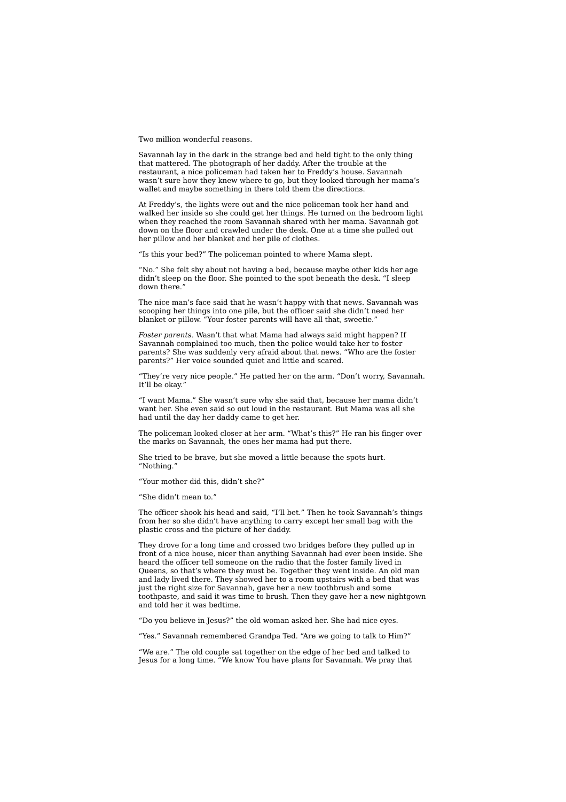Two million wonderful reasons.

Savannah lay in the dark in the strange bed and held tight to the only thing that mattered. The photograph of her daddy. After the trouble at the restaurant, a nice policeman had taken her to Freddy's house. Savannah wasn't sure how they knew where to go, but they looked through her mama's wallet and maybe something in there told them the directions.

At Freddy's, the lights were out and the nice policeman took her hand and walked her inside so she could get her things. He turned on the bedroom light when they reached the room Savannah shared with her mama. Savannah got down on the floor and crawled under the desk. One at a time she pulled out her pillow and her blanket and her pile of clothes.

"Is this your bed?" The policeman pointed to where Mama slept.

"No." She felt shy about not having a bed, because maybe other kids her age didn't sleep on the floor. She pointed to the spot beneath the desk. "I sleep down there.

The nice man's face said that he wasn't happy with that news. Savannah was scooping her things into one pile, but the officer said she didn't need her blanket or pillow. "Your foster parents will have all that, sweetie."

*Foster parents.* Wasn't that what Mama had always said might happen? If Savannah complained too much, then the police would take her to foster parents? She was suddenly very afraid about that news. "Who are the foster parents?" Her voice sounded quiet and little and scared.

"They're very nice people." He patted her on the arm. "Don't worry, Savannah. It'll be okay."

"I want Mama." She wasn't sure why she said that, because her mama didn't want her. She even said so out loud in the restaurant. But Mama was all she had until the day her daddy came to get her.

The policeman looked closer at her arm. "What's this?" He ran his finger over the marks on Savannah, the ones her mama had put there.

She tried to be brave, but she moved a little because the spots hurt. "Nothing."

"Your mother did this, didn't she?"

"She didn't mean to."

The officer shook his head and said, "I'll bet." Then he took Savannah's things from her so she didn't have anything to carry except her small bag with the plastic cross and the picture of her daddy.

They drove for a long time and crossed two bridges before they pulled up in front of a nice house, nicer than anything Savannah had ever been inside. She heard the officer tell someone on the radio that the foster family lived in Queens, so that's where they must be. Together they went inside. An old man and lady lived there. They showed her to a room upstairs with a bed that was just the right size for Savannah, gave her a new toothbrush and some toothpaste, and said it was time to brush. Then they gave her a new nightgown and told her it was bedtime.

"Do you believe in Jesus?" the old woman asked her. She had nice eyes.

"Yes." Savannah remembered Grandpa Ted. "Are we going to talk to Him?"

"We are." The old couple sat together on the edge of her bed and talked to Jesus for a long time. "We know You have plans for Savannah. We pray that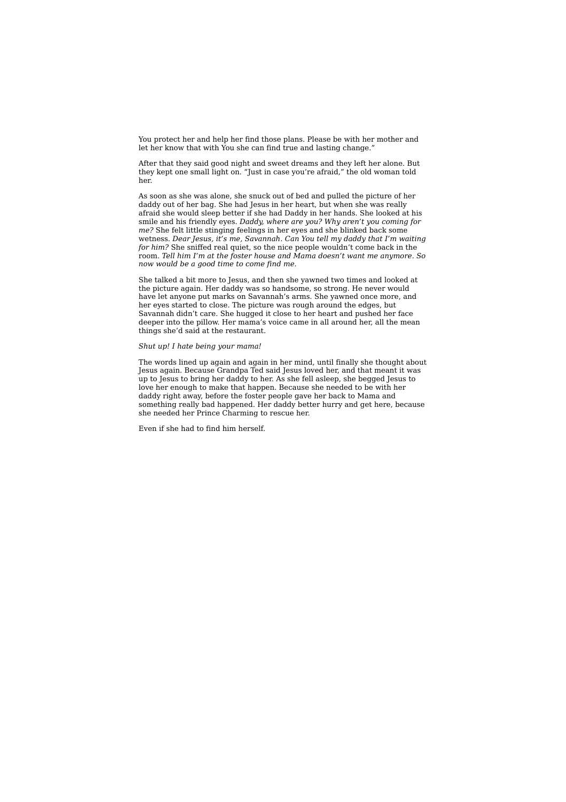You protect her and help her find those plans. Please be with her mother and let her know that with You she can find true and lasting change."

After that they said good night and sweet dreams and they left her alone. But they kept one small light on. "Just in case you're afraid," the old woman told her.

As soon as she was alone, she snuck out of bed and pulled the picture of her daddy out of her bag. She had Jesus in her heart, but when she was really afraid she would sleep better if she had Daddy in her hands. She looked at his smile and his friendly eyes. *Daddy, where are you? Why aren't you coming for me?* She felt little stinging feelings in her eyes and she blinked back some wetness. *Dear Jesus, it's me, Savannah. Can You tell my daddy that I'm waiting for him?* She sniffed real quiet, so the nice people wouldn't come back in the room. *Tell him I'm at the foster house and Mama doesn't want me anymore. So now would be a good time to come find me.*

She talked a bit more to Jesus, and then she yawned two times and looked at the picture again. Her daddy was so handsome, so strong. He never would have let anyone put marks on Savannah's arms. She yawned once more, and her eyes started to close. The picture was rough around the edges, but Savannah didn't care. She hugged it close to her heart and pushed her face deeper into the pillow. Her mama's voice came in all around her, all the mean things she'd said at the restaurant.

#### *Shut up! I hate being your mama!*

The words lined up again and again in her mind, until finally she thought about Jesus again. Because Grandpa Ted said Jesus loved her, and that meant it was up to Jesus to bring her daddy to her. As she fell asleep, she begged Jesus to love her enough to make that happen. Because she needed to be with her daddy right away, before the foster people gave her back to Mama and something really bad happened. Her daddy better hurry and get here, because she needed her Prince Charming to rescue her.

Even if she had to find him herself.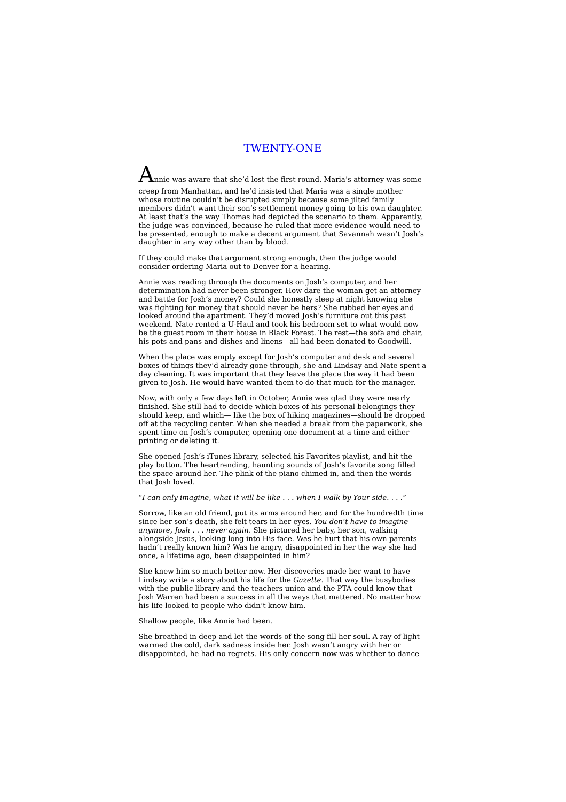### TWENTY-ONE

 ${\mathbf A}$ nnie was aware that she'd lost the first round. Maria's attorney was some creep from Manhattan, and he'd insisted that Maria was a single mother whose routine couldn't be disrupted simply because some jilted family members didn't want their son's settlement money going to his own daughter. At least that's the way Thomas had depicted the scenario to them. Apparently, the judge was convinced, because he ruled that more evidence would need to be presented, enough to make a decent argument that Savannah wasn't Josh's daughter in any way other than by blood.

If they could make that argument strong enough, then the judge would consider ordering Maria out to Denver for a hearing.

Annie was reading through the documents on Josh's computer, and her determination had never been stronger. How dare the woman get an attorney and battle for Josh's money? Could she honestly sleep at night knowing she was fighting for money that should never be hers? She rubbed her eyes and looked around the apartment. They'd moved Josh's furniture out this past weekend. Nate rented a U-Haul and took his bedroom set to what would now be the guest room in their house in Black Forest. The rest—the sofa and chair, his pots and pans and dishes and linens—all had been donated to Goodwill.

When the place was empty except for Josh's computer and desk and several boxes of things they'd already gone through, she and Lindsay and Nate spent a day cleaning. It was important that they leave the place the way it had been given to Josh. He would have wanted them to do that much for the manager.

Now, with only a few days left in October, Annie was glad they were nearly finished. She still had to decide which boxes of his personal belongings they should keep, and which— like the box of hiking magazines—should be dropped off at the recycling center. When she needed a break from the paperwork, she spent time on Josh's computer, opening one document at a time and either printing or deleting it.

She opened Josh's iTunes library, selected his Favorites playlist, and hit the play button. The heartrending, haunting sounds of Josh's favorite song filled the space around her. The plink of the piano chimed in, and then the words that Josh loved.

"I can only imagine, what it will be like . . . when I walk by Your side. . . ."

Sorrow, like an old friend, put its arms around her, and for the hundredth time since her son's death, she felt tears in her eyes. *You don't have to imagine anymore, Josh . . . never again.* She pictured her baby, her son, walking alongside Jesus, looking long into His face. Was he hurt that his own parents hadn't really known him? Was he angry, disappointed in her the way she had once, a lifetime ago, been disappointed in him?

She knew him so much better now. Her discoveries made her want to have Lindsay write a story about his life for the *Gazette*. That way the busybodies with the public library and the teachers union and the PTA could know that Josh Warren had been a success in all the ways that mattered. No matter how his life looked to people who didn't know him.

Shallow people, like Annie had been.

She breathed in deep and let the words of the song fill her soul. A ray of light warmed the cold, dark sadness inside her. Josh wasn't angry with her or disappointed, he had no regrets. His only concern now was whether to dance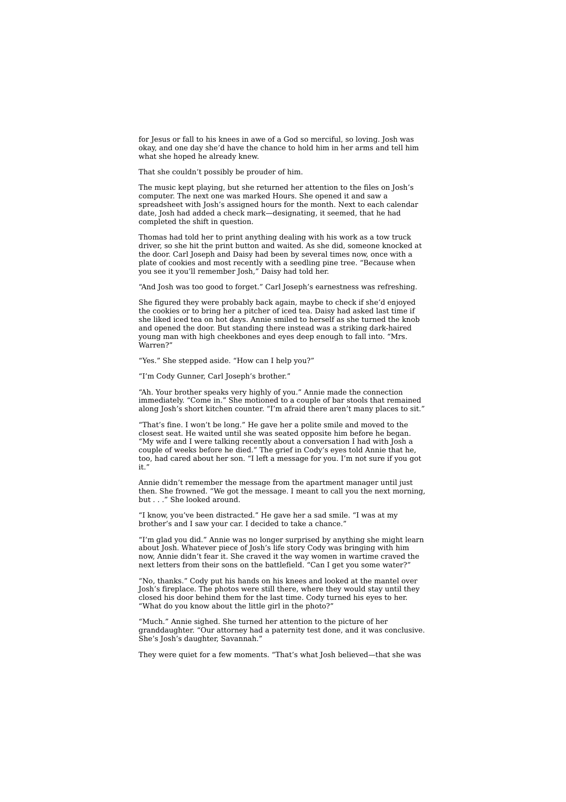for Jesus or fall to his knees in awe of a God so merciful, so loving. Josh was okay, and one day she'd have the chance to hold him in her arms and tell him what she hoped he already knew.

That she couldn't possibly be prouder of him.

The music kept playing, but she returned her attention to the files on Josh's computer. The next one was marked Hours. She opened it and saw a spreadsheet with Josh's assigned hours for the month. Next to each calendar date, Josh had added a check mark—designating, it seemed, that he had completed the shift in question.

Thomas had told her to print anything dealing with his work as a tow truck driver, so she hit the print button and waited. As she did, someone knocked at the door. Carl Joseph and Daisy had been by several times now, once with a plate of cookies and most recently with a seedling pine tree. "Because when you see it you'll remember Josh," Daisy had told her.

"And Josh was too good to forget." Carl Joseph's earnestness was refreshing.

She figured they were probably back again, maybe to check if she'd enjoyed the cookies or to bring her a pitcher of iced tea. Daisy had asked last time if she liked iced tea on hot days. Annie smiled to herself as she turned the knob and opened the door. But standing there instead was a striking dark-haired young man with high cheekbones and eyes deep enough to fall into. "Mrs. Warren?"

"Yes." She stepped aside. "How can I help you?"

"I'm Cody Gunner, Carl Joseph's brother."

"Ah. Your brother speaks very highly of you." Annie made the connection immediately. "Come in." She motioned to a couple of bar stools that remained along Josh's short kitchen counter. "I'm afraid there aren't many places to sit."

"That's fine. I won't be long." He gave her a polite smile and moved to the closest seat. He waited until she was seated opposite him before he began. "My wife and I were talking recently about a conversation I had with Josh a couple of weeks before he died." The grief in Cody's eyes told Annie that he, too, had cared about her son. "I left a message for you. I'm not sure if you got it."

Annie didn't remember the message from the apartment manager until just then. She frowned. "We got the message. I meant to call you the next morning, but . . ." She looked around.

"I know, you've been distracted." He gave her a sad smile. "I was at my brother's and I saw your car. I decided to take a chance."

"I'm glad you did." Annie was no longer surprised by anything she might learn about Josh. Whatever piece of Josh's life story Cody was bringing with him now, Annie didn't fear it. She craved it the way women in wartime craved the next letters from their sons on the battlefield. "Can I get you some water?"

"No, thanks." Cody put his hands on his knees and looked at the mantel over Josh's fireplace. The photos were still there, where they would stay until they closed his door behind them for the last time. Cody turned his eyes to her. "What do you know about the little girl in the photo?"

"Much." Annie sighed. She turned her attention to the picture of her granddaughter. "Our attorney had a paternity test done, and it was conclusive. She's Josh's daughter, Savannah."

They were quiet for a few moments. "That's what Josh believed—that she was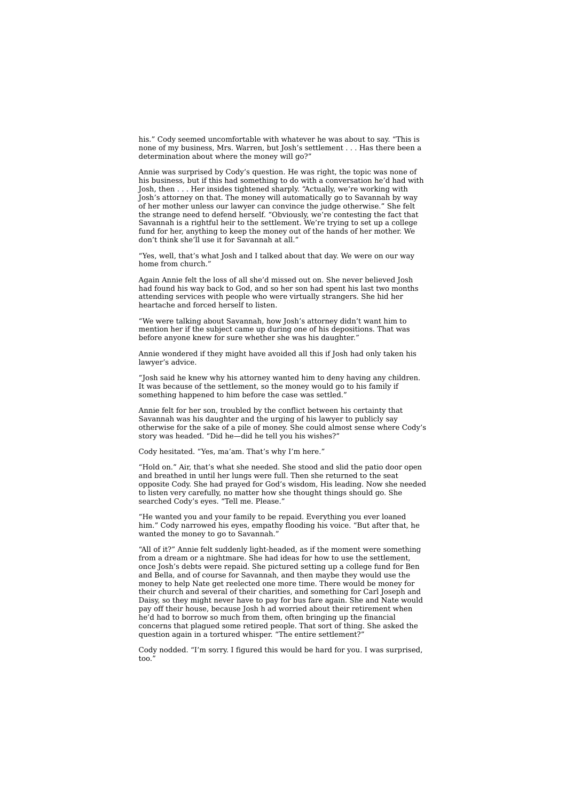his." Cody seemed uncomfortable with whatever he was about to say. "This is none of my business, Mrs. Warren, but Josh's settlement . . . Has there been a determination about where the money will go?"

Annie was surprised by Cody's question. He was right, the topic was none of his business, but if this had something to do with a conversation he'd had with Josh, then . . . Her insides tightened sharply. "Actually, we're working with Josh's attorney on that. The money will automatically go to Savannah by way of her mother unless our lawyer can convince the judge otherwise." She felt the strange need to defend herself. "Obviously, we're contesting the fact that Savannah is a rightful heir to the settlement. We're trying to set up a college fund for her, anything to keep the money out of the hands of her mother. We don't think she'll use it for Savannah at all."

"Yes, well, that's what Josh and I talked about that day. We were on our way home from church."

Again Annie felt the loss of all she'd missed out on. She never believed Josh had found his way back to God, and so her son had spent his last two months attending services with people who were virtually strangers. She hid her heartache and forced herself to listen.

"We were talking about Savannah, how Josh's attorney didn't want him to mention her if the subject came up during one of his depositions. That was before anyone knew for sure whether she was his daughter."

Annie wondered if they might have avoided all this if Josh had only taken his lawyer's advice.

"Josh said he knew why his attorney wanted him to deny having any children. It was because of the settlement, so the money would go to his family if something happened to him before the case was settled."

Annie felt for her son, troubled by the conflict between his certainty that Savannah was his daughter and the urging of his lawyer to publicly say otherwise for the sake of a pile of money. She could almost sense where Cody's story was headed. "Did he—did he tell you his wishes?"

Cody hesitated. "Yes, ma'am. That's why I'm here."

"Hold on." Air, that's what she needed. She stood and slid the patio door open and breathed in until her lungs were full. Then she returned to the seat opposite Cody. She had prayed for God's wisdom, His leading. Now she needed to listen very carefully, no matter how she thought things should go. She searched Cody's eyes. "Tell me. Please."

"He wanted you and your family to be repaid. Everything you ever loaned him." Cody narrowed his eyes, empathy flooding his voice. "But after that, he wanted the money to go to Savannah."

"All of it?" Annie felt suddenly light-headed, as if the moment were something from a dream or a nightmare. She had ideas for how to use the settlement, once Josh's debts were repaid. She pictured setting up a college fund for Ben and Bella, and of course for Savannah, and then maybe they would use the money to help Nate get reelected one more time. There would be money for their church and several of their charities, and something for Carl Joseph and Daisy, so they might never have to pay for bus fare again. She and Nate would pay off their house, because Josh h ad worried about their retirement when he'd had to borrow so much from them, often bringing up the financial concerns that plagued some retired people. That sort of thing. She asked the question again in a tortured whisper. "The entire settlement?"

Cody nodded. "I'm sorry. I figured this would be hard for you. I was surprised, too."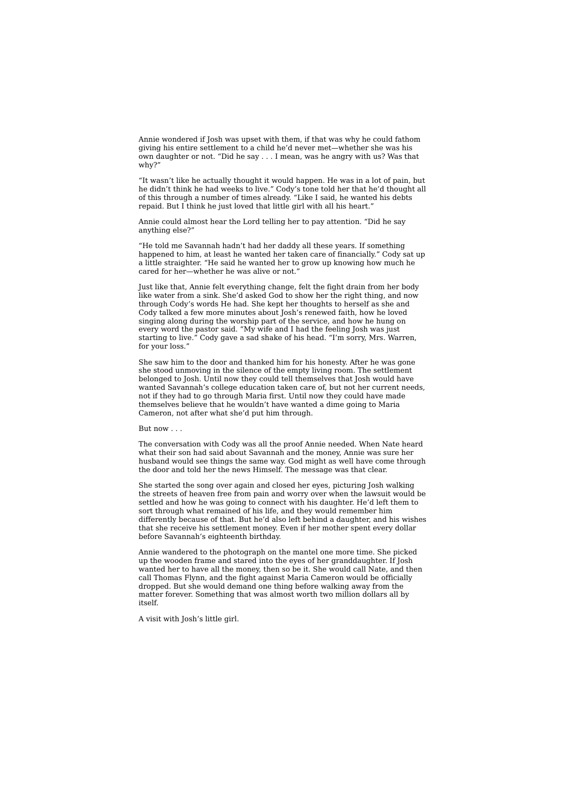Annie wondered if Josh was upset with them, if that was why he could fathom giving his entire settlement to a child he'd never met—whether she was his own daughter or not. "Did he say . . . I mean, was he angry with us? Was that why?

"It wasn't like he actually thought it would happen. He was in a lot of pain, but he didn't think he had weeks to live." Cody's tone told her that he'd thought all of this through a number of times already. "Like I said, he wanted his debts repaid. But I think he just loved that little girl with all his heart."

Annie could almost hear the Lord telling her to pay attention. "Did he say anything else?"

"He told me Savannah hadn't had her daddy all these years. If something happened to him, at least he wanted her taken care of financially." Cody sat up a little straighter. "He said he wanted her to grow up knowing how much he cared for her—whether he was alive or not."

Just like that, Annie felt everything change, felt the fight drain from her body like water from a sink. She'd asked God to show her the right thing, and now through Cody's words He had. She kept her thoughts to herself as she and Cody talked a few more minutes about Josh's renewed faith, how he loved singing along during the worship part of the service, and how he hung on every word the pastor said. "My wife and I had the feeling Josh was just starting to live." Cody gave a sad shake of his head. "I'm sorry, Mrs. Warren, for your loss."

She saw him to the door and thanked him for his honesty. After he was gone she stood unmoving in the silence of the empty living room. The settlement belonged to Josh. Until now they could tell themselves that Josh would have wanted Savannah's college education taken care of, but not her current needs, not if they had to go through Maria first. Until now they could have made themselves believe that he wouldn't have wanted a dime going to Maria Cameron, not after what she'd put him through.

But now . . .

The conversation with Cody was all the proof Annie needed. When Nate heard what their son had said about Savannah and the money, Annie was sure her husband would see things the same way. God might as well have come through the door and told her the news Himself. The message was that clear.

She started the song over again and closed her eyes, picturing Josh walking the streets of heaven free from pain and worry over when the lawsuit would be settled and how he was going to connect with his daughter. He'd left them to sort through what remained of his life, and they would remember him differently because of that. But he'd also left behind a daughter, and his wishes that she receive his settlement money. Even if her mother spent every dollar before Savannah's eighteenth birthday.

Annie wandered to the photograph on the mantel one more time. She picked up the wooden frame and stared into the eyes of her granddaughter. If Josh wanted her to have all the money, then so be it. She would call Nate, and then call Thomas Flynn, and the fight against Maria Cameron would be officially dropped. But she would demand one thing before walking away from the matter forever. Something that was almost worth two million dollars all by itself

A visit with Josh's little girl.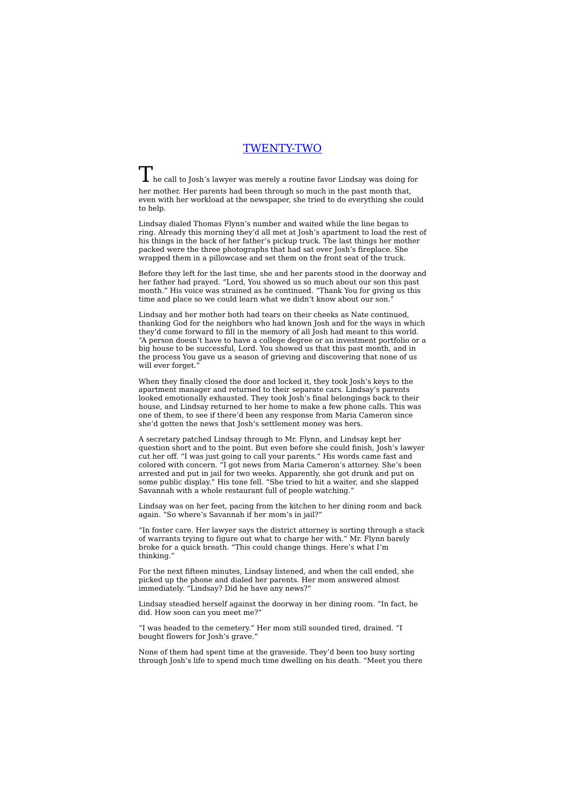# TWENTY-TWO

 $\blacksquare$  he call to Josh's lawyer was merely a routine favor Lindsay was doing for her mother. Her parents had been through so much in the past month that, even with her workload at the newspaper, she tried to do everything she could to help.

Lindsay dialed Thomas Flynn's number and waited while the line began to ring. Already this morning they'd all met at Josh's apartment to load the rest of his things in the back of her father's pickup truck. The last things her mother packed were the three photographs that had sat over Josh's fireplace. She wrapped them in a pillowcase and set them on the front seat of the truck.

Before they left for the last time, she and her parents stood in the doorway and her father had prayed. "Lord, You showed us so much about our son this past month." His voice was strained as he continued. "Thank You for giving us this time and place so we could learn what we didn't know about our son.

Lindsay and her mother both had tears on their cheeks as Nate continued, thanking God for the neighbors who had known Josh and for the ways in which they'd come forward to fill in the memory of all Josh had meant to this world. "A person doesn't have to have a college degree or an investment portfolio or a big house to be successful, Lord. You showed us that this past month, and in the process You gave us a season of grieving and discovering that none of us will ever forget."

When they finally closed the door and locked it, they took Josh's keys to the apartment manager and returned to their separate cars. Lindsay's parents looked emotionally exhausted. They took Josh's final belongings back to their house, and Lindsay returned to her home to make a few phone calls. This was one of them, to see if there'd been any response from Maria Cameron since she'd gotten the news that Josh's settlement money was hers.

A secretary patched Lindsay through to Mr. Flynn, and Lindsay kept her question short and to the point. But even before she could finish, Josh's lawyer cut her off. "I was just going to call your parents." His words came fast and colored with concern. "I got news from Maria Cameron's attorney. She's been arrested and put in jail for two weeks. Apparently, she got drunk and put on some public display." His tone fell. "She tried to hit a waiter, and she slapped Savannah with a whole restaurant full of people watching."

Lindsay was on her feet, pacing from the kitchen to her dining room and back again. "So where's Savannah if her mom's in jail?"

"In foster care. Her lawyer says the district attorney is sorting through a stack of warrants trying to figure out what to charge her with." Mr. Flynn barely broke for a quick breath. "This could change things. Here's what I'm thinking."

For the next fifteen minutes, Lindsay listened, and when the call ended, she picked up the phone and dialed her parents. Her mom answered almost immediately. "Lindsay? Did he have any news?"

Lindsay steadied herself against the doorway in her dining room. "In fact, he did. How soon can you meet me?"

"I was headed to the cemetery." Her mom still sounded tired, drained. "I bought flowers for Josh's grave."

None of them had spent time at the graveside. They'd been too busy sorting through Josh's life to spend much time dwelling on his death. "Meet you there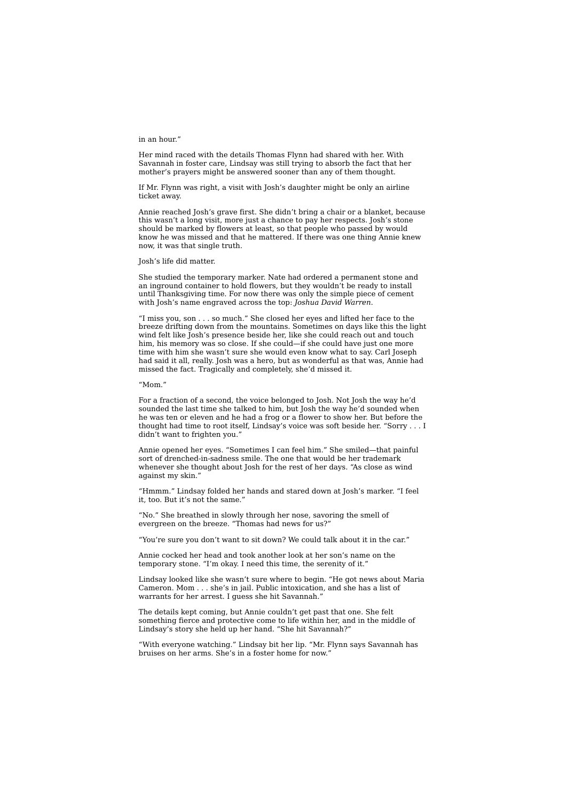### in an hour."

Her mind raced with the details Thomas Flynn had shared with her. With Savannah in foster care, Lindsay was still trying to absorb the fact that her mother's prayers might be answered sooner than any of them thought.

If Mr. Flynn was right, a visit with Josh's daughter might be only an airline ticket away.

Annie reached Josh's grave first. She didn't bring a chair or a blanket, because this wasn't a long visit, more just a chance to pay her respects. Josh's stone should be marked by flowers at least, so that people who passed by would know he was missed and that he mattered. If there was one thing Annie knew now, it was that single truth.

Josh's life did matter.

She studied the temporary marker. Nate had ordered a permanent stone and an inground container to hold flowers, but they wouldn't be ready to install until Thanksgiving time. For now there was only the simple piece of cement with Josh's name engraved across the top: *Joshua David Warren*.

"I miss you, son . . . so much." She closed her eyes and lifted her face to the breeze drifting down from the mountains. Sometimes on days like this the light wind felt like Josh's presence beside her, like she could reach out and touch him, his memory was so close. If she could—if she could have just one more time with him she wasn't sure she would even know what to say. Carl Joseph had said it all, really. Josh was a hero, but as wonderful as that was, Annie had missed the fact. Tragically and completely, she'd missed it.

"Mom."

For a fraction of a second, the voice belonged to Josh. Not Josh the way he'd sounded the last time she talked to him, but Josh the way he'd sounded when he was ten or eleven and he had a frog or a flower to show her. But before the thought had time to root itself, Lindsay's voice was soft beside her. "Sorry . . . I didn't want to frighten you."

Annie opened her eyes. "Sometimes I can feel him." She smiled—that painful sort of drenched-in-sadness smile. The one that would be her trademark whenever she thought about Josh for the rest of her days. "As close as wind against my skin."

"Hmmm." Lindsay folded her hands and stared down at Josh's marker. "I feel it, too. But it's not the same."

"No." She breathed in slowly through her nose, savoring the smell of evergreen on the breeze. "Thomas had news for us?"

"You're sure you don't want to sit down? We could talk about it in the car."

Annie cocked her head and took another look at her son's name on the temporary stone. "I'm okay. I need this time, the serenity of it."

Lindsay looked like she wasn't sure where to begin. "He got news about Maria Cameron. Mom . . . she's in jail. Public intoxication, and she has a list of warrants for her arrest. I guess she hit Savannah."

The details kept coming, but Annie couldn't get past that one. She felt something fierce and protective come to life within her, and in the middle of Lindsay's story she held up her hand. "She hit Savannah?"

"With everyone watching." Lindsay bit her lip. "Mr. Flynn says Savannah has bruises on her arms. She's in a foster home for now."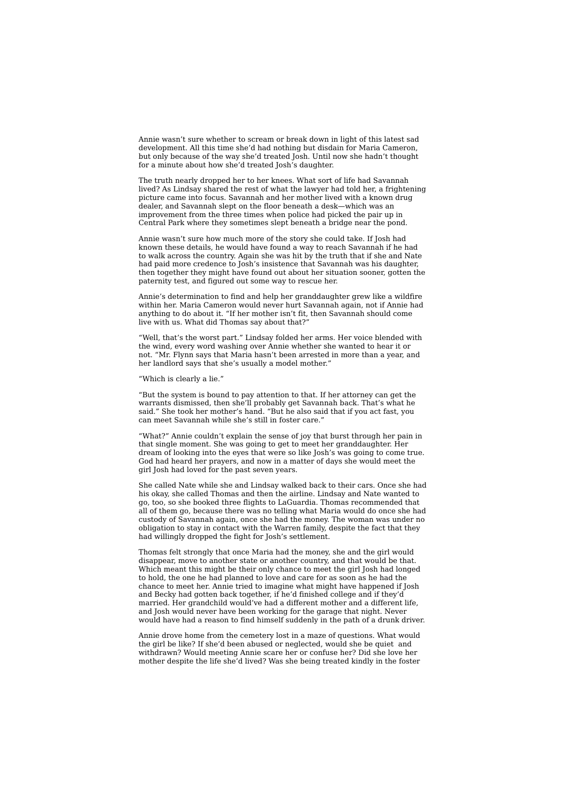Annie wasn't sure whether to scream or break down in light of this latest sad development. All this time she'd had nothing but disdain for Maria Cameron, but only because of the way she'd treated Josh. Until now she hadn't thought for a minute about how she'd treated Josh's daughter.

The truth nearly dropped her to her knees. What sort of life had Savannah lived? As Lindsay shared the rest of what the lawyer had told her, a frightening picture came into focus. Savannah and her mother lived with a known drug dealer, and Savannah slept on the floor beneath a desk—which was an improvement from the three times when police had picked the pair up in Central Park where they sometimes slept beneath a bridge near the pond.

Annie wasn't sure how much more of the story she could take. If Josh had known these details, he would have found a way to reach Savannah if he had to walk across the country. Again she was hit by the truth that if she and Nate had paid more credence to Josh's insistence that Savannah was his daughter, then together they might have found out about her situation sooner, gotten the paternity test, and figured out some way to rescue her.

Annie's determination to find and help her granddaughter grew like a wildfire within her. Maria Cameron would never hurt Savannah again, not if Annie had anything to do about it. "If her mother isn't fit, then Savannah should come live with us. What did Thomas say about that?"

"Well, that's the worst part." Lindsay folded her arms. Her voice blended with the wind, every word washing over Annie whether she wanted to hear it or not. "Mr. Flynn says that Maria hasn't been arrested in more than a year, and her landlord says that she's usually a model mother."

"Which is clearly a lie."

"But the system is bound to pay attention to that. If her attorney can get the warrants dismissed, then she'll probably get Savannah back. That's what he said." She took her mother's hand. "But he also said that if you act fast, you can meet Savannah while she's still in foster care."

"What?" Annie couldn't explain the sense of joy that burst through her pain in that single moment. She was going to get to meet her granddaughter. Her dream of looking into the eyes that were so like Josh's was going to come true. God had heard her prayers, and now in a matter of days she would meet the girl Josh had loved for the past seven years.

She called Nate while she and Lindsay walked back to their cars. Once she had his okay, she called Thomas and then the airline. Lindsay and Nate wanted to go, too, so she booked three flights to LaGuardia. Thomas recommended that all of them go, because there was no telling what Maria would do once she had custody of Savannah again, once she had the money. The woman was under no obligation to stay in contact with the Warren family, despite the fact that they had willingly dropped the fight for Josh's settlement.

Thomas felt strongly that once Maria had the money, she and the girl would disappear, move to another state or another country, and that would be that. Which meant this might be their only chance to meet the girl Josh had longed to hold, the one he had planned to love and care for as soon as he had the chance to meet her. Annie tried to imagine what might have happened if Josh and Becky had gotten back together, if he'd finished college and if they'd married. Her grandchild would've had a different mother and a different life, and Josh would never have been working for the garage that night. Never would have had a reason to find himself suddenly in the path of a drunk driver.

Annie drove home from the cemetery lost in a maze of questions. What would the girl be like? If she'd been abused or neglected, would she be quiet and withdrawn? Would meeting Annie scare her or confuse her? Did she love her mother despite the life she'd lived? Was she being treated kindly in the foster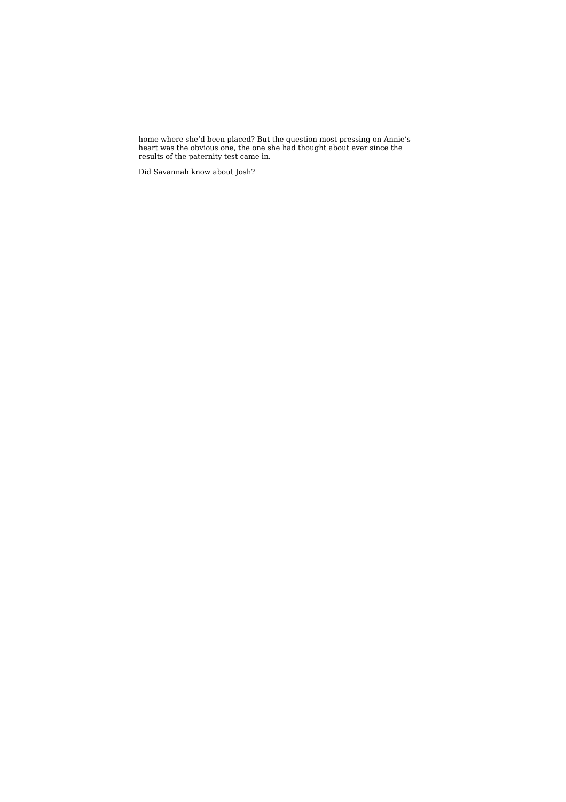home where she'd been placed? But the question most pressing on Annie's heart was the obvious one, the one she had thought about ever since the results of the paternity test came in.

Did Savannah know about Josh?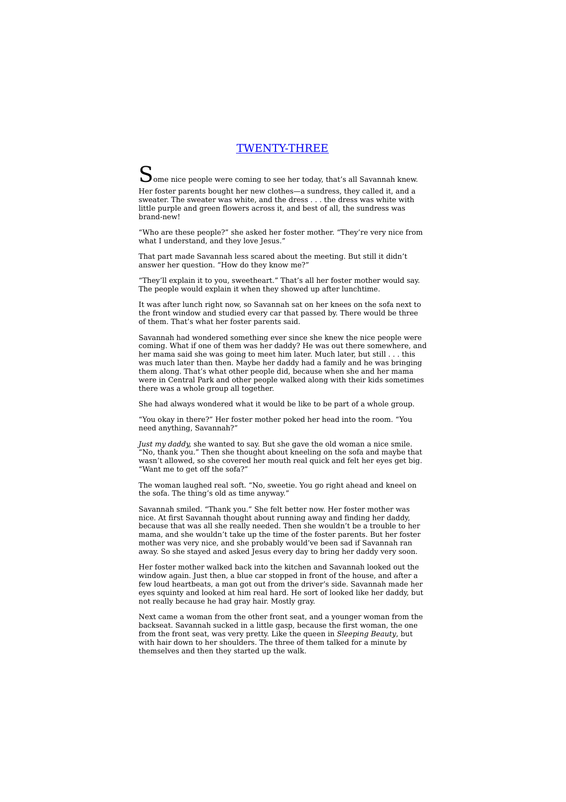## TWENTY-THREE

Some nice people were coming to see her today, that's all Savannah knew. Her foster parents bought her new clothes—a sundress, they called it, and a sweater. The sweater was white, and the dress . . . the dress was white with little purple and green flowers across it, and best of all, the sundress was brand-new!

"Who are these people?" she asked her foster mother. "They're very nice from what I understand, and they love Jesus.'

That part made Savannah less scared about the meeting. But still it didn't answer her question. "How do they know me?"

"They'll explain it to you, sweetheart." That's all her foster mother would say. The people would explain it when they showed up after lunchtime.

It was after lunch right now, so Savannah sat on her knees on the sofa next to the front window and studied every car that passed by. There would be three of them. That's what her foster parents said.

Savannah had wondered something ever since she knew the nice people were coming. What if one of them was her daddy? He was out there somewhere, and her mama said she was going to meet him later. Much later, but still . . . this was much later than then. Maybe her daddy had a family and he was bringing them along. That's what other people did, because when she and her mama were in Central Park and other people walked along with their kids sometimes there was a whole group all together.

She had always wondered what it would be like to be part of a whole group.

"You okay in there?" Her foster mother poked her head into the room. "You need anything, Savannah?"

*Just my daddy,* she wanted to say. But she gave the old woman a nice smile. "No, thank you." Then she thought about kneeling on the sofa and maybe that wasn't allowed, so she covered her mouth real quick and felt her eyes get big. "Want me to get off the sofa?"

The woman laughed real soft. "No, sweetie. You go right ahead and kneel on the sofa. The thing's old as time anyway."

Savannah smiled. "Thank you." She felt better now. Her foster mother was nice. At first Savannah thought about running away and finding her daddy, because that was all she really needed. Then she wouldn't be a trouble to her mama, and she wouldn't take up the time of the foster parents. But her foster mother was very nice, and she probably would've been sad if Savannah ran away. So she stayed and asked Jesus every day to bring her daddy very soon.

Her foster mother walked back into the kitchen and Savannah looked out the window again. Just then, a blue car stopped in front of the house, and after a few loud heartbeats, a man got out from the driver's side. Savannah made her eyes squinty and looked at him real hard. He sort of looked like her daddy, but not really because he had gray hair. Mostly gray.

Next came a woman from the other front seat, and a younger woman from the backseat. Savannah sucked in a little gasp, because the first woman, the one from the front seat, was very pretty. Like the queen in *Sleeping Beauty*, but with hair down to her shoulders. The three of them talked for a minute by themselves and then they started up the walk.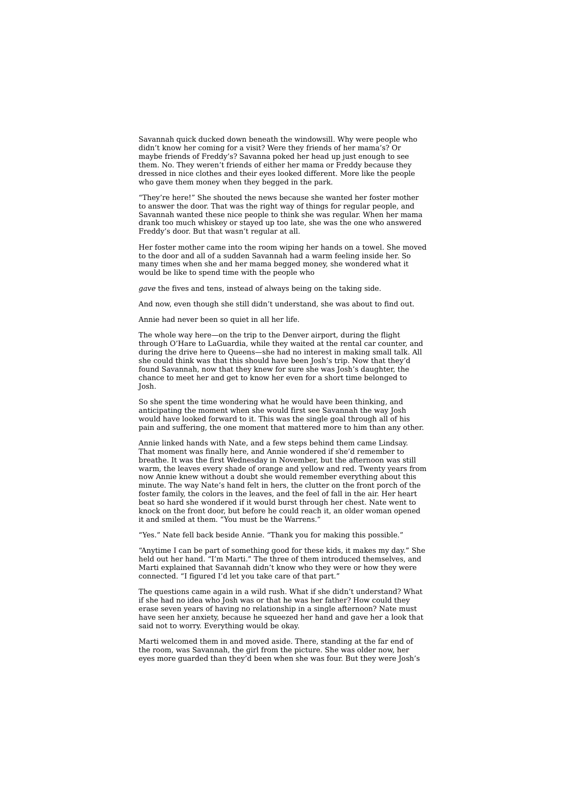Savannah quick ducked down beneath the windowsill. Why were people who didn't know her coming for a visit? Were they friends of her mama's? Or maybe friends of Freddy's? Savanna poked her head up just enough to see them. No. They weren't friends of either her mama or Freddy because they dressed in nice clothes and their eyes looked different. More like the people who gave them money when they begged in the park.

"They're here!" She shouted the news because she wanted her foster mother to answer the door. That was the right way of things for regular people, and Savannah wanted these nice people to think she was regular. When her mama drank too much whiskey or stayed up too late, she was the one who answered Freddy's door. But that wasn't regular at all.

Her foster mother came into the room wiping her hands on a towel. She moved to the door and all of a sudden Savannah had a warm feeling inside her. So many times when she and her mama begged money, she wondered what it would be like to spend time with the people who

*gave* the fives and tens, instead of always being on the taking side.

And now, even though she still didn't understand, she was about to find out.

Annie had never been so quiet in all her life.

The whole way here—on the trip to the Denver airport, during the flight through O'Hare to LaGuardia, while they waited at the rental car counter, and during the drive here to Queens—she had no interest in making small talk. All she could think was that this should have been Josh's trip. Now that they'd found Savannah, now that they knew for sure she was Josh's daughter, the chance to meet her and get to know her even for a short time belonged to Josh.

So she spent the time wondering what he would have been thinking, and anticipating the moment when she would first see Savannah the way Josh would have looked forward to it. This was the single goal through all of his pain and suffering, the one moment that mattered more to him than any other.

Annie linked hands with Nate, and a few steps behind them came Lindsay. That moment was finally here, and Annie wondered if she'd remember to breathe. It was the first Wednesday in November, but the afternoon was still warm, the leaves every shade of orange and yellow and red. Twenty years from now Annie knew without a doubt she would remember everything about this minute. The way Nate's hand felt in hers, the clutter on the front porch of the foster family, the colors in the leaves, and the feel of fall in the air. Her heart beat so hard she wondered if it would burst through her chest. Nate went to knock on the front door, but before he could reach it, an older woman opened it and smiled at them. "You must be the Warrens."

"Yes." Nate fell back beside Annie. "Thank you for making this possible."

"Anytime I can be part of something good for these kids, it makes my day." She held out her hand. "I'm Marti." The three of them introduced themselves, and Marti explained that Savannah didn't know who they were or how they were connected. "I figured I'd let you take care of that part."

The questions came again in a wild rush. What if she didn't understand? What if she had no idea who Josh was or that he was her father? How could they erase seven years of having no relationship in a single afternoon? Nate must have seen her anxiety, because he squeezed her hand and gave her a look that said not to worry. Everything would be okay.

Marti welcomed them in and moved aside. There, standing at the far end of the room, was Savannah, the girl from the picture. She was older now, her eyes more guarded than they'd been when she was four. But they were Josh's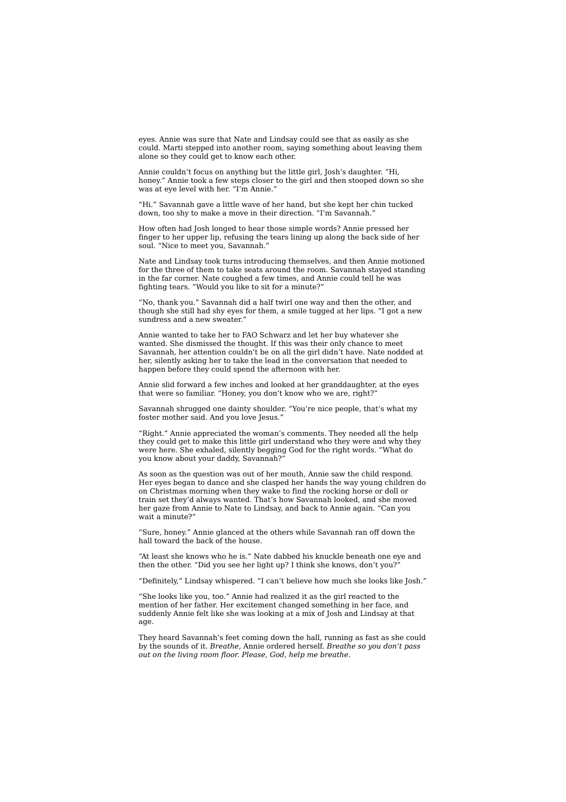eyes. Annie was sure that Nate and Lindsay could see that as easily as she could. Marti stepped into another room, saying something about leaving them alone so they could get to know each other.

Annie couldn't focus on anything but the little girl, Josh's daughter. "Hi, honey." Annie took a few steps closer to the girl and then stooped down so she was at eye level with her. "I'm Annie."

"Hi." Savannah gave a little wave of her hand, but she kept her chin tucked down, too shy to make a move in their direction. "I'm Savannah."

How often had Josh longed to hear those simple words? Annie pressed her finger to her upper lip, refusing the tears lining up along the back side of her soul. "Nice to meet you, Savannah."

Nate and Lindsay took turns introducing themselves, and then Annie motioned for the three of them to take seats around the room. Savannah stayed standing in the far corner. Nate coughed a few times, and Annie could tell he was fighting tears. "Would you like to sit for a minute?"

"No, thank you." Savannah did a half twirl one way and then the other, and though she still had shy eyes for them, a smile tugged at her lips. "I got a new sundress and a new sweater."

Annie wanted to take her to FAO Schwarz and let her buy whatever she wanted. She dismissed the thought. If this was their only chance to meet Savannah, her attention couldn't be on all the girl didn't have. Nate nodded at her, silently asking her to take the lead in the conversation that needed to happen before they could spend the afternoon with her.

Annie slid forward a few inches and looked at her granddaughter, at the eyes that were so familiar. "Honey, you don't know who we are, right?"

Savannah shrugged one dainty shoulder. "You're nice people, that's what my foster mother said. And you love Jesus.'

"Right." Annie appreciated the woman's comments. They needed all the help they could get to make this little girl understand who they were and why they were here. She exhaled, silently begging God for the right words. "What do you know about your daddy, Savannah?"

As soon as the question was out of her mouth, Annie saw the child respond. Her eyes began to dance and she clasped her hands the way young children do on Christmas morning when they wake to find the rocking horse or doll or train set they'd always wanted. That's how Savannah looked, and she moved her gaze from Annie to Nate to Lindsay, and back to Annie again. "Can you wait a minute?"

"Sure, honey." Annie glanced at the others while Savannah ran off down the hall toward the back of the house.

"At least she knows who he is." Nate dabbed his knuckle beneath one eye and then the other. "Did you see her light up? I think she knows, don't you?"

"Definitely," Lindsay whispered. "I can't believe how much she looks like Josh."

"She looks like you, too." Annie had realized it as the girl reacted to the mention of her father. Her excitement changed something in her face, and suddenly Annie felt like she was looking at a mix of Josh and Lindsay at that age.

They heard Savannah's feet coming down the hall, running as fast as she could by the sounds of it. *Breathe,* Annie ordered herself. *Breathe so you don't pass out on the living room floor. Please, God, help me breathe.*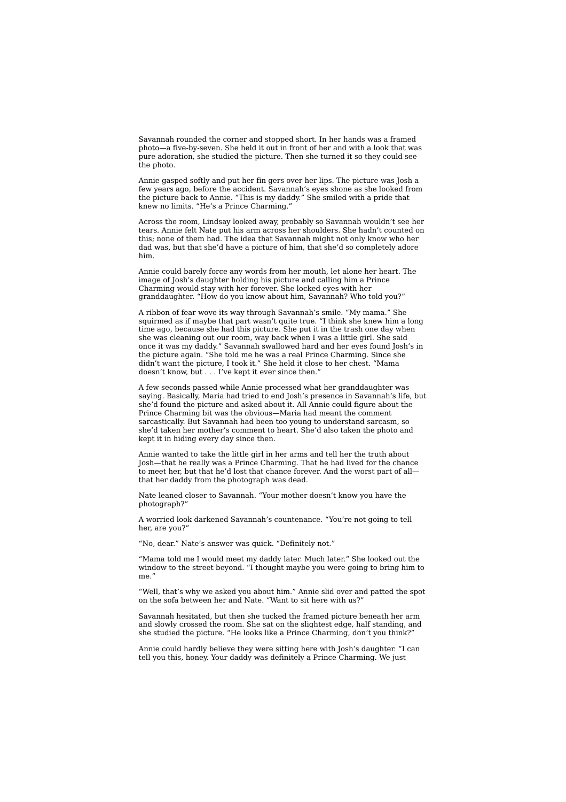Savannah rounded the corner and stopped short. In her hands was a framed photo—a five-by-seven. She held it out in front of her and with a look that was pure adoration, she studied the picture. Then she turned it so they could see the photo.

Annie gasped softly and put her fin gers over her lips. The picture was Josh a few years ago, before the accident. Savannah's eyes shone as she looked from the picture back to Annie. "This is my daddy." She smiled with a pride that knew no limits. "He's a Prince Charming."

Across the room, Lindsay looked away, probably so Savannah wouldn't see her tears. Annie felt Nate put his arm across her shoulders. She hadn't counted on this; none of them had. The idea that Savannah might not only know who her dad was, but that she'd have a picture of him, that she'd so completely adore him.

Annie could barely force any words from her mouth, let alone her heart. The image of Josh's daughter holding his picture and calling him a Prince Charming would stay with her forever. She locked eyes with her granddaughter. "How do you know about him, Savannah? Who told you?"

A ribbon of fear wove its way through Savannah's smile. "My mama." She squirmed as if maybe that part wasn't quite true. "I think she knew him a long time ago, because she had this picture. She put it in the trash one day when she was cleaning out our room, way back when I was a little girl. She said once it was my daddy." Savannah swallowed hard and her eyes found Josh's in the picture again. "She told me he was a real Prince Charming. Since she didn't want the picture, I took it." She held it close to her chest. "Mama doesn't know, but . . . I've kept it ever since then."

A few seconds passed while Annie processed what her granddaughter was saying. Basically, Maria had tried to end Josh's presence in Savannah's life, but she'd found the picture and asked about it. All Annie could figure about the Prince Charming bit was the obvious—Maria had meant the comment sarcastically. But Savannah had been too young to understand sarcasm, so she'd taken her mother's comment to heart. She'd also taken the photo and kept it in hiding every day since then.

Annie wanted to take the little girl in her arms and tell her the truth about Josh—that he really was a Prince Charming. That he had lived for the chance to meet her, but that he'd lost that chance forever. And the worst part of all that her daddy from the photograph was dead.

Nate leaned closer to Savannah. "Your mother doesn't know you have the photograph?"

A worried look darkened Savannah's countenance. "You're not going to tell her, are you?"

"No, dear." Nate's answer was quick. "Definitely not."

"Mama told me I would meet my daddy later. Much later." She looked out the window to the street beyond. "I thought maybe you were going to bring him to me."

"Well, that's why we asked you about him." Annie slid over and patted the spot on the sofa between her and Nate. "Want to sit here with us?"

Savannah hesitated, but then she tucked the framed picture beneath her arm and slowly crossed the room. She sat on the slightest edge, half standing, and she studied the picture. "He looks like a Prince Charming, don't you think?"

Annie could hardly believe they were sitting here with Josh's daughter. "I can tell you this, honey. Your daddy was definitely a Prince Charming. We just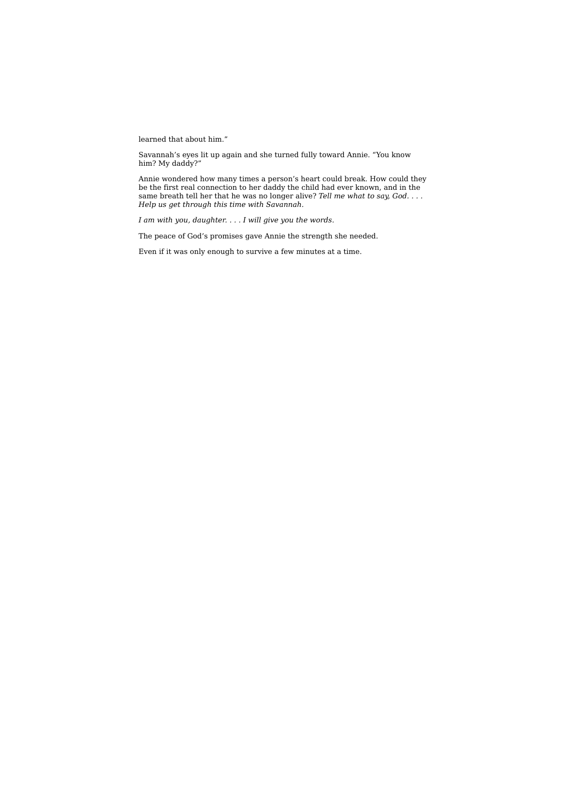learned that about him."

Savannah's eyes lit up again and she turned fully toward Annie. "You know him? My daddy?"

Annie wondered how many times a person's heart could break. How could they be the first real connection to her daddy the child had ever known, and in the same breath tell her that he was no longer alive? *Tell me what to say, God. . . . Help us get through this time with Savannah.*

*I am with you, daughter. . . . I will give you the words.*

The peace of God's promises gave Annie the strength she needed.

Even if it was only enough to survive a few minutes at a time.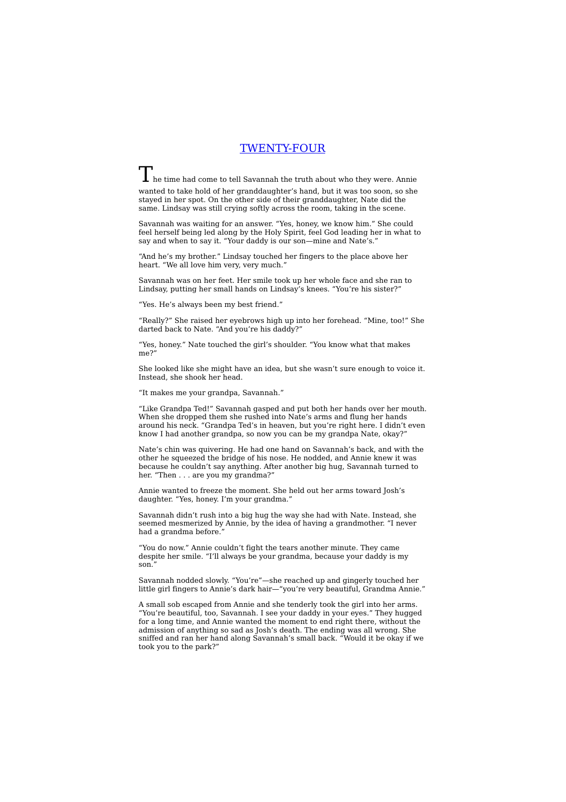# TWENTY-FOUR

 $\blacksquare$  he time had come to tell Savannah the truth about who they were. Annie wanted to take hold of her granddaughter's hand, but it was too soon, so she stayed in her spot. On the other side of their granddaughter, Nate did the same. Lindsay was still crying softly across the room, taking in the scene.

Savannah was waiting for an answer. "Yes, honey, we know him." She could feel herself being led along by the Holy Spirit, feel God leading her in what to say and when to say it. "Your daddy is our son—mine and Nate's."

"And he's my brother." Lindsay touched her fingers to the place above her heart. "We all love him very, very much."

Savannah was on her feet. Her smile took up her whole face and she ran to Lindsay, putting her small hands on Lindsay's knees. "You're his sister?"

"Yes. He's always been my best friend."

"Really?" She raised her eyebrows high up into her forehead. "Mine, too!" She darted back to Nate. "And you're his daddy?"

"Yes, honey." Nate touched the girl's shoulder. "You know what that makes me?

She looked like she might have an idea, but she wasn't sure enough to voice it. Instead, she shook her head.

"It makes me your grandpa, Savannah."

"Like Grandpa Ted!" Savannah gasped and put both her hands over her mouth. When she dropped them she rushed into Nate's arms and flung her hands around his neck. "Grandpa Ted's in heaven, but you're right here. I didn't even know I had another grandpa, so now you can be my grandpa Nate, okay?"

Nate's chin was quivering. He had one hand on Savannah's back, and with the other he squeezed the bridge of his nose. He nodded, and Annie knew it was because he couldn't say anything. After another big hug, Savannah turned to her. "Then . . . are you my grandma?"

Annie wanted to freeze the moment. She held out her arms toward Josh's daughter. "Yes, honey. I'm your grandma."

Savannah didn't rush into a big hug the way she had with Nate. Instead, she seemed mesmerized by Annie, by the idea of having a grandmother. "I never had a grandma before."

"You do now." Annie couldn't fight the tears another minute. They came despite her smile. "I'll always be your grandma, because your daddy is my  $\frac{1}{2}$ 

Savannah nodded slowly. "You're"—she reached up and gingerly touched her little girl fingers to Annie's dark hair—"you're very beautiful, Grandma Annie."

A small sob escaped from Annie and she tenderly took the girl into her arms. "You're beautiful, too, Savannah. I see your daddy in your eyes." They hugged for a long time, and Annie wanted the moment to end right there, without the admission of anything so sad as Josh's death. The ending was all wrong. She sniffed and ran her hand along Savannah's small back. "Would it be okay if we took you to the park?"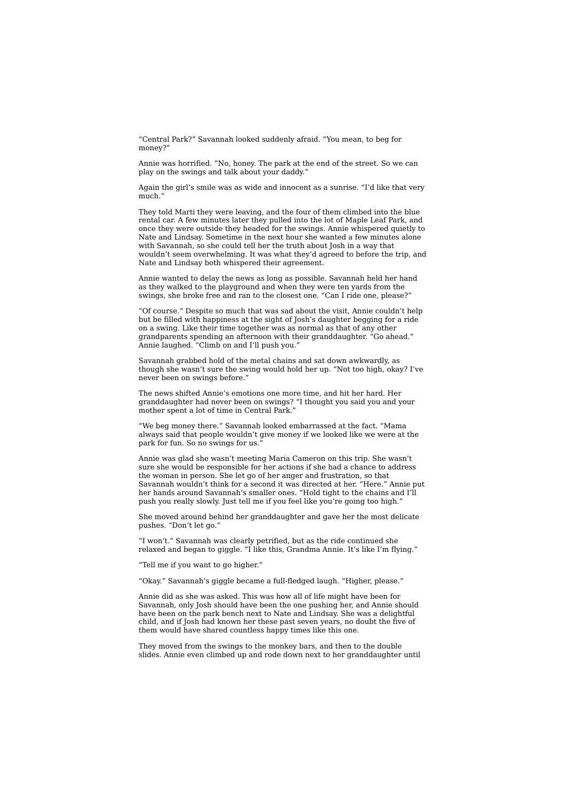"Central Park?" Savannah looked suddenly afraid. "You mean, to beg for money?"

Annie was horrified. "No, honey. The park at the end of the street. So we can play on the swings and talk about your daddy."

Again the girl's smile was as wide and innocent as a sunrise. "I'd like that very much<sup>"</sup>

They told Marti they were leaving, and the four of them climbed into the blue rental car. A few minutes later they pulled into the lot of Maple Leaf Park, and once they were outside they headed for the swings. Annie whispered quietly to Nate and Lindsay. Sometime in the next hour she wanted a few minutes alone with Savannah, so she could tell her the truth about Josh in a way that wouldn't seem overwhelming. It was what they'd agreed to before the trip, and Nate and Lindsay both whispered their agreement.

Annie wanted to delay the news as long as possible. Savannah held her hand as they walked to the playground and when they were ten yards from the swings, she broke free and ran to the closest one. "Can I ride one, please?"

"Of course." Despite so much that was sad about the visit, Annie couldn't help but be filled with happiness at the sight of Josh's daughter begging for a ride on a swing. Like their time together was as normal as that of any other grandparents spending an afternoon with their granddaughter. "Go ahead." Annie laughed. "Climb on and I'll push you."

Savannah grabbed hold of the metal chains and sat down awkwardly, as though she wasn't sure the swing would hold her up. "Not too high, okay? I've never been on swings before."

The news shifted Annie's emotions one more time, and hit her hard. Her granddaughter had never been on swings? "I thought you said you and your mother spent a lot of time in Central Park."

"We beg money there." Savannah looked embarrassed at the fact. "Mama always said that people wouldn't give money if we looked like we were at the park for fun. So no swings for us.

Annie was glad she wasn't meeting Maria Cameron on this trip. She wasn't sure she would be responsible for her actions if she had a chance to address the woman in person. She let go of her anger and frustration, so that Savannah wouldn't think for a second it was directed at her. "Here." Annie put her hands around Savannah's smaller ones. "Hold tight to the chains and I'll push you really slowly. Just tell me if you feel like you're going too high."

She moved around behind her granddaughter and gave her the most delicate pushes. "Don't let go."

"I won't." Savannah was clearly petrified, but as the ride continued she relaxed and began to giggle. "I like this, Grandma Annie. It's like I'm flying."

"Tell me if you want to go higher."

"Okay." Savannah's giggle became a full-fledged laugh. "Higher, please."

Annie did as she was asked. This was how all of life might have been for Savannah, only Josh should have been the one pushing her, and Annie should have been on the park bench next to Nate and Lindsay. She was a delightful child, and if Josh had known her these past seven years, no doubt the five of them would have shared countless happy times like this one.

They moved from the swings to the monkey bars, and then to the double slides. Annie even climbed up and rode down next to her granddaughter until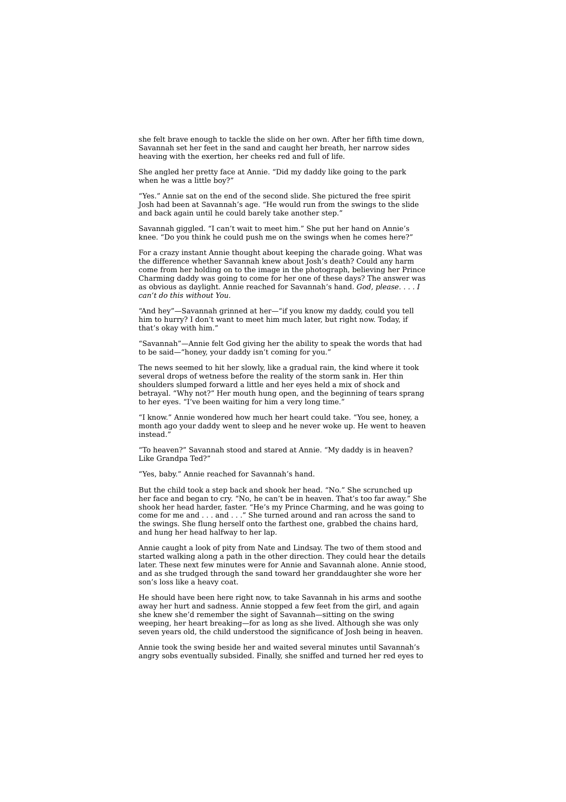she felt brave enough to tackle the slide on her own. After her fifth time down, Savannah set her feet in the sand and caught her breath, her narrow sides heaving with the exertion, her cheeks red and full of life.

She angled her pretty face at Annie. "Did my daddy like going to the park when he was a little boy?

"Yes." Annie sat on the end of the second slide. She pictured the free spirit Josh had been at Savannah's age. "He would run from the swings to the slide and back again until he could barely take another step."

Savannah giggled. "I can't wait to meet him." She put her hand on Annie's knee. "Do you think he could push me on the swings when he comes here?"

For a crazy instant Annie thought about keeping the charade going. What was the difference whether Savannah knew about Josh's death? Could any harm come from her holding on to the image in the photograph, believing her Prince Charming daddy was going to come for her one of these days? The answer was as obvious as daylight. Annie reached for Savannah's hand. *God, please. . . . I can't do this without You.*

"And hey"—Savannah grinned at her—"if you know my daddy, could you tell him to hurry? I don't want to meet him much later, but right now. Today, if that's okay with him."

"Savannah"—Annie felt God giving her the ability to speak the words that had to be said—"honey, your daddy isn't coming for you."

The news seemed to hit her slowly, like a gradual rain, the kind where it took several drops of wetness before the reality of the storm sank in. Her thin shoulders slumped forward a little and her eyes held a mix of shock and betrayal. "Why not?" Her mouth hung open, and the beginning of tears sprang to her eyes. "I've been waiting for him a very long time."

"I know." Annie wondered how much her heart could take. "You see, honey, a month ago your daddy went to sleep and he never woke up. He went to heaven instead."

"To heaven?" Savannah stood and stared at Annie. "My daddy is in heaven? Like Grandpa Ted?"

"Yes, baby." Annie reached for Savannah's hand.

But the child took a step back and shook her head. "No." She scrunched up her face and began to cry. "No, he can't be in heaven. That's too far away." She shook her head harder, faster. "He's my Prince Charming, and he was going to come for me and . . . and . . ." She turned around and ran across the sand to the swings. She flung herself onto the farthest one, grabbed the chains hard, and hung her head halfway to her lap.

Annie caught a look of pity from Nate and Lindsay. The two of them stood and started walking along a path in the other direction. They could hear the details later. These next few minutes were for Annie and Savannah alone. Annie stood, and as she trudged through the sand toward her granddaughter she wore her son's loss like a heavy coat.

He should have been here right now, to take Savannah in his arms and soothe away her hurt and sadness. Annie stopped a few feet from the girl, and again she knew she'd remember the sight of Savannah—sitting on the swing weeping, her heart breaking—for as long as she lived. Although she was only seven years old, the child understood the significance of Josh being in heaven.

Annie took the swing beside her and waited several minutes until Savannah's angry sobs eventually subsided. Finally, she sniffed and turned her red eyes to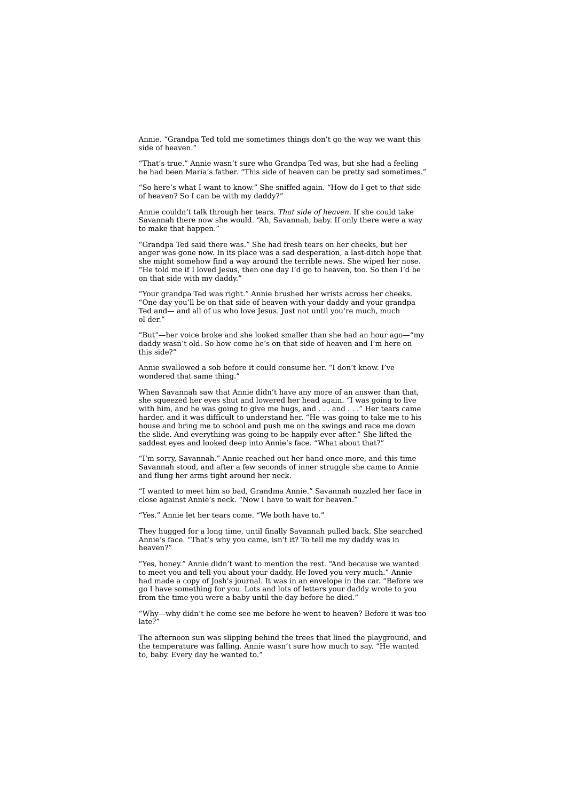Annie. "Grandpa Ted told me sometimes things don't go the way we want this side of heaven."

"That's true." Annie wasn't sure who Grandpa Ted was, but she had a feeling he had been Maria's father. "This side of heaven can be pretty sad sometimes."

"So here's what I want to know." She sniffed again. "How do I get to *that* side of heaven? So I can be with my daddy?"

Annie couldn't talk through her tears. *That side of heaven.* If she could take Savannah there now she would. "Ah, Savannah, baby. If only there were a way to make that happen."

"Grandpa Ted said there was." She had fresh tears on her cheeks, but her anger was gone now. In its place was a sad desperation, a last-ditch hope that she might somehow find a way around the terrible news. She wiped her nose. "He told me if I loved Jesus, then one day I'd go to heaven, too. So then I'd be on that side with my daddy."

"Your grandpa Ted was right." Annie brushed her wrists across her cheeks. "One day you'll be on that side of heaven with your daddy and your grandpa Ted and— and all of us who love Jesus. Just not until you're much, much ol der."

"But"—her voice broke and she looked smaller than she had an hour ago—"my daddy wasn't old. So how come he's on that side of heaven and I'm here on this side?"

Annie swallowed a sob before it could consume her. "I don't know. I've wondered that same thing."

When Savannah saw that Annie didn't have any more of an answer than that, she squeezed her eyes shut and lowered her head again. "I was going to live with him, and he was going to give me hugs, and . . . and . . . " Her tears came harder, and it was difficult to understand her. "He was going to take me to his house and bring me to school and push me on the swings and race me down the slide. And everything was going to be happily ever after." She lifted the saddest eyes and looked deep into Annie's face. "What about that?"

"I'm sorry, Savannah." Annie reached out her hand once more, and this time Savannah stood, and after a few seconds of inner struggle she came to Annie and flung her arms tight around her neck.

"I wanted to meet him so bad, Grandma Annie." Savannah nuzzled her face in close against Annie's neck. "Now I have to wait for heaven."

"Yes." Annie let her tears come. "We both have to."

They hugged for a long time, until finally Savannah pulled back. She searched Annie's face. "That's why you came, isn't it? To tell me my daddy was in heaven?"

"Yes, honey." Annie didn't want to mention the rest. "And because we wanted to meet you and tell you about your daddy. He loved you very much." Annie had made a copy of Josh's journal. It was in an envelope in the car. "Before we go I have something for you. Lots and lots of letters your daddy wrote to you from the time you were a baby until the day before he died."

"Why—why didn't he come see me before he went to heaven? Before it was too late?

The afternoon sun was slipping behind the trees that lined the playground, and the temperature was falling. Annie wasn't sure how much to say. "He wanted to, baby. Every day he wanted to."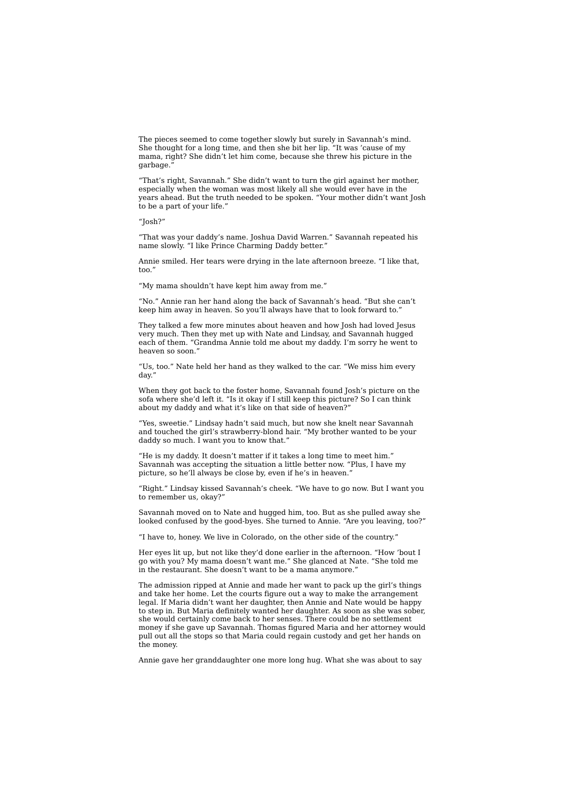The pieces seemed to come together slowly but surely in Savannah's mind. She thought for a long time, and then she bit her lip. "It was 'cause of my mama, right? She didn't let him come, because she threw his picture in the garbage."

"That's right, Savannah." She didn't want to turn the girl against her mother, especially when the woman was most likely all she would ever have in the years ahead. But the truth needed to be spoken. "Your mother didn't want Josh to be a part of your life."

"Josh?"

"That was your daddy's name. Joshua David Warren." Savannah repeated his name slowly. "I like Prince Charming Daddy better."

Annie smiled. Her tears were drying in the late afternoon breeze. "I like that, too."

"My mama shouldn't have kept him away from me."

"No." Annie ran her hand along the back of Savannah's head. "But she can't keep him away in heaven. So you'll always have that to look forward to."

They talked a few more minutes about heaven and how Josh had loved Jesus very much. Then they met up with Nate and Lindsay, and Savannah hugged each of them. "Grandma Annie told me about my daddy. I'm sorry he went to heaven so soon."

"Us, too." Nate held her hand as they walked to the car. "We miss him every day."

When they got back to the foster home, Savannah found Josh's picture on the sofa where she'd left it. "Is it okay if I still keep this picture? So I can think about my daddy and what it's like on that side of heaven?"

"Yes, sweetie." Lindsay hadn't said much, but now she knelt near Savannah and touched the girl's strawberry-blond hair. "My brother wanted to be your daddy so much. I want you to know that."

"He is my daddy. It doesn't matter if it takes a long time to meet him." Savannah was accepting the situation a little better now. "Plus, I have my picture, so he'll always be close by, even if he's in heaven."

"Right." Lindsay kissed Savannah's cheek. "We have to go now. But I want you to remember us, okay?"

Savannah moved on to Nate and hugged him, too. But as she pulled away she looked confused by the good-byes. She turned to Annie. "Are you leaving, too?"

"I have to, honey. We live in Colorado, on the other side of the country."

Her eves lit up, but not like they'd done earlier in the afternoon. "How 'bout I go with you? My mama doesn't want me." She glanced at Nate. "She told me in the restaurant. She doesn't want to be a mama anymore."

The admission ripped at Annie and made her want to pack up the girl's things and take her home. Let the courts figure out a way to make the arrangement legal. If Maria didn't want her daughter, then Annie and Nate would be happy to step in. But Maria definitely wanted her daughter. As soon as she was sober, she would certainly come back to her senses. There could be no settlement money if she gave up Savannah. Thomas figured Maria and her attorney would pull out all the stops so that Maria could regain custody and get her hands on the money.

Annie gave her granddaughter one more long hug. What she was about to say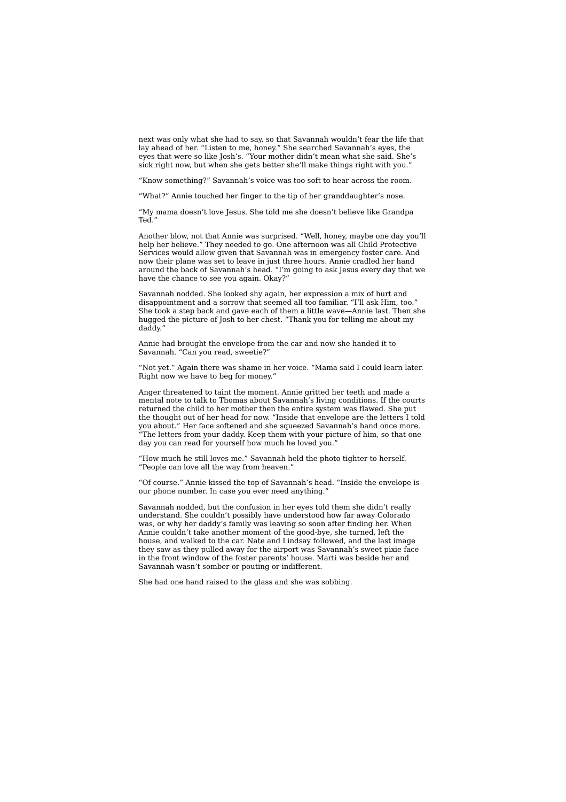next was only what she had to say, so that Savannah wouldn't fear the life that lay ahead of her. "Listen to me, honey." She searched Savannah's eyes, the eyes that were so like Josh's. "Your mother didn't mean what she said. She's sick right now, but when she gets better she'll make things right with you."

"Know something?" Savannah's voice was too soft to hear across the room.

"What?" Annie touched her finger to the tip of her granddaughter's nose.

"My mama doesn't love Jesus. She told me she doesn't believe like Grandpa Ted."

Another blow, not that Annie was surprised. "Well, honey, maybe one day you'll help her believe." They needed to go. One afternoon was all Child Protective Services would allow given that Savannah was in emergency foster care. And now their plane was set to leave in just three hours. Annie cradled her hand around the back of Savannah's head. "I'm going to ask Jesus every day that we have the chance to see you again. Okay?"

Savannah nodded. She looked shy again, her expression a mix of hurt and disappointment and a sorrow that seemed all too familiar. "I'll ask Him, too." She took a step back and gave each of them a little wave—Annie last. Then she hugged the picture of Josh to her chest. "Thank you for telling me about my daddy."

Annie had brought the envelope from the car and now she handed it to Savannah. "Can you read, sweetie?"

"Not yet." Again there was shame in her voice. "Mama said I could learn later. Right now we have to beg for money."

Anger threatened to taint the moment. Annie gritted her teeth and made a mental note to talk to Thomas about Savannah's living conditions. If the courts returned the child to her mother then the entire system was flawed. She put the thought out of her head for now. "Inside that envelope are the letters I told you about." Her face softened and she squeezed Savannah's hand once more. "The letters from your daddy. Keep them with your picture of him, so that one day you can read for yourself how much he loved you."

"How much he still loves me." Savannah held the photo tighter to herself. "People can love all the way from heaven."

"Of course." Annie kissed the top of Savannah's head. "Inside the envelope is our phone number. In case you ever need anything.

Savannah nodded, but the confusion in her eyes told them she didn't really understand. She couldn't possibly have understood how far away Colorado was, or why her daddy's family was leaving so soon after finding her. When Annie couldn't take another moment of the good-bye, she turned, left the house, and walked to the car. Nate and Lindsay followed, and the last image they saw as they pulled away for the airport was Savannah's sweet pixie face in the front window of the foster parents' house. Marti was beside her and Savannah wasn't somber or pouting or indifferent.

She had one hand raised to the glass and she was sobbing.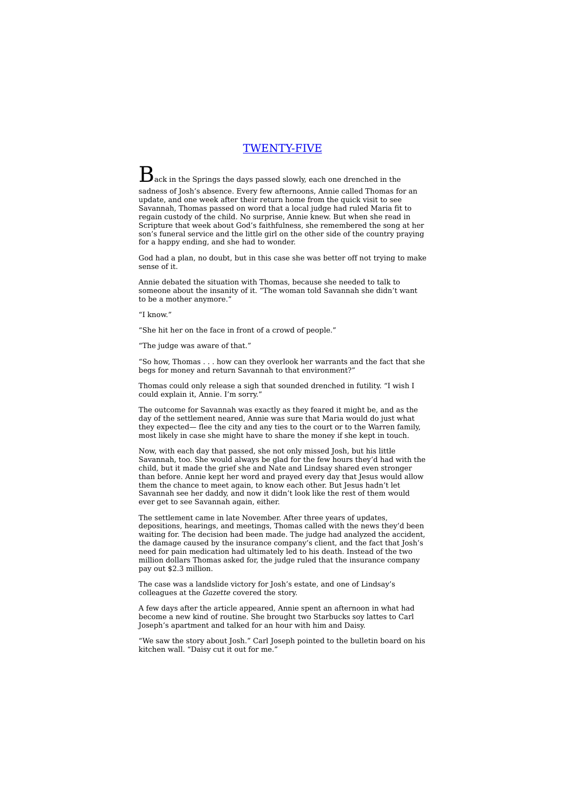## TWENTY-FIVE

 $\mathbf{B}_{\text{ack}}$  in the Springs the days passed slowly, each one drenched in the sadness of Josh's absence. Every few afternoons, Annie called Thomas for an update, and one week after their return home from the quick visit to see Savannah, Thomas passed on word that a local judge had ruled Maria fit to regain custody of the child. No surprise, Annie knew. But when she read in Scripture that week about God's faithfulness, she remembered the song at her son's funeral service and the little girl on the other side of the country praying for a happy ending, and she had to wonder.

God had a plan, no doubt, but in this case she was better off not trying to make sense of it.

Annie debated the situation with Thomas, because she needed to talk to someone about the insanity of it. "The woman told Savannah she didn't want to be a mother anymore."

"I know."

"She hit her on the face in front of a crowd of people."

"The judge was aware of that."

"So how, Thomas . . . how can they overlook her warrants and the fact that she begs for money and return Savannah to that environment?"

Thomas could only release a sigh that sounded drenched in futility. "I wish I could explain it, Annie. I'm sorry."

The outcome for Savannah was exactly as they feared it might be, and as the day of the settlement neared, Annie was sure that Maria would do just what they expected— flee the city and any ties to the court or to the Warren family, most likely in case she might have to share the money if she kept in touch.

Now, with each day that passed, she not only missed Josh, but his little Savannah, too. She would always be glad for the few hours they'd had with the child, but it made the grief she and Nate and Lindsay shared even stronger than before. Annie kept her word and prayed every day that Jesus would allow them the chance to meet again, to know each other. But Jesus hadn't let Savannah see her daddy, and now it didn't look like the rest of them would ever get to see Savannah again, either.

The settlement came in late November. After three years of updates, depositions, hearings, and meetings, Thomas called with the news they'd been waiting for. The decision had been made. The judge had analyzed the accident, the damage caused by the insurance company's client, and the fact that Josh's need for pain medication had ultimately led to his death. Instead of the two million dollars Thomas asked for, the judge ruled that the insurance company pay out \$2.3 million.

The case was a landslide victory for Josh's estate, and one of Lindsay's colleagues at the *Gazette* covered the story.

A few days after the article appeared, Annie spent an afternoon in what had become a new kind of routine. She brought two Starbucks soy lattes to Carl Joseph's apartment and talked for an hour with him and Daisy.

"We saw the story about Josh." Carl Joseph pointed to the bulletin board on his kitchen wall. "Daisy cut it out for me."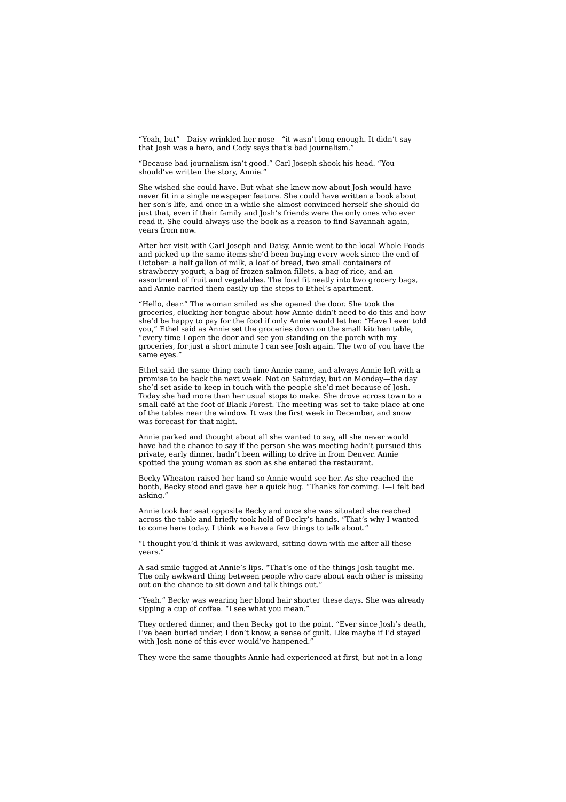"Yeah, but"—Daisy wrinkled her nose—"it wasn't long enough. It didn't say that Josh was a hero, and Cody says that's bad journalism."

"Because bad journalism isn't good." Carl Joseph shook his head. "You should've written the story, Annie."

She wished she could have. But what she knew now about Josh would have never fit in a single newspaper feature. She could have written a book about her son's life, and once in a while she almost convinced herself she should do just that, even if their family and Josh's friends were the only ones who ever read it. She could always use the book as a reason to find Savannah again, years from now.

After her visit with Carl Joseph and Daisy, Annie went to the local Whole Foods and picked up the same items she'd been buying every week since the end of October: a half gallon of milk, a loaf of bread, two small containers of strawberry yogurt, a bag of frozen salmon fillets, a bag of rice, and an assortment of fruit and vegetables. The food fit neatly into two grocery bags, and Annie carried them easily up the steps to Ethel's apartment.

"Hello, dear." The woman smiled as she opened the door. She took the groceries, clucking her tongue about how Annie didn't need to do this and how she'd be happy to pay for the food if only Annie would let her. "Have I ever told you," Ethel said as Annie set the groceries down on the small kitchen table, "every time I open the door and see you standing on the porch with my groceries, for just a short minute I can see Josh again. The two of you have the same eyes."

Ethel said the same thing each time Annie came, and always Annie left with a promise to be back the next week. Not on Saturday, but on Monday—the day she'd set aside to keep in touch with the people she'd met because of Josh. Today she had more than her usual stops to make. She drove across town to a small café at the foot of Black Forest. The meeting was set to take place at one of the tables near the window. It was the first week in December, and snow was forecast for that night.

Annie parked and thought about all she wanted to say, all she never would have had the chance to say if the person she was meeting hadn't pursued this private, early dinner, hadn't been willing to drive in from Denver. Annie spotted the young woman as soon as she entered the restaurant.

Becky Wheaton raised her hand so Annie would see her. As she reached the booth, Becky stood and gave her a quick hug. "Thanks for coming. I—I felt bad asking."

Annie took her seat opposite Becky and once she was situated she reached across the table and briefly took hold of Becky's hands. "That's why I wanted to come here today. I think we have a few things to talk about."

"I thought you'd think it was awkward, sitting down with me after all these years."

A sad smile tugged at Annie's lips. "That's one of the things Josh taught me. The only awkward thing between people who care about each other is missing out on the chance to sit down and talk things out."

"Yeah." Becky was wearing her blond hair shorter these days. She was already sipping a cup of coffee. "I see what you mean."

They ordered dinner, and then Becky got to the point. "Ever since Josh's death, I've been buried under, I don't know, a sense of guilt. Like maybe if I'd stayed with Josh none of this ever would've happened."

They were the same thoughts Annie had experienced at first, but not in a long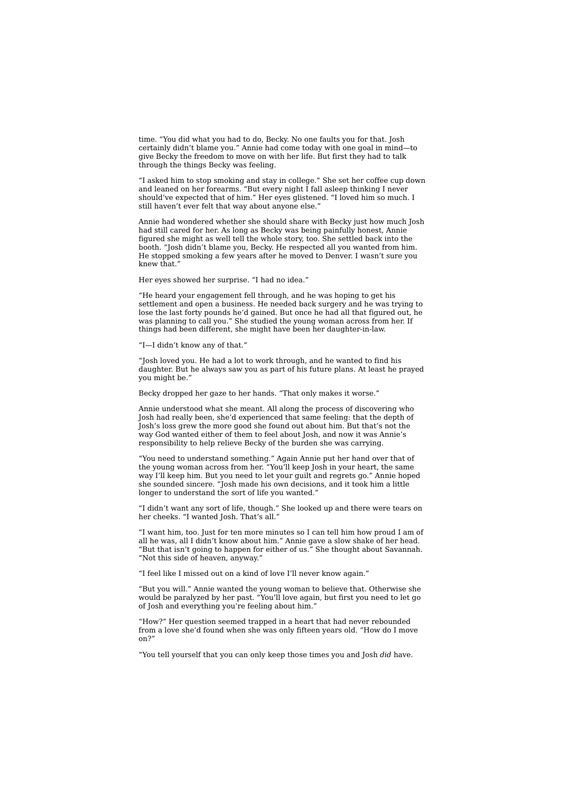time. "You did what you had to do, Becky. No one faults you for that. Josh certainly didn't blame you." Annie had come today with one goal in mind—to give Becky the freedom to move on with her life. But first they had to talk through the things Becky was feeling.

"I asked him to stop smoking and stay in college." She set her coffee cup down and leaned on her forearms. "But every night I fall asleep thinking I never should've expected that of him." Her eyes glistened. "I loved him so much. I still haven't ever felt that way about anyone else."

Annie had wondered whether she should share with Becky just how much Josh had still cared for her. As long as Becky was being painfully honest, Annie figured she might as well tell the whole story, too. She settled back into the booth. "Josh didn't blame you, Becky. He respected all you wanted from him. He stopped smoking a few years after he moved to Denver. I wasn't sure you knew that."

Her eyes showed her surprise. "I had no idea."

"He heard your engagement fell through, and he was hoping to get his settlement and open a business. He needed back surgery and he was trying to lose the last forty pounds he'd gained. But once he had all that figured out, he was planning to call you." She studied the young woman across from her. If things had been different, she might have been her daughter-in-law.

"I—I didn't know any of that."

"Josh loved you. He had a lot to work through, and he wanted to find his daughter. But he always saw you as part of his future plans. At least he prayed you might be."

Becky dropped her gaze to her hands. "That only makes it worse."

Annie understood what she meant. All along the process of discovering who Josh had really been, she'd experienced that same feeling: that the depth of Josh's loss grew the more good she found out about him. But that's not the way God wanted either of them to feel about Josh, and now it was Annie's responsibility to help relieve Becky of the burden she was carrying.

"You need to understand something." Again Annie put her hand over that of the young woman across from her. "You'll keep Josh in your heart, the same way I'll keep him. But you need to let your guilt and regrets go." Annie hoped she sounded sincere. "Josh made his own decisions, and it took him a little longer to understand the sort of life you wanted.

"I didn't want any sort of life, though." She looked up and there were tears on her cheeks. "I wanted Josh. That's all."

"I want him, too. Just for ten more minutes so I can tell him how proud I am of all he was, all I didn't know about him." Annie gave a slow shake of her head. "But that isn't going to happen for either of us." She thought about Savannah. "Not this side of heaven, anyway."

"I feel like I missed out on a kind of love I'll never know again."

"But you will." Annie wanted the young woman to believe that. Otherwise she would be paralyzed by her past. "You'll love again, but first you need to let go of Josh and everything you're feeling about him."

"How?" Her question seemed trapped in a heart that had never rebounded from a love she'd found when she was only fifteen years old. "How do I move on?"

"You tell yourself that you can only keep those times you and Josh *did* have.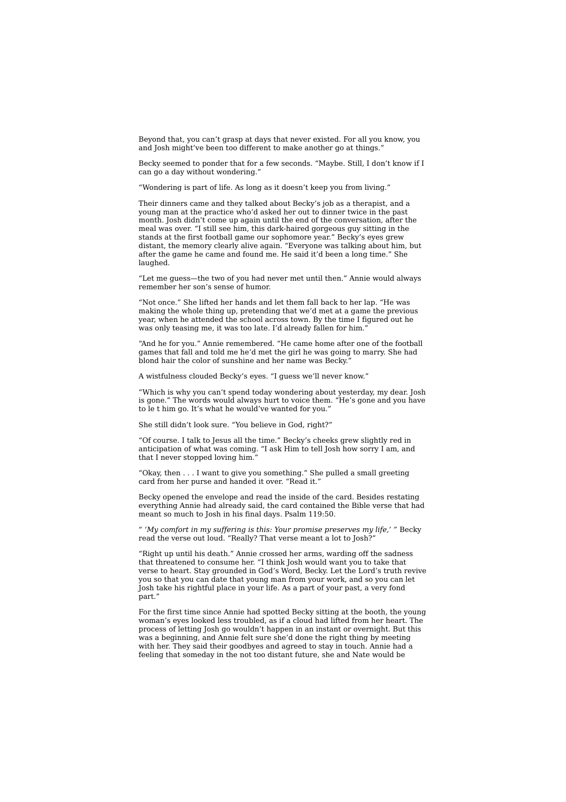Beyond that, you can't grasp at days that never existed. For all you know, you and Josh might've been too different to make another go at things."

Becky seemed to ponder that for a few seconds. "Maybe. Still, I don't know if I can go a day without wondering."

"Wondering is part of life. As long as it doesn't keep you from living."

Their dinners came and they talked about Becky's job as a therapist, and a young man at the practice who'd asked her out to dinner twice in the past month. Josh didn't come up again until the end of the conversation, after the meal was over. "I still see him, this dark-haired gorgeous guy sitting in the stands at the first football game our sophomore year." Becky's eyes grew distant, the memory clearly alive again. "Everyone was talking about him, but after the game he came and found me. He said it'd been a long time." She laughed.

"Let me guess—the two of you had never met until then." Annie would always remember her son's sense of humor.

"Not once." She lifted her hands and let them fall back to her lap. "He was making the whole thing up, pretending that we'd met at a game the previous year, when he attended the school across town. By the time I figured out he was only teasing me, it was too late. I'd already fallen for him."

"And he for you." Annie remembered. "He came home after one of the football games that fall and told me he'd met the girl he was going to marry. She had blond hair the color of sunshine and her name was Becky.

A wistfulness clouded Becky's eyes. "I guess we'll never know."

"Which is why you can't spend today wondering about yesterday, my dear. Josh is gone." The words would always hurt to voice them. "He's gone and you have to le t him go. It's what he would've wanted for you."

She still didn't look sure. "You believe in God, right?"

"Of course. I talk to Jesus all the time." Becky's cheeks grew slightly red in anticipation of what was coming. "I ask Him to tell Josh how sorry I am, and that I never stopped loving him."

"Okay, then . . . I want to give you something." She pulled a small greeting card from her purse and handed it over. "Read it."

Becky opened the envelope and read the inside of the card. Besides restating everything Annie had already said, the card contained the Bible verse that had meant so much to Josh in his final days. Psalm 119:50.

*" 'My comfort in my suffering is this: Your promise preserves my life,' "* Becky read the verse out loud. "Really? That verse meant a lot to Josh?"

"Right up until his death." Annie crossed her arms, warding off the sadness that threatened to consume her. "I think Josh would want you to take that verse to heart. Stay grounded in God's Word, Becky. Let the Lord's truth revive you so that you can date that young man from your work, and so you can let Josh take his rightful place in your life. As a part of your past, a very fond part."

For the first time since Annie had spotted Becky sitting at the booth, the young woman's eyes looked less troubled, as if a cloud had lifted from her heart. The process of letting Josh go wouldn't happen in an instant or overnight. But this was a beginning, and Annie felt sure she'd done the right thing by meeting with her. They said their goodbyes and agreed to stay in touch. Annie had a feeling that someday in the not too distant future, she and Nate would be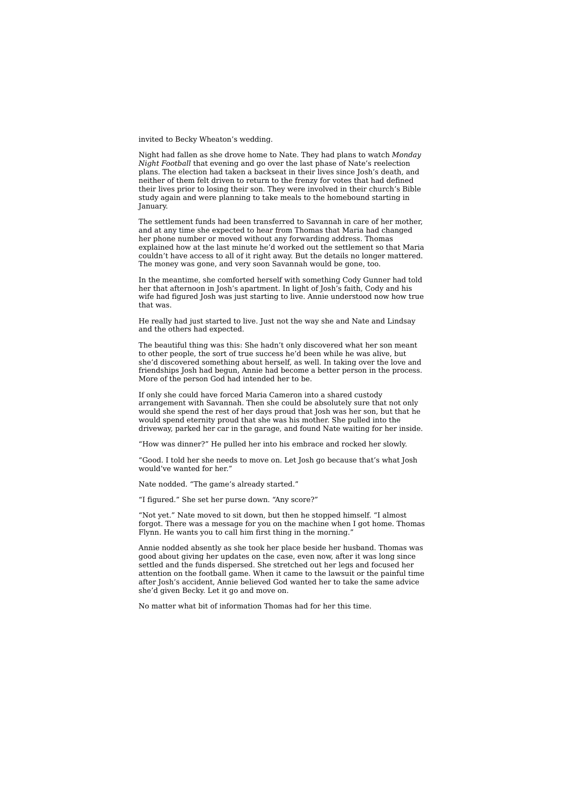invited to Becky Wheaton's wedding.

Night had fallen as she drove home to Nate. They had plans to watch *Monday Night Football* that evening and go over the last phase of Nate's reelection plans. The election had taken a backseat in their lives since Josh's death, and neither of them felt driven to return to the frenzy for votes that had defined their lives prior to losing their son. They were involved in their church's Bible study again and were planning to take meals to the homebound starting in January.

The settlement funds had been transferred to Savannah in care of her mother, and at any time she expected to hear from Thomas that Maria had changed her phone number or moved without any forwarding address. Thomas explained how at the last minute he'd worked out the settlement so that Maria couldn't have access to all of it right away. But the details no longer mattered. The money was gone, and very soon Savannah would be gone, too.

In the meantime, she comforted herself with something Cody Gunner had told her that afternoon in Josh's apartment. In light of Josh's faith, Cody and his wife had figured Josh was just starting to live. Annie understood now how true that was.

He really had just started to live. Just not the way she and Nate and Lindsay and the others had expected.

The beautiful thing was this: She hadn't only discovered what her son meant to other people, the sort of true success he'd been while he was alive, but she'd discovered something about herself, as well. In taking over the love and friendships Josh had begun, Annie had become a better person in the process. More of the person God had intended her to be.

If only she could have forced Maria Cameron into a shared custody arrangement with Savannah. Then she could be absolutely sure that not only would she spend the rest of her days proud that Josh was her son, but that he would spend eternity proud that she was his mother. She pulled into the driveway, parked her car in the garage, and found Nate waiting for her inside.

"How was dinner?" He pulled her into his embrace and rocked her slowly.

"Good. I told her she needs to move on. Let Josh go because that's what Josh would've wanted for her."

Nate nodded. "The game's already started."

"I figured." She set her purse down. "Any score?"

"Not yet." Nate moved to sit down, but then he stopped himself. "I almost forgot. There was a message for you on the machine when I got home. Thomas Flynn. He wants you to call him first thing in the morning.'

Annie nodded absently as she took her place beside her husband. Thomas was good about giving her updates on the case, even now, after it was long since settled and the funds dispersed. She stretched out her legs and focused her attention on the football game. When it came to the lawsuit or the painful time after Josh's accident, Annie believed God wanted her to take the same advice she'd given Becky. Let it go and move on.

No matter what bit of information Thomas had for her this time.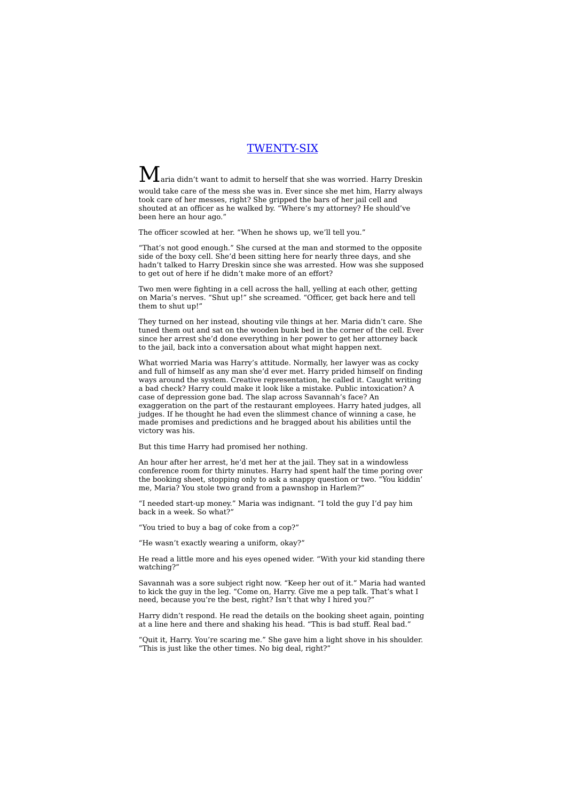# TWENTY-SIX

 $\mathbf M$ aria didn't want to admit to herself that she was worried. Harry Dreskin would take care of the mess she was in. Ever since she met him, Harry always took care of her messes, right? She gripped the bars of her jail cell and shouted at an officer as he walked by. "Where's my attorney? He should've been here an hour ago."

The officer scowled at her. "When he shows up, we'll tell you."

"That's not good enough." She cursed at the man and stormed to the opposite side of the boxy cell. She'd been sitting here for nearly three days, and she hadn't talked to Harry Dreskin since she was arrested. How was she supposed to get out of here if he didn't make more of an effort?

Two men were fighting in a cell across the hall, yelling at each other, getting on Maria's nerves. "Shut up!" she screamed. "Officer, get back here and tell them to shut up!"

They turned on her instead, shouting vile things at her. Maria didn't care. She tuned them out and sat on the wooden bunk bed in the corner of the cell. Ever since her arrest she'd done everything in her power to get her attorney back to the jail, back into a conversation about what might happen next.

What worried Maria was Harry's attitude. Normally, her lawyer was as cocky and full of himself as any man she'd ever met. Harry prided himself on finding ways around the system. Creative representation, he called it. Caught writing a bad check? Harry could make it look like a mistake. Public intoxication? A case of depression gone bad. The slap across Savannah's face? An exaggeration on the part of the restaurant employees. Harry hated judges, all judges. If he thought he had even the slimmest chance of winning a case, he made promises and predictions and he bragged about his abilities until the victory was his.

But this time Harry had promised her nothing.

An hour after her arrest, he'd met her at the jail. They sat in a windowless conference room for thirty minutes. Harry had spent half the time poring over the booking sheet, stopping only to ask a snappy question or two. "You kiddin' me, Maria? You stole two grand from a pawnshop in Harlem?"

"I needed start-up money." Maria was indignant. "I told the guy I'd pay him back in a week. So what?

"You tried to buy a bag of coke from a cop?"

"He wasn't exactly wearing a uniform, okay?"

He read a little more and his eyes opened wider. "With your kid standing there watching?"

Savannah was a sore subject right now. "Keep her out of it." Maria had wanted to kick the guy in the leg. "Come on, Harry. Give me a pep talk. That's what I need, because you're the best, right? Isn't that why I hired you?"

Harry didn't respond. He read the details on the booking sheet again, pointing at a line here and there and shaking his head. "This is bad stuff. Real bad."

"Quit it, Harry. You're scaring me." She gave him a light shove in his shoulder. "This is just like the other times. No big deal, right?"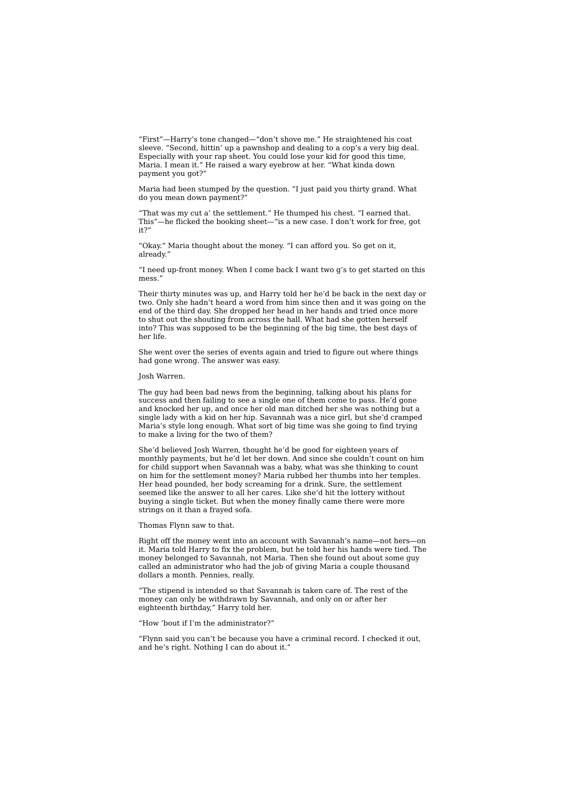"First"—Harry's tone changed—"don't shove me." He straightened his coat sleeve. "Second, hittin' up a pawnshop and dealing to a cop's a very big deal. Especially with your rap sheet. You could lose your kid for good this time, Maria. I mean it." He raised a wary eyebrow at her. "What kinda down payment you got?"

Maria had been stumped by the question. "I just paid you thirty grand. What do you mean down payment?"

"That was my cut a' the settlement." He thumped his chest. "I earned that. This"—he flicked the booking sheet—"is a new case. I don't work for free, got it?"

"Okay." Maria thought about the money. "I can afford you. So get on it, already."

"I need up-front money. When I come back I want two g's to get started on this mess.

Their thirty minutes was up, and Harry told her he'd be back in the next day or two. Only she hadn't heard a word from him since then and it was going on the end of the third day. She dropped her head in her hands and tried once more to shut out the shouting from across the hall. What had she gotten herself into? This was supposed to be the beginning of the big time, the best days of her life.

She went over the series of events again and tried to figure out where things had gone wrong. The answer was easy.

Josh Warren.

The guy had been bad news from the beginning, talking about his plans for success and then failing to see a single one of them come to pass. He'd gone and knocked her up, and once her old man ditched her she was nothing but a single lady with a kid on her hip. Savannah was a nice girl, but she'd cramped Maria's style long enough. What sort of big time was she going to find trying to make a living for the two of them?

She'd believed Josh Warren, thought he'd be good for eighteen years of monthly payments, but he'd let her down. And since she couldn't count on him for child support when Savannah was a baby, what was she thinking to count on him for the settlement money? Maria rubbed her thumbs into her temples. Her head pounded, her body screaming for a drink. Sure, the settlement seemed like the answer to all her cares. Like she'd hit the lottery without buying a single ticket. But when the money finally came there were more strings on it than a frayed sofa.

Thomas Flynn saw to that.

Right off the money went into an account with Savannah's name—not hers—on it. Maria told Harry to fix the problem, but he told her his hands were tied. The money belonged to Savannah, not Maria. Then she found out about some guy called an administrator who had the job of giving Maria a couple thousand dollars a month. Pennies, really.

"The stipend is intended so that Savannah is taken care of. The rest of the money can only be withdrawn by Savannah, and only on or after her eighteenth birthday," Harry told her.

"How 'bout if I'm the administrator?"

"Flynn said you can't be because you have a criminal record. I checked it out, and he's right. Nothing I can do about it."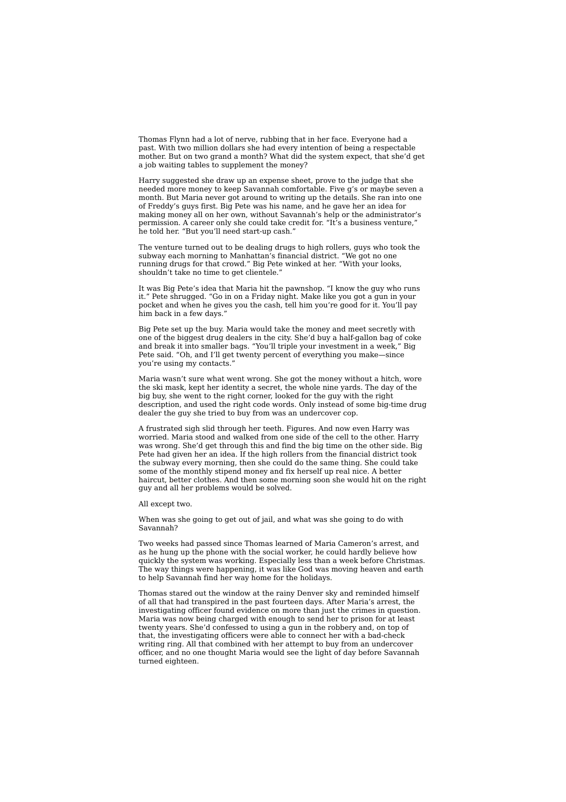Thomas Flynn had a lot of nerve, rubbing that in her face. Everyone had a past. With two million dollars she had every intention of being a respectable mother. But on two grand a month? What did the system expect, that she'd get a job waiting tables to supplement the money?

Harry suggested she draw up an expense sheet, prove to the judge that she needed more money to keep Savannah comfortable. Five g's or maybe seven a month. But Maria never got around to writing up the details. She ran into one of Freddy's guys first. Big Pete was his name, and he gave her an idea for making money all on her own, without Savannah's help or the administrator's permission. A career only she could take credit for. "It's a business venture," he told her. "But you'll need start-up cash."

The venture turned out to be dealing drugs to high rollers, guys who took the subway each morning to Manhattan's financial district. "We got no one running drugs for that crowd." Big Pete winked at her. "With your looks, shouldn't take no time to get clientele."

It was Big Pete's idea that Maria hit the pawnshop. "I know the guy who runs it." Pete shrugged. "Go in on a Friday night. Make like you got a gun in your pocket and when he gives you the cash, tell him you're good for it. You'll pay him back in a few days.'

Big Pete set up the buy. Maria would take the money and meet secretly with one of the biggest drug dealers in the city. She'd buy a half-gallon bag of coke and break it into smaller bags. "You'll triple your investment in a week," Big Pete said. "Oh, and I'll get twenty percent of everything you make—since you're using my contacts."

Maria wasn't sure what went wrong. She got the money without a hitch, wore the ski mask, kept her identity a secret, the whole nine yards. The day of the big buy, she went to the right corner, looked for the guy with the right description, and used the right code words. Only instead of some big-time drug dealer the guy she tried to buy from was an undercover cop.

A frustrated sigh slid through her teeth. Figures. And now even Harry was worried. Maria stood and walked from one side of the cell to the other. Harry was wrong. She'd get through this and find the big time on the other side. Big Pete had given her an idea. If the high rollers from the financial district took the subway every morning, then she could do the same thing. She could take some of the monthly stipend money and fix herself up real nice. A better haircut, better clothes. And then some morning soon she would hit on the right guy and all her problems would be solved.

All except two.

When was she going to get out of jail, and what was she going to do with Savannah?

Two weeks had passed since Thomas learned of Maria Cameron's arrest, and as he hung up the phone with the social worker, he could hardly believe how quickly the system was working. Especially less than a week before Christmas. The way things were happening, it was like God was moving heaven and earth to help Savannah find her way home for the holidays.

Thomas stared out the window at the rainy Denver sky and reminded himself of all that had transpired in the past fourteen days. After Maria's arrest, the investigating officer found evidence on more than just the crimes in question. Maria was now being charged with enough to send her to prison for at least twenty years. She'd confessed to using a gun in the robbery and, on top of that, the investigating officers were able to connect her with a bad-check writing ring. All that combined with her attempt to buy from an undercover officer, and no one thought Maria would see the light of day before Savannah turned eighteen.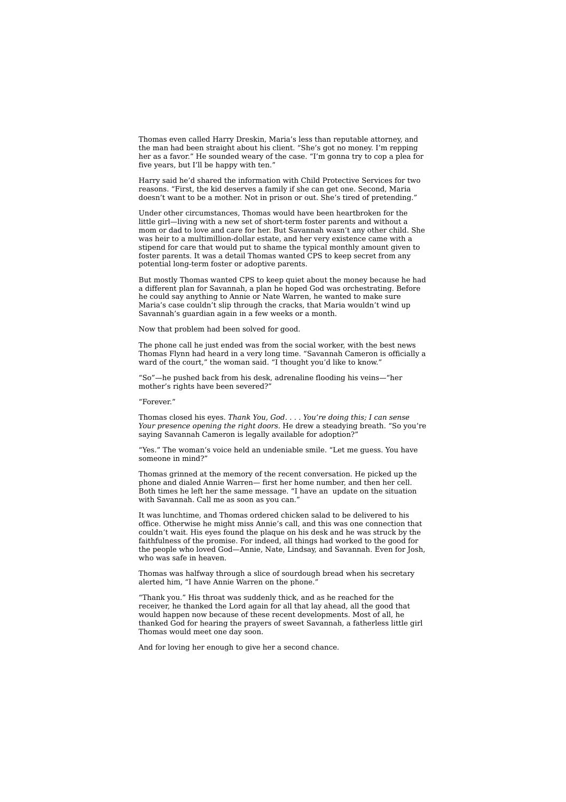Thomas even called Harry Dreskin, Maria's less than reputable attorney, and the man had been straight about his client. "She's got no money. I'm repping her as a favor." He sounded weary of the case. "I'm gonna try to cop a plea for five years, but I'll be happy with ten."

Harry said he'd shared the information with Child Protective Services for two reasons. "First, the kid deserves a family if she can get one. Second, Maria doesn't want to be a mother. Not in prison or out. She's tired of pretending."

Under other circumstances, Thomas would have been heartbroken for the little girl—living with a new set of short-term foster parents and without a mom or dad to love and care for her. But Savannah wasn't any other child. She was heir to a multimillion-dollar estate, and her very existence came with a stipend for care that would put to shame the typical monthly amount given to foster parents. It was a detail Thomas wanted CPS to keep secret from any potential long-term foster or adoptive parents.

But mostly Thomas wanted CPS to keep quiet about the money because he had a different plan for Savannah, a plan he hoped God was orchestrating. Before he could say anything to Annie or Nate Warren, he wanted to make sure Maria's case couldn't slip through the cracks, that Maria wouldn't wind up Savannah's guardian again in a few weeks or a month.

Now that problem had been solved for good.

The phone call he just ended was from the social worker, with the best news Thomas Flynn had heard in a very long time. "Savannah Cameron is officially a ward of the court," the woman said. "I thought you'd like to know."

"So"—he pushed back from his desk, adrenaline flooding his veins—"her mother's rights have been severed?

"Forever."

Thomas closed his eyes. *Thank You, God. . . . You're doing this; I can sense Your presence opening the right doors.* He drew a steadying breath. "So you're saying Savannah Cameron is legally available for adoption?"

"Yes." The woman's voice held an undeniable smile. "Let me guess. You have someone in mind?"

Thomas grinned at the memory of the recent conversation. He picked up the phone and dialed Annie Warren— first her home number, and then her cell. Both times he left her the same message. "I have an update on the situation with Savannah. Call me as soon as you can."

It was lunchtime, and Thomas ordered chicken salad to be delivered to his office. Otherwise he might miss Annie's call, and this was one connection that couldn't wait. His eyes found the plaque on his desk and he was struck by the faithfulness of the promise. For indeed, all things had worked to the good for the people who loved God—Annie, Nate, Lindsay, and Savannah. Even for Josh, who was safe in heaven.

Thomas was halfway through a slice of sourdough bread when his secretary alerted him, "I have Annie Warren on the phone."

"Thank you." His throat was suddenly thick, and as he reached for the receiver, he thanked the Lord again for all that lay ahead, all the good that would happen now because of these recent developments. Most of all, he thanked God for hearing the prayers of sweet Savannah, a fatherless little girl Thomas would meet one day soon.

And for loving her enough to give her a second chance.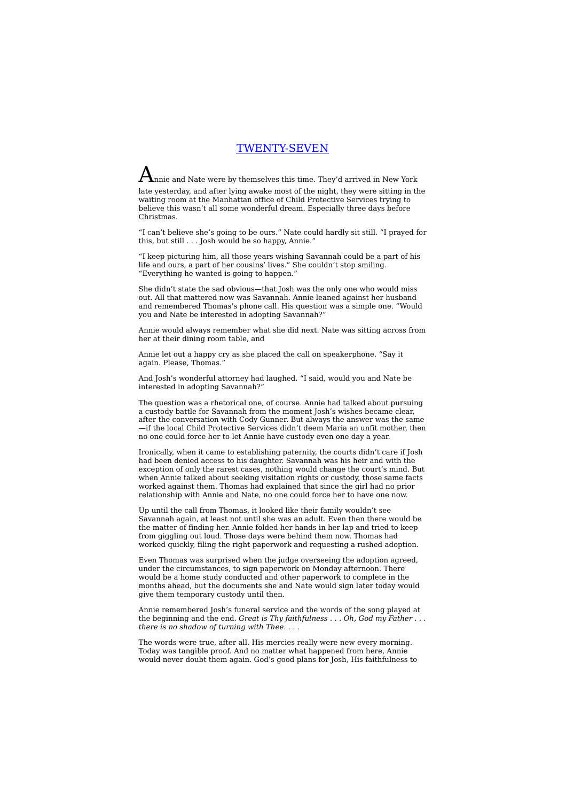## TWENTY-SEVEN

 ${\mathbf A}$ nnie and Nate were by themselves this time. They'd arrived in New York late yesterday, and after lying awake most of the night, they were sitting in the waiting room at the Manhattan office of Child Protective Services trying to believe this wasn't all some wonderful dream. Especially three days before Christmas.

"I can't believe she's going to be ours." Nate could hardly sit still. "I prayed for this, but still . . . Josh would be so happy, Annie."

"I keep picturing him, all those years wishing Savannah could be a part of his life and ours, a part of her cousins' lives." She couldn't stop smiling. "Everything he wanted is going to happen."

She didn't state the sad obvious—that Josh was the only one who would miss out. All that mattered now was Savannah. Annie leaned against her husband and remembered Thomas's phone call. His question was a simple one. "Would you and Nate be interested in adopting Savannah?"

Annie would always remember what she did next. Nate was sitting across from her at their dining room table, and

Annie let out a happy cry as she placed the call on speakerphone. "Say it again. Please, Thomas."

And Josh's wonderful attorney had laughed. "I said, would you and Nate be interested in adopting Savannah?"

The question was a rhetorical one, of course. Annie had talked about pursuing a custody battle for Savannah from the moment Josh's wishes became clear, after the conversation with Cody Gunner. But always the answer was the same —if the local Child Protective Services didn't deem Maria an unfit mother, then no one could force her to let Annie have custody even one day a year.

Ironically, when it came to establishing paternity, the courts didn't care if Josh had been denied access to his daughter. Savannah was his heir and with the exception of only the rarest cases, nothing would change the court's mind. But when Annie talked about seeking visitation rights or custody, those same facts worked against them. Thomas had explained that since the girl had no prior relationship with Annie and Nate, no one could force her to have one now.

Up until the call from Thomas, it looked like their family wouldn't see Savannah again, at least not until she was an adult. Even then there would be the matter of finding her. Annie folded her hands in her lap and tried to keep from giggling out loud. Those days were behind them now. Thomas had worked quickly, filing the right paperwork and requesting a rushed adoption.

Even Thomas was surprised when the judge overseeing the adoption agreed, under the circumstances, to sign paperwork on Monday afternoon. There would be a home study conducted and other paperwork to complete in the months ahead, but the documents she and Nate would sign later today would give them temporary custody until then.

Annie remembered Josh's funeral service and the words of the song played at the beginning and the end. *Great is Thy faithfulness . . . Oh, God my Father . . . there is no shadow of turning with Thee. . . .*

The words were true, after all. His mercies really were new every morning. Today was tangible proof. And no matter what happened from here, Annie would never doubt them again. God's good plans for Josh, His faithfulness to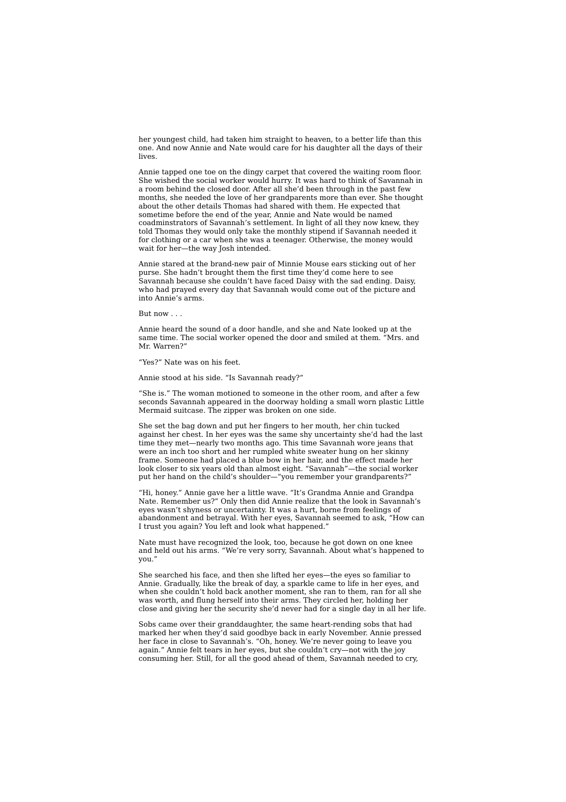her youngest child, had taken him straight to heaven, to a better life than this one. And now Annie and Nate would care for his daughter all the days of their lives.

Annie tapped one toe on the dingy carpet that covered the waiting room floor. She wished the social worker would hurry. It was hard to think of Savannah in a room behind the closed door. After all she'd been through in the past few months, she needed the love of her grandparents more than ever. She thought about the other details Thomas had shared with them. He expected that sometime before the end of the year, Annie and Nate would be named coadminstrators of Savannah's settlement. In light of all they now knew, they told Thomas they would only take the monthly stipend if Savannah needed it for clothing or a car when she was a teenager. Otherwise, the money would wait for her—the way Josh intended.

Annie stared at the brand-new pair of Minnie Mouse ears sticking out of her purse. She hadn't brought them the first time they'd come here to see Savannah because she couldn't have faced Daisy with the sad ending. Daisy, who had prayed every day that Savannah would come out of the picture and into Annie's arms.

But now . . .

Annie heard the sound of a door handle, and she and Nate looked up at the same time. The social worker opened the door and smiled at them. "Mrs. and Mr. Warren?"

"Yes?" Nate was on his feet.

Annie stood at his side. "Is Savannah ready?"

"She is." The woman motioned to someone in the other room, and after a few seconds Savannah appeared in the doorway holding a small worn plastic Little Mermaid suitcase. The zipper was broken on one side.

She set the bag down and put her fingers to her mouth, her chin tucked against her chest. In her eyes was the same shy uncertainty she'd had the last time they met—nearly two months ago. This time Savannah wore jeans that were an inch too short and her rumpled white sweater hung on her skinny frame. Someone had placed a blue bow in her hair, and the effect made her look closer to six years old than almost eight. "Savannah"—the social worker put her hand on the child's shoulder—"you remember your grandparents?"

"Hi, honey." Annie gave her a little wave. "It's Grandma Annie and Grandpa Nate. Remember us?" Only then did Annie realize that the look in Savannah's eyes wasn't shyness or uncertainty. It was a hurt, borne from feelings of abandonment and betrayal. With her eyes, Savannah seemed to ask, "How can I trust you again? You left and look what happened."

Nate must have recognized the look, too, because he got down on one knee and held out his arms. "We're very sorry, Savannah. About what's happened to you."

She searched his face, and then she lifted her eyes—the eyes so familiar to Annie. Gradually, like the break of day, a sparkle came to life in her eyes, and when she couldn't hold back another moment, she ran to them, ran for all she was worth, and flung herself into their arms. They circled her, holding her close and giving her the security she'd never had for a single day in all her life.

Sobs came over their granddaughter, the same heart-rending sobs that had marked her when they'd said goodbye back in early November. Annie pressed her face in close to Savannah's. "Oh, honey. We're never going to leave you again." Annie felt tears in her eyes, but she couldn't cry—not with the joy consuming her. Still, for all the good ahead of them, Savannah needed to cry,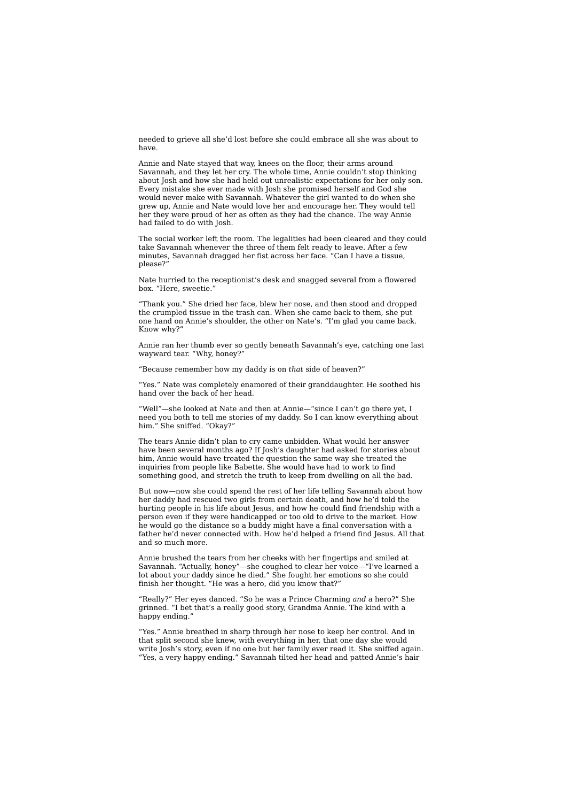needed to grieve all she'd lost before she could embrace all she was about to have.

Annie and Nate stayed that way, knees on the floor, their arms around Savannah, and they let her cry. The whole time, Annie couldn't stop thinking about Josh and how she had held out unrealistic expectations for her only son. Every mistake she ever made with Josh she promised herself and God she would never make with Savannah. Whatever the girl wanted to do when she grew up, Annie and Nate would love her and encourage her. They would tell her they were proud of her as often as they had the chance. The way Annie had failed to do with Josh.

The social worker left the room. The legalities had been cleared and they could take Savannah whenever the three of them felt ready to leave. After a few minutes, Savannah dragged her fist across her face. "Can I have a tissue, please?"

Nate hurried to the receptionist's desk and snagged several from a flowered box. "Here, sweetie."

"Thank you." She dried her face, blew her nose, and then stood and dropped the crumpled tissue in the trash can. When she came back to them, she put one hand on Annie's shoulder, the other on Nate's. "I'm glad you came back. Know why?"

Annie ran her thumb ever so gently beneath Savannah's eye, catching one last wayward tear. "Why, honey?"

"Because remember how my daddy is on *that* side of heaven?"

"Yes." Nate was completely enamored of their granddaughter. He soothed his hand over the back of her head.

"Well"—she looked at Nate and then at Annie—"since I can't go there yet, I need you both to tell me stories of my daddy. So I can know everything about him." She sniffed. "Okav?"

The tears Annie didn't plan to cry came unbidden. What would her answer have been several months ago? If Josh's daughter had asked for stories about him, Annie would have treated the question the same way she treated the inquiries from people like Babette. She would have had to work to find something good, and stretch the truth to keep from dwelling on all the bad.

But now—now she could spend the rest of her life telling Savannah about how her daddy had rescued two girls from certain death, and how he'd told the hurting people in his life about Jesus, and how he could find friendship with a person even if they were handicapped or too old to drive to the market. How he would go the distance so a buddy might have a final conversation with a father he'd never connected with. How he'd helped a friend find Jesus. All that and so much more.

Annie brushed the tears from her cheeks with her fingertips and smiled at Savannah. "Actually, honey"—she coughed to clear her voice—"I've learned a lot about your daddy since he died." She fought her emotions so she could finish her thought. "He was a hero, did you know that?'

"Really?" Her eyes danced. "So he was a Prince Charming *and* a hero?" She grinned. "I bet that's a really good story, Grandma Annie. The kind with a happy ending.'

"Yes." Annie breathed in sharp through her nose to keep her control. And in that split second she knew, with everything in her, that one day she would write Josh's story, even if no one but her family ever read it. She sniffed again. "Yes, a very happy ending." Savannah tilted her head and patted Annie's hair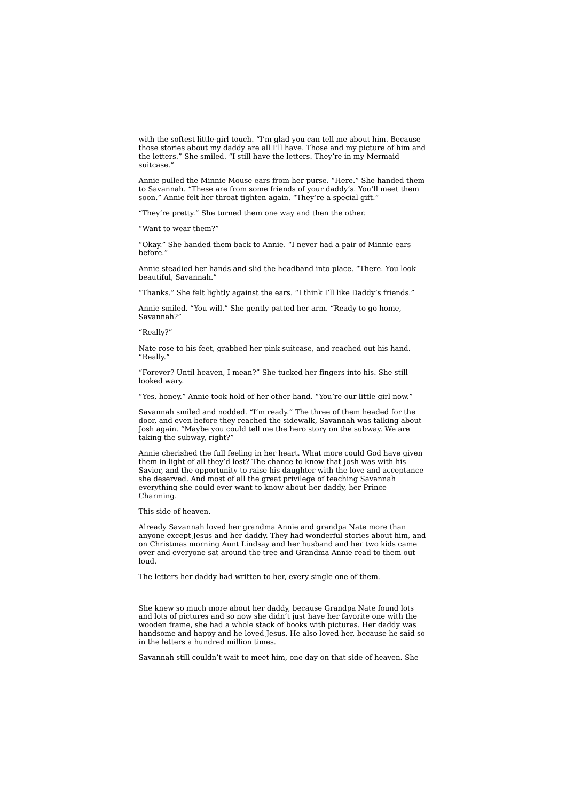with the softest little-girl touch. "I'm glad you can tell me about him. Because those stories about my daddy are all I'll have. Those and my picture of him and the letters." She smiled. "I still have the letters. They're in my Mermaid suitcase."

Annie pulled the Minnie Mouse ears from her purse. "Here." She handed them to Savannah. "These are from some friends of your daddy's. You'll meet them soon." Annie felt her throat tighten again. "They're a special gift."

"They're pretty." She turned them one way and then the other.

"Want to wear them?"

"Okay." She handed them back to Annie. "I never had a pair of Minnie ears before."

Annie steadied her hands and slid the headband into place. "There. You look beautiful, Savannah."

"Thanks." She felt lightly against the ears. "I think I'll like Daddy's friends."

Annie smiled. "You will." She gently patted her arm. "Ready to go home, Savannah?

#### "Really?"

Nate rose to his feet, grabbed her pink suitcase, and reached out his hand. "Really."

"Forever? Until heaven, I mean?" She tucked her fingers into his. She still looked wary.

"Yes, honey." Annie took hold of her other hand. "You're our little girl now."

Savannah smiled and nodded. "I'm ready." The three of them headed for the door, and even before they reached the sidewalk, Savannah was talking about Josh again. "Maybe you could tell me the hero story on the subway. We are taking the subway, right?"

Annie cherished the full feeling in her heart. What more could God have given them in light of all they'd lost? The chance to know that Josh was with his Savior, and the opportunity to raise his daughter with the love and acceptance she deserved. And most of all the great privilege of teaching Savannah everything she could ever want to know about her daddy, her Prince Charming.

This side of heaven.

Already Savannah loved her grandma Annie and grandpa Nate more than anyone except Jesus and her daddy. They had wonderful stories about him, and on Christmas morning Aunt Lindsay and her husband and her two kids came over and everyone sat around the tree and Grandma Annie read to them out loud.

The letters her daddy had written to her, every single one of them.

She knew so much more about her daddy, because Grandpa Nate found lots and lots of pictures and so now she didn't just have her favorite one with the wooden frame, she had a whole stack of books with pictures. Her daddy was handsome and happy and he loved Jesus. He also loved her, because he said so in the letters a hundred million times.

Savannah still couldn't wait to meet him, one day on that side of heaven. She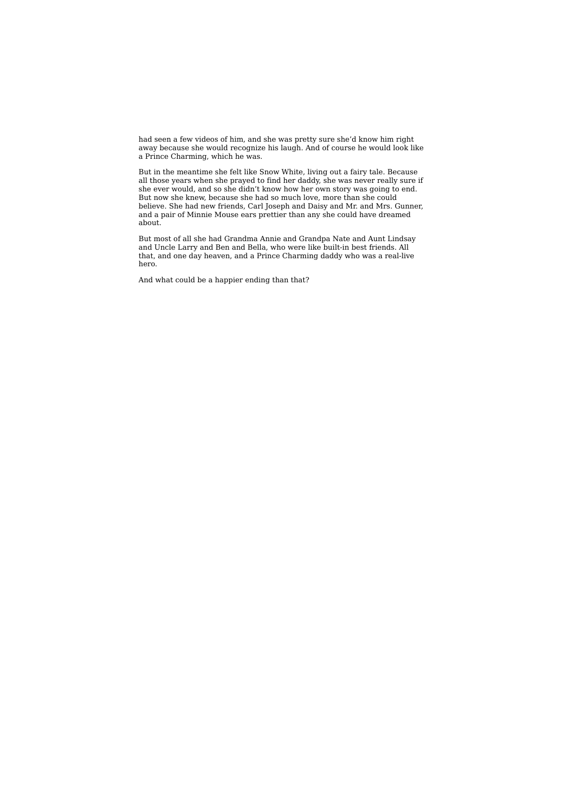had seen a few videos of him, and she was pretty sure she'd know him right away because she would recognize his laugh. And of course he would look like a Prince Charming, which he was.

But in the meantime she felt like Snow White, living out a fairy tale. Because all those years when she prayed to find her daddy, she was never really sure if she ever would, and so she didn't know how her own story was going to end. But now she knew, because she had so much love, more than she could believe. She had new friends, Carl Joseph and Daisy and Mr. and Mrs. Gunner, and a pair of Minnie Mouse ears prettier than any she could have dreamed about.

But most of all she had Grandma Annie and Grandpa Nate and Aunt Lindsay and Uncle Larry and Ben and Bella, who were like built-in best friends. All that, and one day heaven, and a Prince Charming daddy who was a real-live hero.

And what could be a happier ending than that?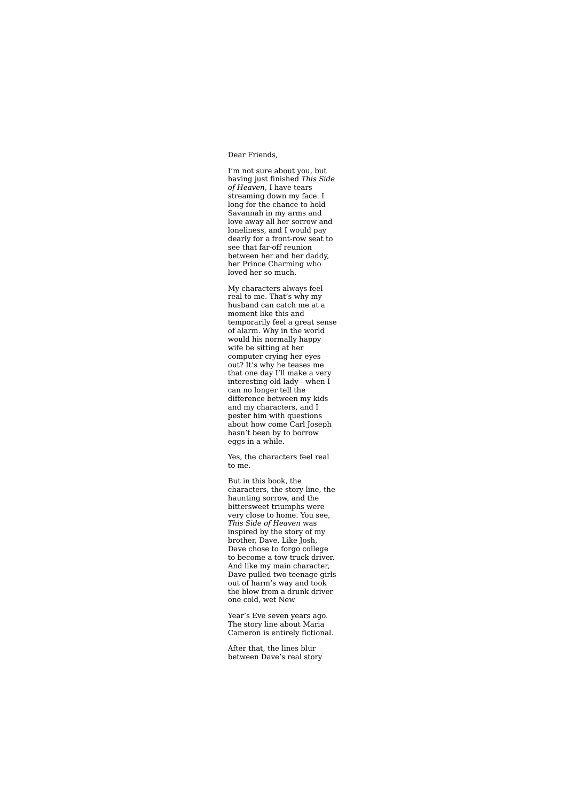#### Dear Friends,

I'm not sure about you, but having just finished *This Side of Heaven*, I have tears streaming down my face. I long for the chance to hold Savannah in my arms and love away all her sorrow and loneliness, and I would pay dearly for a front-row seat to see that far-off reunion between her and her daddy, her Prince Charming who loved her so much.

My characters always feel real to me. That's why my husband can catch me at a moment like this and temporarily feel a great sense of alarm. Why in the world would his normally happy wife be sitting at her computer crying her eyes out? It's why he teases me that one day I'll make a very interesting old lady—when I can no longer tell the difference between my kids and my characters, and I pester him with questions about how come Carl Joseph hasn't been by to borrow eggs in a while.

Yes, the characters feel real to me.

But in this book, the characters, the story line, the haunting sorrow, and the bittersweet triumphs were very close to home. You see, *This Side of Heaven* was inspired by the story of my brother, Dave. Like Josh, Dave chose to forgo college to become a tow truck driver. And like my main character, Dave pulled two teenage girls out of harm's way and took the blow from a drunk driver one cold, wet New

Year's Eve seven years ago. The story line about Maria Cameron is entirely fictional.

After that, the lines blur between Dave's real story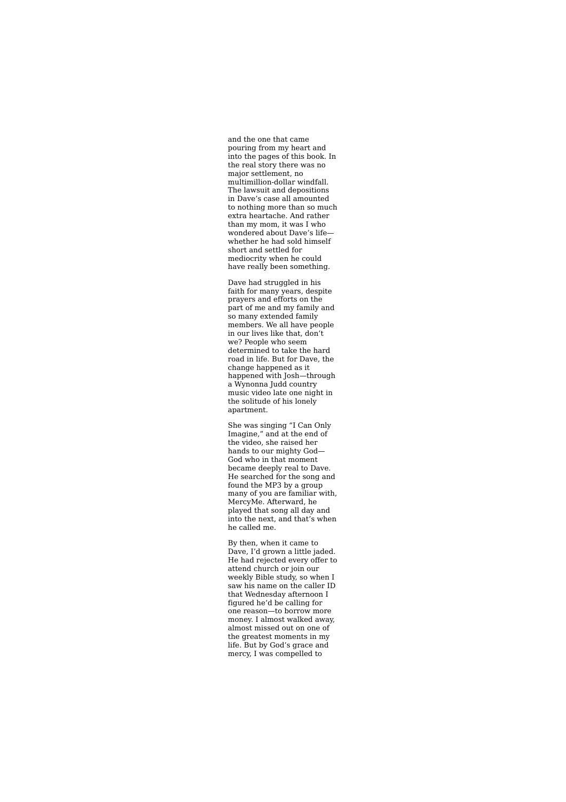and the one that came pouring from my heart and into the pages of this book. In the real story there was no major settlement, no multimillion-dollar windfall. The lawsuit and depositions in Dave's case all amounted to nothing more than so much extra heartache. And rather than my mom, it was I who wondered about Dave's life whether he had sold himself short and settled for mediocrity when he could have really been something.

Dave had struggled in his faith for many years, despite prayers and efforts on the part of me and my family and so many extended family members. We all have people in our lives like that, don't we? People who seem determined to take the hard road in life. But for Dave, the change happened as it happened with Josh—through a Wynonna Judd country music video late one night in the solitude of his lonely apartment.

She was singing "I Can Only Imagine," and at the end of the video, she raised her hands to our mighty God— God who in that moment became deeply real to Dave. He searched for the song and found the MP3 by a group many of you are familiar with, MercyMe. Afterward, he played that song all day and into the next, and that's when he called me.

By then, when it came to Dave, I'd grown a little jaded. He had rejected every offer to attend church or join our weekly Bible study, so when I saw his name on the caller ID that Wednesday afternoon I figured he'd be calling for one reason—to borrow more money. I almost walked away, almost missed out on one of the greatest moments in my life. But by God's grace and mercy, I was compelled to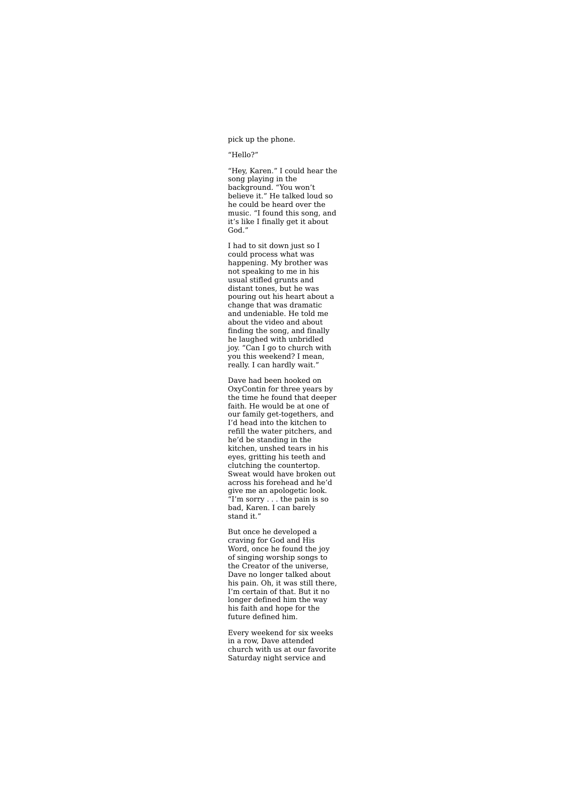pick up the phone.

"Hello?"

"Hey, Karen." I could hear the song playing in the background. "You won't believe it." He talked loud so he could be heard over the music. "I found this song, and it's like I finally get it about God."

I had to sit down just so I could process what was happening. My brother was not speaking to me in his usual stifled grunts and distant tones, but he was pouring out his heart about a change that was dramatic and undeniable. He told me about the video and about finding the song, and finally he laughed with unbridled joy. "Can I go to church with you this weekend? I mean, really. I can hardly wait."

Dave had been hooked on OxyContin for three years by the time he found that deeper faith. He would be at one of our family get-togethers, and I'd head into the kitchen to refill the water pitchers, and he'd be standing in the kitchen, unshed tears in his eyes, gritting his teeth and clutching the countertop. Sweat would have broken out across his forehead and he'd give me an apologetic look. "I'm sorry . . . the pain is so bad, Karen. I can barely stand it."

But once he developed a craving for God and His Word, once he found the joy of singing worship songs to the Creator of the universe, Dave no longer talked about his pain. Oh, it was still there, I'm certain of that. But it no longer defined him the way his faith and hope for the future defined him.

Every weekend for six weeks in a row, Dave attended church with us at our favorite Saturday night service and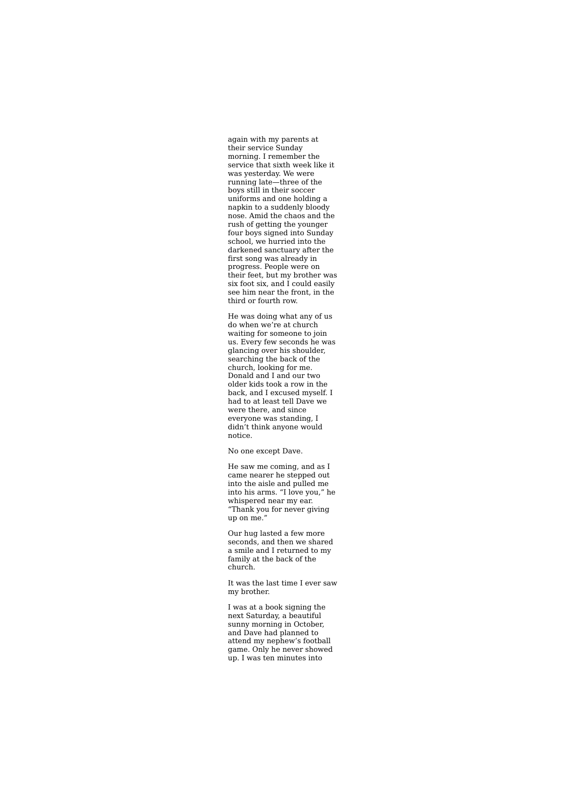again with my parents at their service Sunday morning. I remember the service that sixth week like it was yesterday. We were running late—three of the boys still in their soccer uniforms and one holding a napkin to a suddenly bloody nose. Amid the chaos and the rush of getting the younger four boys signed into Sunday school, we hurried into the darkened sanctuary after the first song was already in progress. People were on their feet, but my brother was six foot six, and I could easily see him near the front, in the third or fourth row.

He was doing what any of us do when we're at church waiting for someone to join us. Every few seconds he was glancing over his shoulder, searching the back of the church, looking for me. Donald and I and our two older kids took a row in the back, and I excused myself. I had to at least tell Dave we were there, and since everyone was standing, I didn't think anyone would notice.

No one except Dave.

He saw me coming, and as I came nearer he stepped out into the aisle and pulled me into his arms. "I love you," he whispered near my ear. "Thank you for never giving up on me."

Our hug lasted a few more seconds, and then we shared a smile and I returned to my family at the back of the church.

It was the last time I ever saw my brother.

I was at a book signing the next Saturday, a beautiful sunny morning in October, and Dave had planned to attend my nephew's football game. Only he never showed up. I was ten minutes into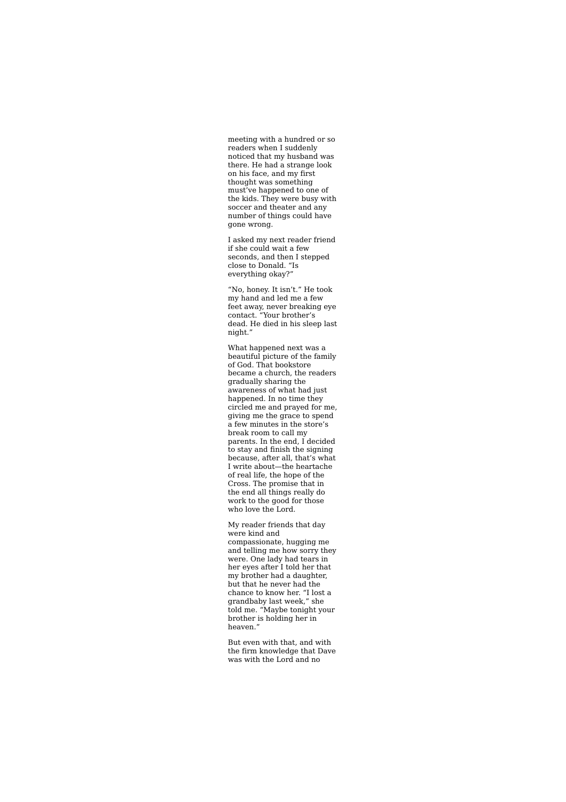meeting with a hundred or so readers when I suddenly noticed that my husband was there. He had a strange look on his face, and my first thought was something must've happened to one of the kids. They were busy with soccer and theater and any number of things could have gone wrong.

I asked my next reader friend if she could wait a few seconds, and then I stepped close to Donald. "Is everything okay?"

"No, honey. It isn't." He took my hand and led me a few feet away, never breaking eye contact. "Your brother's dead. He died in his sleep last night."

What happened next was a beautiful picture of the family of God. That bookstore became a church, the readers gradually sharing the awareness of what had just happened. In no time they circled me and prayed for me, giving me the grace to spend a few minutes in the store's break room to call my parents. In the end, I decided to stay and finish the signing because, after all, that's what I write about—the heartache of real life, the hope of the Cross. The promise that in the end all things really do work to the good for those who love the Lord.

My reader friends that day were kind and compassionate, hugging me and telling me how sorry they were. One lady had tears in her eyes after I told her that my brother had a daughter, but that he never had the chance to know her. "I lost a grandbaby last week," she told me. "Maybe tonight your brother is holding her in heaven."

But even with that, and with the firm knowledge that Dave was with the Lord and no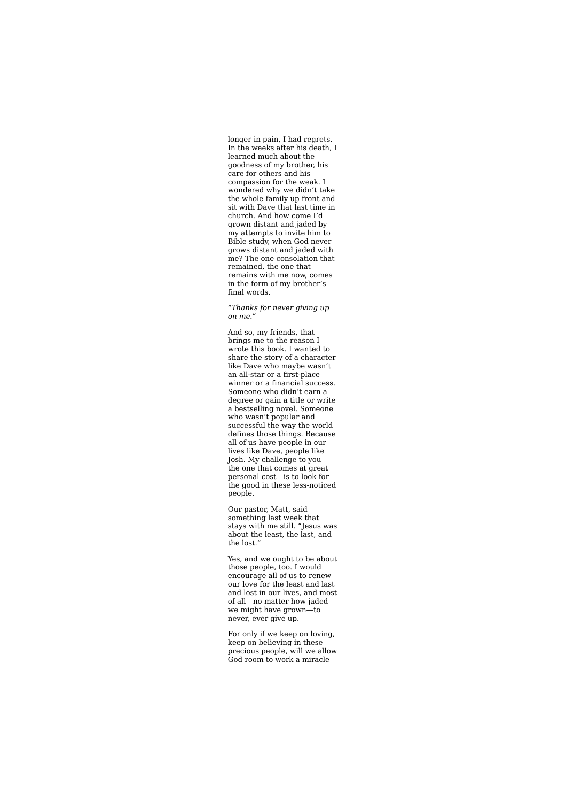longer in pain, I had regrets. In the weeks after his death, I learned much about the goodness of my brother, his care for others and his compassion for the weak. I wondered why we didn't take the whole family up front and sit with Dave that last time in church. And how come I'd grown distant and jaded by my attempts to invite him to Bible study, when God never grows distant and jaded with me? The one consolation that remained, the one that remains with me now, comes in the form of my brother's final words.

*"Thanks for never giving up on me."*

And so, my friends, that brings me to the reason I wrote this book. I wanted to share the story of a character like Dave who maybe wasn't an all-star or a first-place winner or a financial success. Someone who didn't earn a degree or gain a title or write a bestselling novel. Someone who wasn't popular and successful the way the world defines those things. Because all of us have people in our lives like Dave, people like Josh. My challenge to you the one that comes at great personal cost—is to look for the good in these less-noticed people.

Our pastor, Matt, said something last week that stays with me still. "Jesus was about the least, the last, and the lost."

Yes, and we ought to be about those people, too. I would encourage all of us to renew our love for the least and last and lost in our lives, and most of all—no matter how jaded we might have grown—to never, ever give up.

For only if we keep on loving, keep on believing in these precious people, will we allow God room to work a miracle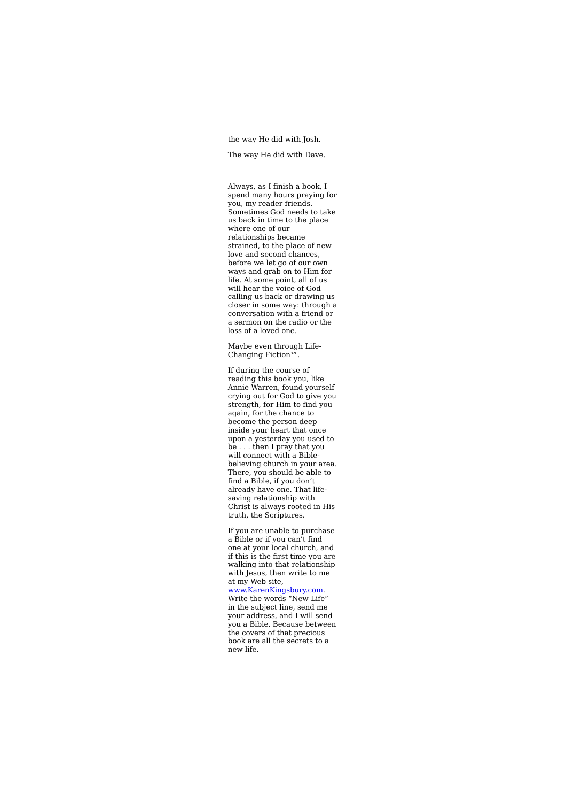the way He did with Josh.

The way He did with Dave.

Always, as I finish a book, I spend many hours praying for you, my reader friends. Sometimes God needs to take us back in time to the place where one of our relationships became strained, to the place of new love and second chances, before we let go of our own ways and grab on to Him for life. At some point, all of us will hear the voice of God calling us back or drawing us closer in some way: through a conversation with a friend or a sermon on the radio or the loss of a loved one.

Maybe even through Life- Changing Fiction™.

If during the course of reading this book you, like Annie Warren, found yourself crying out for God to give you strength, for Him to find you again, for the chance to become the person deep inside your heart that once upon a yesterday you used to be . . . then I pray that you will connect with a Biblebelieving church in your area. There, you should be able to find a Bible, if you don't already have one. That lifesaving relationship with Christ is always rooted in His truth, the Scriptures.

If you are unable to purchase a Bible or if you can't find one at your local church, and if this is the first time you are walking into that relationship with Jesus, then write to me at my Web site,

www.KarenKingsbury.com. Write the words "New Life" in the subject line, send me your address, and I will send you a Bible. Because between the covers of that precious book are all the secrets to a new life.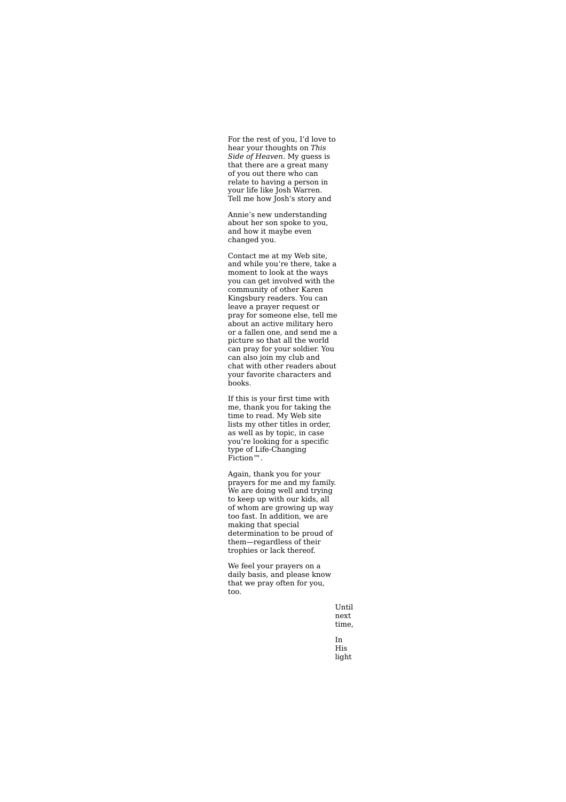For the rest of you, I'd love to hear your thoughts on *This Side of Heaven*. My guess is that there are a great many of you out there who can relate to having a person in your life like Josh Warren. Tell me how Josh's story and

Annie's new understanding about her son spoke to you, and how it maybe even changed you.

Contact me at my Web site, and while you're there, take a moment to look at the ways you can get involved with the community of other Karen Kingsbury readers. You can leave a prayer request or pray for someone else, tell me about an active military hero or a fallen one, and send me a picture so that all the world can pray for your soldier. You can also join my club and chat with other readers about your favorite characters and books.

If this is your first time with me, thank you for taking the time to read. My Web site lists my other titles in order, as well as by topic, in case you're looking for a specific type of Life-Changing  $Fiction<sup>™</sup>$ .

Again, thank you for your prayers for me and my family. We are doing well and trying to keep up with our kids, all of whom are growing up way too fast. In addition, we are making that special determination to be proud of them—regardless of their trophies or lack thereof.

We feel your prayers on a daily basis, and please know that we pray often for you, too.

> Until next time,

In<br>His light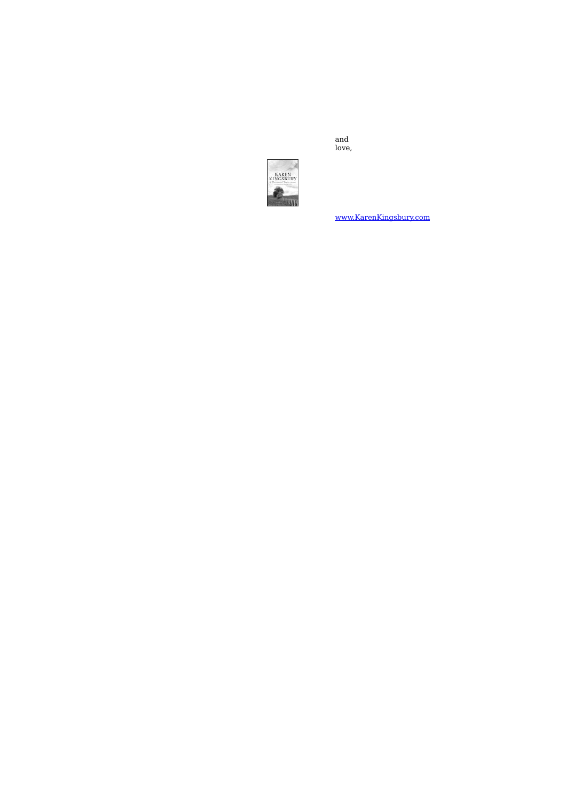and love,



www.KarenKingsbury.com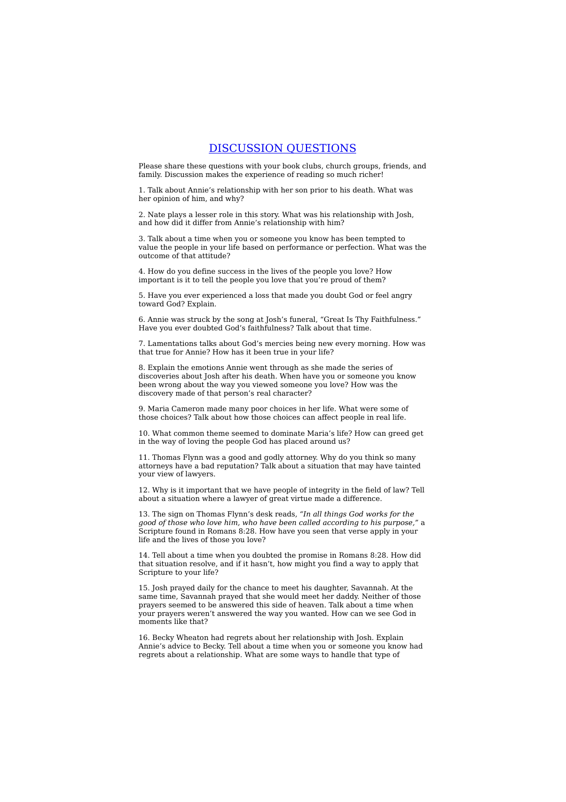# DISCUSSION QUESTIONS

Please share these questions with your book clubs, church groups, friends, and family. Discussion makes the experience of reading so much richer!

1. Talk about Annie's relationship with her son prior to his death. What was her opinion of him, and why?

2. Nate plays a lesser role in this story. What was his relationship with Josh, and how did it differ from Annie's relationship with him?

3. Talk about a time when you or someone you know has been tempted to value the people in your life based on performance or perfection. What was the outcome of that attitude?

4. How do you define success in the lives of the people you love? How important is it to tell the people you love that you're proud of them?

5. Have you ever experienced a loss that made you doubt God or feel angry toward God? Explain.

6. Annie was struck by the song at Josh's funeral, "Great Is Thy Faithfulness." Have you ever doubted God's faithfulness? Talk about that time.

7. Lamentations talks about God's mercies being new every morning. How was that true for Annie? How has it been true in your life?

8. Explain the emotions Annie went through as she made the series of discoveries about Josh after his death. When have you or someone you know been wrong about the way you viewed someone you love? How was the discovery made of that person's real character?

9. Maria Cameron made many poor choices in her life. What were some of those choices? Talk about how those choices can affect people in real life.

10. What common theme seemed to dominate Maria's life? How can greed get in the way of loving the people God has placed around us?

11. Thomas Flynn was a good and godly attorney. Why do you think so many attorneys have a bad reputation? Talk about a situation that may have tainted your view of lawyers.

12. Why is it important that we have people of integrity in the field of law? Tell about a situation where a lawyer of great virtue made a difference.

13. The sign on Thomas Flynn's desk reads, *"In all things God works for the good of those who love him, who have been called according to his purpose,"* a Scripture found in Romans 8:28. How have you seen that verse apply in your life and the lives of those you love?

14. Tell about a time when you doubted the promise in Romans 8:28. How did that situation resolve, and if it hasn't, how might you find a way to apply that Scripture to your life?

15. Josh prayed daily for the chance to meet his daughter, Savannah. At the same time, Savannah prayed that she would meet her daddy. Neither of those prayers seemed to be answered this side of heaven. Talk about a time when your prayers weren't answered the way you wanted. How can we see God in moments like that?

16. Becky Wheaton had regrets about her relationship with Josh. Explain Annie's advice to Becky. Tell about a time when you or someone you know had regrets about a relationship. What are some ways to handle that type of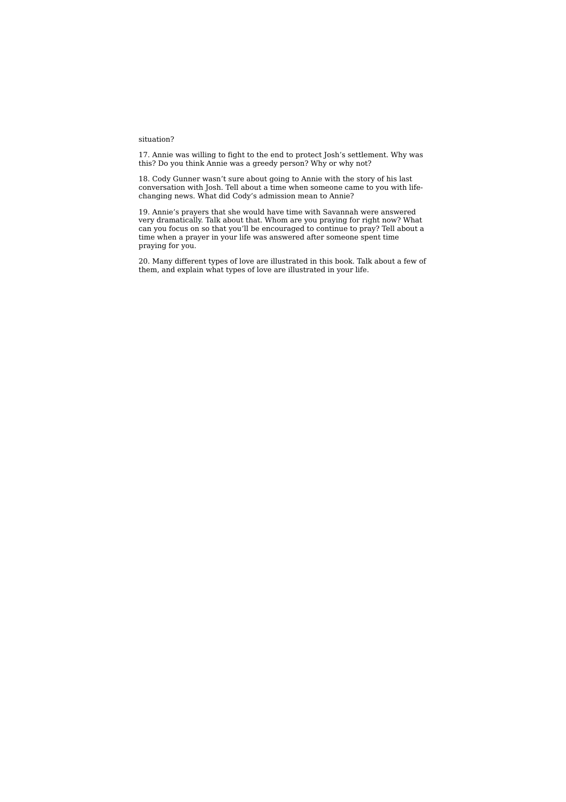#### situation?

17. Annie was willing to fight to the end to protect Josh's settlement. Why was this? Do you think Annie was a greedy person? Why or why not?

18. Cody Gunner wasn't sure about going to Annie with the story of his last conversation with Josh. Tell about a time when someone came to you with lifechanging news. What did Cody's admission mean to Annie?

19. Annie's prayers that she would have time with Savannah were answered very dramatically. Talk about that. Whom are you praying for right now? What can you focus on so that you'll be encouraged to continue to pray? Tell about a time when a prayer in your life was answered after someone spent time praying for you.

20. Many different types of love are illustrated in this book. Talk about a few of them, and explain what types of love are illustrated in your life.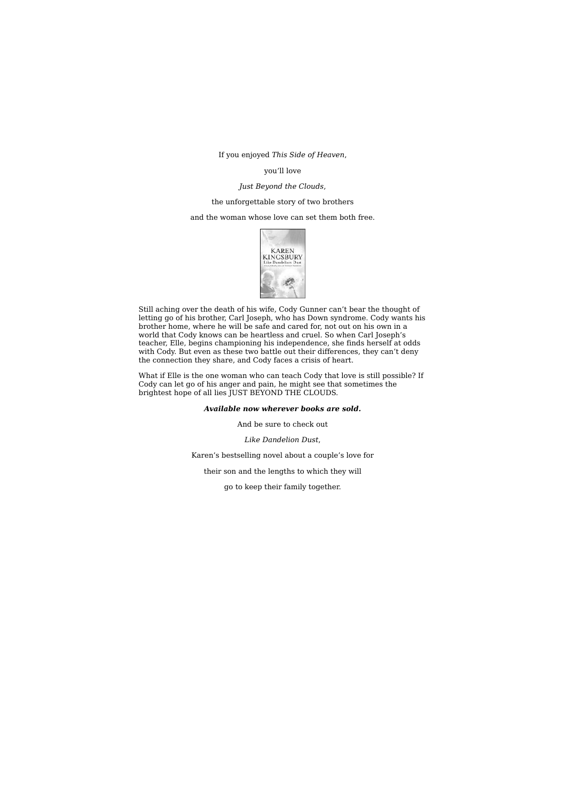If you enjoyed *This Side of Heaven*,

#### you'll love

#### *Just Beyond the Clouds*,

#### the unforgettable story of two brothers

#### and the woman whose love can set them both free.



Still aching over the death of his wife, Cody Gunner can't bear the thought of letting go of his brother, Carl Joseph, who has Down syndrome. Cody wants his brother home, where he will be safe and cared for, not out on his own in a world that Cody knows can be heartless and cruel. So when Carl Joseph's teacher, Elle, begins championing his independence, she finds herself at odds with Cody. But even as these two battle out their differences, they can't deny the connection they share, and Cody faces a crisis of heart.

What if Elle is the one woman who can teach Cody that love is still possible? If Cody can let go of his anger and pain, he might see that sometimes the brightest hope of all lies JUST BEYOND THE CLOUDS.

#### *Available now wherever books are sold.*

And be sure to check out

*Like Dandelion Dust*,

Karen's bestselling novel about a couple's love for

their son and the lengths to which they will

go to keep their family together.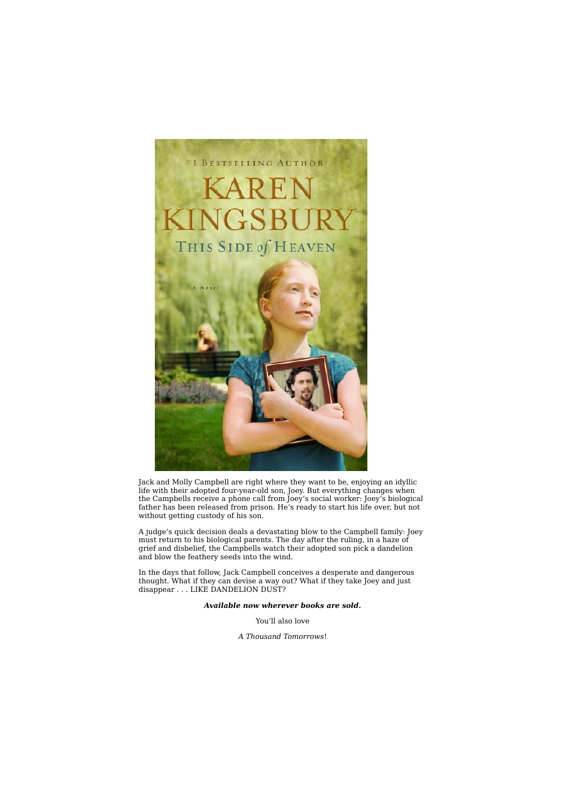

Jack and Molly Campbell are right where they want to be, enjoying an idyllic life with their adopted four-year-old son, Joey. But everything changes when the Campbells receive a phone call from Joey's social worker: Joey's biological father has been released from prison. He's ready to start his life over, but not without getting custody of his son.

A judge's quick decision deals a devastating blow to the Campbell family: Joey must return to his biological parents. The day after the ruling, in a haze of grief and disbelief, the Campbells watch their adopted son pick a dandelion and blow the feathery seeds into the wind.

In the days that follow, Jack Campbell conceives a desperate and dangerous thought. What if they can devise a way out? What if they take Joey and just disappear . . . LIKE DANDELION DUST?

*Available now wherever books are sold.*

You'll also love

*A Thousand Tomorrows*!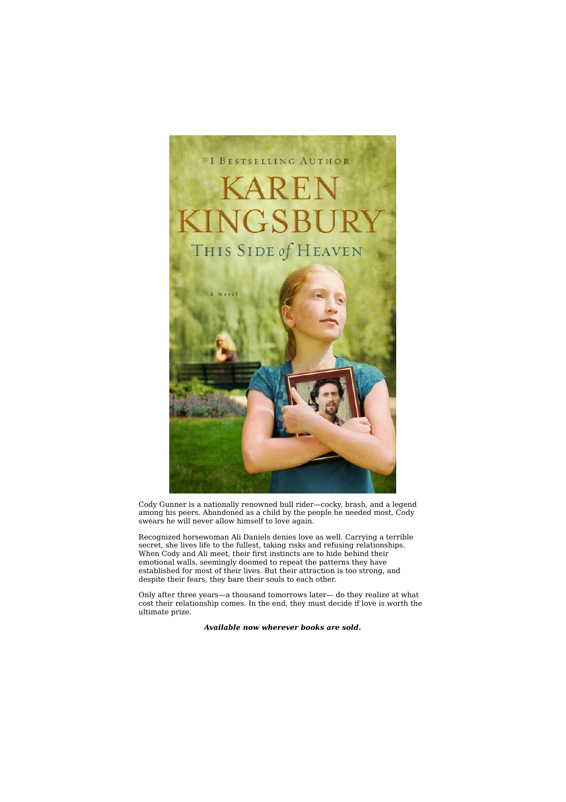

Cody Gunner is a nationally renowned bull rider—cocky, brash, and a legend among his peers. Abandoned as a child by the people he needed most, Cody swears he will never allow himself to love again.

Recognized horsewoman Ali Daniels denies love as well. Carrying a terrible secret, she lives life to the fullest, taking risks and refusing relationships. When Cody and Ali meet, their first instincts are to hide behind their emotional walls, seemingly doomed to repeat the patterns they have established for most of their lives. But their attraction is too strong, and despite their fears, they bare their souls to each other.

Only after three years—a thousand tomorrows later— do they realize at what cost their relationship comes. In the end, they must decide if love is worth the ultimate prize.

*Available now wherever books are sold.*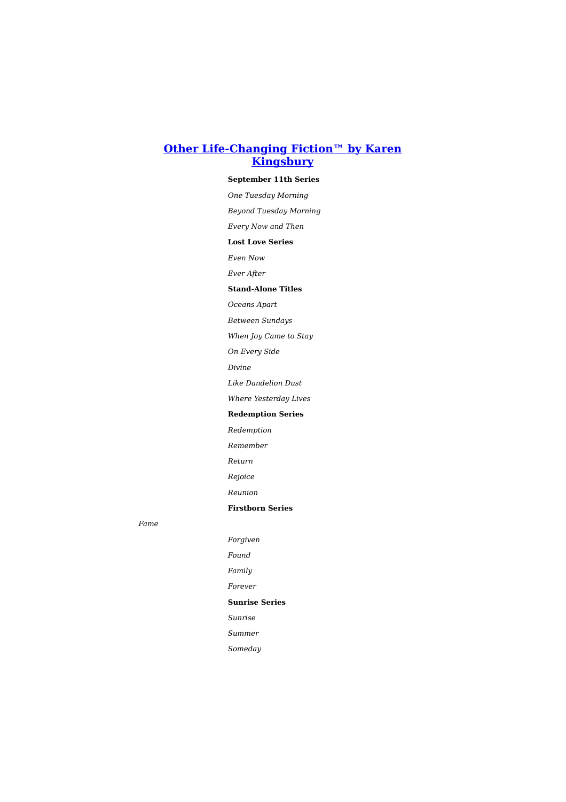# **Other Life-Changing Fiction™ by Karen Kingsbury**

#### **September 11th Series**

*One Tuesday Morning Beyond Tuesday Morning*

*Every Now and Then*

**Lost Love Series**

*Even Now*

*Ever After*

#### **Stand-Alone Titles**

*Oceans Apart*

*Between Sundays*

*When Joy Came to Stay*

*On Every Side*

*Divine*

*Like Dandelion Dust*

*Where Yesterday Lives*

**Redemption Series**

#### *Redemption*

*Remember*

*Return*

*Rejoice*

*Reunion*

#### **Firstborn Series**

*Fame*

# *Forgiven*

*Found*

*Family*

*Forever*

# **Sunrise Series**

*Sunrise*

*Summer*

*Someday*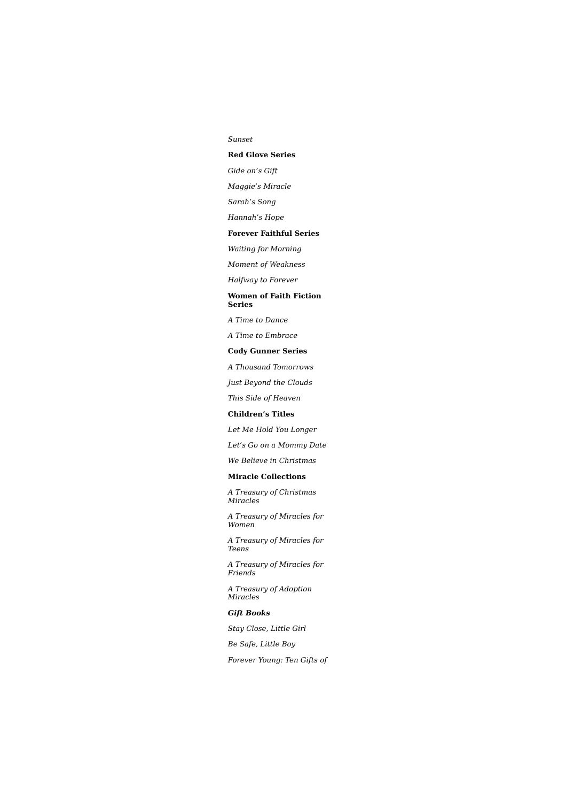#### *Sunset*

#### **Red Glove Series**

*Gide on's Gift*

*Maggie's Miracle*

*Sarah's Song*

*Hannah's Hope*

#### **Forever Faithful Series**

*Waiting for Morning*

*Moment of Weakness*

*Halfway to Forever*

#### **Women of Faith Fiction Series**

*A Time to Dance*

*A Time to Embrace*

#### **Cody Gunner Series**

*A Thousand Tomorrows*

*Just Beyond the Clouds*

*This Side of Heaven*

# **Children's Titles**

*Let Me Hold You Longer*

*Let's Go on a Mommy Date*

*We Believe in Christmas*

## **Miracle Collections**

*A Treasury of Christmas Miracles*

*A Treasury of Miracles for Women*

*A Treasury of Miracles for Teens*

*A Treasury of Miracles for Friends*

*A Treasury of Adoption Miracles*

#### *Gift Books*

*Stay Close, Little Girl*

*Be Safe, Little Boy*

*Forever Young: Ten Gifts of*